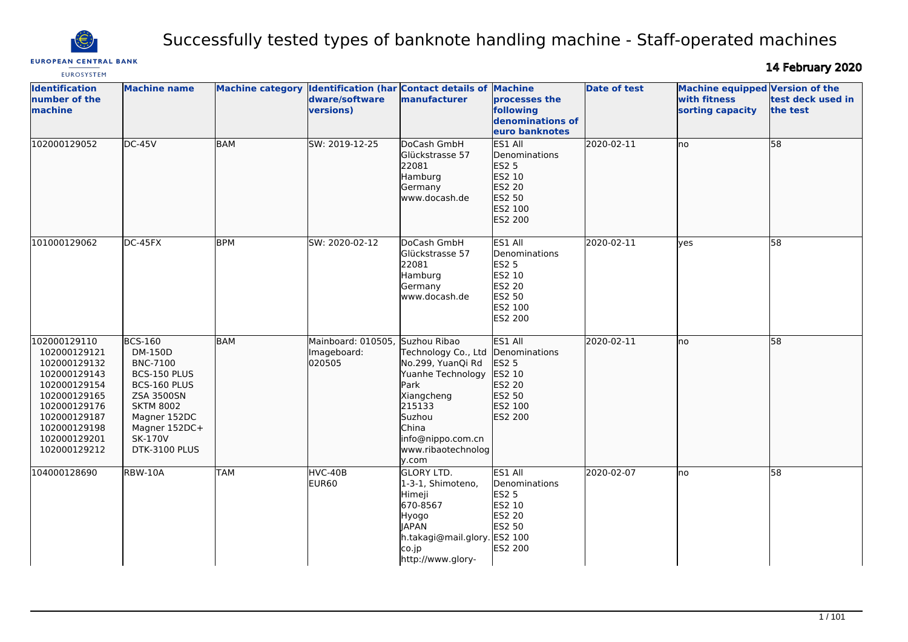

# Successfully tested types of banknote handling machine - Staff-operated machines

**EUROPEAN CENTRAL BANK EUROSYSTEM** 

14 February 2020

| <b>Identification</b><br>number of the<br>machine                                                                                                                            | <b>Machine name</b>                                                                                                                                                         |            | Machine category Identification (har Contact details of<br>dware/software<br>versions) | manufacturer                                                                                                                                                         | <b>Machine</b><br>processes the<br>following<br>denominations of<br>euro banknotes                  | <b>Date of test</b> | Machine equipped Version of the<br>with fitness<br>sorting capacity | test deck used in<br>the test |
|------------------------------------------------------------------------------------------------------------------------------------------------------------------------------|-----------------------------------------------------------------------------------------------------------------------------------------------------------------------------|------------|----------------------------------------------------------------------------------------|----------------------------------------------------------------------------------------------------------------------------------------------------------------------|-----------------------------------------------------------------------------------------------------|---------------------|---------------------------------------------------------------------|-------------------------------|
| 102000129052                                                                                                                                                                 | $DC-45V$                                                                                                                                                                    | <b>BAM</b> | SW: 2019-12-25                                                                         | DoCash GmbH<br>Glückstrasse 57<br>22081<br>Hamburg<br>Germany<br>www.docash.de                                                                                       | ES1 All<br>Denominations<br><b>ES2 5</b><br>ES2 10<br>ES2 20<br>ES2 50<br>ES2 100<br>ES2 200        | 2020-02-11          | Ino                                                                 | $\overline{58}$               |
| 101000129062                                                                                                                                                                 | DC-45FX                                                                                                                                                                     | <b>BPM</b> | SW: 2020-02-12                                                                         | DoCash GmbH<br>Glückstrasse 57<br>22081<br>Hamburg<br>Germany<br>www.docash.de                                                                                       | ES1 All<br>Denominations<br><b>ES2 5</b><br>ES2 10<br><b>ES2 20</b><br>ES2 50<br>ES2 100<br>ES2 200 | 2020-02-11          | <b>ves</b>                                                          | 58                            |
| 102000129110<br>102000129121<br>102000129132<br>102000129143<br>102000129154<br>102000129165<br>102000129176<br>102000129187<br>102000129198<br>102000129201<br>102000129212 | <b>BCS-160</b><br>DM-150D<br><b>BNC-7100</b><br>BCS-150 PLUS<br>BCS-160 PLUS<br>ZSA 3500SN<br><b>SKTM 8002</b><br>Magner 152DC<br>Magner 152DC+<br>SK-170V<br>DTK-3100 PLUS | BAM        | Mainboard: 010505, Suzhou Ribao<br>Imageboard:<br>020505                               | Technology Co., Ltd<br>No.299, YuanQi Rd<br>Yuanhe Technology<br>Park<br>Xiangcheng<br>215133<br>Suzhou<br>China<br>info@nippo.com.cn<br>www.ribaotechnolog<br>y.com | ES1 All<br>Denominations<br>ES2 5<br>ES2 10<br>ES2 20<br>ES2 50<br>ES2 100<br>ES2 200               | 2020-02-11          | lno                                                                 | 58                            |
| 104000128690                                                                                                                                                                 | RBW-10A                                                                                                                                                                     | <b>TAM</b> | HVC-40B<br>EUR60                                                                       | <b>GLORY LTD.</b><br>1-3-1, Shimoteno,<br>Himeji<br>670-8567<br>Hyogo<br><b>JAPAN</b><br>h.takagi@mail.glory. ES2 100<br>co.jp<br>http://www.glory-                  | ES1 All<br>Denominations<br><b>ES2 5</b><br>ES2 10<br>ES2 20<br>ES2 50<br>ES2 200                   | 2020-02-07          | no                                                                  | 58                            |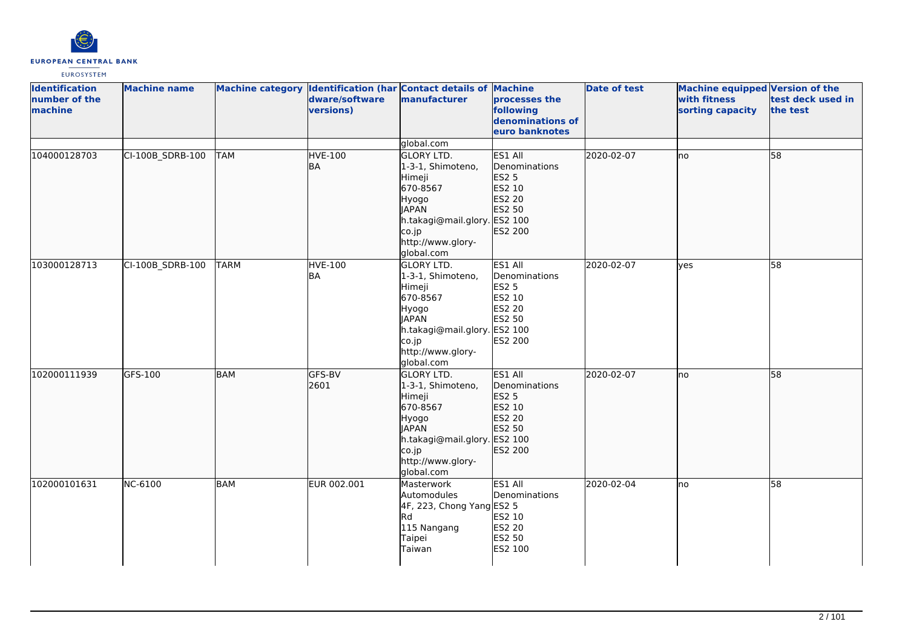

| <b>Identification</b><br>number of the<br>machine | <b>Machine name</b> |             | dware/software<br>versions) | Machine category Identification (har Contact details of Machine<br>manufacturer                                                                                   | processes the<br>following<br>denominations of<br>euro banknotes                  | <b>Date of test</b> | Machine equipped Version of the<br>with fitness<br>sorting capacity | test deck used in<br>the test |
|---------------------------------------------------|---------------------|-------------|-----------------------------|-------------------------------------------------------------------------------------------------------------------------------------------------------------------|-----------------------------------------------------------------------------------|---------------------|---------------------------------------------------------------------|-------------------------------|
|                                                   |                     |             |                             | global.com                                                                                                                                                        |                                                                                   |                     |                                                                     |                               |
| 104000128703                                      | CI-100B_SDRB-100    | <b>TAM</b>  | <b>HVE-100</b><br><b>BA</b> | <b>GLORY LTD.</b><br>1-3-1, Shimoteno,<br>Himeji<br>670-8567<br>Hyogo<br><b>JAPAN</b><br>h.takagi@mail.glory. ES2 100<br>co.jp<br>http://www.glory-<br>global.com | ES1 All<br>Denominations<br>ES2 5<br>ES2 10<br>ES2 20<br>ES2 50<br>ES2 200        | 2020-02-07          | lno                                                                 | 58                            |
| 103000128713                                      | CI-100B_SDRB-100    | <b>TARM</b> | <b>HVE-100</b><br>BA        | <b>GLORY LTD.</b><br>1-3-1, Shimoteno,<br>Himeji<br>670-8567<br>Hyogo<br><b>JAPAN</b><br>h.takagi@mail.glory. ES2 100<br>co.jp<br>http://www.glory-<br>global.com | ES1 All<br>Denominations<br><b>ES2 5</b><br>ES2 10<br>ES2 20<br>ES2 50<br>ES2 200 | 2020-02-07          | yes                                                                 | 58                            |
| 102000111939                                      | GFS-100             | <b>BAM</b>  | GFS-BV<br>2601              | <b>GLORY LTD.</b><br>1-3-1, Shimoteno,<br>Himeji<br>670-8567<br>Hyogo<br><b>JAPAN</b><br>h.takagi@mail.glory. ES2 100<br>co.jp<br>http://www.glory-<br>global.com | ES1 All<br>Denominations<br>ES2 5<br>ES2 10<br>ES2 20<br>ES2 50<br>ES2 200        | 2020-02-07          | lno                                                                 | 58                            |
| 102000101631                                      | NC-6100             | <b>BAM</b>  | EUR 002.001                 | Masterwork<br>Automodules<br>4F, 223, Chong Yang ES2 5<br>Rd<br>115 Nangang<br>Taipei<br>Taiwan                                                                   | ES1 All<br>Denominations<br>ES2 10<br>ES2 20<br>ES2 50<br>ES2 100                 | 2020-02-04          | lno                                                                 | 58                            |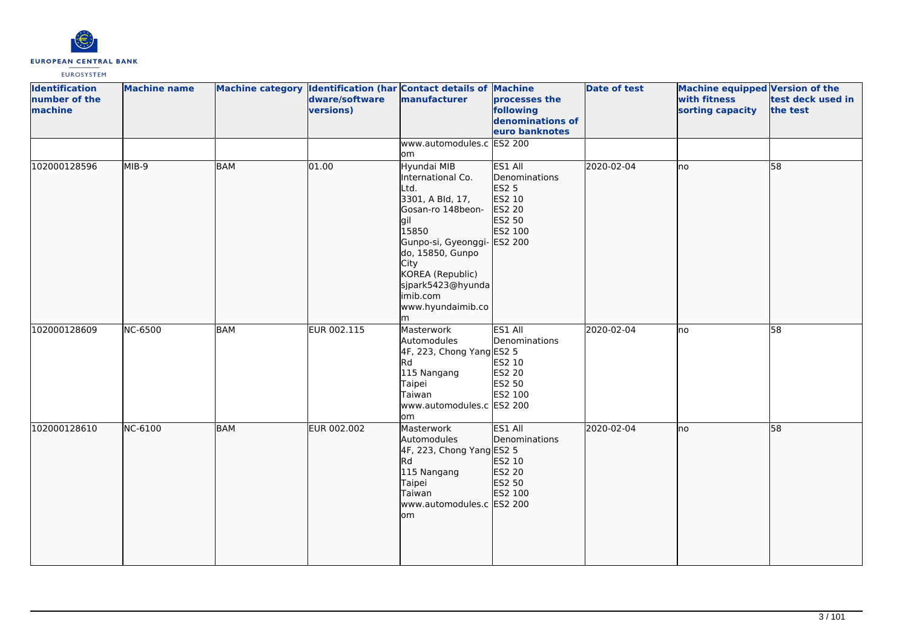

| <b>Identification</b><br>number of the<br>machine | <b>Machine name</b> |            | dware/software<br>versions) | Machine category Identification (har Contact details of Machine<br>manufacturer                                                                                                                                                             | processes the<br>following<br>denominations of<br>euro banknotes                             | <b>Date of test</b> | Machine equipped Version of the<br>with fitness<br>sorting capacity | test deck used in<br>the test |
|---------------------------------------------------|---------------------|------------|-----------------------------|---------------------------------------------------------------------------------------------------------------------------------------------------------------------------------------------------------------------------------------------|----------------------------------------------------------------------------------------------|---------------------|---------------------------------------------------------------------|-------------------------------|
|                                                   |                     |            |                             | www.automodules.c ES2 200<br>om                                                                                                                                                                                                             |                                                                                              |                     |                                                                     |                               |
| 102000128596                                      | MIB-9               | BAM        | 01.00                       | Hyundai MIB<br>International Co.<br>Ltd.<br>3301, A Bld, 17,<br>Gosan-ro 148beon-<br>gil<br>15850<br>Gunpo-si, Gyeonggi-<br>do, 15850, Gunpo<br><b>City</b><br>KOREA (Republic)<br>sjpark5423@hyunda<br>imib.com<br>www.hyundaimib.co<br>lm | ES1 All<br>Denominations<br>ES2 5<br>ES2 10<br>ES2 20<br>ES2 50<br>ES2 100<br><b>ES2 200</b> | 2020-02-04          | lno                                                                 | 58                            |
| 102000128609                                      | <b>NC-6500</b>      | <b>BAM</b> | EUR 002.115                 | Masterwork<br>Automodules<br>4F, 223, Chong Yang ES2 5<br>lRd.<br>115 Nangang<br>Taipei<br>Taiwan<br>www.automodules.c ES2 200<br>lom                                                                                                       | ES1 All<br>Denominations<br>ES2 10<br>ES2 20<br>ES2 50<br>ES2 100                            | 2020-02-04          | Ino                                                                 | 58                            |
| 102000128610                                      | NC-6100             | <b>BAM</b> | EUR 002.002                 | Masterwork<br>Automodules<br>4F, 223, Chong Yang ES2 5<br><b>Rd</b><br>115 Nangang<br>Taipei<br>Taiwan<br>www.automodules.c ES2 200<br>lom                                                                                                  | ES1 All<br>Denominations<br>ES2 10<br>ES2 20<br>ES2 50<br>ES2 100                            | 2020-02-04          | <b>I</b> no                                                         | $\overline{58}$               |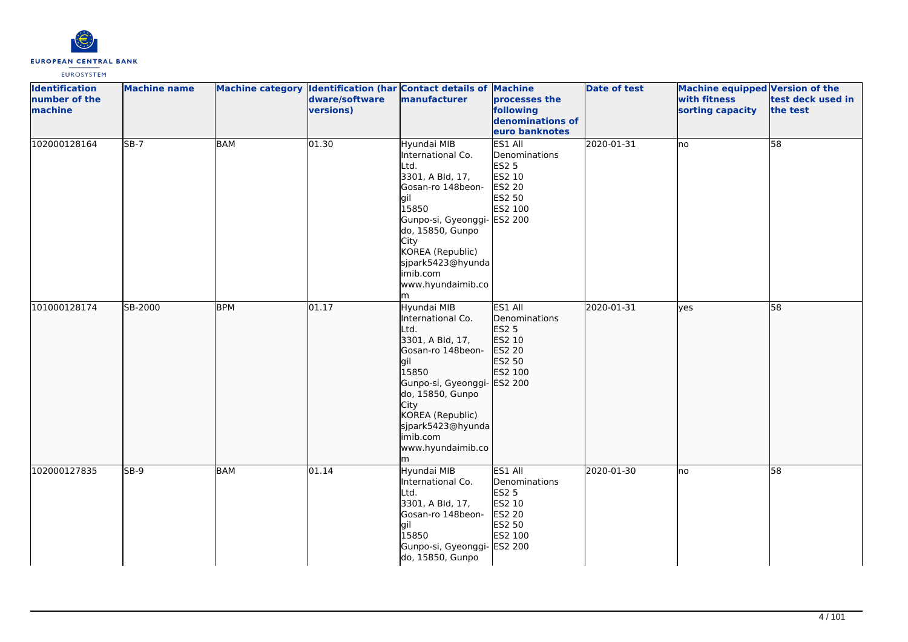

| <b>Identification</b><br>number of the<br>machine | <b>Machine name</b> |            | dware/software<br>versions) | Machine category Identification (har Contact details of Machine<br>manufacturer                                                                                                                                                              | processes the<br>following<br>denominations of<br>euro banknotes                  | <b>Date of test</b> | Machine equipped Version of the<br>with fitness<br>sorting capacity | test deck used in<br>the test |
|---------------------------------------------------|---------------------|------------|-----------------------------|----------------------------------------------------------------------------------------------------------------------------------------------------------------------------------------------------------------------------------------------|-----------------------------------------------------------------------------------|---------------------|---------------------------------------------------------------------|-------------------------------|
| 102000128164                                      | $SB-7$              | <b>BAM</b> | 01.30                       | Hyundai MIB<br>International Co.<br>Ltd.<br>3301, A Bld, 17,<br>Gosan-ro 148beon-<br>lgil<br>15850<br>Gunpo-si, Gyeonggi- ES2 200<br>do, 15850, Gunpo<br>City<br>KOREA (Republic)<br>sjpark5423@hyunda<br>imib.com<br>www.hyundaimib.co<br>m | ES1 All<br>Denominations<br><b>ES2 5</b><br>ES2 10<br>ES2 20<br>ES2 50<br>ES2 100 | 2020-01-31          | <b>I</b> no                                                         | $\overline{58}$               |
| 101000128174                                      | SB-2000             | <b>BPM</b> | 01.17                       | Hyundai MIB<br>International Co.<br>Ltd.<br>3301, A Bld, 17,<br>Gosan-ro 148beon-<br>gil<br>15850<br>Gunpo-si, Gyeonggi- ES2 200<br>do, 15850, Gunpo<br>City<br>KOREA (Republic)<br>sjpark5423@hyunda<br>imib.com<br>www.hyundaimib.co<br>m  | ES1 All<br>Denominations<br>ES2 5<br>ES2 10<br>ES2 20<br>ES2 50<br>ES2 100        | 2020-01-31          | lyes                                                                | 58                            |
| 102000127835                                      | $5B-9$              | <b>BAM</b> | 01.14                       | Hyundai MIB<br>International Co.<br>Ltd.<br>3301, A Bld, 17,<br>Gosan-ro 148beon-<br>lgil<br>15850<br>Gunpo-si, Gyeonggi- ES2 200<br>do, 15850, Gunpo                                                                                        | ES1 All<br>Denominations<br><b>ES2 5</b><br>ES2 10<br>ES2 20<br>ES2 50<br>ES2 100 | 2020-01-30          | lno                                                                 | 58                            |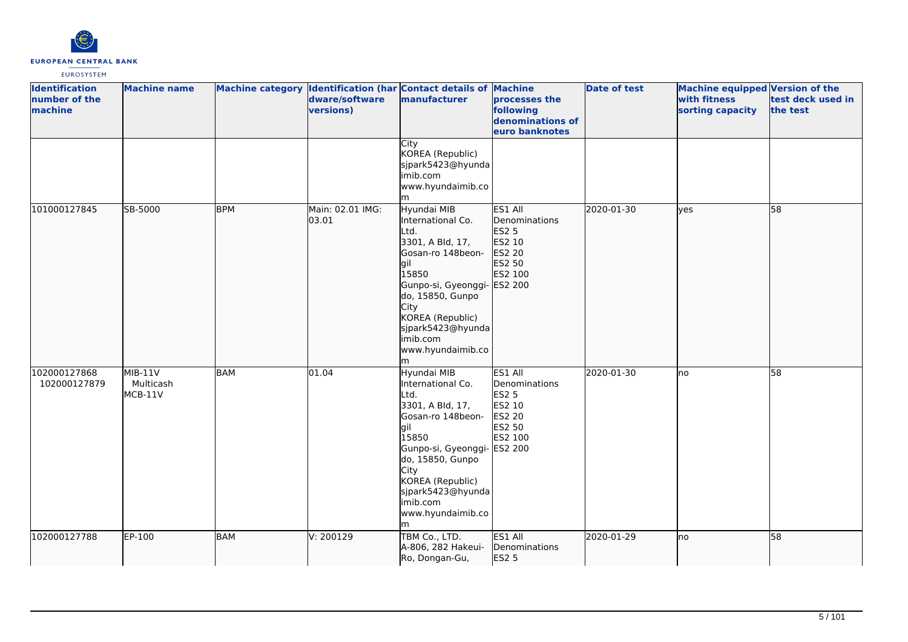

| <b>Identification</b><br>number of the<br>machine | <b>Machine name</b>               |            | dware/software<br>versions) | Machine category Identification (har Contact details of Machine<br>manufacturer                                                                                                                                                               | processes the<br>following<br>denominations of<br>euro banknotes                                    | <b>Date of test</b> | <b>Machine equipped Version of the</b><br>with fitness<br>sorting capacity | test deck used in<br>the test |
|---------------------------------------------------|-----------------------------------|------------|-----------------------------|-----------------------------------------------------------------------------------------------------------------------------------------------------------------------------------------------------------------------------------------------|-----------------------------------------------------------------------------------------------------|---------------------|----------------------------------------------------------------------------|-------------------------------|
|                                                   |                                   |            |                             | City<br>KOREA (Republic)<br>sjpark5423@hyunda<br>imib.com<br>www.hyundaimib.co<br>m                                                                                                                                                           |                                                                                                     |                     |                                                                            |                               |
| 101000127845                                      | SB-5000                           | <b>BPM</b> | Main: 02.01 IMG:<br>03.01   | Hyundai MIB<br>International Co.<br>Ltd.<br>3301, A Bld, 17,<br>Gosan-ro 148beon-<br>gil<br>15850<br>Gunpo-si, Gyeonggi- ES2 200<br>do, 15850, Gunpo<br>City<br>KOREA (Republic)<br>sjpark5423@hyunda<br>imib.com<br>www.hyundaimib.co<br>lm. | ES1 All<br>Denominations<br>ES2 5<br>ES2 10<br>ES2 20<br>ES2 50<br>ES2 100                          | 2020-01-30          | lyes                                                                       | 58                            |
| 102000127868<br>102000127879                      | $MIB-11V$<br>Multicash<br>MCB-11V | <b>BAM</b> | 01.04                       | Hyundai MIB<br>International Co.<br>Ltd.<br>3301, A Bld, 17,<br>Gosan-ro 148beon-<br>lgil<br>15850<br>Gunpo-si, Gyeonggi-<br>do, 15850, Gunpo<br>City<br>KOREA (Republic)<br>sjpark5423@hyunda<br>imib.com<br>www.hyundaimib.co<br>m          | ES1 All<br>Denominations<br><b>ES2 5</b><br>ES2 10<br><b>ES2 20</b><br>ES2 50<br>ES2 100<br>ES2 200 | 2020-01-30          | Ino                                                                        | $\overline{58}$               |
| 102000127788                                      | EP-100                            | <b>BAM</b> | V: 200129                   | TBM Co., LTD.<br>A-806, 282 Hakeui-<br>Ro, Dongan-Gu,                                                                                                                                                                                         | ES1 All<br>Denominations<br>ES2 5                                                                   | 2020-01-29          | lno                                                                        | 58                            |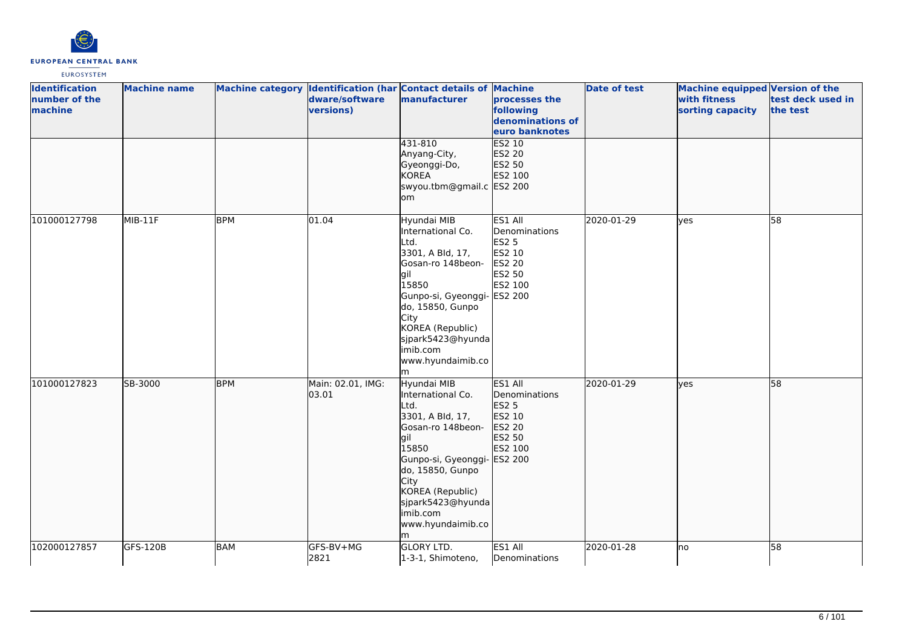

| <b>Identification</b>    | <b>Machine name</b> |            |                             | Machine category Identification (har Contact details of Machine                                                                                                                                                                              |                                                                                          | <b>Date of test</b> | Machine equipped Version of the  |                               |
|--------------------------|---------------------|------------|-----------------------------|----------------------------------------------------------------------------------------------------------------------------------------------------------------------------------------------------------------------------------------------|------------------------------------------------------------------------------------------|---------------------|----------------------------------|-------------------------------|
| number of the<br>machine |                     |            | dware/software<br>versions) | manufacturer                                                                                                                                                                                                                                 | processes the<br>following<br>denominations of<br>euro banknotes                         |                     | with fitness<br>sorting capacity | test deck used in<br>the test |
|                          |                     |            |                             | 431-810<br>Anyang-City,<br>Gyeonggi-Do,<br><b>KOREA</b><br>swyou.tbm@gmail.c ES2 200<br>om                                                                                                                                                   | <b>ES2 10</b><br>ES2 20<br>ES2 50<br>ES2 100                                             |                     |                                  |                               |
| 101000127798             | MIB-11F             | <b>BPM</b> | 01.04                       | Hyundai MIB<br>International Co.<br>Ltd.<br>3301, A Bld, 17,<br>Gosan-ro 148beon-<br>lgil<br>15850<br>Gunpo-si, Gyeonggi- ES2 200<br>do, 15850, Gunpo<br>City<br>KOREA (Republic)<br>sjpark5423@hyunda<br>imib.com<br>www.hyundaimib.co<br>m | ES1 All<br>Denominations<br><b>ES2 5</b><br>ES2 10<br><b>ES2 20</b><br>ES2 50<br>ES2 100 | 2020-01-29          | lyes                             | 58                            |
| 101000127823             | SB-3000             | <b>BPM</b> | Main: 02.01, IMG:<br>03.01  | Hyundai MIB<br>International Co.<br>Ltd.<br>3301, A Bld, 17,<br>Gosan-ro 148beon-<br>lgil<br>15850<br>Gunpo-si, Gyeonggi- ES2 200<br>do, 15850, Gunpo<br>City<br>KOREA (Republic)<br>sjpark5423@hyunda<br>imib.com<br>www.hyundaimib.co<br>m | ES1 All<br>Denominations<br>ES2 5<br>ES2 10<br>ES2 20<br>ES2 50<br>ES2 100               | 2020-01-29          | lyes                             | 58                            |
| 102000127857             | GFS-120B            | <b>BAM</b> | GFS-BV+MG<br>2821           | <b>GLORY LTD.</b><br>1-3-1, Shimoteno,                                                                                                                                                                                                       | ES1 All<br>Denominations                                                                 | 2020-01-28          | <b>I</b> no                      | $\overline{58}$               |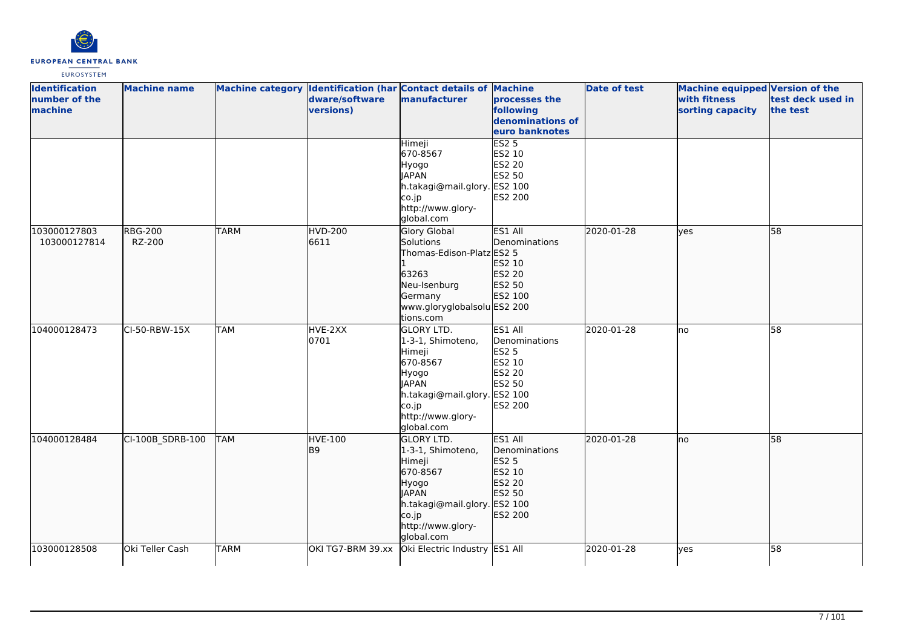

| <b>Identification</b><br>number of the<br>machine | <b>Machine name</b>      |             | dware/software<br>versions) | Machine category Identification (har Contact details of Machine<br>manufacturer                                                                                   | processes the<br>following<br>denominations of<br>euro banknotes                  | <b>Date of test</b> | Machine equipped Version of the<br>with fitness<br>sorting capacity | test deck used in<br>the test |
|---------------------------------------------------|--------------------------|-------------|-----------------------------|-------------------------------------------------------------------------------------------------------------------------------------------------------------------|-----------------------------------------------------------------------------------|---------------------|---------------------------------------------------------------------|-------------------------------|
|                                                   |                          |             |                             | Himeji<br>670-8567<br>Hyogo<br><b>JAPAN</b><br>h.takagi@mail.glory. ES2 100<br>co.jp<br>http://www.glory-<br>global.com                                           | ES2 <sub>5</sub><br>ES2 10<br>ES2 20<br>ES2 50<br>ES2 200                         |                     |                                                                     |                               |
| 103000127803<br>103000127814                      | <b>RBG-200</b><br>RZ-200 | <b>TARM</b> | <b>HVD-200</b><br>6611      | Glory Global<br>Solutions<br>Thomas-Edison-Platz ES2 5<br>63263<br>Neu-Isenburg<br>Germany<br>www.gloryglobalsolu ES2 200<br>tions.com                            | ES1 All<br>Denominations<br>ES2 10<br>ES2 20<br>ES2 50<br>ES2 100                 | 2020-01-28          | lves                                                                | 58                            |
| 104000128473                                      | CI-50-RBW-15X            | <b>TAM</b>  | HVE-2XX<br>0701             | <b>GLORY LTD.</b><br>1-3-1, Shimoteno,<br>Himeji<br>670-8567<br>Hyogo<br><b>JAPAN</b><br>h.takagi@mail.glory. ES2 100<br>co.jp<br>http://www.glory-<br>global.com | ES1 All<br>Denominations<br><b>ES2 5</b><br>ES2 10<br>ES2 20<br>ES2 50<br>ES2 200 | 2020-01-28          | lno                                                                 | 58                            |
| 104000128484                                      | CI-100B_SDRB-100         | <b>TAM</b>  | HVE-100<br>B <sub>9</sub>   | <b>GLORY LTD.</b><br>1-3-1, Shimoteno,<br>Himeji<br>670-8567<br>Hyogo<br><b>JAPAN</b><br>h.takagi@mail.glory. ES2 100<br>co.jp<br>http://www.glory-<br>global.com | ES1 All<br>Denominations<br>ES2 5<br>ES2 10<br>ES2 20<br>ES2 50<br>ES2 200        | 2020-01-28          | no                                                                  | 58                            |
| 103000128508                                      | Oki Teller Cash          | <b>TARM</b> | OKI TG7-BRM 39.xx           | Oki Electric Industry ES1 All                                                                                                                                     |                                                                                   | 2020-01-28          | lyes                                                                | 58                            |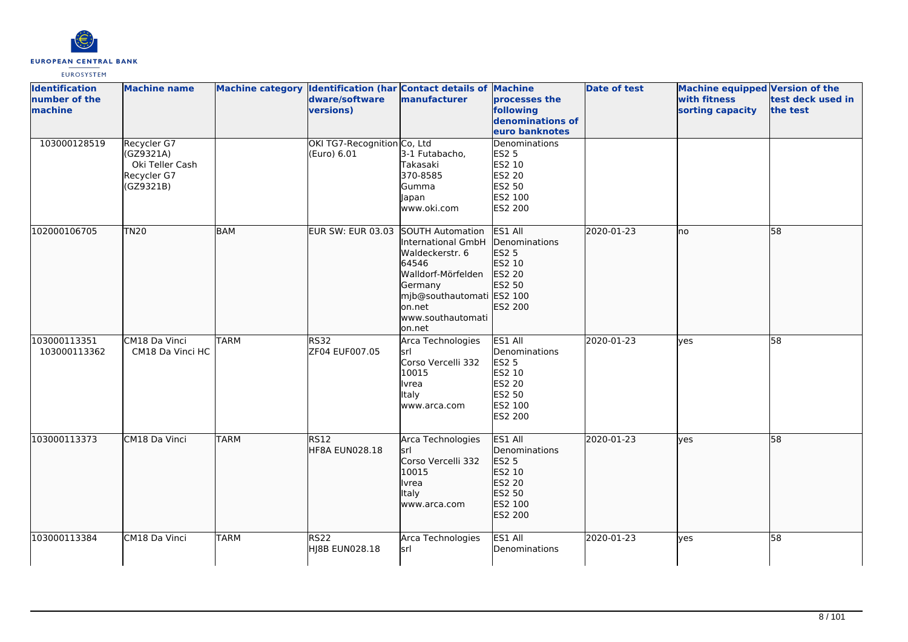

| <b>Identification</b><br>number of the<br>machine | <b>Machine name</b>                                                     |             | Machine category Identification (har Contact details of Machine<br>dware/software<br>versions) | manufacturer                                                                                                                                          | processes the<br>following<br>denominations of<br>euro banknotes                                    | Date of test | Machine equipped Version of the<br>with fitness<br>sorting capacity | test deck used in<br>the test |
|---------------------------------------------------|-------------------------------------------------------------------------|-------------|------------------------------------------------------------------------------------------------|-------------------------------------------------------------------------------------------------------------------------------------------------------|-----------------------------------------------------------------------------------------------------|--------------|---------------------------------------------------------------------|-------------------------------|
| 103000128519                                      | Recycler G7<br>(GZ9321A)<br>Oki Teller Cash<br>Recycler G7<br>(GZ9321B) |             | OKI TG7-Recognition Co, Ltd<br>(Euro) 6.01                                                     | 3-1 Futabacho,<br>Takasaki<br>370-8585<br>Gumma<br>Japan<br>www.oki.com                                                                               | Denominations<br><b>ES2 5</b><br>ES2 10<br><b>ES2 20</b><br>ES2 50<br>ES2 100<br>ES2 200            |              |                                                                     |                               |
| 102000106705                                      | <b>TN20</b>                                                             | <b>BAM</b>  | EUR SW: EUR 03.03 SOUTH Automation                                                             | International GmbH<br>Waldeckerstr. 6<br>64546<br>Walldorf-Mörfelden<br>Germany<br>mjb@southautomati ES2 100<br>on.net<br>www.southautomati<br>on.net | ES1 All<br>Denominations<br>ES2 5<br>ES2 10<br>ES2 20<br>ES2 50<br>ES2 200                          | 2020-01-23   | lno                                                                 | 58                            |
| 103000113351<br>103000113362                      | CM18 Da Vinci<br>CM18 Da Vinci HC                                       | <b>TARM</b> | <b>RS32</b><br>ZF04 EUF007.05                                                                  | Arca Technologies<br>lsrl<br>Corso Vercelli 332<br>10015<br>Ivrea<br>Italy<br>www.arca.com                                                            | ES1 All<br>Denominations<br><b>ES2 5</b><br>ES2 10<br><b>ES2 20</b><br>ES2 50<br>ES2 100<br>ES2 200 | 2020-01-23   | ves                                                                 | 58                            |
| 103000113373                                      | CM18 Da Vinci                                                           | <b>TARM</b> | RS12<br>HF8A EUN028.18                                                                         | Arca Technologies<br>lsrl<br>Corso Vercelli 332<br>10015<br>Ivrea<br><b>Italy</b><br>www.arca.com                                                     | ES1 All<br>Denominations<br><b>ES2 5</b><br>ES2 10<br>ES2 20<br>ES2 50<br>ES2 100<br>ES2 200        | 2020-01-23   | ves                                                                 | 58                            |
| 103000113384                                      | CM18 Da Vinci                                                           | <b>TARM</b> | RS <sub>22</sub><br><b>HI8B EUN028.18</b>                                                      | Arca Technologies<br>lsrl                                                                                                                             | ES1 All<br>Denominations                                                                            | 2020-01-23   | yes                                                                 | 58                            |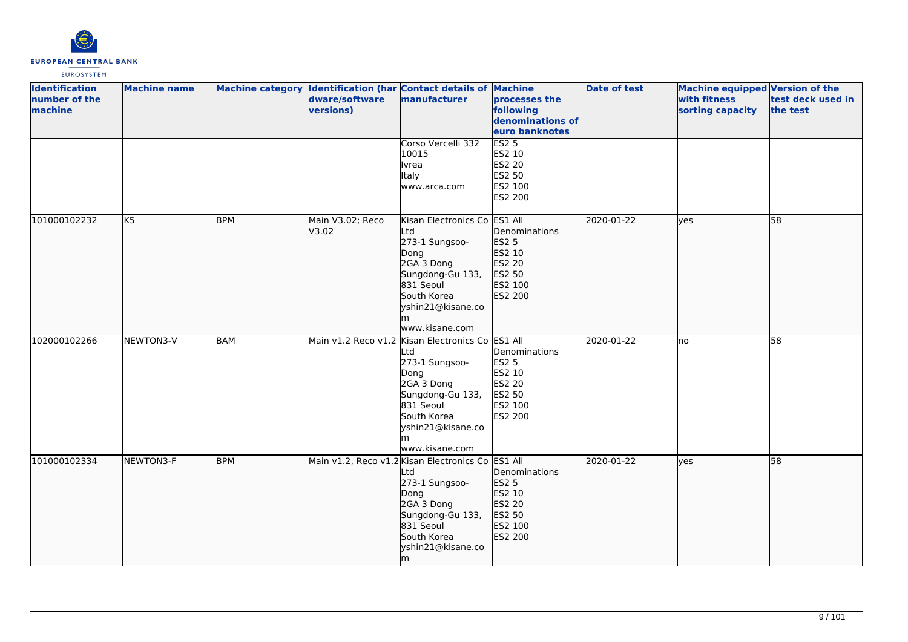

| <b>Identification</b><br>number of the<br>machine | <b>Machine name</b> |            | dware/software<br>versions) | Machine category Identification (har Contact details of Machine<br>manufacturer                                                                                                             | processes the<br>following<br>denominations of<br>euro banknotes                  | <b>Date of test</b> | Machine equipped Version of the<br>with fitness<br>sorting capacity | test deck used in<br>the test |
|---------------------------------------------------|---------------------|------------|-----------------------------|---------------------------------------------------------------------------------------------------------------------------------------------------------------------------------------------|-----------------------------------------------------------------------------------|---------------------|---------------------------------------------------------------------|-------------------------------|
|                                                   |                     |            |                             | Corso Vercelli 332<br>10015<br>Ivrea<br>Italy<br>www.arca.com                                                                                                                               | <b>ES2 5</b><br>ES2 10<br>ES2 20<br>ES2 50<br>ES2 100<br>ES2 200                  |                     |                                                                     |                               |
| 101000102232                                      | K <sub>5</sub>      | <b>BPM</b> | Main V3.02; Reco<br>V3.02   | Kisan Electronics Co ES1 All<br>Ltd<br>273-1 Sungsoo-<br>Dong<br>2GA 3 Dong<br>Sungdong-Gu 133,<br>831 Seoul<br>South Korea<br>yshin21@kisane.co<br>m<br>www.kisane.com                     | Denominations<br><b>ES2 5</b><br>ES2 10<br>ES2 20<br>ES2 50<br>ES2 100<br>ES2 200 | 2020-01-22          | lyes                                                                | 58                            |
| 102000102266                                      | NEWTON3-V           | <b>BAM</b> |                             | Main v1.2 Reco v1.2 Kisan Electronics Co ES1 All<br>Ltd<br>273-1 Sungsoo-<br>Dong<br>2GA 3 Dong<br>Sungdong-Gu 133,<br>831 Seoul<br>South Korea<br>yshin21@kisane.co<br>m<br>www.kisane.com | Denominations<br><b>ES2 5</b><br>ES2 10<br>ES2 20<br>ES2 50<br>ES2 100<br>ES2 200 | 2020-01-22          | lno                                                                 | 58                            |
| 101000102334                                      | NEWTON3-F           | <b>BPM</b> |                             | Main v1.2, Reco v1.2 Kisan Electronics Co ES1 All<br>Ltd<br>273-1 Sungsoo-<br>Dong<br>2GA 3 Dong<br>Sungdong-Gu 133,<br>831 Seoul<br>South Korea<br>yshin21@kisane.co<br>lm                 | Denominations<br>ES2 5<br>ES2 10<br>ES2 20<br>ES2 50<br>ES2 100<br>ES2 200        | 2020-01-22          | lves                                                                | 58                            |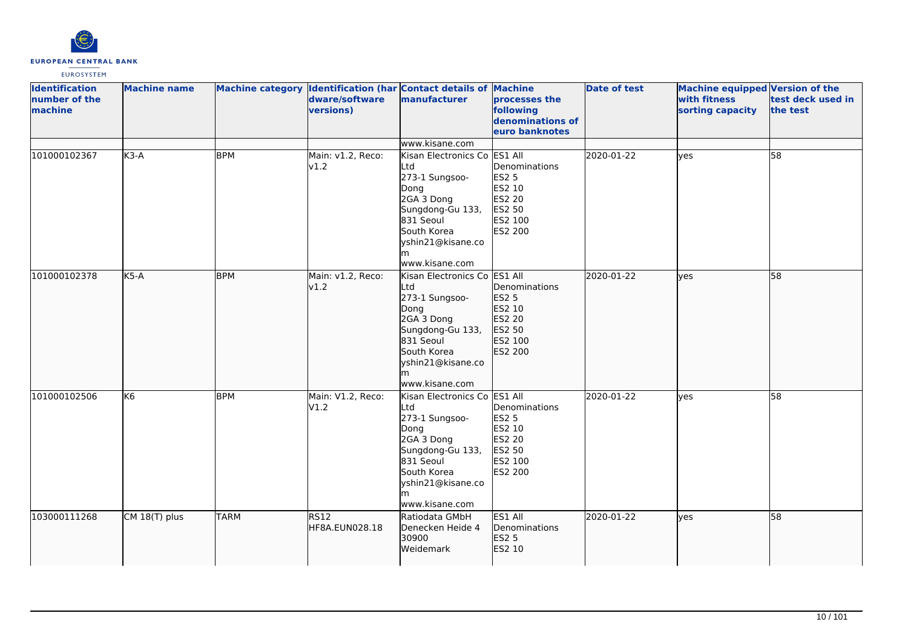

| <b>Identification</b><br>number of the<br>machine | <b>Machine name</b> |             | dware/software<br>versions) | Machine category Identification (har Contact details of Machine<br>manufacturer                                                                                           | processes the<br>following<br>denominations of<br>euro banknotes                                    | <b>Date of test</b> | Machine equipped Version of the<br>with fitness<br>sorting capacity | test deck used in<br>the test |
|---------------------------------------------------|---------------------|-------------|-----------------------------|---------------------------------------------------------------------------------------------------------------------------------------------------------------------------|-----------------------------------------------------------------------------------------------------|---------------------|---------------------------------------------------------------------|-------------------------------|
|                                                   |                     |             |                             | www.kisane.com                                                                                                                                                            |                                                                                                     |                     |                                                                     |                               |
| 101000102367                                      | $K3-A$              | <b>BPM</b>  | Main: v1.2, Reco:<br>v1.2   | Kisan Electronics Co<br>Ltd<br>273-1 Sungsoo-<br>Dong<br>2GA 3 Dong<br>Sungdong-Gu 133,<br>831 Seoul<br>South Korea<br>yshin21@kisane.co<br>lm.<br>www.kisane.com         | ES1 All<br>Denominations<br><b>ES2 5</b><br>ES2 10<br><b>ES2 20</b><br>ES2 50<br>ES2 100<br>ES2 200 | 2020-01-22          | lyes                                                                | 58                            |
| 101000102378                                      | $K5-A$              | <b>BPM</b>  | Main: v1.2, Reco:<br>v1.2   | Kisan Electronics Co ES1 All<br>Ltd<br>273-1 Sungsoo-<br>Dong<br>2GA 3 Dong<br>Sungdong-Gu 133,<br>831 Seoul<br>South Korea<br>yshin21@kisane.co<br>www.kisane.com        | Denominations<br>ES2 5<br>ES2 10<br>ES2 20<br>ES2 50<br>ES2 100<br>ES2 200                          | 2020-01-22          | lyes                                                                | 58                            |
| 101000102506                                      | K6                  | <b>BPM</b>  | Main: V1.2, Reco:<br>VI.2   | Kisan Electronics Co ES1 All<br>Ltd<br>273-1 Sungsoo-<br>Dong<br>2GA 3 Dong<br>Sungdong-Gu 133,<br>831 Seoul<br>South Korea<br>yshin21@kisane.co<br>lm.<br>www.kisane.com | Denominations<br><b>ES2 5</b><br>ES2 10<br>ES2 20<br>ES2 50<br>ES2 100<br>ES2 200                   | 2020-01-22          | lyes                                                                | 58                            |
| 103000111268                                      | CM 18(T) plus       | <b>TARM</b> | RS12<br>HF8A.EUN028.18      | Ratiodata GMbH<br>Denecken Heide 4<br>30900<br>Weidemark                                                                                                                  | ES1 All<br>Denominations<br><b>ES2 5</b><br>ES2 10                                                  | 2020-01-22          | lyes                                                                | 58                            |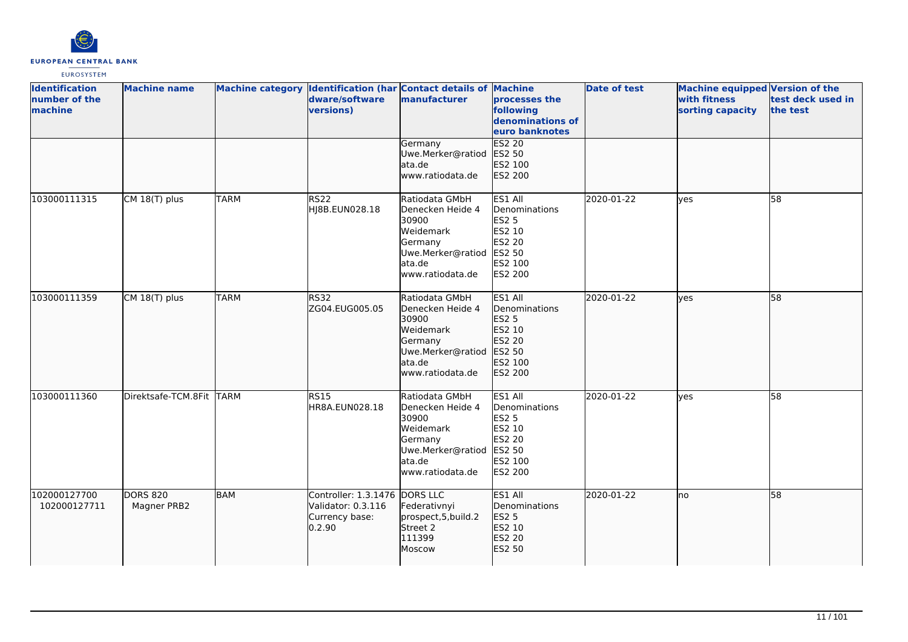

| <b>Identification</b><br>number of the<br>machine | <b>Machine name</b>            |             | dware/software<br>versions)                                                     | Machine category Identification (har Contact details of Machine<br>manufacturer                                         | processes the<br>following<br>denominations of<br>euro banknotes                             | <b>Date of test</b> | Machine equipped Version of the<br>with fitness<br>sorting capacity | test deck used in<br>the test |
|---------------------------------------------------|--------------------------------|-------------|---------------------------------------------------------------------------------|-------------------------------------------------------------------------------------------------------------------------|----------------------------------------------------------------------------------------------|---------------------|---------------------------------------------------------------------|-------------------------------|
|                                                   |                                |             |                                                                                 | Germany<br>Uwe.Merker@ratiod<br>ata.de<br>www.ratiodata.de                                                              | <b>ES2 20</b><br>ES2 50<br>ES2 100<br>ES2 200                                                |                     |                                                                     |                               |
| 103000111315                                      | CM 18(T) plus                  | <b>TARM</b> | <b>RS22</b><br>HJ8B.EUN028.18                                                   | Ratiodata GMbH<br>Denecken Heide 4<br>30900<br>Weidemark<br>Germany<br>Uwe.Merker@ratiod<br>ata.de<br>www.ratiodata.de  | ES1 All<br>Denominations<br><b>ES2 5</b><br>ES2 10<br>ES2 20<br>ES2 50<br>ES2 100<br>ES2 200 | 2020-01-22          | ves                                                                 | 58                            |
| 103000111359                                      | CM 18(T) plus                  | <b>TARM</b> | <b>RS32</b><br>ZG04.EUG005.05                                                   | Ratiodata GMbH<br>Denecken Heide 4<br>30900<br>Weidemark<br>Germany<br>Uwe.Merker@ratiod<br>lata.de<br>www.ratiodata.de | ES1 All<br>Denominations<br>ES2 5<br>ES2 10<br>ES2 20<br>ES2 50<br>ES2 100<br>ES2 200        | 2020-01-22          | lyes                                                                | 58                            |
| 103000111360                                      | Direktsafe-TCM.8Fit TARM       |             | <b>RS15</b><br>HR8A.EUN028.18                                                   | Ratiodata GMbH<br>Denecken Heide 4<br>30900<br>Weidemark<br>Germany<br>Uwe.Merker@ratiod<br>ata.de<br>www.ratiodata.de  | ES1 All<br>Denominations<br><b>ES2 5</b><br>ES2 10<br>ES2 20<br>ES2 50<br>ES2 100<br>ES2 200 | 2020-01-22          | lves                                                                | 58                            |
| 102000127700<br>102000127711                      | <b>DORS 820</b><br>Magner PRB2 | BAM         | Controller: 1.3.1476 DORS LLC<br>Validator: 0.3.116<br>Currency base:<br>0.2.90 | Federativnyi<br>prospect, 5, build. 2<br>Street 2<br>111399<br>Moscow                                                   | ES1 All<br>Denominations<br><b>ES2 5</b><br>ES2 10<br>ES2 20<br>ES2 50                       | 2020-01-22          | lno                                                                 | 58                            |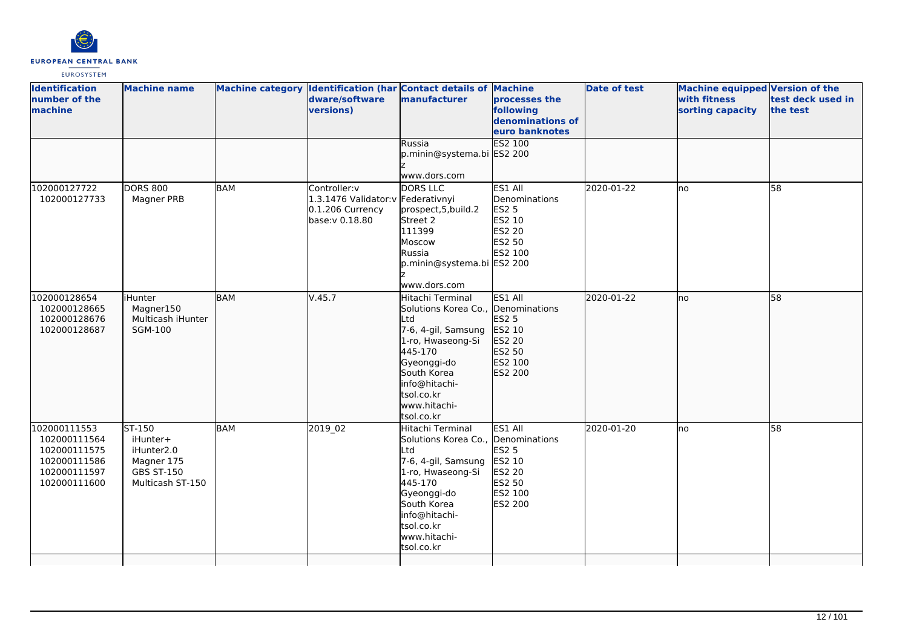

| <b>Identification</b><br>number of the<br>machine                                            | <b>Machine name</b>                                                                     |            | dware/software<br>versions)                                                              | Machine category Identification (har Contact details of Machine<br>manufacturer                                                                                                                                 | <b>processes the</b><br>following<br>denominations of<br>euro banknotes           | <b>Date of test</b> | Machine equipped Version of the<br>with fitness<br>sorting capacity | test deck used in<br>the test |
|----------------------------------------------------------------------------------------------|-----------------------------------------------------------------------------------------|------------|------------------------------------------------------------------------------------------|-----------------------------------------------------------------------------------------------------------------------------------------------------------------------------------------------------------------|-----------------------------------------------------------------------------------|---------------------|---------------------------------------------------------------------|-------------------------------|
|                                                                                              |                                                                                         |            |                                                                                          | Russia<br>p.minin@systema.bi ES2 200<br>www.dors.com                                                                                                                                                            | ES2 100                                                                           |                     |                                                                     |                               |
| 102000127722<br>102000127733                                                                 | <b>DORS 800</b><br>Magner PRB                                                           | <b>BAM</b> | Controller:v<br>1.3.1476 Validator: V Federativnyi<br>0.1.206 Currency<br>base:v 0.18.80 | DORS LLC<br>prospect, 5, build. 2<br>Street 2<br>111399<br>Moscow<br>Russia<br>p.minin@systema.bi ES2 200<br>www.dors.com                                                                                       | ES1 All<br>Denominations<br>ES2 5<br>ES2 10<br><b>ES2 20</b><br>ES2 50<br>ES2 100 | 2020-01-22          | lno                                                                 | 58                            |
| 102000128654<br>102000128665<br>102000128676<br>102000128687                                 | <b>iHunter</b><br>Magner150<br>Multicash iHunter<br><b>SGM-100</b>                      | <b>BAM</b> | V.45.7                                                                                   | Hitachi Terminal<br>Solutions Korea Co., Denominations<br>Ltd<br>7-6, 4-gil, Samsung<br>1-ro, Hwaseong-Si<br>445-170<br>Gyeonggi-do<br>South Korea<br>info@hitachi-<br>tsol.co.kr<br>www.hitachi-<br>tsol.co.kr | ES1 All<br><b>ES2 5</b><br>ES2 10<br>ES2 20<br>ES2 50<br>ES2 100<br>ES2 200       | 2020-01-22          | lno                                                                 | 58                            |
| 102000111553<br>102000111564<br>102000111575<br>102000111586<br>102000111597<br>102000111600 | ST-150<br>iHunter+<br>iHunter2.0<br>Magner 175<br><b>GBS ST-150</b><br>Multicash ST-150 | <b>BAM</b> | 2019 02                                                                                  | Hitachi Terminal<br>Solutions Korea Co., Denominations<br>Ltd<br>7-6, 4-gil, Samsung<br>1-ro, Hwaseong-Si<br>445-170<br>Gyeonggi-do<br>South Korea<br>info@hitachi-<br>tsol.co.kr<br>www.hitachi-<br>tsol.co.kr | ES1 All<br><b>ES2 5</b><br>ES2 10<br>ES2 20<br>ES2 50<br>ES2 100<br>ES2 200       | 2020-01-20          | lno                                                                 | 58                            |
|                                                                                              |                                                                                         |            |                                                                                          |                                                                                                                                                                                                                 |                                                                                   |                     |                                                                     |                               |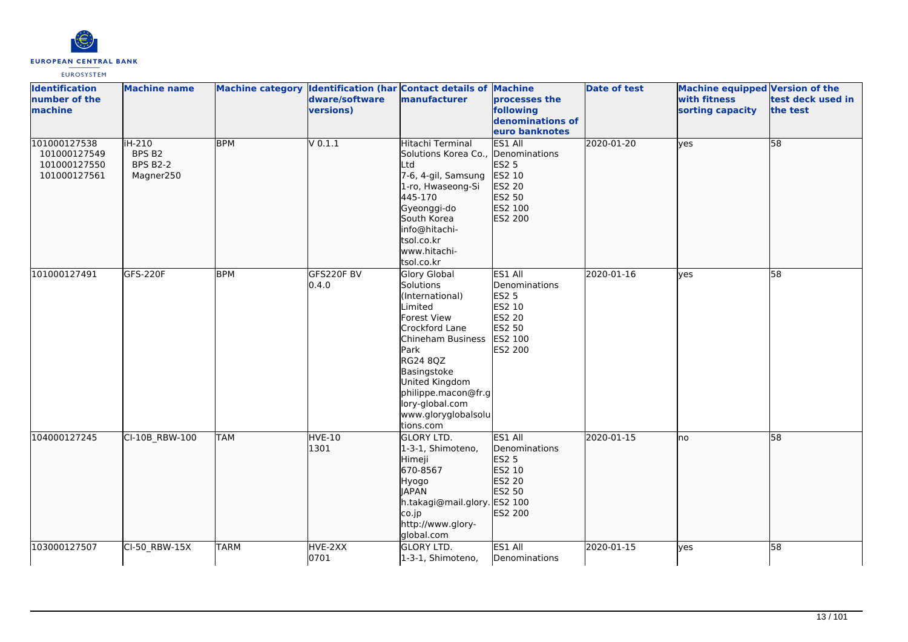

| <b>Identification</b><br>number of the<br>machine            | <b>Machine name</b>                              |             | dware/software<br>versions) | Machine category Identification (har Contact details of Machine<br>manufacturer                                                                                                                                                                         | processes the<br>following<br>denominations of<br>euro banknotes                                    | <b>Date of test</b> | <b>Machine equipped Version of the</b><br>with fitness<br>sorting capacity | test deck used in<br>the test |
|--------------------------------------------------------------|--------------------------------------------------|-------------|-----------------------------|---------------------------------------------------------------------------------------------------------------------------------------------------------------------------------------------------------------------------------------------------------|-----------------------------------------------------------------------------------------------------|---------------------|----------------------------------------------------------------------------|-------------------------------|
| 101000127538<br>101000127549<br>101000127550<br>101000127561 | iH-210<br>BPS B2<br><b>BPS B2-2</b><br>Magner250 | <b>BPM</b>  | $V$ 0.1.1                   | Hitachi Terminal<br>Solutions Korea Co., Denominations<br><b>L</b> td<br>7-6, 4-gil, Samsung<br>1-ro, Hwaseong-Si<br>445-170<br>Gyeonggi-do<br>South Korea<br>info@hitachi-<br>tsol.co.kr<br>www.hitachi-<br>tsol.co.kr                                 | ES1 All<br><b>ES2 5</b><br>ES2 10<br>ES2 20<br>ES2 50<br>ES2 100<br>ES2 200                         | 2020-01-20          | yes                                                                        | 58                            |
| 101000127491                                                 | <b>GFS-220F</b>                                  | <b>BPM</b>  | GFS220F BV<br>0.4.0         | <b>Glory Global</b><br>Solutions<br>(International)<br>Limited<br>Forest View<br>Crockford Lane<br>Chineham Business<br>Park<br>RG24 8QZ<br>Basingstoke<br>United Kingdom<br>philippe.macon@fr.g<br>lory-global.com<br>www.gloryglobalsolu<br>tions.com | ES1 All<br>Denominations<br><b>ES2 5</b><br>ES2 10<br><b>ES2 20</b><br>ES2 50<br>ES2 100<br>ES2 200 | 2020-01-16          | <b>l</b> ves                                                               | 58                            |
| 104000127245                                                 | CI-10B RBW-100                                   | <b>TAM</b>  | HVE-10<br>1301              | <b>GLORY LTD.</b><br>1-3-1, Shimoteno,<br>Himeji<br>670-8567<br>Hyogo<br><b>JAPAN</b><br>h.takagi@mail.glory. ES2 100<br>co.jp<br>http://www.glory-<br>global.com                                                                                       | ES1 All<br>Denominations<br>ES2 5<br>ES2 10<br>ES2 20<br>ES2 50<br>ES2 200                          | 2020-01-15          | Ino                                                                        | 58                            |
| 103000127507                                                 | CI-50 RBW-15X                                    | <b>TARM</b> | HVE-2XX<br>0701             | <b>GLORY LTD.</b><br>1-3-1, Shimoteno,                                                                                                                                                                                                                  | ES1 All<br>Denominations                                                                            | 2020-01-15          | lves                                                                       | 58                            |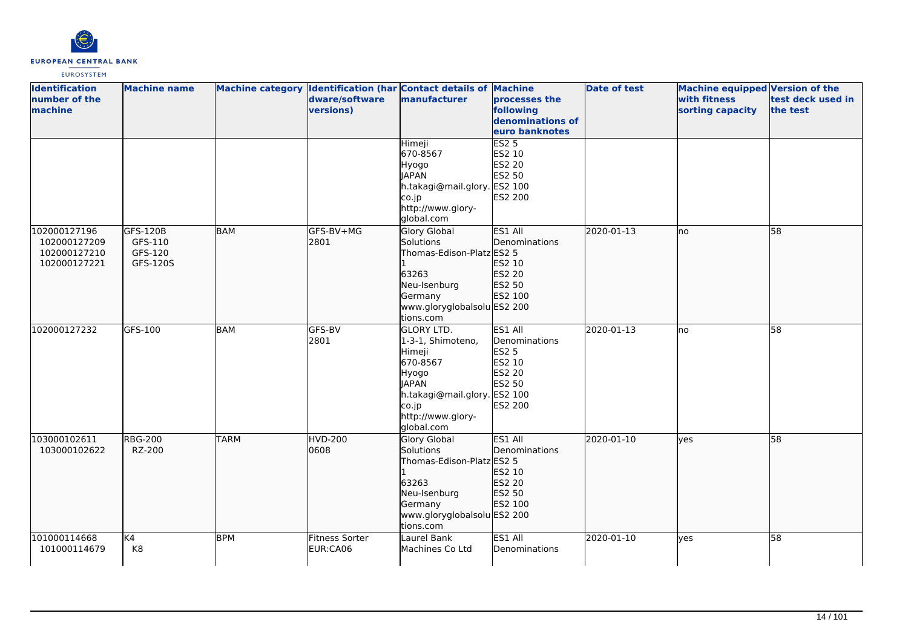

| <b>Identification</b><br>number of the<br>machine | <b>Machine name</b>            |             | dware/software<br>versions)       | Machine category Identification (har Contact details of Machine<br>manufacturer                                                                                   | processes the<br>following<br>denominations of<br>euro banknotes                  | Date of test | <b>Machine equipped Version of the</b><br>with fitness<br>sorting capacity | test deck used in<br>the test |
|---------------------------------------------------|--------------------------------|-------------|-----------------------------------|-------------------------------------------------------------------------------------------------------------------------------------------------------------------|-----------------------------------------------------------------------------------|--------------|----------------------------------------------------------------------------|-------------------------------|
| 102000127196                                      | GFS-120B                       | BAM         | GFS-BV+MG                         | Himeji<br>670-8567<br>Hyogo<br><b>JAPAN</b><br>h.takagi@mail.glory. ES2 100<br>co.jp<br>http://www.glory-<br>global.com<br>Glory Global                           | <b>ES2 5</b><br>ES2 10<br>ES2 20<br>ES2 50<br>ES2 200<br>ES1 All                  | 2020-01-13   | lno                                                                        | 58                            |
| 102000127209<br>102000127210<br>102000127221      | GFS-110<br>GFS-120<br>GFS-120S |             | 2801                              | Solutions<br>Thomas-Edison-Platz ES2 5<br>63263<br>Neu-Isenburg<br>Germany<br>www.gloryglobalsolu ES2 200<br>tions.com                                            | Denominations<br>ES2 10<br>ES2 20<br>ES2 50<br>ES2 100                            |              |                                                                            |                               |
| 102000127232                                      | GFS-100                        | <b>BAM</b>  | GFS-BV<br>2801                    | <b>GLORY LTD.</b><br>1-3-1, Shimoteno,<br>Himeji<br>670-8567<br>Hyogo<br><b>JAPAN</b><br>h.takagi@mail.glory. ES2 100<br>co.jp<br>http://www.glory-<br>global.com | ES1 All<br>Denominations<br><b>ES2 5</b><br>ES2 10<br>ES2 20<br>ES2 50<br>ES2 200 | 2020-01-13   | lno                                                                        | 58                            |
| 103000102611<br>103000102622                      | <b>RBG-200</b><br>RZ-200       | <b>TARM</b> | HVD-200<br>0608                   | <b>Glory Global</b><br>Solutions<br>Thomas-Edison-Platz ES2 5<br>63263<br>Neu-Isenburg<br>Germany<br>www.gloryglobalsolu ES2 200<br>tions.com                     | ES1 All<br>Denominations<br>ES2 10<br>ES2 20<br>ES2 50<br>ES2 100                 | 2020-01-10   | yes                                                                        | 58                            |
| 101000114668<br>101000114679                      | K4<br>K8                       | <b>BPM</b>  | <b>Fitness Sorter</b><br>EUR:CA06 | Laurel Bank<br>Machines Co Ltd                                                                                                                                    | ES1 All<br>Denominations                                                          | 2020-01-10   | yes                                                                        | 58                            |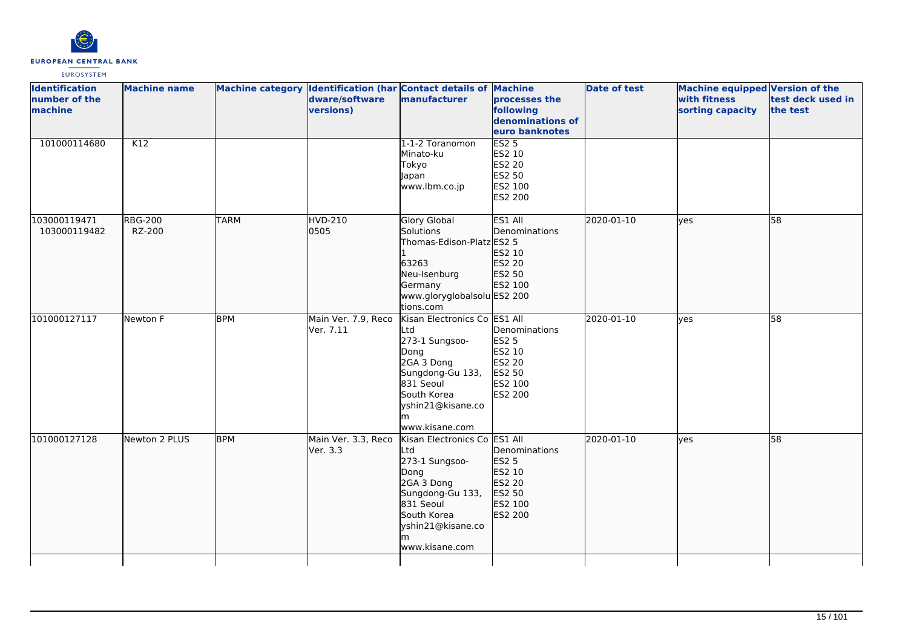

| <b>Identification</b><br>number of the<br>machine | <b>Machine name</b>      |             | dware/software<br>versions)      | Machine category Identification (har Contact details of Machine<br>manufacturer                                                                                           | processes the<br>following<br>denominations of<br>euro banknotes                         | <b>Date of test</b> | <b>Machine equipped Version of the</b><br>with fitness<br>sorting capacity | test deck used in<br>the test |
|---------------------------------------------------|--------------------------|-------------|----------------------------------|---------------------------------------------------------------------------------------------------------------------------------------------------------------------------|------------------------------------------------------------------------------------------|---------------------|----------------------------------------------------------------------------|-------------------------------|
| 101000114680                                      | K12                      |             |                                  | 1-1-2 Toranomon<br>Minato-ku<br>Tokyo<br>Japan<br>www.lbm.co.jp                                                                                                           | <b>ES2 5</b><br>ES2 10<br>ES2 20<br>ES2 50<br>ES2 100<br>ES2 200                         |                     |                                                                            |                               |
| 103000119471<br>103000119482                      | <b>RBG-200</b><br>RZ-200 | <b>TARM</b> | HVD-210<br>0505                  | Glory Global<br>Solutions<br>Thomas-Edison-Platz ES2 5<br>63263<br>Neu-Isenburg<br>Germany<br>www.gloryglobalsolu ES2 200<br>tions.com                                    | ES1 All<br>Denominations<br>ES2 10<br>ES2 20<br>ES2 50<br>ES2 100                        | 2020-01-10          | lves                                                                       | 58                            |
| 101000127117                                      | Newton F                 | <b>BPM</b>  | Main Ver. 7.9, Reco<br>Ver. 7.11 | Kisan Electronics Co ES1 All<br>Ltd<br>273-1 Sungsoo-<br>Dong<br>2GA 3 Dong<br>Sungdong-Gu 133,<br>831 Seoul<br>South Korea<br>yshin21@kisane.co<br>m<br>www.kisane.com   | Denominations<br><b>ES2 5</b><br>ES2 10<br>ES2 20<br>ES2 50<br>ES2 100<br><b>ES2 200</b> | 2020-01-10          | lves                                                                       | 58                            |
| 101000127128                                      | Newton 2 PLUS            | <b>BPM</b>  | Main Ver. 3.3, Reco<br>Ver. 3.3  | Kisan Electronics Co ES1 All<br>Ltd<br>273-1 Sungsoo-<br>Dong<br>2GA 3 Dong<br>Sungdong-Gu 133,<br>831 Seoul<br>South Korea<br>yshin21@kisane.co<br>lm.<br>www.kisane.com | Denominations<br>ES2 5<br>ES2 10<br>ES2 20<br>ES2 50<br>ES2 100<br>ES2 200               | 2020-01-10          | lves                                                                       | $\overline{58}$               |
|                                                   |                          |             |                                  |                                                                                                                                                                           |                                                                                          |                     |                                                                            |                               |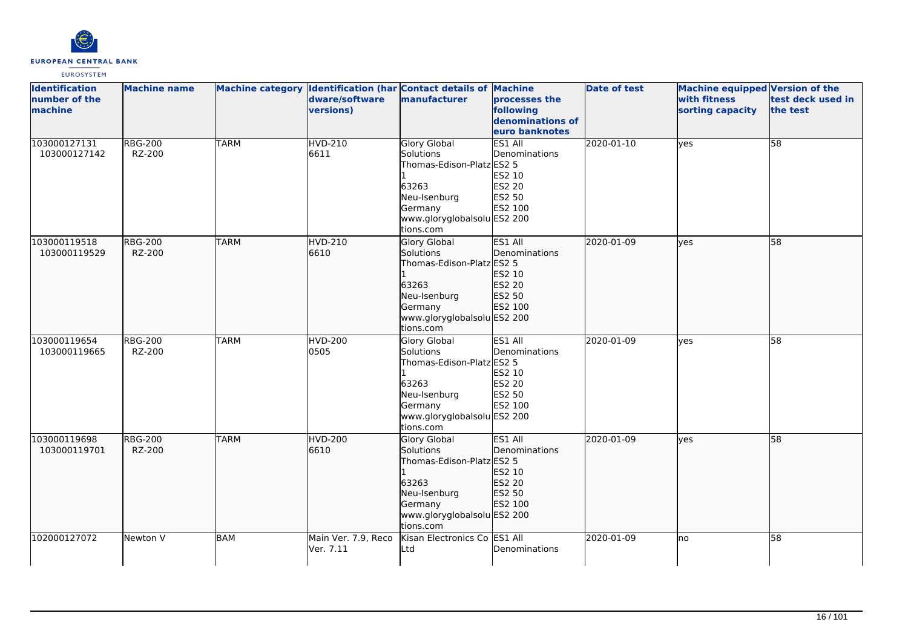

| <b>Identification</b><br>number of the<br>machine | <b>Machine name</b>      |             | dware/software<br>versions)      | Machine category Identification (har Contact details of Machine<br>manufacturer                                                               | processes the<br>following<br>denominations of<br>euro banknotes         | <b>Date of test</b> | <b>Machine equipped Version of the</b><br>with fitness<br>sorting capacity | test deck used in<br>the test |
|---------------------------------------------------|--------------------------|-------------|----------------------------------|-----------------------------------------------------------------------------------------------------------------------------------------------|--------------------------------------------------------------------------|---------------------|----------------------------------------------------------------------------|-------------------------------|
| 103000127131<br>103000127142                      | <b>RBG-200</b><br>RZ-200 | <b>TARM</b> | <b>HVD-210</b><br>6611           | Glory Global<br>Solutions<br>Thomas-Edison-Platz ES2 5<br>63263<br>Neu-Isenburg<br>Germany<br>www.gloryglobalsolu ES2 200<br>tions.com        | ES1 All<br>Denominations<br>ES2 10<br>ES2 20<br>ES2 50<br>ES2 100        | 2020-01-10          | yes                                                                        | 58                            |
| 103000119518<br>103000119529                      | <b>RBG-200</b><br>RZ-200 | <b>TARM</b> | HVD-210<br>6610                  | Glory Global<br>Solutions<br>Thomas-Edison-Platz ES2 5<br>63263<br>Neu-Isenburg<br>Germany<br>www.gloryglobalsolu ES2 200<br>tions.com        | ES1 All<br>Denominations<br>ES2 10<br>ES2 20<br>ES2 50<br>ES2 100        | 2020-01-09          | lyes                                                                       | 58                            |
| 103000119654<br>103000119665                      | <b>RBG-200</b><br>RZ-200 | <b>TARM</b> | <b>HVD-200</b><br>0505           | <b>Glory Global</b><br>Solutions<br>Thomas-Edison-Platz ES2 5<br>63263<br>Neu-Isenburg<br>Germany<br>www.gloryglobalsolu ES2 200<br>tions.com | ES1 All<br>Denominations<br>ES2 10<br>ES2 20<br>ES2 50<br>ES2 100        | 2020-01-09          | lyes                                                                       | $\overline{58}$               |
| 103000119698<br>103000119701                      | <b>RBG-200</b><br>RZ-200 | <b>TARM</b> | HVD-200<br>6610                  | Glory Global<br>Solutions<br>Thomas-Edison-Platz ES2 5<br>63263<br>Neu-Isenburg<br>Germany<br>www.gloryglobalsolu ES2 200<br>tions.com        | ES1 All<br>Denominations<br>ES2 10<br><b>ES2 20</b><br>ES2 50<br>ES2 100 | 2020-01-09          | lves                                                                       | $\overline{58}$               |
| 102000127072                                      | Newton V                 | <b>BAM</b>  | Main Ver. 7.9, Reco<br>Ver. 7.11 | Kisan Electronics Co ES1 All<br>Ltd                                                                                                           | Denominations                                                            | 2020-01-09          | lno                                                                        | 58                            |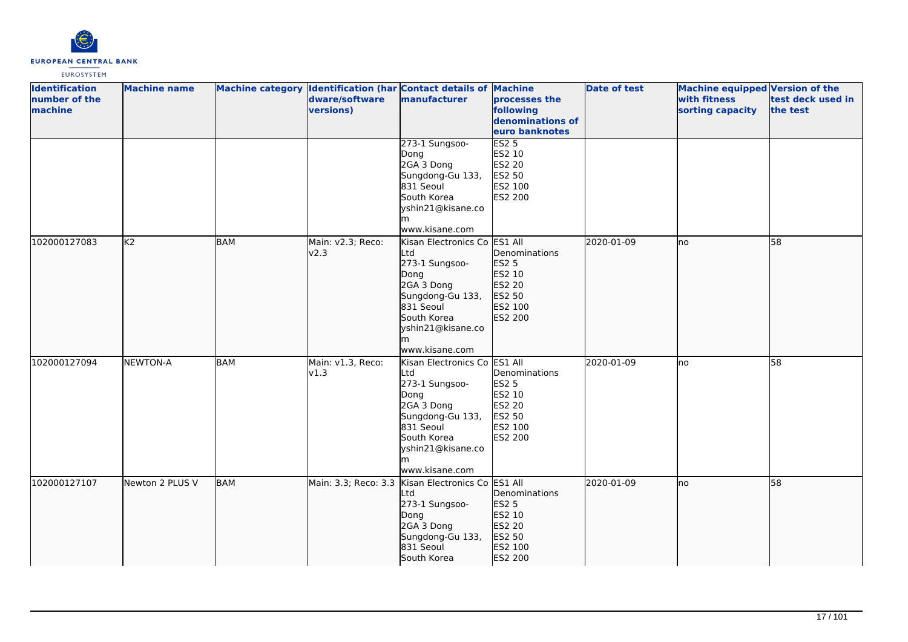

| <b>Identification</b><br>number of the<br>machine | <b>Machine name</b> |            | dware/software<br>versions) | Machine category Identification (har Contact details of Machine<br>manufacturer                                                                                           | processes the<br>following<br>denominations of<br>euro banknotes                             | <b>Date of test</b> | <b>Machine equipped Version of the</b><br>with fitness<br>sorting capacity | test deck used in<br>the test |
|---------------------------------------------------|---------------------|------------|-----------------------------|---------------------------------------------------------------------------------------------------------------------------------------------------------------------------|----------------------------------------------------------------------------------------------|---------------------|----------------------------------------------------------------------------|-------------------------------|
|                                                   |                     |            |                             | 273-1 Sungsoo-<br>Dong<br>2GA 3 Dong<br>Sungdong-Gu 133,<br>831 Seoul<br>South Korea<br>yshin21@kisane.co<br>www.kisane.com                                               | ES2 <sub>5</sub><br>ES2 10<br>ES2 20<br>ES2 50<br>ES2 100<br>ES2 200                         |                     |                                                                            |                               |
| 102000127083                                      | K <sub>2</sub>      | <b>BAM</b> | Main: v2.3; Reco:<br>v2.3   | Kisan Electronics Co ES1 All<br>Ltd<br>273-1 Sungsoo-<br>Dong<br>2GA 3 Dong<br>Sungdong-Gu 133,<br>831 Seoul<br>South Korea<br>yshin21@kisane.co<br>lm.<br>www.kisane.com | Denominations<br>ES2 5<br>ES2 10<br>ES2 20<br>ES2 50<br>ES2 100<br>ES2 200                   | 2020-01-09          | lno                                                                        | 58                            |
| 102000127094                                      | <b>NEWTON-A</b>     | <b>BAM</b> | Main: v1.3, Reco:<br>v1.3   | Kisan Electronics Co<br>Ltd<br>273-1 Sungsoo-<br>Dong<br>2GA 3 Dong<br>Sungdong-Gu 133,<br>831 Seoul<br>South Korea<br>yshin21@kisane.co<br>www.kisane.com                | ES1 All<br>Denominations<br><b>ES2 5</b><br>ES2 10<br>ES2 20<br>ES2 50<br>ES2 100<br>ES2 200 | 2020-01-09          | lno                                                                        | 58                            |
| 102000127107                                      | Newton 2 PLUS V     | <b>BAM</b> |                             | Main: 3.3; Reco: 3.3 Kisan Electronics Co ES1 All<br>Ltd<br>273-1 Sungsoo-<br>Dong<br>2GA 3 Dong<br>Sungdong-Gu 133,<br>831 Seoul<br>South Korea                          | Denominations<br>ES2 5<br>ES2 10<br>ES2 20<br>ES2 50<br>ES2 100<br>ES2 200                   | 2020-01-09          | no                                                                         | 58                            |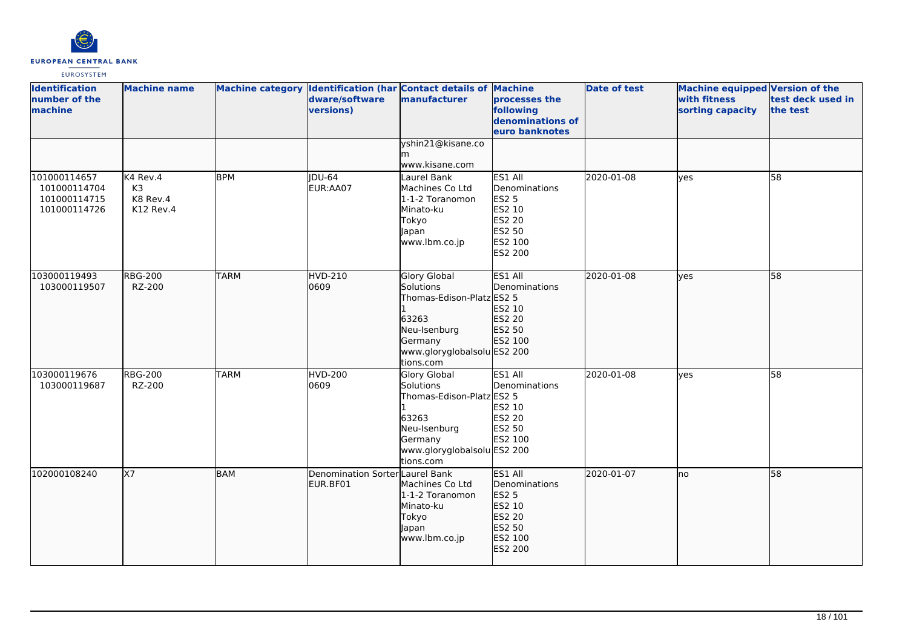

| <b>Identification</b><br>number of the<br>machine            | <b>Machine name</b>                                 |             | dware/software<br>versions)                 | Machine category Identification (har Contact details of Machine<br>manufacturer                                                               | processes the<br>following<br>denominations of<br>euro banknotes                                    | <b>Date of test</b> | <b>Machine equipped Version of the</b><br>with fitness<br>sorting capacity | test deck used in<br>the test |
|--------------------------------------------------------------|-----------------------------------------------------|-------------|---------------------------------------------|-----------------------------------------------------------------------------------------------------------------------------------------------|-----------------------------------------------------------------------------------------------------|---------------------|----------------------------------------------------------------------------|-------------------------------|
|                                                              |                                                     |             |                                             | yshin21@kisane.co<br>www.kisane.com                                                                                                           |                                                                                                     |                     |                                                                            |                               |
| 101000114657<br>101000114704<br>101000114715<br>101000114726 | K4 Rev.4<br>K <sub>3</sub><br>K8 Rev.4<br>K12 Rev.4 | <b>BPM</b>  | <b>DU-64</b><br>EUR:AA07                    | Laurel Bank<br>Machines Co Ltd<br>1-1-2 Toranomon<br>Minato-ku<br>Tokyo<br>Japan<br>www.lbm.co.jp                                             | ES1 All<br>Denominations<br>ES2 5<br>ES2 10<br><b>ES2 20</b><br>ES2 50<br>ES2 100<br><b>ES2 200</b> | 2020-01-08          | yes                                                                        | 58                            |
| 103000119493<br>103000119507                                 | <b>RBG-200</b><br>RZ-200                            | <b>TARM</b> | <b>HVD-210</b><br>0609                      | <b>Glory Global</b><br>Solutions<br>Thomas-Edison-Platz ES2 5<br>63263<br>Neu-Isenburg<br>Germany<br>www.gloryglobalsolu ES2 200<br>tions.com | ES1 All<br>Denominations<br>ES2 10<br>ES2 20<br>ES2 50<br>ES2 100                                   | 2020-01-08          | <b>ves</b>                                                                 | $\overline{58}$               |
| 103000119676<br>103000119687                                 | <b>RBG-200</b><br>RZ-200                            | <b>TARM</b> | HVD-200<br>0609                             | Glory Global<br>Solutions<br>Thomas-Edison-Platz ES2 5<br>63263<br>Neu-Isenburg<br>Germany<br>www.gloryglobalsolu ES2 200<br>tions.com        | ES1 All<br>Denominations<br>ES2 10<br><b>ES2 20</b><br>ES2 50<br>ES2 100                            | 2020-01-08          | ves                                                                        | 58                            |
| 102000108240                                                 | X7                                                  | <b>BAM</b>  | Denomination Sorter Laurel Bank<br>EUR.BF01 | Machines Co Ltd<br>1-1-2 Toranomon<br>Minato-ku<br>Tokyo<br>Japan<br>www.lbm.co.jp                                                            | ES1 All<br>Denominations<br><b>ES2 5</b><br>ES2 10<br>ES2 20<br>ES2 50<br>ES2 100<br>ES2 200        | 2020-01-07          | Ino                                                                        | 58                            |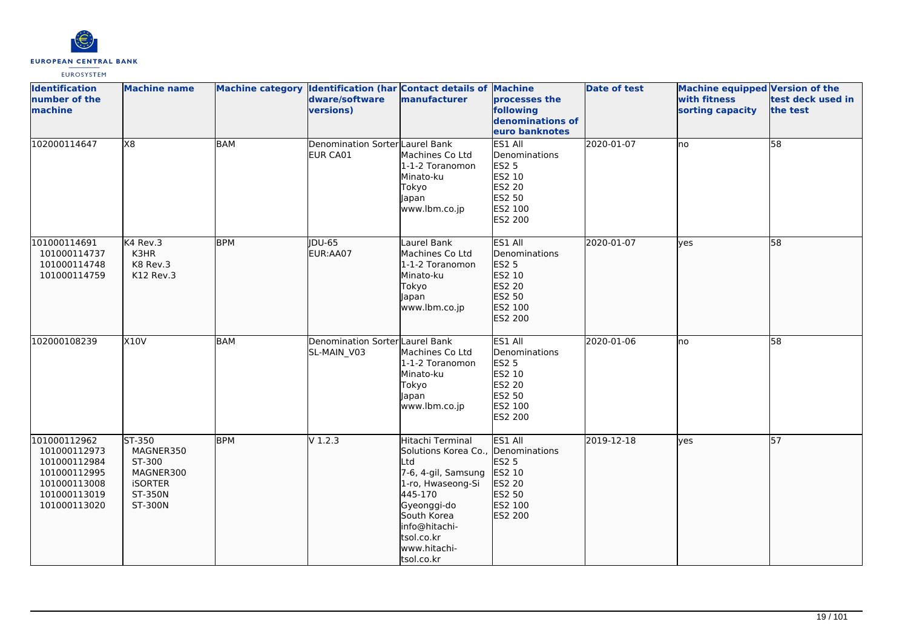

| <b>Identification</b><br>number of the<br>machine                                                            | <b>Machine name</b>                                                                |            | Machine category Identification (har Contact details of Machine<br>dware/software<br>versions) | manufacturer                                                                                                                                                                                                    | processes the<br>following<br>denominations of<br>euro banknotes                                    | <b>Date of test</b> | <b>Machine equipped Version of the</b><br>with fitness<br>sorting capacity | test deck used in<br>the test |
|--------------------------------------------------------------------------------------------------------------|------------------------------------------------------------------------------------|------------|------------------------------------------------------------------------------------------------|-----------------------------------------------------------------------------------------------------------------------------------------------------------------------------------------------------------------|-----------------------------------------------------------------------------------------------------|---------------------|----------------------------------------------------------------------------|-------------------------------|
| 102000114647                                                                                                 | X8                                                                                 | <b>BAM</b> | Denomination Sorter Laurel Bank<br><b>EUR CA01</b>                                             | Machines Co Ltd<br>1-1-2 Toranomon<br>Minato-ku<br>Tokyo<br>Japan<br>www.lbm.co.jp                                                                                                                              | ES1 All<br>Denominations<br><b>ES2 5</b><br>ES2 10<br><b>ES2 20</b><br>ES2 50<br>ES2 100<br>ES2 200 | 2020-01-07          | <b>I</b> no                                                                | 58                            |
| 101000114691<br>101000114737<br>101000114748<br>101000114759                                                 | K4 Rev.3<br>K3HR<br>K8 Rev.3<br>K12 Rev.3                                          | <b>BPM</b> | <b>IDU-65</b><br>EUR:AA07                                                                      | Laurel Bank<br>Machines Co Ltd<br>1-1-2 Toranomon<br>Minato-ku<br>Tokyo<br>Japan<br>www.lbm.co.jp                                                                                                               | ES1 All<br>Denominations<br>ES2 5<br>ES2 10<br>ES2 20<br>ES2 50<br>ES2 100<br>ES2 200               | 2020-01-07          | <b>ves</b>                                                                 | 58                            |
| 102000108239                                                                                                 | X10V                                                                               | <b>BAM</b> | Denomination Sorter Laurel Bank<br>SL-MAIN V03                                                 | Machines Co Ltd<br>1-1-2 Toranomon<br>Minato-ku<br>Tokyo<br>Japan<br>www.lbm.co.jp                                                                                                                              | ES1 All<br>Denominations<br><b>ES2 5</b><br>ES2 10<br>ES2 20<br>ES2 50<br>ES2 100<br>ES2 200        | 2020-01-06          | no                                                                         | $\overline{58}$               |
| 101000112962<br>101000112973<br>101000112984<br>101000112995<br>101000113008<br>101000113019<br>101000113020 | ST-350<br>MAGNER350<br>ST-300<br>MAGNER300<br><b>iSORTER</b><br>ST-350N<br>ST-300N | <b>BPM</b> | V1.2.3                                                                                         | Hitachi Terminal<br>Solutions Korea Co., Denominations<br>Ltd<br>7-6, 4-gil, Samsung<br>1-ro, Hwaseong-Si<br>445-170<br>Gyeonggi-do<br>South Korea<br>info@hitachi-<br>tsol.co.kr<br>www.hitachi-<br>tsol.co.kr | ES1 All<br><b>ES2 5</b><br>ES2 10<br>ES2 20<br>ES2 50<br>ES2 100<br>ES2 200                         | 2019-12-18          | yes                                                                        | 57                            |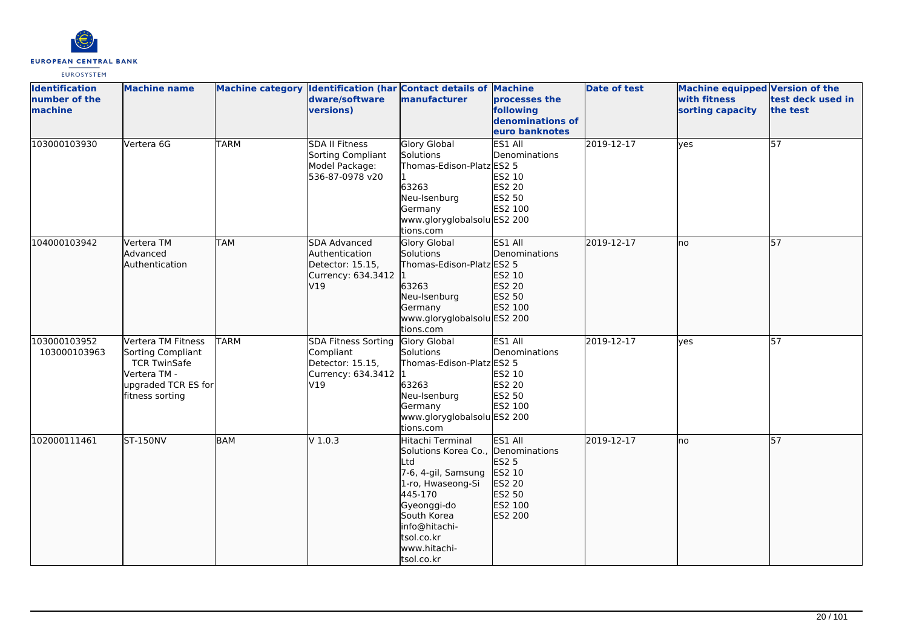

| <b>Identification</b><br>number of the<br>machine | <b>Machine name</b>                                                                                                      |             | dware/software<br>versions)                                                                | Machine category Identification (har Contact details of Machine<br>manufacturer                                                                                                                                 | processes the<br>following<br>denominations of<br>euro banknotes     | <b>Date of test</b> | Machine equipped Version of the<br>with fitness<br>sorting capacity | test deck used in<br>the test |
|---------------------------------------------------|--------------------------------------------------------------------------------------------------------------------------|-------------|--------------------------------------------------------------------------------------------|-----------------------------------------------------------------------------------------------------------------------------------------------------------------------------------------------------------------|----------------------------------------------------------------------|---------------------|---------------------------------------------------------------------|-------------------------------|
| 103000103930                                      | Vertera 6G                                                                                                               | <b>TARM</b> | <b>SDA II Fitness</b><br>Sorting Compliant<br>Model Package:<br>536-87-0978 v20            | Glory Global<br><b>Solutions</b><br>Thomas-Edison-Platz ES2 5<br>63263<br>Neu-Isenburg<br>Germany<br>www.gloryglobalsolu ES2 200<br>tions.com                                                                   | ES1 All<br>Denominations<br>ES2 10<br>ES2 20<br>ES2 50<br>ES2 100    | 2019-12-17          | <b>yes</b>                                                          | 57                            |
| 104000103942                                      | Vertera TM<br>Advanced<br>Authentication                                                                                 | <b>TAM</b>  | SDA Advanced<br>Authentication<br>Detector: 15.15,<br>Currency: 634.3412<br>V19            | Glory Global<br>Solutions<br>Thomas-Edison-Platz ES2 5<br>63263<br>Neu-Isenburg<br>Germany<br>www.gloryglobalsolu ES2 200<br>tions.com                                                                          | ES1 All<br>Denominations<br>ES2 10<br>ES2 20<br>ES2 50<br>ES2 100    | 2019-12-17          | lno                                                                 | 57                            |
| 103000103952<br>103000103963                      | Vertera TM Fitness<br>Sorting Compliant<br><b>TCR TwinSafe</b><br>Vertera TM -<br>upgraded TCR ES for<br>fitness sorting | <b>TARM</b> | <b>SDA Fitness Sorting</b><br>Compliant<br>Detector: 15.15.<br>Currency: 634.3412 1<br>V19 | Glory Global<br>Solutions<br>Thomas-Edison-Platz ES2 5<br>63263<br>Neu-Isenburg<br>Germany<br>www.gloryglobalsolu ES2 200<br>tions.com                                                                          | ES1 All<br>Denominations<br>ES2 10<br>ES2 20<br>ES2 50<br>ES2 100    | 2019-12-17          | ves                                                                 | 57                            |
| 102000111461                                      | <b>ST-150NV</b>                                                                                                          | <b>BAM</b>  | V 1.0.3                                                                                    | Hitachi Terminal<br>Solutions Korea Co., Denominations<br>Ltd<br>7-6, 4-gil, Samsung<br>1-ro, Hwaseong-Si<br>445-170<br>Gyeonggi-do<br>South Korea<br>info@hitachi-<br>tsol.co.kr<br>www.hitachi-<br>tsol.co.kr | ES1 All<br>ES2 5<br>ES2 10<br>ES2 20<br>ES2 50<br>ES2 100<br>ES2 200 | 2019-12-17          | lno                                                                 | 57                            |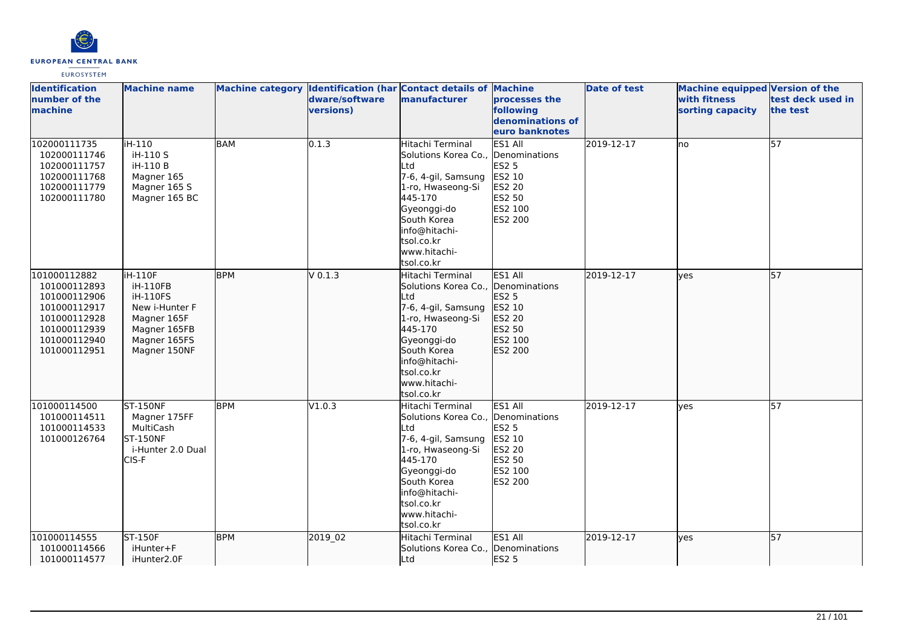

| <b>Identification</b><br>number of the<br>machine                                                                            | <b>Machine name</b>                                                                                                     |            | Machine category Identification (har Contact details of Machine<br>dware/software<br>versions) | <b>manufacturer</b>                                                                                                                                                                                | processes the<br>following<br>denominations of<br>euro banknotes                      | <b>Date of test</b> | Machine equipped Version of the<br>with fitness<br>sorting capacity | test deck used in<br>the test |
|------------------------------------------------------------------------------------------------------------------------------|-------------------------------------------------------------------------------------------------------------------------|------------|------------------------------------------------------------------------------------------------|----------------------------------------------------------------------------------------------------------------------------------------------------------------------------------------------------|---------------------------------------------------------------------------------------|---------------------|---------------------------------------------------------------------|-------------------------------|
| 102000111735<br>102000111746<br>102000111757<br>102000111768<br>102000111779<br>102000111780                                 | iH-110<br>iH-110 S<br>iH-110 B<br>Magner 165<br>Magner 165 S<br>Magner 165 BC                                           | BAM        | 0.1.3                                                                                          | Hitachi Terminal<br>Solutions Korea Co.,<br>lLtd<br>7-6, 4-gil, Samsung<br>1-ro, Hwaseong-Si<br>445-170<br>Gyeonggi-do<br>South Korea<br>info@hitachi-<br>tsol.co.kr<br>www.hitachi-<br>tsol.co.kr | ES1 All<br>Denominations<br>ES2 5<br>ES2 10<br>ES2 20<br>ES2 50<br>ES2 100<br>ES2 200 | 2019-12-17          | Ino                                                                 | 57                            |
| 101000112882<br>101000112893<br>101000112906<br>101000112917<br>101000112928<br>101000112939<br>101000112940<br>101000112951 | iH-110F<br>iH-110FB<br><b>iH-110FS</b><br>New i-Hunter F<br>Magner 165F<br>Magner 165FB<br>Magner 165FS<br>Magner 150NF | <b>BPM</b> | $V$ 0.1.3                                                                                      | Hitachi Terminal<br>Solutions Korea Co.,<br>Ltd<br>7-6, 4-gil, Samsung<br>1-ro, Hwaseong-Si<br>445-170<br>Gyeonggi-do<br>South Korea<br>info@hitachi-<br>tsol.co.kr<br>www.hitachi-<br>tsol.co.kr  | ES1 All<br>Denominations<br>ES2 5<br>ES2 10<br>ES2 20<br>ES2 50<br>ES2 100<br>ES2 200 | 2019-12-17          | lves                                                                | $\overline{57}$               |
| 101000114500<br>101000114511<br>101000114533<br>101000126764                                                                 | <b>ST-150NF</b><br>Magner 175FF<br>MultiCash<br><b>ST-150NF</b><br>i-Hunter 2.0 Dual<br>CIS-F                           | <b>BPM</b> | V1.0.3                                                                                         | Hitachi Terminal<br>Solutions Korea Co.,<br>Ltd<br>7-6, 4-gil, Samsung<br>1-ro, Hwaseong-Si<br>445-170<br>Gyeonggi-do<br>South Korea<br>info@hitachi-<br>tsol.co.kr<br>www.hitachi-<br>tsol.co.kr  | ES1 All<br>Denominations<br>ES2 5<br>ES2 10<br>ES2 20<br>ES2 50<br>ES2 100<br>ES2 200 | 2019-12-17          | ves                                                                 | 57                            |
| 101000114555<br>101000114566<br>101000114577                                                                                 | ST-150F<br>iHunter+F<br>iHunter2.0F                                                                                     | <b>BPM</b> | 2019 02                                                                                        | Hitachi Terminal<br>Solutions Korea Co.,<br>Ltd                                                                                                                                                    | ES1 All<br>Denominations<br><b>ES2 5</b>                                              | 2019-12-17          | lves                                                                | 57                            |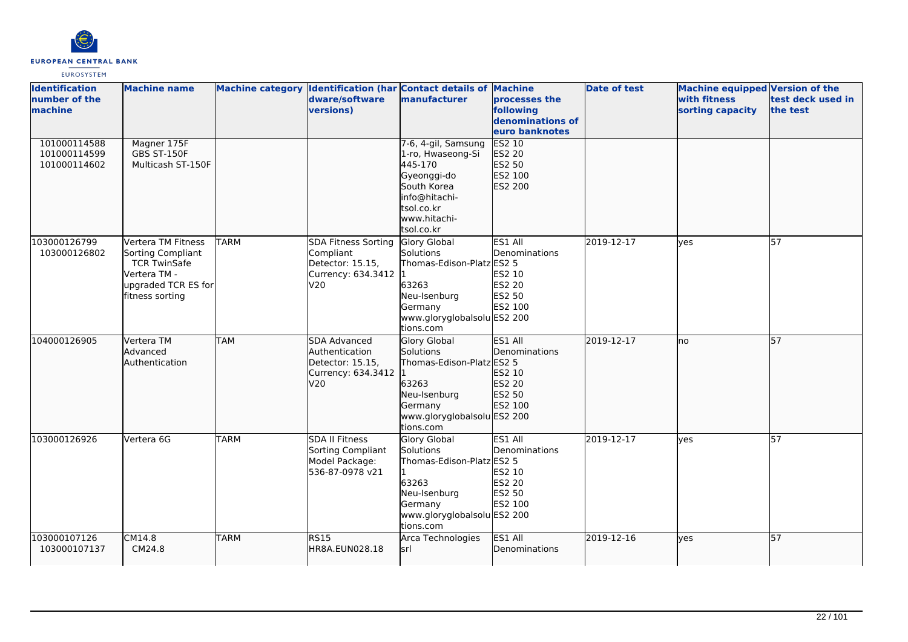

| <b>Identification</b><br>number of the<br>machine | <b>Machine name</b>                                                                                                      |             | dware/software<br>versions)                                                              | Machine category Identification (har Contact details of Machine<br>manufacturer                                                                | processes the<br>following<br>denominations of<br>euro banknotes         | <b>Date of test</b> | Machine equipped Version of the<br>with fitness<br>sorting capacity | test deck used in<br>the test |
|---------------------------------------------------|--------------------------------------------------------------------------------------------------------------------------|-------------|------------------------------------------------------------------------------------------|------------------------------------------------------------------------------------------------------------------------------------------------|--------------------------------------------------------------------------|---------------------|---------------------------------------------------------------------|-------------------------------|
| 101000114588<br>101000114599<br>101000114602      | Magner 175F<br>GBS ST-150F<br>Multicash ST-150F                                                                          |             |                                                                                          | 7-6, 4-gil, Samsung<br>1-ro, Hwaseong-Si<br>445-170<br>Gyeonggi-do<br>South Korea<br>info@hitachi-<br>tsol.co.kr<br>www.hitachi-<br>tsol.co.kr | <b>ES2 10</b><br>ES2 20<br>ES2 50<br>ES2 100<br>ES2 200                  |                     |                                                                     |                               |
| 103000126799<br>103000126802                      | Vertera TM Fitness<br>Sorting Compliant<br><b>TCR TwinSafe</b><br>Vertera TM -<br>upgraded TCR ES for<br>fitness sorting | <b>TARM</b> | <b>SDA Fitness Sorting</b><br>Compliant<br>Detector: 15.15,<br>Currency: 634.3412<br>V20 | <b>Glory Global</b><br>Solutions<br>Thomas-Edison-Platz ES2 5<br>63263<br>Neu-Isenburg<br>Germany<br>www.gloryglobalsolu ES2 200<br>tions.com  | ES1 All<br>Denominations<br>ES2 10<br>ES2 20<br>ES2 50<br>ES2 100        | 2019-12-17          | lves                                                                | 57                            |
| 104000126905                                      | Vertera TM<br>Advanced<br>Authentication                                                                                 | <b>TAM</b>  | SDA Advanced<br>Authentication<br>Detector: 15.15,<br>Currency: 634.3412<br>V20          | <b>Glory Global</b><br>Solutions<br>Thomas-Edison-Platz ES2 5<br>63263<br>Neu-Isenburg<br>Germany<br>www.gloryglobalsolu ES2 200<br>tions.com  | ES1 All<br>Denominations<br>ES2 10<br><b>ES2 20</b><br>ES2 50<br>ES2 100 | 2019-12-17          | lno                                                                 | 57                            |
| 103000126926                                      | Vertera 6G                                                                                                               | <b>TARM</b> | <b>SDA II Fitness</b><br>Sorting Compliant<br>Model Package:<br>536-87-0978 v21          | Glory Global<br>Solutions<br>Thomas-Edison-Platz ES2 5<br>63263<br>Neu-Isenburg<br>Germany<br>www.gloryglobalsolu ES2 200<br>tions.com         | ES1 All<br>Denominations<br>ES2 10<br>ES2 20<br>ES2 50<br>ES2 100        | 2019-12-17          | ves                                                                 | 57                            |
| 103000107126<br>103000107137                      | CM14.8<br>CM24.8                                                                                                         | <b>TARM</b> | RS15<br>HR8A.EUN028.18                                                                   | Arca Technologies<br>lsrl                                                                                                                      | ES1 All<br>Denominations                                                 | 2019-12-16          | lves                                                                | 57                            |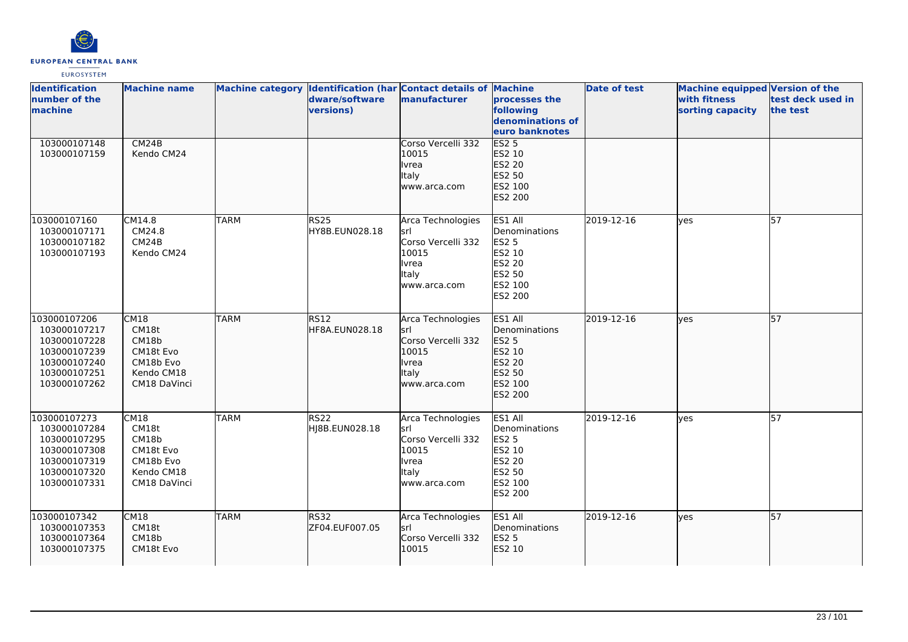

| <b>Identification</b><br>number of the<br>machine                                                            | <b>Machine name</b>                                                            |             | dware/software<br>versions)   | Machine category Identification (har Contact details of Machine<br>manufacturer                         | processes the<br>following<br>denominations of<br>euro banknotes                                    | <b>Date of test</b> | <b>Machine equipped Version of the</b><br>with fitness<br>sorting capacity | test deck used in<br>the test |
|--------------------------------------------------------------------------------------------------------------|--------------------------------------------------------------------------------|-------------|-------------------------------|---------------------------------------------------------------------------------------------------------|-----------------------------------------------------------------------------------------------------|---------------------|----------------------------------------------------------------------------|-------------------------------|
| 103000107148<br>103000107159                                                                                 | CM24B<br>Kendo CM24                                                            |             |                               | Corso Vercelli 332<br>10015<br><b>Ivrea</b><br><b>Italy</b><br>www.arca.com                             | ES2 <sub>5</sub><br>ES2 10<br><b>ES2 20</b><br>ES2 50<br>ES2 100<br>ES2 200                         |                     |                                                                            |                               |
| 103000107160<br>103000107171<br>103000107182<br>103000107193                                                 | CM14.8<br>CM24.8<br>CM24B<br>Kendo CM24                                        | <b>TARM</b> | <b>RS25</b><br>HY8B.EUN028.18 | Arca Technologies<br>lsrl<br>Corso Vercelli 332<br>10015<br>Ivrea<br>Italy<br>www.arca.com              | ES1 All<br>Denominations<br><b>ES2 5</b><br>ES2 10<br>ES2 20<br>ES2 50<br>ES2 100<br><b>ES2 200</b> | 2019-12-16          | ves                                                                        | 57                            |
| 103000107206<br>103000107217<br>103000107228<br>103000107239<br>103000107240<br>103000107251<br>103000107262 | CM18<br>CM18t<br>CM18b<br>CM18t Evo<br>CM18b Evo<br>Kendo CM18<br>CM18 DaVinci | <b>TARM</b> | <b>RS12</b><br>HF8A.EUN028.18 | Arca Technologies<br>srl<br>Corso Vercelli 332<br>10015<br><b>Ivrea</b><br><b>Italy</b><br>www.arca.com | ES1 All<br>Denominations<br>ES2 5<br>ES2 10<br>ES2 20<br>ES2 50<br>ES2 100<br>ES2 200               | 2019-12-16          | lves                                                                       | 57                            |
| 103000107273<br>103000107284<br>103000107295<br>103000107308<br>103000107319<br>103000107320<br>103000107331 | CM18<br>CM18t<br>CM18b<br>CM18t Evo<br>CM18b Evo<br>Kendo CM18<br>CM18 DaVinci | <b>TARM</b> | RS22<br>HJ8B.EUN028.18        | Arca Technologies<br>lsrl<br>Corso Vercelli 332<br>10015<br>Ivrea<br><b>Italy</b><br>www.arca.com       | ES1 All<br>Denominations<br><b>ES2 5</b><br>ES2 10<br><b>ES2 20</b><br>ES2 50<br>ES2 100<br>ES2 200 | 2019-12-16          | ves                                                                        | $\overline{57}$               |
| 103000107342<br>103000107353<br>103000107364<br>103000107375                                                 | CM18<br>CM18t<br>CM18b<br>CM18t Evo                                            | <b>TARM</b> | RS32<br>ZF04.EUF007.05        | Arca Technologies<br>lsrl<br>Corso Vercelli 332<br>10015                                                | ES1 All<br>Denominations<br><b>ES2 5</b><br>ES2 10                                                  | 2019-12-16          | ves                                                                        | 57                            |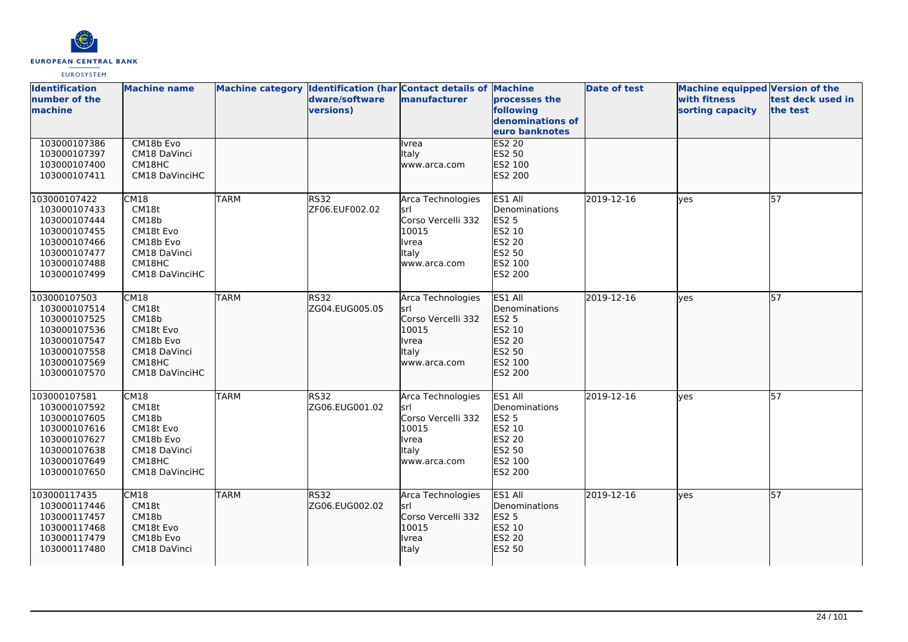

| <b>Identification</b><br>number of the<br>machine                                                                            | <b>Machine name</b>                                                                          |             | Machine category Identification (har Contact details of Machine<br>dware/software<br>versions) | manufacturer                                                                                              | processes the<br>following<br>denominations of<br>euro banknotes                             | <b>Date of test</b> | Machine equipped Version of the<br>with fitness<br>sorting capacity | test deck used in<br>the test |
|------------------------------------------------------------------------------------------------------------------------------|----------------------------------------------------------------------------------------------|-------------|------------------------------------------------------------------------------------------------|-----------------------------------------------------------------------------------------------------------|----------------------------------------------------------------------------------------------|---------------------|---------------------------------------------------------------------|-------------------------------|
| 103000107386<br>103000107397<br>103000107400<br>103000107411                                                                 | CM18b Evo<br>CM18 DaVinci<br>CM18HC<br><b>CM18 DaVinciHC</b>                                 |             |                                                                                                | Ivrea<br>Italy<br>www.arca.com                                                                            | <b>ES2 20</b><br>ES2 50<br>ES2 100<br>ES2 200                                                |                     |                                                                     |                               |
| 103000107422<br>103000107433<br>103000107444<br>103000107455<br>103000107466<br>103000107477<br>103000107488<br>103000107499 | CM18<br>CM18t<br>CM18b<br>CM18t Evo<br>CM18b Evo<br>CM18 DaVinci<br>CM18HC<br>CM18 DaVinciHC | <b>TARM</b> | <b>RS32</b><br>ZF06.EUF002.02                                                                  | Arca Technologies<br>lsrl<br>Corso Vercelli 332<br>10015<br><b>Ivrea</b><br>Italy<br>www.arca.com         | ES1 All<br>Denominations<br><b>ES2 5</b><br>ES2 10<br>ES2 20<br>ES2 50<br>ES2 100<br>ES2 200 | 2019-12-16          | ves                                                                 | 57                            |
| 103000107503<br>103000107514<br>103000107525<br>103000107536<br>103000107547<br>103000107558<br>103000107569<br>103000107570 | CM18<br>CM18t<br>CM18b<br>CM18t Evo<br>CM18b Evo<br>CM18 DaVinci<br>CM18HC<br>CM18 DaVinciHC | <b>TARM</b> | lRS32<br>ZG04.EUG005.05                                                                        | Arca Technologies<br>lsrl<br>Corso Vercelli 332<br>10015<br><b>Ivrea</b><br>Italy<br>www.arca.com         | ES1 All<br>Denominations<br>ES2 5<br>ES2 10<br>ES2 20<br>ES2 50<br>ES2 100<br>ES2 200        | 2019-12-16          | <b>ves</b>                                                          | 57                            |
| 103000107581<br>103000107592<br>103000107605<br>103000107616<br>103000107627<br>103000107638<br>103000107649<br>103000107650 | CM18<br>CM18t<br>CM18b<br>CM18t Evo<br>CM18b Evo<br>CM18 DaVinci<br>CM18HC<br>CM18 DaVinciHC | <b>TARM</b> | RS32<br>ZG06.EUG001.02                                                                         | Arca Technologies<br>lsrl<br>Corso Vercelli 332<br>10015<br><b>I</b> vrea<br><b>Italy</b><br>www.arca.com | ES1 All<br>Denominations<br><b>ES2 5</b><br>ES2 10<br>ES2 20<br>ES2 50<br>ES2 100<br>ES2 200 | 2019-12-16          | ves                                                                 | 57                            |
| 103000117435<br>103000117446<br>103000117457<br>103000117468<br>103000117479<br>103000117480                                 | CM18<br>CM18t<br>CM18b<br>CM18t Evo<br>CM18b Evo<br>CM18 DaVinci                             | <b>TARM</b> | RS32<br>ZG06.EUG002.02                                                                         | Arca Technologies<br>lsrl<br>Corso Vercelli 332<br>10015<br><b>I</b> vrea<br><b>Italy</b>                 | ES1 All<br>Denominations<br>ES2 5<br>ES2 10<br>ES2 20<br>ES2 50                              | 2019-12-16          | lves                                                                | 57                            |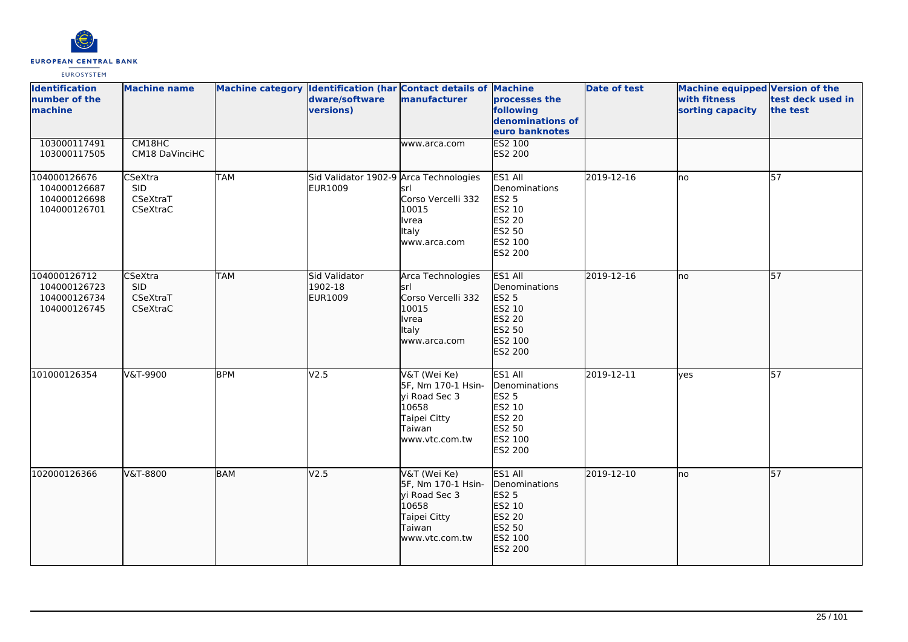

| <b>Identification</b><br>number of the<br>machine            | <b>Machine name</b>                           |            | Machine category Identification (har Contact details of Machine<br>dware/software<br>versions) | manufacturer                                                                                             | processes the<br>following<br>denominations of<br>euro banknotes                             | <b>Date of test</b> | <b>Machine equipped Version of the</b><br>with fitness<br>sorting capacity | test deck used in<br>the test |
|--------------------------------------------------------------|-----------------------------------------------|------------|------------------------------------------------------------------------------------------------|----------------------------------------------------------------------------------------------------------|----------------------------------------------------------------------------------------------|---------------------|----------------------------------------------------------------------------|-------------------------------|
| 103000117491<br>103000117505                                 | CM18HC<br>CM18 DaVinciHC                      |            |                                                                                                | www.arca.com                                                                                             | <b>ES2 100</b><br>ES2 200                                                                    |                     |                                                                            |                               |
| 104000126676<br>104000126687<br>104000126698<br>104000126701 | CSeXtra<br><b>SID</b><br>CSeXtraT<br>CSeXtraC | <b>TAM</b> | Sid Validator 1902-9 Arca Technologies<br><b>EUR1009</b>                                       | srl<br>Corso Vercelli 332<br>10015<br><b>Ivrea</b><br>Italy<br>www.arca.com                              | ES1 All<br>Denominations<br><b>ES2 5</b><br>ES2 10<br>ES2 20<br>ES2 50<br>ES2 100<br>ES2 200 | 2019-12-16          | <b>I</b> no                                                                | 57                            |
| 104000126712<br>104000126723<br>104000126734<br>104000126745 | CSeXtra<br><b>SID</b><br>CSeXtraT<br>CSeXtraC | <b>TAM</b> | Sid Validator<br>1902-18<br>EUR1009                                                            | Arca Technologies<br>srl<br>Corso Vercelli 332<br>10015<br><b>Ivrea</b><br>Italy<br>www.arca.com         | <b>ES1 AII</b><br>Denominations<br>ES2 5<br>ES2 10<br>ES2 20<br>ES2 50<br>ES2 100<br>ES2 200 | 2019-12-16          | lno                                                                        | 57                            |
| 101000126354                                                 | V&T-9900                                      | <b>BPM</b> | V2.5                                                                                           | V&T (Wei Ke)<br>5F, Nm 170-1 Hsin-<br>vi Road Sec 3<br>10658<br>Taipei Citty<br>Taiwan<br>www.vtc.com.tw | ES1 All<br>Denominations<br><b>ES2 5</b><br>ES2 10<br>ES2 20<br>ES2 50<br>ES2 100<br>ES2 200 | 2019-12-11          | lves                                                                       | 57                            |
| 102000126366                                                 | V&T-8800                                      | <b>BAM</b> | V <sub>2.5</sub>                                                                               | V&T (Wei Ke)<br>5F, Nm 170-1 Hsin-<br>yi Road Sec 3<br>10658<br>Taipei Citty<br>Taiwan<br>www.vtc.com.tw | ES1 All<br>Denominations<br>ES2 5<br>ES2 10<br>ES2 20<br>ES2 50<br>ES2 100<br>ES2 200        | 2019-12-10          | lno.                                                                       | 57                            |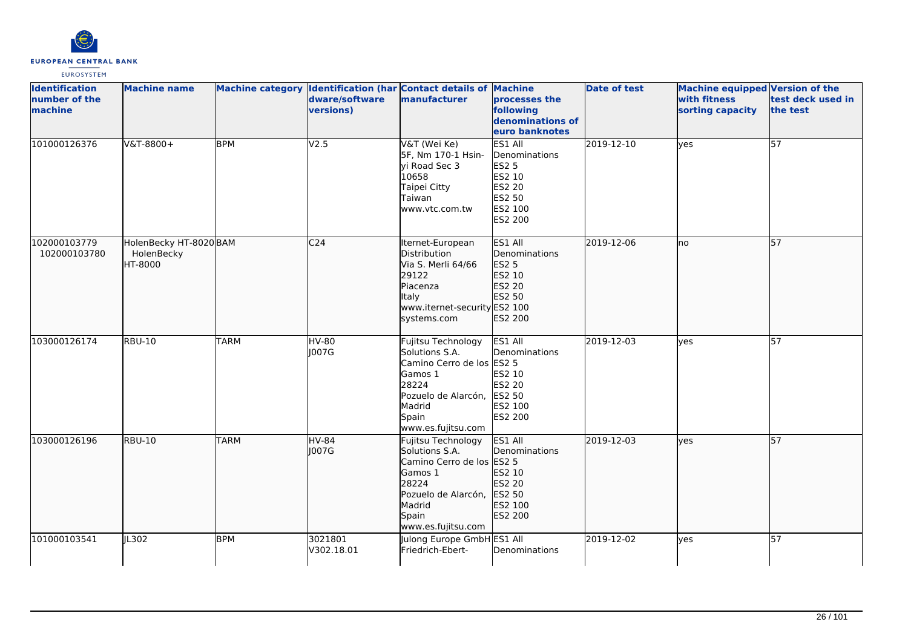

| <b>Identification</b><br>number of the<br>machine | <b>Machine name</b>                             |             | dware/software<br>versions)  | Machine category Identification (har Contact details of Machine<br>manufacturer                                                                       | processes the<br>following<br>denominations of<br>euro banknotes                                             | <b>Date of test</b> | Machine equipped Version of the<br>with fitness<br>sorting capacity | test deck used in<br>the test |
|---------------------------------------------------|-------------------------------------------------|-------------|------------------------------|-------------------------------------------------------------------------------------------------------------------------------------------------------|--------------------------------------------------------------------------------------------------------------|---------------------|---------------------------------------------------------------------|-------------------------------|
| 101000126376                                      | V&T-8800+                                       | <b>BPM</b>  | V2.5                         | V&T (Wei Ke)<br>5F, Nm 170-1 Hsin-<br>yi Road Sec 3<br>10658<br>Taipei Citty<br>Taiwan<br>www.vtc.com.tw                                              | $ES1$ All<br>Denominations<br><b>ES2 5</b><br>ES2 10<br><b>ES2 20</b><br>ES2 50<br>ES2 100<br><b>ES2 200</b> | 2019-12-10          | lyes                                                                | $\overline{57}$               |
| 102000103779<br>102000103780                      | HolenBecky HT-8020 BAM<br>HolenBecky<br>HT-8000 |             | C <sub>24</sub>              | Iternet-European<br>Distribution<br>Via S. Merli 64/66<br>29122<br>Piacenza<br><b>Italy</b><br>www.iternet-security ES2 100<br>systems.com            | ES1 All<br>Denominations<br>ES2 5<br>ES2 10<br><b>ES2 20</b><br>ES2 50<br>ES2 200                            | 2019-12-06          | lno                                                                 | $\overline{57}$               |
| 103000126174                                      | <b>RBU-10</b>                                   | <b>TARM</b> | $\overline{HV}$ -80<br>J007G | Fujitsu Technology<br>Solutions S.A.<br>Camino Cerro de los ES2 5<br>Gamos 1<br>28224<br>Pozuelo de Alarcón,<br>Madrid<br>Spain<br>www.es.fujitsu.com | ES1 All<br>Denominations<br>ES2 10<br>ES2 20<br>ES2 50<br>ES2 100<br>ES2 200                                 | 2019-12-03          | ves                                                                 | 57                            |
| 103000126196                                      | <b>RBU-10</b>                                   | <b>TARM</b> | HV-84<br> 007G               | Fujitsu Technology<br>Solutions S.A.<br>Camino Cerro de los ES2 5<br>Gamos 1<br>28224<br>Pozuelo de Alarcón,<br>Madrid<br>Spain<br>www.es.fujitsu.com | ES1 All<br>Denominations<br>ES2 10<br>ES2 20<br>ES2 50<br>ES2 100<br>ES2 200                                 | 2019-12-03          | lyes                                                                | 57                            |
| 101000103541                                      | JL302                                           | <b>BPM</b>  | 3021801<br>V302.18.01        | Julong Europe GmbH ES1 All<br>Friedrich-Ebert-                                                                                                        | Denominations                                                                                                | 2019-12-02          | yes                                                                 | $\overline{57}$               |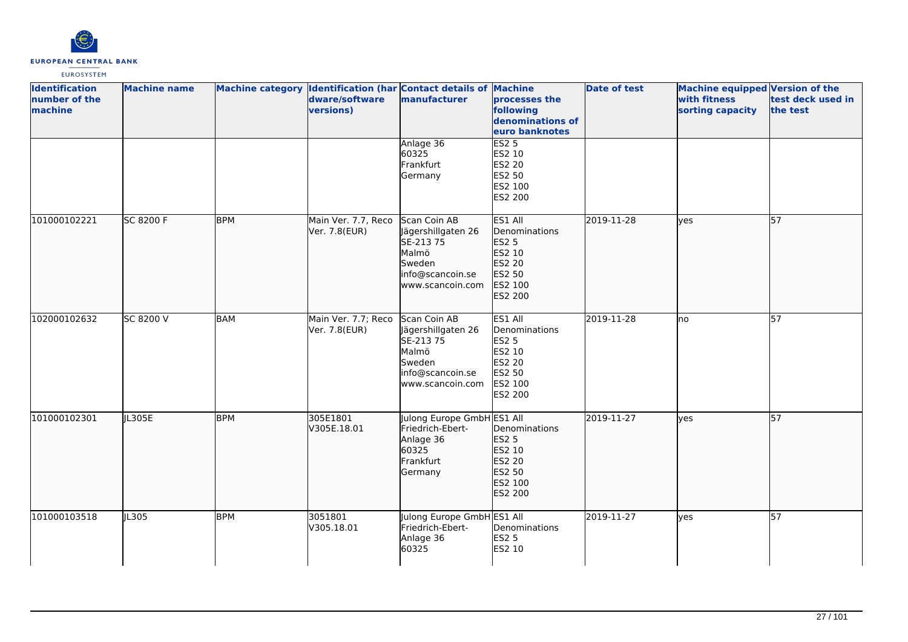

| <b>Identification</b><br>number of the<br>machine | <b>Machine name</b> |            | dware/software<br>versions)          | Machine category Identification (har Contact details of Machine<br>manufacturer                            | <b>processes the</b><br>following<br>denominations of<br>euro banknotes                      | <b>Date of test</b> | Machine equipped Version of the<br>with fitness<br>sorting capacity | test deck used in<br>the test |
|---------------------------------------------------|---------------------|------------|--------------------------------------|------------------------------------------------------------------------------------------------------------|----------------------------------------------------------------------------------------------|---------------------|---------------------------------------------------------------------|-------------------------------|
|                                                   |                     |            |                                      | Anlage 36<br>60325<br>Frankfurt<br>Germany                                                                 | ES2 <sub>5</sub><br>ES2 10<br><b>ES2 20</b><br>ES2 50<br>ES2 100<br>ES2 200                  |                     |                                                                     |                               |
| 101000102221                                      | SC 8200 F           | <b>BPM</b> | Main Ver. 7.7, Reco<br>Ver. 7.8(EUR) | Scan Coin AB<br>Jägershillgaten 26<br>SE-213 75<br>Malmö<br>Sweden<br>info@scancoin.se<br>www.scancoin.com | ES1 All<br>Denominations<br>ES2 5<br>ES2 10<br>ES2 20<br>ES2 50<br>ES2 100<br>ES2 200        | 2019-11-28          | ves                                                                 | 57                            |
| 102000102632                                      | SC 8200 V           | BAM        | Main Ver. 7.7; Reco<br>Ver. 7.8(EUR) | Scan Coin AB<br>Jägershillgaten 26<br>SE-213 75<br>Malmö<br>Sweden<br>info@scancoin.se<br>www.scancoin.com | ES1 All<br>Denominations<br><b>ES2 5</b><br>ES2 10<br>ES2 20<br>ES2 50<br>ES2 100<br>ES2 200 | 2019-11-28          | lno                                                                 | 57                            |
| 101000102301                                      | JL305E              | <b>BPM</b> | 305E1801<br>V305E.18.01              | Julong Europe GmbH ES1 All<br>Friedrich-Ebert-<br>Anlage 36<br>60325<br>Frankfurt<br>Germany               | Denominations<br>ES2 5<br>ES2 10<br>ES2 20<br>ES2 50<br>ES2 100<br>ES2 200                   | 2019-11-27          | lyes                                                                | 57                            |
| 101000103518                                      | JL305               | <b>BPM</b> | 3051801<br>V305.18.01                | Julong Europe GmbH ES1 All<br>Friedrich-Ebert-<br>Anlage 36<br>60325                                       | Denominations<br><b>ES2 5</b><br>ES2 10                                                      | 2019-11-27          | lyes                                                                | 57                            |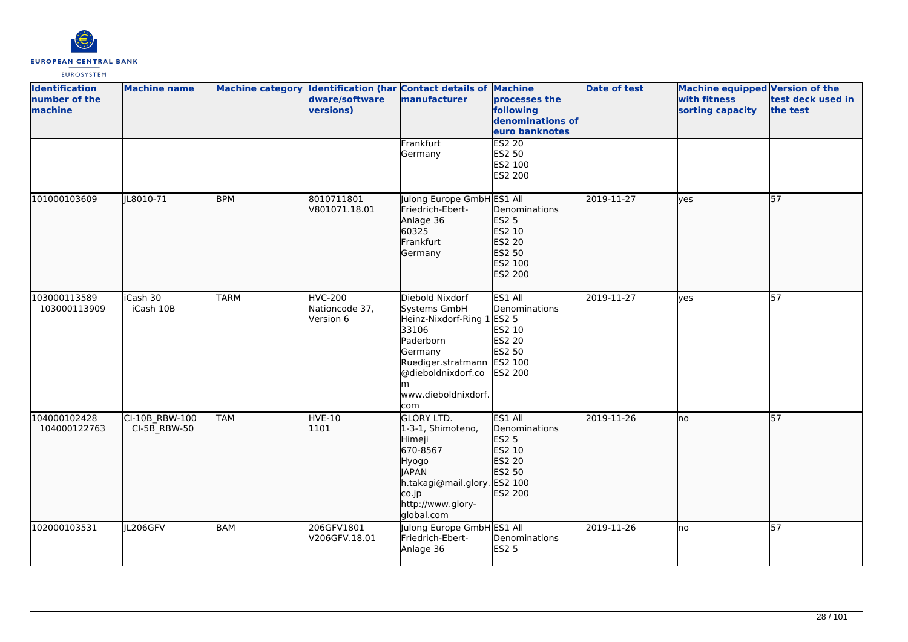

| <b>Identification</b><br>number of the<br>machine | <b>Machine name</b>            |             | dware/software<br>versions)                   | Machine category Identification (har Contact details of Machine<br>manufacturer                                                                                                 | processes the<br>following<br>denominations of<br>euro banknotes                    | <b>Date of test</b> | <b>Machine equipped Version of the</b><br>with fitness<br>sorting capacity | test deck used in<br>the test |
|---------------------------------------------------|--------------------------------|-------------|-----------------------------------------------|---------------------------------------------------------------------------------------------------------------------------------------------------------------------------------|-------------------------------------------------------------------------------------|---------------------|----------------------------------------------------------------------------|-------------------------------|
|                                                   |                                |             |                                               | Frankfurt<br>Germany                                                                                                                                                            | <b>ES2 20</b><br><b>ES2 50</b><br>ES2 100<br>ES2 200                                |                     |                                                                            |                               |
| 101000103609                                      | JL8010-71                      | <b>BPM</b>  | 8010711801<br>V801071.18.01                   | Julong Europe GmbH ES1 All<br>Friedrich-Ebert-<br>Anlage 36<br>60325<br>Frankfurt<br>Germany                                                                                    | Denominations<br><b>ES2 5</b><br>ES2 10<br>ES2 20<br>ES2 50<br>ES2 100<br>ES2 200   | 2019-11-27          | lves                                                                       | 57                            |
| 103000113589<br>103000113909                      | iCash 30<br>iCash 10B          | <b>TARM</b> | <b>HVC-200</b><br>Nationcode 37,<br>Version 6 | Diebold Nixdorf<br>Systems GmbH<br>Heinz-Nixdorf-Ring 1 ES2 5<br>33106<br>Paderborn<br>Germany<br>Ruediger.stratmann<br>@dieboldnixdorf.co<br>lm.<br>www.dieboldnixdorf.<br>com | ES1 All<br>Denominations<br>ES2 10<br><b>ES2 20</b><br>ES2 50<br>ES2 100<br>ES2 200 | 2019-11-27          | yes                                                                        | 57                            |
| 104000102428<br>104000122763                      | CI-10B RBW-100<br>CI-5B RBW-50 | <b>TAM</b>  | HVE-10<br>1101                                | <b>GLORY LTD.</b><br>1-3-1, Shimoteno,<br>Himeji<br>670-8567<br>Hyogo<br><b>JAPAN</b><br>h.takagi@mail.glory. ES2 100<br>co.jp<br>http://www.glory-<br>global.com               | ES1 All<br>Denominations<br><b>ES2 5</b><br>ES2 10<br>ES2 20<br>ES2 50<br>ES2 200   | 2019-11-26          | Ino                                                                        | 57                            |
| 102000103531                                      | JL206GFV                       | <b>BAM</b>  | 206GFV1801<br>V206GFV.18.01                   | Julong Europe GmbH ES1 All<br>Friedrich-Ebert-<br>Anlage 36                                                                                                                     | Denominations<br><b>ES2 5</b>                                                       | 2019-11-26          | lno                                                                        | 57                            |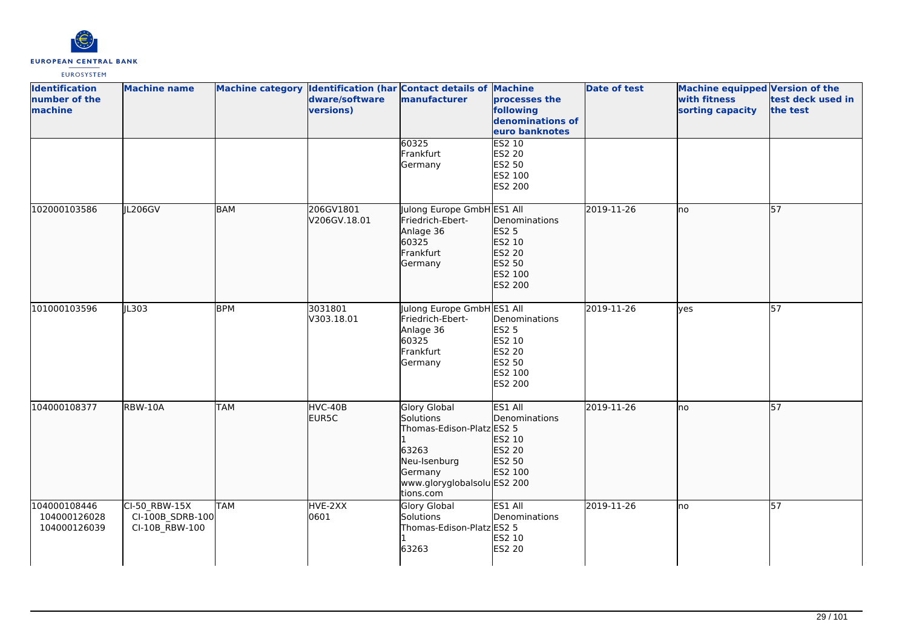

| <b>Identification</b><br>number of the<br>machine | <b>Machine name</b>                                 |            | dware/software<br>versions) | Machine category Identification (har Contact details of Machine<br>manufacturer                                                        | processes the<br>following<br>denominations of<br>euro banknotes                         | <b>Date of test</b> | Machine equipped Version of the<br>with fitness<br>sorting capacity | test deck used in<br>the test |
|---------------------------------------------------|-----------------------------------------------------|------------|-----------------------------|----------------------------------------------------------------------------------------------------------------------------------------|------------------------------------------------------------------------------------------|---------------------|---------------------------------------------------------------------|-------------------------------|
|                                                   |                                                     |            |                             | 60325<br>Frankfurt<br>Germany                                                                                                          | ES2 10<br>ES2 20<br>ES2 50<br>ES2 100<br>ES2 200                                         |                     |                                                                     |                               |
| 102000103586                                      | IL206GV                                             | <b>BAM</b> | 206GV1801<br>V206GV.18.01   | Julong Europe GmbH ES1 All<br>Friedrich-Ebert-<br>Anlage 36<br>60325<br>Frankfurt<br>Germany                                           | Denominations<br><b>ES2 5</b><br>ES2 10<br>ES2 20<br>ES2 50<br>ES2 100<br>ES2 200        | 2019-11-26          | lno                                                                 | 57                            |
| 101000103596                                      | JL303                                               | <b>BPM</b> | 3031801<br>V303.18.01       | Julong Europe GmbH ES1 All<br>Friedrich-Ebert-<br>Anlage 36<br>60325<br>Frankfurt<br>Germany                                           | Denominations<br><b>ES2 5</b><br>ES2 10<br>ES2 20<br>ES2 50<br>ES2 100<br><b>ES2 200</b> | 2019-11-26          | ves                                                                 | 57                            |
| 104000108377                                      | RBW-10A                                             | <b>TAM</b> | HVC-40B<br>EUR5C            | Glory Global<br>Solutions<br>Thomas-Edison-Platz ES2 5<br>63263<br>Neu-Isenburg<br>Germany<br>www.gloryglobalsolu ES2 200<br>tions.com | ES1 All<br>Denominations<br>ES2 10<br>ES2 20<br>ES2 50<br>ES2 100                        | 2019-11-26          | lno                                                                 | 57                            |
| 104000108446<br>104000126028<br>104000126039      | CI-50 RBW-15X<br>CI-100B SDRB-100<br>CI-10B_RBW-100 | <b>TAM</b> | HVE-2XX<br>0601             | <b>Glory Global</b><br>Solutions<br>Thomas-Edison-Platz ES2 5<br>63263                                                                 | ES1 All<br>Denominations<br>ES2 10<br>ES2 20                                             | 2019-11-26          | lno                                                                 | $\overline{57}$               |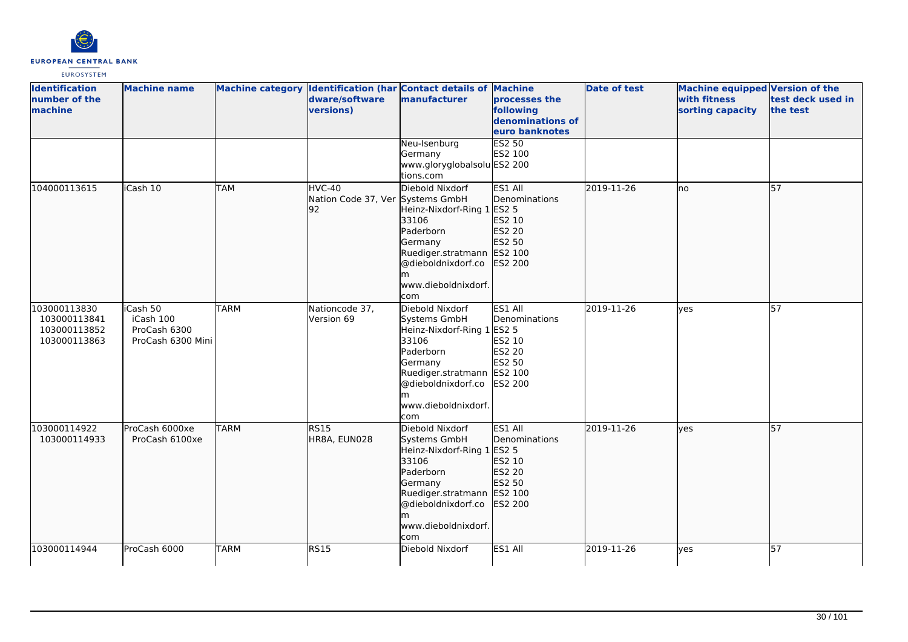

| <b>Identification</b><br>number of the<br>machine            | <b>Machine name</b>                                        |             | dware/software<br>versions)                      | Machine category Identification (har Contact details of Machine<br>manufacturer                                                                                                       | processes the<br>following<br>denominations of<br>euro banknotes                       | <b>Date of test</b> | <b>Machine equipped Version of the</b><br>with fitness<br>sorting capacity | test deck used in<br>the test |
|--------------------------------------------------------------|------------------------------------------------------------|-------------|--------------------------------------------------|---------------------------------------------------------------------------------------------------------------------------------------------------------------------------------------|----------------------------------------------------------------------------------------|---------------------|----------------------------------------------------------------------------|-------------------------------|
|                                                              |                                                            |             |                                                  | Neu-Isenburg<br>Germany<br>www.gloryglobalsolu ES2 200<br>tions.com                                                                                                                   | ES2 50<br>ES2 100                                                                      |                     |                                                                            |                               |
| 104000113615                                                 | iCash 10                                                   | <b>TAM</b>  | HVC-40<br>Nation Code 37, Ver Systems GmbH<br>92 | Diebold Nixdorf<br>Heinz-Nixdorf-Ring 1 ES2 5<br>33106<br>Paderborn<br>Germany<br>Ruediger.stratmann   ES2 100<br>@dieboldnixdorf.co<br>m<br>www.dieboldnixdorf.<br>com               | ES1 All<br>Denominations<br>ES2 10<br>ES2 20<br>ES2 50<br>ES2 200                      | 2019-11-26          | no                                                                         | 57                            |
| 103000113830<br>103000113841<br>103000113852<br>103000113863 | iCash 50<br>iCash 100<br>ProCash 6300<br>ProCash 6300 Mini | <b>TARM</b> | Nationcode 37,<br>Version 69                     | Diebold Nixdorf<br>Systems GmbH<br>Heinz-Nixdorf-Ring 1 ES2 5<br>33106<br>Paderborn<br>Germany<br>Ruediger.stratmann ES2 100<br>@dieboldnixdorf.co<br>m<br>www.dieboldnixdorf.<br>com | ES1 All<br>Denominations<br>ES2 10<br><b>ES2 20</b><br><b>ES2 50</b><br><b>ES2 200</b> | 2019-11-26          | <b>ves</b>                                                                 | 57                            |
| 103000114922<br>103000114933                                 | ProCash 6000xe<br>ProCash 6100xe                           | <b>TARM</b> | <b>RS15</b><br>HR8A, EUN028                      | Diebold Nixdorf<br>Systems GmbH<br>Heinz-Nixdorf-Ring 1 ES2 5<br>33106<br>Paderborn<br>Germany<br>Ruediger.stratmann<br>@dieboldnixdorf.co<br>m<br>www.dieboldnixdorf.<br>com         | ES1 All<br>Denominations<br>ES2 10<br>ES2 20<br>ES2 50<br>ES2 100<br>ES2 200           | 2019-11-26          | yes                                                                        | 57                            |
| 103000114944                                                 | ProCash 6000                                               | <b>TARM</b> | <b>RS15</b>                                      | Diebold Nixdorf                                                                                                                                                                       | ES1 All                                                                                | 2019-11-26          | lves                                                                       | $\overline{57}$               |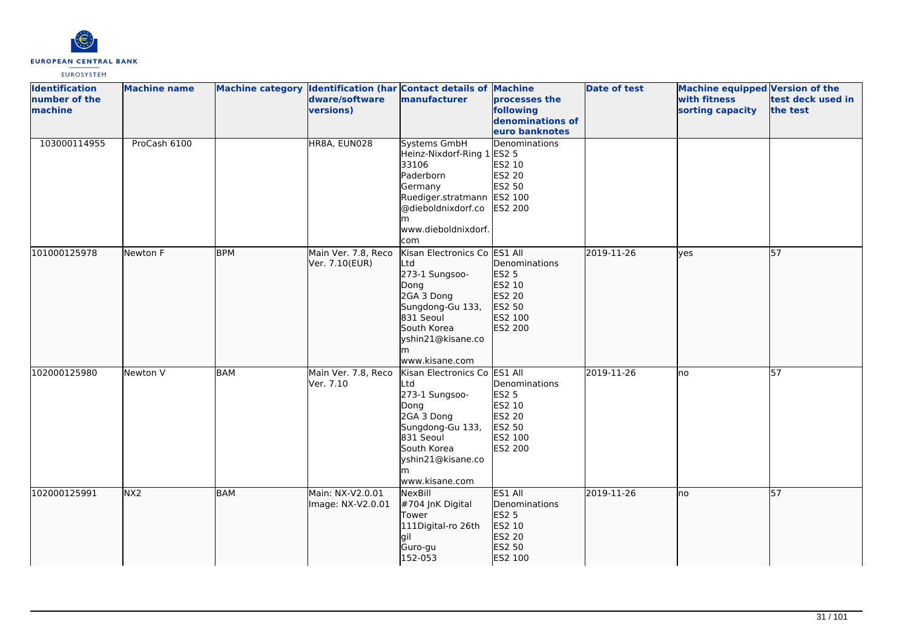

| <b>Identification</b> | <b>Machine name</b> |            |                     | Machine category Identification (har Contact details of Machine |                               | <b>Date of test</b> | Machine equipped Version of the |                   |
|-----------------------|---------------------|------------|---------------------|-----------------------------------------------------------------|-------------------------------|---------------------|---------------------------------|-------------------|
| number of the         |                     |            | dware/software      | manufacturer                                                    | processes the                 |                     | with fitness                    | test deck used in |
| machine               |                     |            | versions)           |                                                                 | following                     |                     | sorting capacity                | the test          |
|                       |                     |            |                     |                                                                 | denominations of              |                     |                                 |                   |
|                       |                     |            |                     |                                                                 | euro banknotes                |                     |                                 |                   |
| 103000114955          | ProCash 6100        |            | HR8A, EUN028        | Systems GmbH                                                    | Denominations                 |                     |                                 |                   |
|                       |                     |            |                     | Heinz-Nixdorf-Ring 1 ES2 5                                      |                               |                     |                                 |                   |
|                       |                     |            |                     | 33106                                                           | ES2 10                        |                     |                                 |                   |
|                       |                     |            |                     | Paderborn                                                       | ES2 20                        |                     |                                 |                   |
|                       |                     |            |                     | Germany                                                         | ES2 50                        |                     |                                 |                   |
|                       |                     |            |                     | Ruediger.stratmann ES2 100                                      |                               |                     |                                 |                   |
|                       |                     |            |                     | @dieboldnixdorf.co                                              | ES2 200                       |                     |                                 |                   |
|                       |                     |            |                     | m                                                               |                               |                     |                                 |                   |
|                       |                     |            |                     | www.dieboldnixdorf.                                             |                               |                     |                                 |                   |
|                       |                     |            |                     | com                                                             |                               |                     |                                 |                   |
| 101000125978          | Newton F            | <b>BPM</b> | Main Ver. 7.8, Reco | Kisan Electronics Co ES1 All                                    |                               | 2019-11-26          | lves                            | 57                |
|                       |                     |            | Ver. 7.10(EUR)      | Ltd<br>273-1 Sungsoo-                                           | Denominations<br><b>ES2 5</b> |                     |                                 |                   |
|                       |                     |            |                     |                                                                 | ES2 10                        |                     |                                 |                   |
|                       |                     |            |                     | Dong<br>2GA 3 Dong                                              | ES2 20                        |                     |                                 |                   |
|                       |                     |            |                     | Sungdong-Gu 133,                                                | ES2 50                        |                     |                                 |                   |
|                       |                     |            |                     | 831 Seoul                                                       | ES2 100                       |                     |                                 |                   |
|                       |                     |            |                     | South Korea                                                     | ES2 200                       |                     |                                 |                   |
|                       |                     |            |                     | yshin21@kisane.co                                               |                               |                     |                                 |                   |
|                       |                     |            |                     | m                                                               |                               |                     |                                 |                   |
|                       |                     |            |                     | www.kisane.com                                                  |                               |                     |                                 |                   |
| 102000125980          | Newton V            | <b>BAM</b> | Main Ver. 7.8, Reco | Kisan Electronics Co ES1 All                                    |                               | 2019-11-26          | Ino                             | 57                |
|                       |                     |            | Ver. 7.10           | Ltd                                                             | Denominations                 |                     |                                 |                   |
|                       |                     |            |                     | 273-1 Sungsoo-                                                  | <b>ES2 5</b>                  |                     |                                 |                   |
|                       |                     |            |                     | Dong                                                            | ES2 10                        |                     |                                 |                   |
|                       |                     |            |                     | 2GA 3 Dong                                                      | <b>ES2 20</b>                 |                     |                                 |                   |
|                       |                     |            |                     | Sungdong-Gu 133,                                                | ES2 50                        |                     |                                 |                   |
|                       |                     |            |                     | 831 Seoul                                                       | ES2 100                       |                     |                                 |                   |
|                       |                     |            |                     | South Korea                                                     | ES2 200                       |                     |                                 |                   |
|                       |                     |            |                     | yshin21@kisane.co                                               |                               |                     |                                 |                   |
|                       |                     |            |                     | m                                                               |                               |                     |                                 |                   |
|                       |                     |            |                     | www.kisane.com                                                  |                               |                     |                                 |                   |
| 102000125991          | NX2                 | <b>BAM</b> | Main: NX-V2.0.01    | NexBill                                                         | ES1 All                       | 2019-11-26          | lno                             | $\overline{57}$   |
|                       |                     |            | Image: NX-V2.0.01   | #704 JnK Digital                                                | Denominations                 |                     |                                 |                   |
|                       |                     |            |                     | Tower                                                           | ES2 5                         |                     |                                 |                   |
|                       |                     |            |                     | 111Digital-ro 26th                                              | ES2 10                        |                     |                                 |                   |
|                       |                     |            |                     | lgil                                                            | ES2 20                        |                     |                                 |                   |
|                       |                     |            |                     | Guro-gu                                                         | ES2 50                        |                     |                                 |                   |
|                       |                     |            |                     | 152-053                                                         | ES2 100                       |                     |                                 |                   |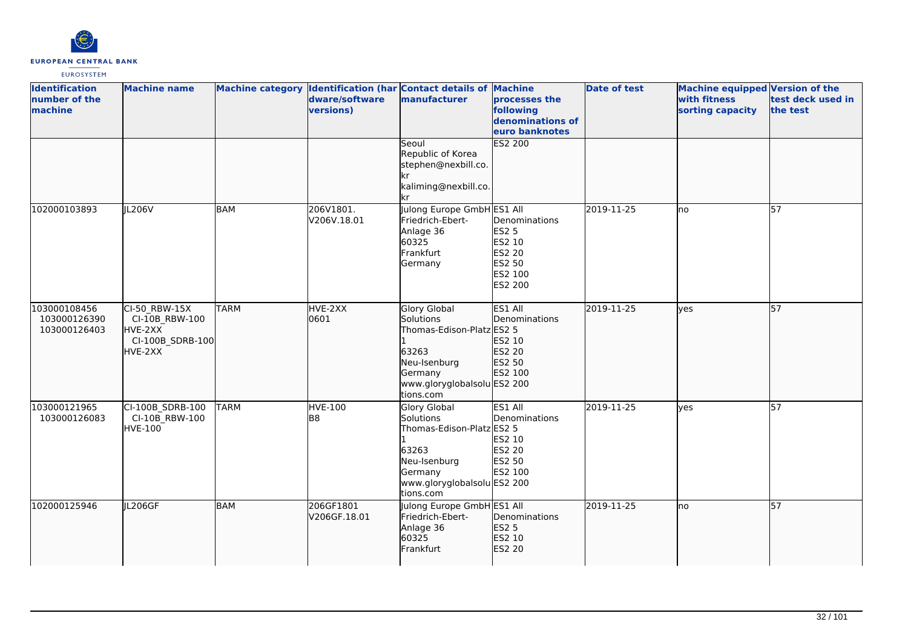

| <b>Identification</b><br>number of the<br>machine | <b>Machine name</b>                                                       |             | dware/software<br>versions) | Machine category Identification (har Contact details of Machine<br>manufacturer                                                               | processes the<br>following<br>denominations of<br>euro banknotes                  | <b>Date of test</b> | <b>Machine equipped Version of the</b><br>with fitness<br>sorting capacity | test deck used in<br>the test |
|---------------------------------------------------|---------------------------------------------------------------------------|-------------|-----------------------------|-----------------------------------------------------------------------------------------------------------------------------------------------|-----------------------------------------------------------------------------------|---------------------|----------------------------------------------------------------------------|-------------------------------|
|                                                   |                                                                           |             |                             | Seoul<br>Republic of Korea<br>stephen@nexbill.co.<br>kr<br>kaliming@nexbill.co.<br>kr                                                         | ES2 200                                                                           |                     |                                                                            |                               |
| 102000103893                                      | JL206V                                                                    | <b>BAM</b>  | 206V1801.<br>V206V.18.01    | Julong Europe GmbH ES1 All<br>Friedrich-Ebert-<br>Anlage 36<br>60325<br>Frankfurt<br>Germany                                                  | Denominations<br><b>ES2 5</b><br>ES2 10<br>ES2 20<br>ES2 50<br>ES2 100<br>ES2 200 | 2019-11-25          | Ino                                                                        | $\overline{57}$               |
| 103000108456<br>103000126390<br>103000126403      | CI-50 RBW-15X<br>CI-10B RBW-100<br>HVE-2XX<br>CI-100B_SDRB-100<br>HVE-2XX | <b>TARM</b> | HVE-2XX<br>0601             | <b>Glory Global</b><br>Solutions<br>Thomas-Edison-Platz ES2 5<br>63263<br>Neu-Isenburg<br>Germany<br>www.gloryglobalsolu ES2 200<br>tions.com | ES1 All<br>Denominations<br>ES2 10<br>ES2 20<br>ES2 50<br>ES2 100                 | 2019-11-25          | lves                                                                       | 57                            |
| 103000121965<br>103000126083                      | CI-100B_SDRB-100<br>CI-10B RBW-100<br><b>HVE-100</b>                      | <b>TARM</b> | HVE-100<br>B <sub>8</sub>   | Glory Global<br>Solutions<br>Thomas-Edison-Platz ES2 5<br>63263<br>Neu-Isenburg<br>Germany<br>www.gloryglobalsolu ES2 200<br>tions.com        | ES1 All<br>Denominations<br>ES2 10<br>ES2 20<br>ES2 50<br>ES2 100                 | 2019-11-25          | lves                                                                       | 57                            |
| 102000125946                                      | JL206GF                                                                   | <b>BAM</b>  | 206GF1801<br>V206GF.18.01   | Julong Europe GmbH ES1 All<br>Friedrich-Ebert-<br>Anlage 36<br>60325<br>Frankfurt                                                             | Denominations<br><b>ES2 5</b><br>ES2 10<br>ES2 20                                 | 2019-11-25          | lno                                                                        | $\overline{57}$               |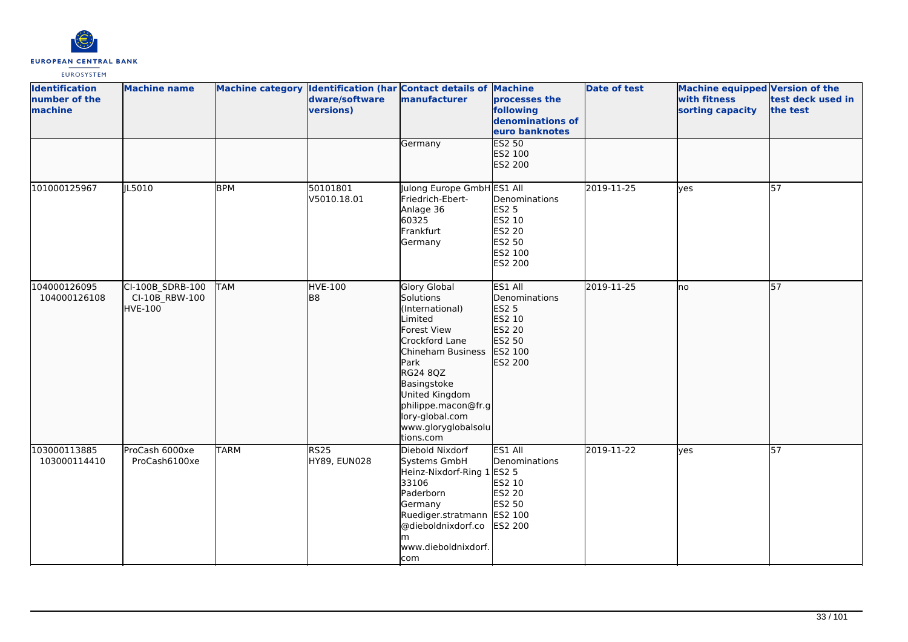

| <b>Identification</b><br>number of the<br>machine | <b>Machine name</b>                                  |             | dware/software<br>versions) | Machine category Identification (har Contact details of Machine<br>manufacturer<br>Germany                                                                                                                                                                     | processes the<br>following<br>denominations of<br>euro banknotes<br>ES2 50                   | <b>Date of test</b> | Machine equipped Version of the<br>with fitness<br>sorting capacity | test deck used in<br>the test |
|---------------------------------------------------|------------------------------------------------------|-------------|-----------------------------|----------------------------------------------------------------------------------------------------------------------------------------------------------------------------------------------------------------------------------------------------------------|----------------------------------------------------------------------------------------------|---------------------|---------------------------------------------------------------------|-------------------------------|
|                                                   |                                                      |             |                             |                                                                                                                                                                                                                                                                | ES2 100<br>ES2 200                                                                           |                     |                                                                     |                               |
| 101000125967                                      | JL5010                                               | <b>BPM</b>  | 50101801<br>V5010.18.01     | Julong Europe GmbH ES1 All<br>Friedrich-Ebert-<br>Anlage 36<br>60325<br>Frankfurt<br>Germany                                                                                                                                                                   | Denominations<br><b>ES2 5</b><br>ES2 10<br>ES2 20<br>ES2 50<br>ES2 100<br>ES2 200            | 2019-11-25          | yes                                                                 | 57                            |
| 104000126095<br>104000126108                      | CI-100B_SDRB-100<br>CI-10B RBW-100<br><b>HVE-100</b> | <b>TAM</b>  | <b>HVE-100</b><br>lB8       | <b>Glory Global</b><br>Solutions<br>(International)<br>Limited<br><b>Forest View</b><br>Crockford Lane<br>Chineham Business<br>Park<br>RG24 8QZ<br>Basingstoke<br>United Kingdom<br>philippe.macon@fr.g<br>lory-global.com<br>www.gloryglobalsolu<br>tions.com | ES1 All<br>Denominations<br><b>ES2 5</b><br>ES2 10<br>ES2 20<br>ES2 50<br>ES2 100<br>ES2 200 | 2019-11-25          | Ino                                                                 | 57                            |
| 103000113885<br>103000114410                      | ProCash 6000xe<br>ProCash6100xe                      | <b>TARM</b> | <b>RS25</b><br>HY89, EUN028 | Diebold Nixdorf<br>Systems GmbH<br>Heinz-Nixdorf-Ring 1 ES2 5<br>33106<br>Paderborn<br>Germany<br>Ruediger.stratmann ES2 100<br>@dieboldnixdorf.co<br>lm.<br>www.dieboldnixdorf.<br>com                                                                        | ES1 All<br>Denominations<br>ES2 10<br>ES2 20<br>ES2 50<br>ES2 200                            | 2019-11-22          | <b>ves</b>                                                          | 57                            |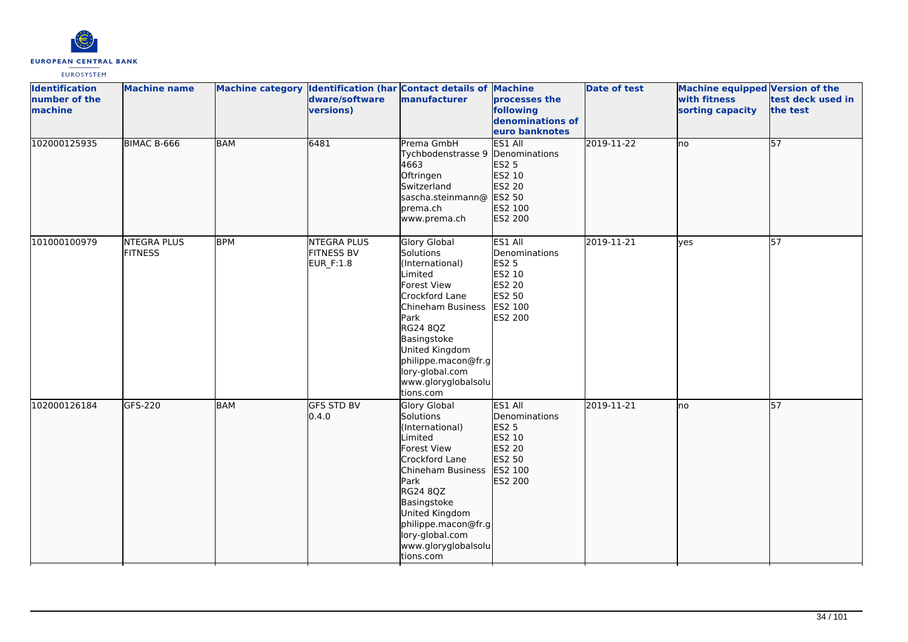

| <b>Identification</b><br>number of the<br>machine | <b>Machine name</b>                  |            | dware/software<br>versions)                          | Machine category Identification (har Contact details of Machine<br>manufacturer                                                                                                                                                                                | processes the<br>following<br>denominations of<br>euro banknotes                                           | <b>Date of test</b> | Machine equipped Version of the<br>with fitness<br>sorting capacity | test deck used in<br>the test |
|---------------------------------------------------|--------------------------------------|------------|------------------------------------------------------|----------------------------------------------------------------------------------------------------------------------------------------------------------------------------------------------------------------------------------------------------------------|------------------------------------------------------------------------------------------------------------|---------------------|---------------------------------------------------------------------|-------------------------------|
| 102000125935                                      | BIMAC B-666                          | <b>BAM</b> | 6481                                                 | Prema GmbH<br>Tychbodenstrasse 9<br>4663<br>Oftringen<br>Switzerland<br>sascha.steinmann@<br>brema.ch<br>www.prema.ch                                                                                                                                          | <b>ES1 All</b><br>Denominations<br>ES2 5<br>ES2 10<br>ES2 20<br>ES2 50<br>ES2 100<br>ES2 200               | 2019-11-22          | <b>I</b> no                                                         | 57                            |
| 101000100979                                      | <b>NTEGRA PLUS</b><br><b>FITNESS</b> | <b>BPM</b> | <b>NTEGRA PLUS</b><br><b>FITNESS BV</b><br>EUR_F:1.8 | Glory Global<br>Solutions<br>(International)<br>Limited<br><b>Forest View</b><br>Crockford Lane<br>Chineham Business<br>Park<br><b>RG24 8QZ</b><br>Basingstoke<br>United Kingdom<br>philippe.macon@fr.g<br>lory-global.com<br>www.gloryglobalsolu<br>tions.com | ES1 All<br>Denominations<br><b>ES2 5</b><br>ES2 10<br><b>ES2 20</b><br>ES2 50<br>ES2 100<br><b>ES2 200</b> | 2019-11-21          | <b>yes</b>                                                          | 57                            |
| 102000126184                                      | GFS-220                              | <b>BAM</b> | <b>GFS STD BV</b><br>0.4.0                           | <b>Glory Global</b><br>Solutions<br>(International)<br>Limited<br><b>Forest View</b><br>Crockford Lane<br>Chineham Business<br>Park<br>RG24 8QZ<br>Basingstoke<br>United Kingdom<br>philippe.macon@fr.g<br>lory-global.com<br>www.gloryglobalsolu<br>tions.com | ES1 All<br>Denominations<br>ES2 5<br>ES2 10<br>ES2 20<br>ES2 50<br>ES2 100<br>ES2 200                      | 2019-11-21          | Ino                                                                 | 57                            |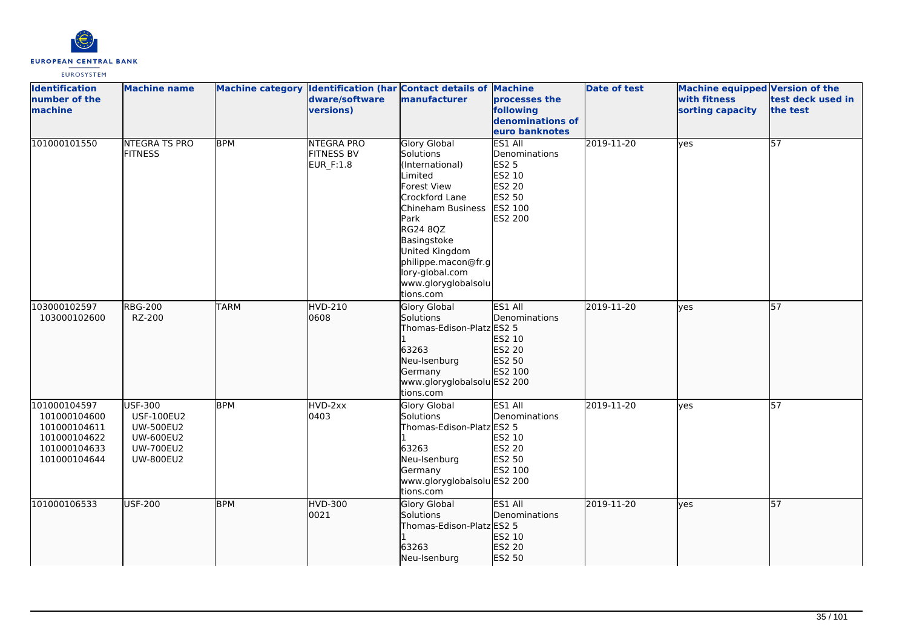

| <b>Identification</b><br>number of the<br>machine                                            | <b>Machine name</b>                                                                                                 |             | dware/software<br>versions)                         | Machine category Identification (har Contact details of Machine<br>manufacturer                                                                                                                                                                         | processes the<br>following<br>denominations of<br>euro banknotes                             | <b>Date of test</b> | <b>Machine equipped Version of the</b><br>with fitness<br>sorting capacity | test deck used in<br>the test |
|----------------------------------------------------------------------------------------------|---------------------------------------------------------------------------------------------------------------------|-------------|-----------------------------------------------------|---------------------------------------------------------------------------------------------------------------------------------------------------------------------------------------------------------------------------------------------------------|----------------------------------------------------------------------------------------------|---------------------|----------------------------------------------------------------------------|-------------------------------|
| 101000101550                                                                                 | <b>NTEGRA TS PRO</b><br><b>FITNESS</b>                                                                              | <b>BPM</b>  | <b>NTEGRA PRO</b><br><b>FITNESS BV</b><br>EUR_F:1.8 | <b>Glory Global</b><br>Solutions<br>(International)<br>Limited<br>Forest View<br>Crockford Lane<br>Chineham Business<br>Park<br>RG24 8QZ<br>Basingstoke<br>United Kingdom<br>philippe.macon@fr.g<br>lory-global.com<br>www.gloryglobalsolu<br>tions.com | ES1 All<br>Denominations<br><b>ES2 5</b><br>ES2 10<br>ES2 20<br>ES2 50<br>ES2 100<br>ES2 200 | 2019-11-20          | lyes                                                                       | 57                            |
| 103000102597<br>103000102600                                                                 | <b>RBG-200</b><br>RZ-200                                                                                            | <b>TARM</b> | <b>HVD-210</b><br>0608                              | Glory Global<br>Solutions<br>Thomas-Edison-Platz ES2 5<br>63263<br>Neu-Isenburg<br>Germany<br>www.gloryglobalsolu ES2 200<br>tions.com                                                                                                                  | ES1 All<br>Denominations<br>ES2 10<br>ES2 20<br>ES2 50<br>ES2 100                            | 2019-11-20          | lyes                                                                       | $\overline{57}$               |
| 101000104597<br>101000104600<br>101000104611<br>101000104622<br>101000104633<br>101000104644 | <b>USF-300</b><br><b>USF-100EU2</b><br><b>UW-500EU2</b><br><b>UW-600EU2</b><br><b>UW-700EU2</b><br><b>UW-800EU2</b> | <b>BPM</b>  | HVD-2xx<br>0403                                     | Glory Global<br>Solutions<br>Thomas-Edison-Platz ES2 5<br>63263<br>Neu-Isenburg<br>Germany<br>www.gloryglobalsolu ES2 200<br>tions.com                                                                                                                  | ES1 All<br>Denominations<br>ES2 10<br>ES2 20<br>ES2 50<br>ES2 100                            | 2019-11-20          | ves                                                                        | 57                            |
| 101000106533                                                                                 | USF-200                                                                                                             | <b>BPM</b>  | HVD-300<br>0021                                     | Glory Global<br>Solutions<br>Thomas-Edison-Platz ES2 5<br>63263<br>Neu-Isenburg                                                                                                                                                                         | <b>IES1 AII</b><br>Denominations<br>ES2 10<br>ES2 20<br>ES2 50                               | 2019-11-20          | ves                                                                        | 57                            |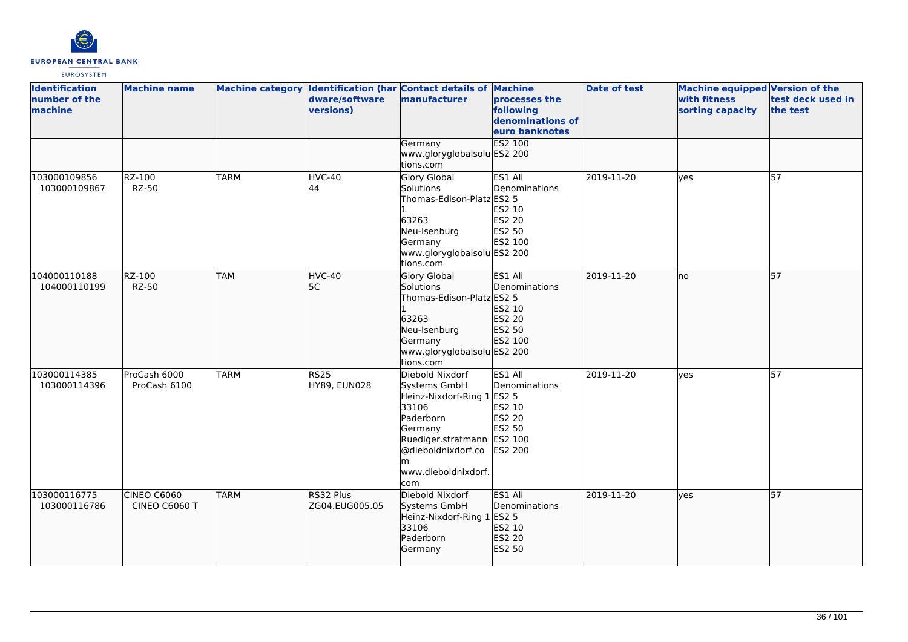

| <b>Identification</b><br>number of the<br>machine | <b>Machine name</b>          |             | dware/software<br>versions) | Machine category Identification (har Contact details of Machine<br>manufacturer                                                                                                  | processes the<br>following<br>denominations of<br>euro banknotes         | <b>Date of test</b> | <b>Machine equipped Version of the</b><br>with fitness<br>sorting capacity | test deck used in<br>the test |
|---------------------------------------------------|------------------------------|-------------|-----------------------------|----------------------------------------------------------------------------------------------------------------------------------------------------------------------------------|--------------------------------------------------------------------------|---------------------|----------------------------------------------------------------------------|-------------------------------|
|                                                   |                              |             |                             | Germany<br>www.gloryglobalsolu ES2 200<br>tions.com                                                                                                                              | <b>ES2 100</b>                                                           |                     |                                                                            |                               |
| 103000109856<br>103000109867                      | RZ-100<br><b>RZ-50</b>       | <b>TARM</b> | HVC-40<br>44                | <b>Glory Global</b><br>Solutions<br>Thomas-Edison-Platz ES2 5<br>63263<br>Neu-Isenburg<br>Germany<br>www.gloryglobalsolu ES2 200<br>tions.com                                    | ES1 All<br>Denominations<br>ES2 10<br><b>ES2 20</b><br>ES2 50<br>ES2 100 | 2019-11-20          | lves                                                                       | 57                            |
| 104000110188<br>104000110199                      | RZ-100<br><b>RZ-50</b>       | <b>TAM</b>  | HVC-40<br>5C                | Glory Global<br>Solutions<br>Thomas-Edison-Platz ES2 5<br>63263<br>Neu-Isenburg<br>Germany<br>www.gloryglobalsolu ES2 200<br>tions.com                                           | ES1 All<br>Denominations<br>ES2 10<br>ES2 20<br>ES2 50<br>ES2 100        | 2019-11-20          | lno                                                                        | 57                            |
| 103000114385<br>103000114396                      | ProCash 6000<br>ProCash 6100 | <b>TARM</b> | <b>RS25</b><br>HY89, EUN028 | Diebold Nixdorf<br>Systems GmbH<br>Heinz-Nixdorf-Ring 1 ES2 5<br>33106<br>Paderborn<br>Germany<br>Ruediger.stratmann ES2 100<br>@dieboldnixdorf.co<br>www.dieboldnixdorf.<br>com | <b>ES1 All</b><br>Denominations<br>ES2 10<br>ES2 20<br>ES2 50<br>ES2 200 | 2019-11-20          | lves                                                                       | 57                            |
| 103000116775<br>103000116786                      | CINEO C6060<br>CINEO C6060 T | <b>TARM</b> | RS32 Plus<br>ZG04.EUG005.05 | Diebold Nixdorf<br>Systems GmbH<br>Heinz-Nixdorf-Ring 1 ES2 5<br>33106<br>Paderborn<br>Germany                                                                                   | ES1 All<br>Denominations<br>ES2 10<br>ES2 20<br>ES2 50                   | 2019-11-20          | ves                                                                        | 57                            |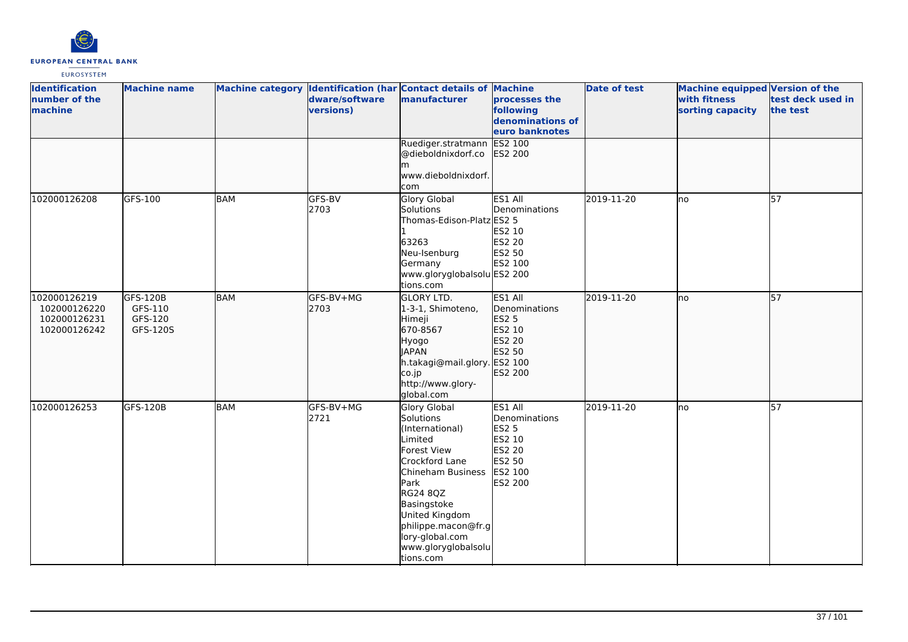

| <b>Identification</b><br>number of the<br>machine            | <b>Machine name</b>                        |            | dware/software<br>versions) | Machine category Identification (har Contact details of Machine<br>manufacturer                                                                                                                                                                  | processes the<br>following<br>denominations of<br>euro banknotes                                    | <b>Date of test</b> | Machine equipped Version of the<br>with fitness<br>sorting capacity | test deck used in<br>the test |
|--------------------------------------------------------------|--------------------------------------------|------------|-----------------------------|--------------------------------------------------------------------------------------------------------------------------------------------------------------------------------------------------------------------------------------------------|-----------------------------------------------------------------------------------------------------|---------------------|---------------------------------------------------------------------|-------------------------------|
|                                                              |                                            |            |                             | Ruediger.stratmann<br>@dieboldnixdorf.co<br>lm.<br>www.dieboldnixdorf.<br>com                                                                                                                                                                    | ES2 100<br>ES2 200                                                                                  |                     |                                                                     |                               |
| 102000126208                                                 | GFS-100                                    | <b>BAM</b> | GFS-BV<br>2703              | Glory Global<br>Solutions<br>Thomas-Edison-Platz ES2 5<br>63263<br>Neu-Isenburg<br>Germany<br>www.gloryglobalsolu ES2 200<br>tions.com                                                                                                           | ES1 All<br>Denominations<br>ES2 10<br>ES2 20<br><b>ES2 50</b><br>ES2 100                            | 2019-11-20          | lno                                                                 | 57                            |
| 102000126219<br>102000126220<br>102000126231<br>102000126242 | GFS-120B<br>GFS-110<br>GFS-120<br>GFS-120S | <b>BAM</b> | GFS-BV+MG<br>2703           | <b>GLORY LTD.</b><br>1-3-1, Shimoteno,<br>Himeji<br>670-8567<br>Hyogo<br><b>JAPAN</b><br>h.takagi@mail.glory. ES2 100<br>co.jp<br>http://www.glory-<br>global.com                                                                                | ES1 All<br>Denominations<br><b>ES2 5</b><br>ES2 10<br>ES2 20<br>ES2 50<br>ES2 200                   | 2019-11-20          | lno                                                                 | 57                            |
| 102000126253                                                 | GFS-120B                                   | <b>BAM</b> | GFS-BV+MG<br>2721           | Glory Global<br>Solutions<br>(International)<br>Limited<br>Forest View<br>Crockford Lane<br>Chineham Business<br>Park<br>RG24 8QZ<br>Basingstoke<br>United Kingdom<br>philippe.macon@fr.g<br>lory-global.com<br>www.gloryglobalsolu<br>tions.com | ES1 All<br>Denominations<br><b>ES2 5</b><br>ES2 10<br><b>ES2 20</b><br>ES2 50<br>ES2 100<br>ES2 200 | 2019-11-20          | lno                                                                 | 57                            |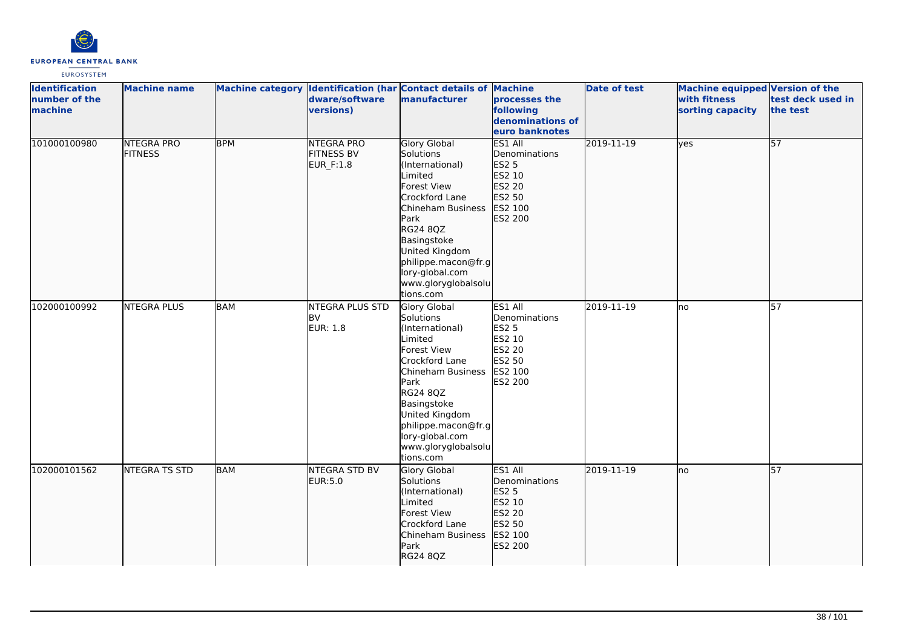

| <b>Identification</b><br>number of the<br>machine | <b>Machine name</b>                 |            | dware/software<br>versions)                         | Machine category Identification (har Contact details of Machine<br>manufacturer                                                                                                                                                                         | processes the<br>following<br>denominations of<br>euro banknotes                                           | <b>Date of test</b> | <b>Machine equipped Version of the</b><br>with fitness<br>sorting capacity | test deck used in<br>the test |
|---------------------------------------------------|-------------------------------------|------------|-----------------------------------------------------|---------------------------------------------------------------------------------------------------------------------------------------------------------------------------------------------------------------------------------------------------------|------------------------------------------------------------------------------------------------------------|---------------------|----------------------------------------------------------------------------|-------------------------------|
| 101000100980                                      | <b>NTEGRA PRO</b><br><b>FITNESS</b> | <b>BPM</b> | <b>NTEGRA PRO</b><br><b>FITNESS BV</b><br>EUR_F:1.8 | <b>Glory Global</b><br>Solutions<br>(International)<br>Limited<br>Forest View<br>Crockford Lane<br>Chineham Business<br>Park<br>RG24 8QZ<br>Basingstoke<br>United Kingdom<br>philippe.macon@fr.g<br>lory-global.com<br>www.gloryglobalsolu<br>tions.com | ES1 All<br>Denominations<br><b>ES2 5</b><br>ES2 10<br>ES2 20<br>ES2 50<br>ES2 100<br>ES2 200               | 2019-11-19          | lyes                                                                       | 57                            |
| 102000100992                                      | <b>NTEGRA PLUS</b>                  | <b>BAM</b> | NTEGRA PLUS STD<br><b>BV</b><br><b>EUR: 1.8</b>     | Glory Global<br>Solutions<br>(International)<br>Limited<br>Forest View<br>Crockford Lane<br>Chineham Business<br>Park<br>RG24 8QZ<br>Basingstoke<br>United Kingdom<br>philippe.macon@fr.g<br>lory-global.com<br>www.gloryglobalsolu<br>tions.com        | ES1 All<br>Denominations<br><b>ES2 5</b><br>ES2 10<br><b>ES2 20</b><br>ES2 50<br>ES2 100<br><b>ES2 200</b> | 2019-11-19          | Ino                                                                        | 57                            |
| 102000101562                                      | <b>NTEGRA TS STD</b>                | <b>BAM</b> | <b>NTEGRA STD BV</b><br>EUR:5.0                     | Glory Global<br>Solutions<br>(International)<br>Limited<br>Forest View<br>Crockford Lane<br>Chineham Business<br>Park<br>RG24 8QZ                                                                                                                       | ES1 All<br>Denominations<br>ES2 <sub>5</sub><br>ES2 10<br>ES2 20<br>ES2 50<br>ES2 100<br>ES2 200           | 2019-11-19          | lno                                                                        | 57                            |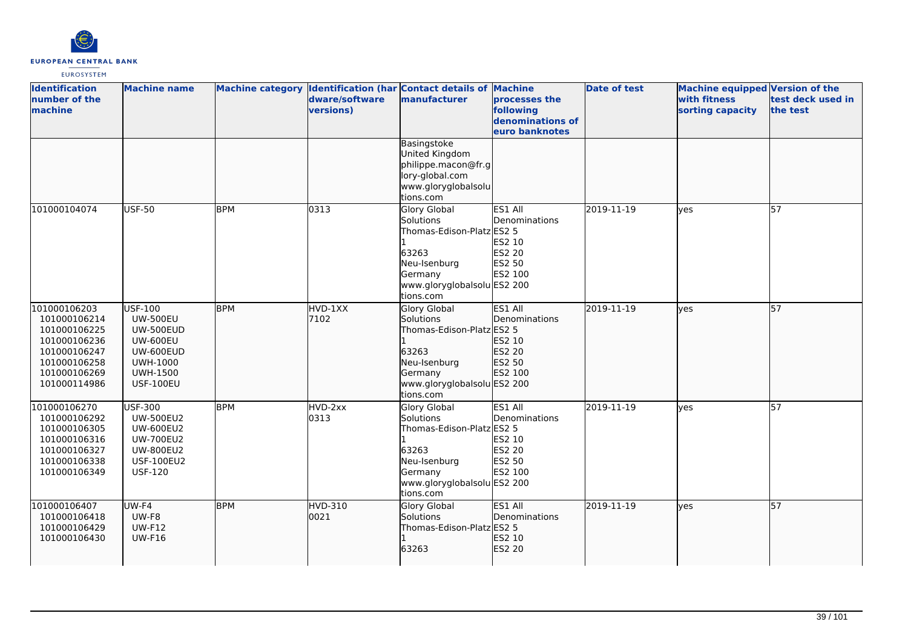

| <b>Identification</b><br>number of the<br>machine                                                                            | <b>Machine name</b>                                                                                                                      |            | dware/software<br>versions) | Machine category Identification (har Contact details of Machine<br>manufacturer                                                               | processes the<br>following<br>denominations of<br>euro banknotes  | <b>Date of test</b> | <b>Machine equipped Version of the</b><br>with fitness<br>sorting capacity | test deck used in<br>the test |
|------------------------------------------------------------------------------------------------------------------------------|------------------------------------------------------------------------------------------------------------------------------------------|------------|-----------------------------|-----------------------------------------------------------------------------------------------------------------------------------------------|-------------------------------------------------------------------|---------------------|----------------------------------------------------------------------------|-------------------------------|
|                                                                                                                              |                                                                                                                                          |            |                             | Basingstoke<br>United Kingdom<br>philippe.macon@fr.g<br>lory-global.com<br>www.gloryglobalsolu<br>tions.com                                   |                                                                   |                     |                                                                            |                               |
| 101000104074                                                                                                                 | <b>USF-50</b>                                                                                                                            | <b>BPM</b> | 0313                        | <b>Glory Global</b><br>Solutions<br>Thomas-Edison-Platz ES2 5<br>63263<br>Neu-Isenburg<br>Germany<br>www.gloryglobalsolu ES2 200<br>tions.com | ES1 All<br>Denominations<br>ES2 10<br>ES2 20<br>ES2 50<br>ES2 100 | 2019-11-19          | lves                                                                       | 57                            |
| 101000106203<br>101000106214<br>101000106225<br>101000106236<br>101000106247<br>101000106258<br>101000106269<br>101000114986 | USF-100<br><b>UW-500EU</b><br><b>UW-500EUD</b><br><b>UW-600EU</b><br>UW-600EUD<br><b>UWH-1000</b><br><b>UWH-1500</b><br><b>USF-100EU</b> | <b>BPM</b> | HVD-1XX<br>7102             | <b>Glory Global</b><br>Solutions<br>Thomas-Edison-Platz ES2 5<br>63263<br>Neu-Isenburg<br>Germany<br>www.gloryglobalsolu ES2 200<br>tions.com | ES1 All<br>Denominations<br>ES2 10<br>ES2 20<br>ES2 50<br>ES2 100 | 2019-11-19          | lves                                                                       | 57                            |
| 101000106270<br>101000106292<br>101000106305<br>101000106316<br>101000106327<br>101000106338<br>101000106349                 | <b>USF-300</b><br><b>UW-500EU2</b><br><b>UW-600EU2</b><br><b>UW-700EU2</b><br><b>UW-800EU2</b><br><b>USF-100EU2</b><br><b>USF-120</b>    | <b>BPM</b> | HVD-2xx<br>0313             | Glory Global<br>Solutions<br>Thomas-Edison-Platz ES2 5<br>63263<br>Neu-Isenburg<br>Germany<br>www.gloryglobalsolu ES2 200<br>tions.com        | ES1 All<br>Denominations<br>ES2 10<br>ES2 20<br>ES2 50<br>ES2 100 | 2019-11-19          | lves                                                                       | 57                            |
| 101000106407<br>101000106418<br>101000106429<br>101000106430                                                                 | UW-F4<br>UW-F8<br><b>UW-F12</b><br><b>UW-F16</b>                                                                                         | <b>BPM</b> | <b>HVD-310</b><br>0021      | Glory Global<br>Solutions<br>Thomas-Edison-Platz ES2 5<br>63263                                                                               | ES1 All<br>Denominations<br>ES2 10<br>ES2 20                      | 2019-11-19          | lyes                                                                       | $\overline{57}$               |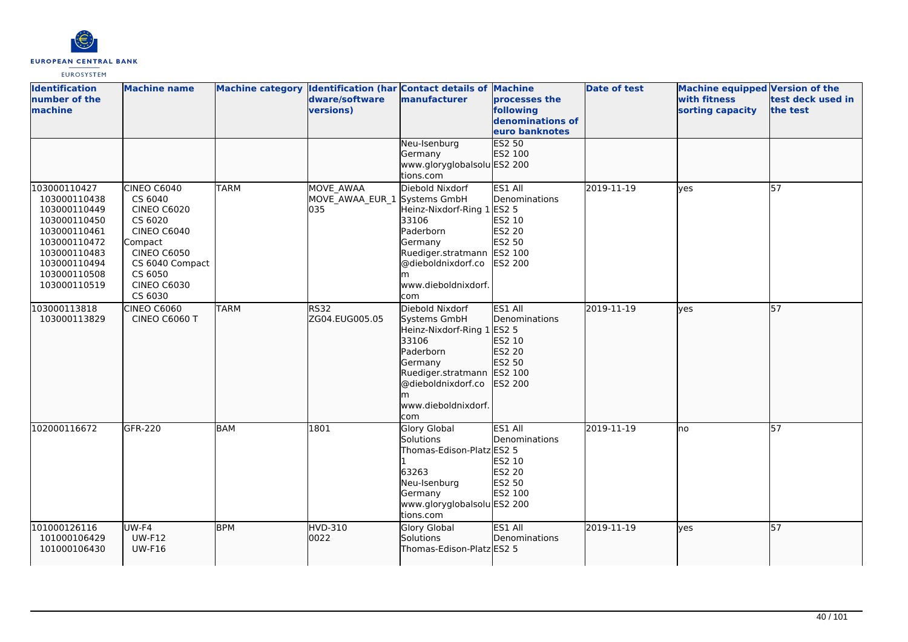

| <b>Identification</b><br>number of the<br>machine                                                                                                            | <b>Machine name</b>                                                                                                                                                             |             | dware/software<br>versions)                      | Machine category Identification (har Contact details of Machine<br>manufacturer                                                                                                        | processes the<br>following<br>denominations of<br>euro banknotes         | <b>Date of test</b> | <b>Machine equipped Version of the</b><br>with fitness<br>sorting capacity | test deck used in<br>the test |
|--------------------------------------------------------------------------------------------------------------------------------------------------------------|---------------------------------------------------------------------------------------------------------------------------------------------------------------------------------|-------------|--------------------------------------------------|----------------------------------------------------------------------------------------------------------------------------------------------------------------------------------------|--------------------------------------------------------------------------|---------------------|----------------------------------------------------------------------------|-------------------------------|
|                                                                                                                                                              |                                                                                                                                                                                 |             |                                                  | Neu-Isenburg<br>Germany<br>www.gloryglobalsolu ES2 200<br>tions.com                                                                                                                    | <b>ES2 50</b><br>ES2 100                                                 |                     |                                                                            |                               |
| 103000110427<br>103000110438<br>103000110449<br>103000110450<br>103000110461<br>103000110472<br>103000110483<br>103000110494<br>103000110508<br>103000110519 | CINEO $C6040$<br>CS 6040<br><b>CINEO C6020</b><br>CS 6020<br><b>CINEO C6040</b><br>Compact<br><b>CINEO C6050</b><br>CS 6040 Compact<br>CS 6050<br><b>CINEO C6030</b><br>CS 6030 | <b>TARM</b> | MOVE AWAA<br>MOVE_AWAA_EUR_1 Systems GmbH<br>035 | Diebold Nixdorf<br>Heinz-Nixdorf-Ring 1 ES2 5<br>33106<br>Paderborn<br>Germany<br>Ruediger.stratmann ES2 100<br>@dieboldnixdorf.co<br>www.dieboldnixdorf.<br>com                       | ES1 All<br>Denominations<br>ES2 10<br><b>ES2 20</b><br>ES2 50<br>ES2 200 | 2019-11-19          | ves                                                                        | 57                            |
| 103000113818<br>103000113829                                                                                                                                 | CINEO C6060<br>CINEO C6060 T                                                                                                                                                    | <b>TARM</b> | RS32<br>ZG04.EUG005.05                           | Diebold Nixdorf<br>Systems GmbH<br>Heinz-Nixdorf-Ring 1 ES2 5<br>33106<br>Paderborn<br>Germany<br>Ruediger.stratmann ES2 100<br>@dieboldnixdorf.co<br>lm<br>www.dieboldnixdorf.<br>com | ES1 All<br>Denominations<br>ES2 10<br>ES2 20<br>ES2 50<br>ES2 200        | 2019-11-19          | lves                                                                       | 57                            |
| 102000116672                                                                                                                                                 | GFR-220                                                                                                                                                                         | <b>BAM</b>  | 1801                                             | <b>Glory Global</b><br>Solutions<br>Thomas-Edison-Platz ES2 5<br>63263<br>Neu-Isenburg<br>Germany<br>www.gloryglobalsolu ES2 200<br>tions.com                                          | ES1 All<br>Denominations<br>ES2 10<br>ES2 20<br>ES2 50<br>ES2 100        | 2019-11-19          | lno                                                                        | 57                            |
| 101000126116<br>101000106429<br>101000106430                                                                                                                 | UW-F4<br><b>UW-F12</b><br><b>UW-F16</b>                                                                                                                                         | <b>BPM</b>  | <b>HVD-310</b><br>0022                           | <b>Glory Global</b><br>Solutions<br>Thomas-Edison-Platz ES2 5                                                                                                                          | ES1 All<br>Denominations                                                 | 2019-11-19          | ves                                                                        | 57                            |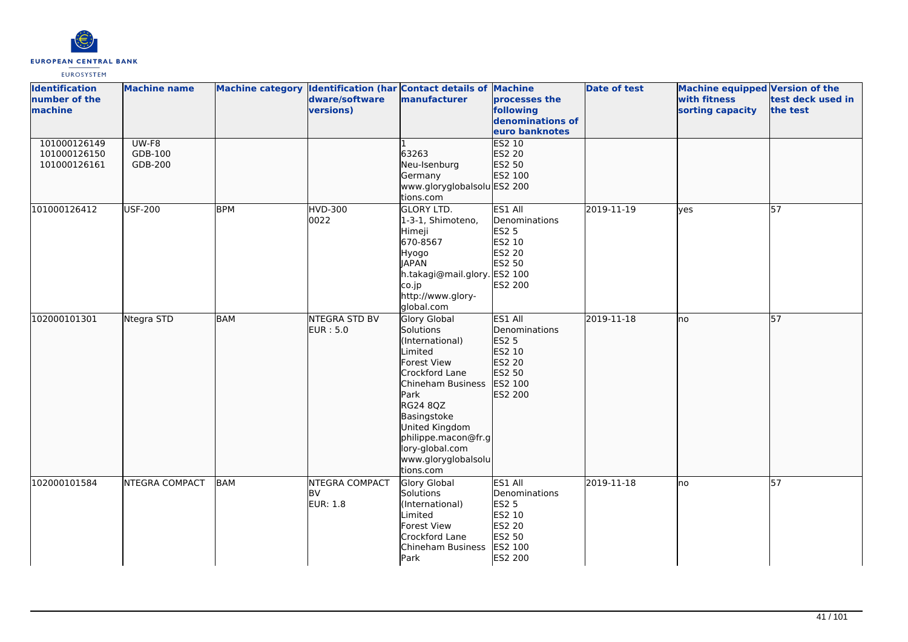

| <b>Identification</b><br>number of the<br>machine | <b>Machine name</b>         |            | dware/software<br>versions)                    | Machine category Identification (har Contact details of Machine<br>manufacturer                                                                                                                                                                         | processes the<br>following<br>denominations of<br>euro banknotes                                    | <b>Date of test</b> | Machine equipped Version of the<br>with fitness<br>sorting capacity | test deck used in<br>the test |
|---------------------------------------------------|-----------------------------|------------|------------------------------------------------|---------------------------------------------------------------------------------------------------------------------------------------------------------------------------------------------------------------------------------------------------------|-----------------------------------------------------------------------------------------------------|---------------------|---------------------------------------------------------------------|-------------------------------|
| 101000126149<br>101000126150<br>101000126161      | UW-F8<br>GDB-100<br>GDB-200 |            |                                                | 63263<br>Neu-Isenburg<br>Germany<br>www.gloryglobalsolu ES2 200<br>tions.com                                                                                                                                                                            | ES2 10<br>ES2 20<br>ES2 50<br>ES2 100                                                               |                     |                                                                     |                               |
| 101000126412                                      | <b>USF-200</b>              | <b>BPM</b> | <b>HVD-300</b><br>0022                         | <b>GLORY LTD.</b><br>1-3-1, Shimoteno,<br>Himeji<br>670-8567<br>Hyogo<br><b>JAPAN</b><br>h.takagi@mail.glory. ES2 100<br>co.jp<br>http://www.glory-<br>global.com                                                                                       | ES1 All<br>Denominations<br><b>ES2 5</b><br>ES2 10<br>ES2 20<br>ES2 50<br>ES2 200                   | 2019-11-19          | <b>ves</b>                                                          | $\overline{57}$               |
| 102000101301                                      | Ntegra STD                  | <b>BAM</b> | NTEGRA STD BV<br><b>EUR: 5.0</b>               | Glory Global<br><b>Solutions</b><br>(International)<br>Limited<br>Forest View<br>Crockford Lane<br>Chineham Business<br>Park<br>RG24 8QZ<br>Basingstoke<br>United Kingdom<br>philippe.macon@fr.g<br>lory-global.com<br>www.gloryglobalsolu<br>tions.com | ES1 All<br><b>Denominations</b><br>ES2 5<br>ES2 10<br>ES2 20<br>ES2 50<br>ES2 100<br>ES2 200        | 2019-11-18          | lno                                                                 | $\overline{57}$               |
| 102000101584                                      | <b>NTEGRA COMPACT</b>       | BAM        | NTEGRA COMPACT<br><b>BV</b><br><b>EUR: 1.8</b> | Glory Global<br>Solutions<br>(International)<br>Limited<br>Forest View<br>Crockford Lane<br>Chineham Business<br>Park                                                                                                                                   | ES1 All<br>Denominations<br><b>ES2 5</b><br>ES2 10<br><b>ES2 20</b><br>ES2 50<br>ES2 100<br>ES2 200 | 2019-11-18          | lno                                                                 | $\overline{57}$               |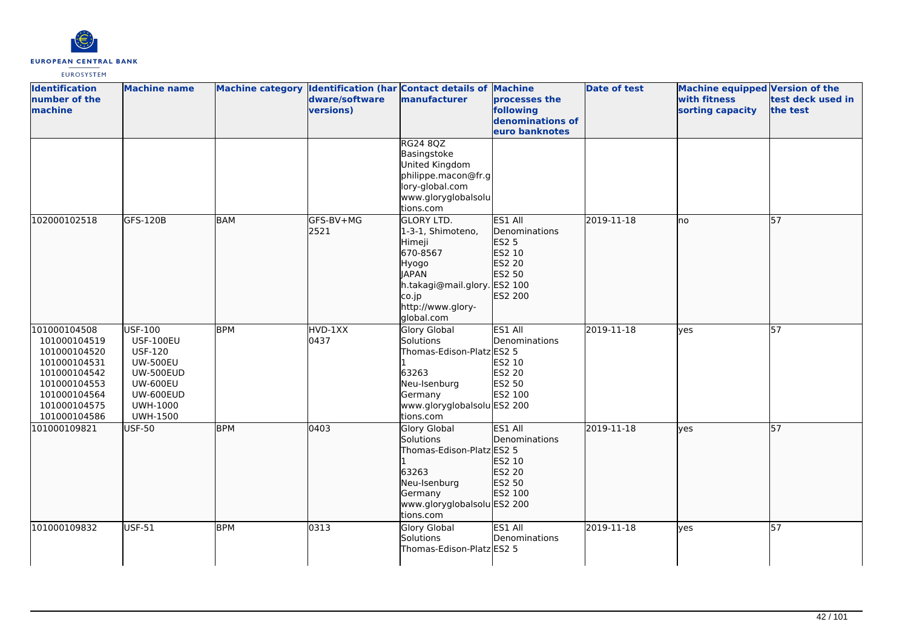

| <b>Identification</b><br>number of the<br>machine                                                                                            | <b>Machine name</b>                                                                                                                                               |            | dware/software<br>versions) | Machine category Identification (har Contact details of Machine<br>manufacturer                                                                                   | processes the<br>following<br>denominations of<br>euro banknotes           | <b>Date of test</b> | <b>Machine equipped Version of the</b><br>with fitness<br>sorting capacity | test deck used in<br>the test |
|----------------------------------------------------------------------------------------------------------------------------------------------|-------------------------------------------------------------------------------------------------------------------------------------------------------------------|------------|-----------------------------|-------------------------------------------------------------------------------------------------------------------------------------------------------------------|----------------------------------------------------------------------------|---------------------|----------------------------------------------------------------------------|-------------------------------|
|                                                                                                                                              |                                                                                                                                                                   |            |                             | <b>RG24 8QZ</b><br>Basingstoke<br>United Kingdom<br>philippe.macon@fr.g<br>lory-global.com<br>www.gloryglobalsolu<br>tions.com                                    |                                                                            |                     |                                                                            |                               |
| 102000102518                                                                                                                                 | GFS-120B                                                                                                                                                          | <b>BAM</b> | GFS-BV+MG<br>2521           | <b>GLORY LTD.</b><br>1-3-1, Shimoteno,<br>Himeji<br>670-8567<br>Hyogo<br><b>IAPAN</b><br>h.takagi@mail.glory. ES2 100<br>co.jp<br>http://www.glory-<br>global.com | ES1 All<br>Denominations<br>ES2 5<br>ES2 10<br>ES2 20<br>ES2 50<br>ES2 200 | 2019-11-18          | lno                                                                        | 57                            |
| 101000104508<br>101000104519<br>101000104520<br>101000104531<br>101000104542<br>101000104553<br>101000104564<br>101000104575<br>101000104586 | <b>USF-100</b><br><b>USF-100EU</b><br><b>USF-120</b><br><b>UW-500EU</b><br><b>UW-500EUD</b><br><b>UW-600EU</b><br>UW-600EUD<br><b>UWH-1000</b><br><b>UWH-1500</b> | <b>BPM</b> | HVD-1XX<br>0437             | <b>Glory Global</b><br>Solutions<br>Thomas-Edison-Platz ES2 5<br>63263<br>Neu-Isenburg<br>Germany<br>www.gloryglobalsolu ES2 200<br>tions.com                     | ES1 All<br>Denominations<br>ES2 10<br>ES2 20<br>ES2 50<br>ES2 100          | 2019-11-18          | lves                                                                       | 57                            |
| 101000109821                                                                                                                                 | USF-50                                                                                                                                                            | <b>BPM</b> | 0403                        | <b>Glory Global</b><br>Solutions<br>Thomas-Edison-Platz ES2 5<br>63263<br>Neu-Isenburg<br>Germany<br>www.gloryglobalsolu ES2 200<br>tions.com                     | ES1 All<br>Denominations<br>ES2 10<br>ES2 20<br>ES2 50<br>ES2 100          | 2019-11-18          | lves                                                                       | 57                            |
| 101000109832                                                                                                                                 | <b>USF-51</b>                                                                                                                                                     | <b>BPM</b> | 0313                        | <b>Glory Global</b><br>Solutions<br>Thomas-Edison-Platz ES2 5                                                                                                     | ES1 All<br>Denominations                                                   | 2019-11-18          | ves                                                                        | 57                            |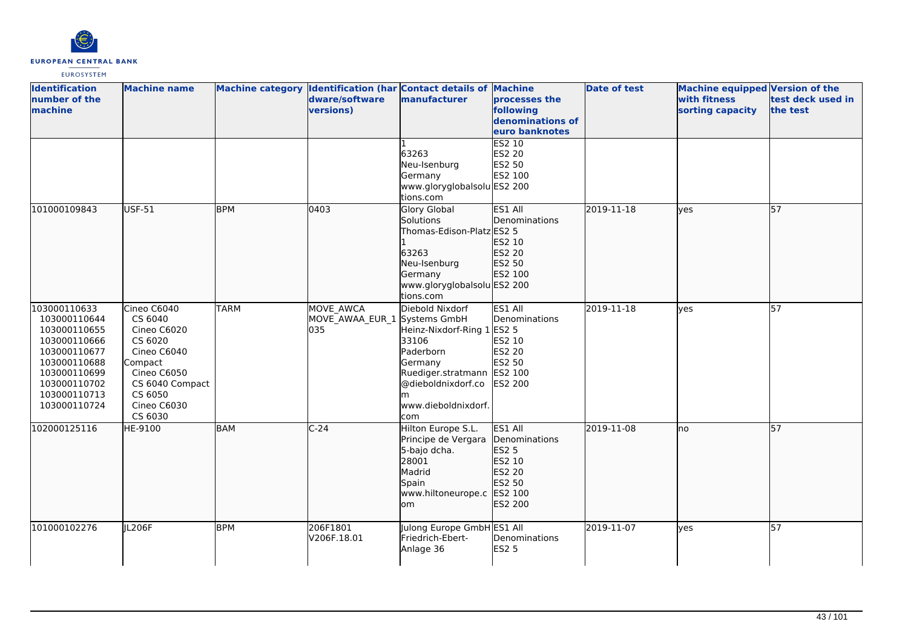

| <b>Identification</b><br>number of the<br>machine                                                                                                            | <b>Machine name</b>                                                                                                                               |             | dware/software<br>versions)                             | Machine category Identification (har Contact details of Machine<br>manufacturer                                                                                       | processes the<br>following<br>denominations of<br>euro banknotes<br>ES2 10                   | <b>Date of test</b> | Machine equipped Version of the<br>with fitness<br>sorting capacity | test deck used in<br>the test |
|--------------------------------------------------------------------------------------------------------------------------------------------------------------|---------------------------------------------------------------------------------------------------------------------------------------------------|-------------|---------------------------------------------------------|-----------------------------------------------------------------------------------------------------------------------------------------------------------------------|----------------------------------------------------------------------------------------------|---------------------|---------------------------------------------------------------------|-------------------------------|
|                                                                                                                                                              |                                                                                                                                                   |             |                                                         | 63263<br>Neu-Isenburg<br>Germany<br>www.gloryglobalsolu ES2 200<br>tions.com                                                                                          | ES2 20<br>ES2 50<br>ES2 100                                                                  |                     |                                                                     |                               |
| 101000109843                                                                                                                                                 | <b>USF-51</b>                                                                                                                                     | <b>BPM</b>  | 0403                                                    | Glory Global<br>Solutions<br>Thomas-Edison-Platz ES2 5<br>63263<br>Neu-Isenburg<br>Germany<br>www.gloryglobalsolu ES2 200<br>tions.com                                | <b>ES1 All</b><br>Denominations<br>ES2 10<br>ES2 20<br>ES2 50<br>ES2 100                     | 2019-11-18          | lyes                                                                | $\overline{57}$               |
| 103000110633<br>103000110644<br>103000110655<br>103000110666<br>103000110677<br>103000110688<br>103000110699<br>103000110702<br>103000110713<br>103000110724 | Cineo C6040<br>CS 6040<br>Cineo C6020<br>CS 6020<br>Cineo C6040<br>Compact<br>Cineo C6050<br>CS 6040 Compact<br>CS 6050<br>Cineo C6030<br>CS 6030 | <b>TARM</b> | <b>MOVE AWCA</b><br>MOVE AWAA EUR 1 Systems GmbH<br>035 | Diebold Nixdorf<br>Heinz-Nixdorf-Ring 1 ES2 5<br>33106<br>Paderborn<br>Germany<br>Ruediger.stratmann ES2 100<br>@dieboldnixdorf.co<br>m<br>www.dieboldnixdorf.<br>com | ES1 All<br>Denominations<br>ES2 10<br>ES2 20<br>ES2 50<br>ES2 200                            | 2019-11-18          | lves                                                                | $\overline{57}$               |
| 102000125116                                                                                                                                                 | HE-9100                                                                                                                                           | BAM         | $C-24$                                                  | Hilton Europe S.L.<br>Principe de Vergara<br>5-bajo dcha.<br>28001<br>Madrid<br>Spain<br>www.hiltoneurope.c<br>lom                                                    | ES1 All<br>Denominations<br><b>ES2 5</b><br>ES2 10<br>ES2 20<br>ES2 50<br>ES2 100<br>ES2 200 | 2019-11-08          | lno                                                                 | 57                            |
| 101000102276                                                                                                                                                 | IL206F                                                                                                                                            | <b>BPM</b>  | 206F1801<br>V206F.18.01                                 | Julong Europe GmbH ES1 All<br>Friedrich-Ebert-<br>Anlage 36                                                                                                           | Denominations<br><b>ES2 5</b>                                                                | 2019-11-07          | lyes                                                                | $\overline{57}$               |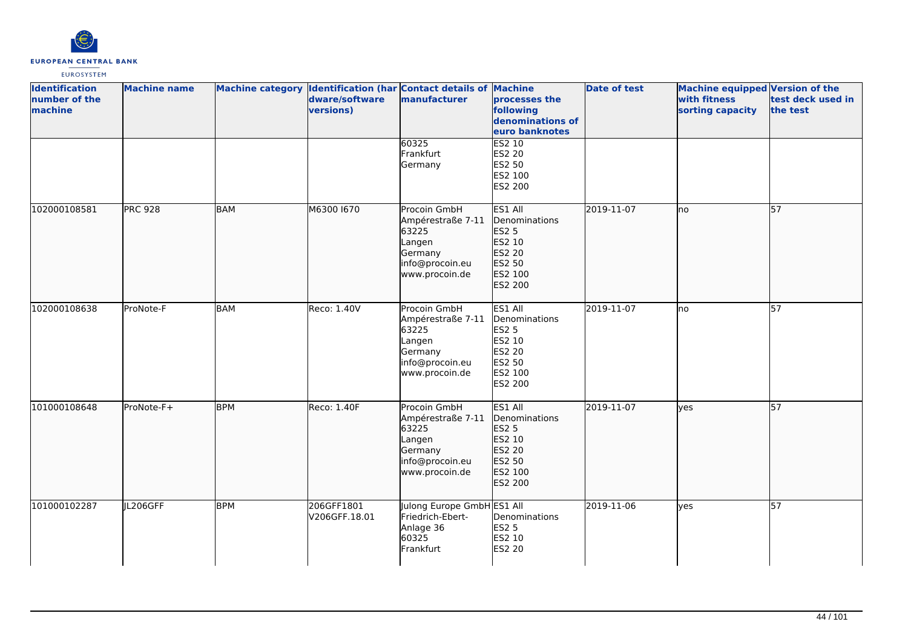

| <b>Identification</b><br>number of the<br>machine | <b>Machine name</b> |            | dware/software<br>versions) | Machine category Identification (har Contact details of Machine<br>manufacturer                      | processes the<br>following<br>denominations of<br>euro banknotes                             | <b>Date of test</b> | <b>Machine equipped Version of the</b><br>with fitness<br>sorting capacity | test deck used in<br>the test |
|---------------------------------------------------|---------------------|------------|-----------------------------|------------------------------------------------------------------------------------------------------|----------------------------------------------------------------------------------------------|---------------------|----------------------------------------------------------------------------|-------------------------------|
|                                                   |                     |            |                             | 60325<br>Frankfurt<br>Germany                                                                        | ES2 10<br>ES2 20<br>ES2 50<br>ES2 100<br>ES2 200                                             |                     |                                                                            |                               |
| 102000108581                                      | <b>PRC 928</b>      | <b>BAM</b> | M6300 1670                  | Procoin GmbH<br>Ampérestraße 7-11<br>63225<br>Langen<br>Germany<br>info@procoin.eu<br>www.procoin.de | ES1 All<br>Denominations<br>ES2 5<br>ES2 10<br>ES2 20<br>ES2 50<br>ES2 100<br>ES2 200        | 2019-11-07          | lno                                                                        | 57                            |
| 102000108638                                      | ProNote-F           | <b>BAM</b> | Reco: 1.40V                 | Procoin GmbH<br>Ampérestraße 7-11<br>63225<br>Langen<br>Germany<br>info@procoin.eu<br>www.procoin.de | ES1 All<br>Denominations<br><b>ES2 5</b><br>ES2 10<br>ES2 20<br>ES2 50<br>ES2 100<br>ES2 200 | 2019-11-07          | Ino                                                                        | $\overline{57}$               |
| 101000108648                                      | ProNote-F+          | <b>BPM</b> | Reco: 1.40F                 | Procoin GmbH<br>Ampérestraße 7-11<br>63225<br>Langen<br>Germany<br>info@procoin.eu<br>www.procoin.de | ES1 All<br>Denominations<br>ES2 5<br>ES2 10<br>ES2 20<br>ES2 50<br>ES2 100<br>ES2 200        | 2019-11-07          | lyes                                                                       | 57                            |
| 101000102287                                      | JL206GFF            | <b>BPM</b> | 206GFF1801<br>V206GFF.18.01 | Julong Europe GmbH ES1 All<br>Friedrich-Ebert-<br>Anlage 36<br>60325<br>Frankfurt                    | Denominations<br><b>ES2 5</b><br>ES2 10<br><b>ES2 20</b>                                     | 2019-11-06          | yes                                                                        | 57                            |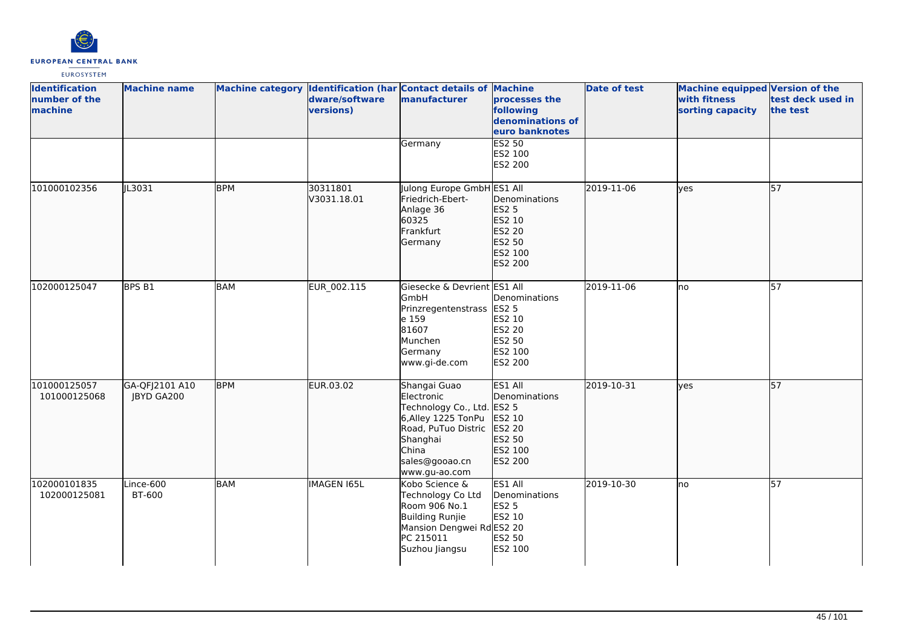

| <b>Identification</b><br>number of the<br>machine | <b>Machine name</b>          |            | dware/software<br>versions) | Machine category Identification (har Contact details of Machine<br>manufacturer                                                                          | processes the<br>following<br>denominations of<br>euro banknotes                             | <b>Date of test</b> | Machine equipped Version of the<br>with fitness<br>sorting capacity | test deck used in<br>the test |
|---------------------------------------------------|------------------------------|------------|-----------------------------|----------------------------------------------------------------------------------------------------------------------------------------------------------|----------------------------------------------------------------------------------------------|---------------------|---------------------------------------------------------------------|-------------------------------|
|                                                   |                              |            |                             | Germany                                                                                                                                                  | ES2 50<br>ES2 100<br>ES2 200                                                                 |                     |                                                                     |                               |
| 101000102356                                      | JL3031                       | <b>BPM</b> | 30311801<br>V3031.18.01     | Julong Europe GmbH ES1 All<br>Friedrich-Ebert-<br>Anlage 36<br>60325<br>Frankfurt<br>Germany                                                             | Denominations<br><b>ES2 5</b><br>ES2 10<br>ES2 20<br>ES2 50<br>ES2 100<br>ES2 200            | 2019-11-06          | ves                                                                 | 57                            |
| 102000125047                                      | BPS <sub>B1</sub>            | BAM        | EUR 002.115                 | Giesecke & Devrient ES1 All<br>GmbH<br>Prinzregentenstrass<br>le 159<br>81607<br>Munchen<br>Germany<br>www.gi-de.com                                     | Denominations<br><b>ES2 5</b><br>ES2 10<br>ES2 20<br>ES2 50<br>ES2 100<br>ES2 200            | 2019-11-06          | lno                                                                 | $\overline{57}$               |
| 101000125057<br>101000125068                      | GA-QFJ2101 A10<br>JBYD GA200 | <b>BPM</b> | EUR.03.02                   | Shangai Guao<br>Electronic<br>Technology Co., Ltd.<br>6, Alley 1225 TonPu<br>Road, PuTuo Distric<br>Shanghai<br>China<br>sales@gooao.cn<br>www.gu-ao.com | ES1 All<br>Denominations<br><b>ES2 5</b><br>ES2 10<br>ES2 20<br>ES2 50<br>ES2 100<br>ES2 200 | 2019-10-31          | yes                                                                 | 57                            |
| 102000101835<br>102000125081                      | Lince-600<br>BT-600          | <b>BAM</b> | IMAGEN 165L                 | Kobo Science &<br>Technology Co Ltd<br>Room 906 No.1<br>Building Runjie<br>Mansion Dengwei RdES2 20<br>PC 215011<br>Suzhou Jiangsu                       | ES1 All<br>Denominations<br><b>ES2 5</b><br>ES2 10<br>ES2 50<br>ES2 100                      | 2019-10-30          | no                                                                  | 57                            |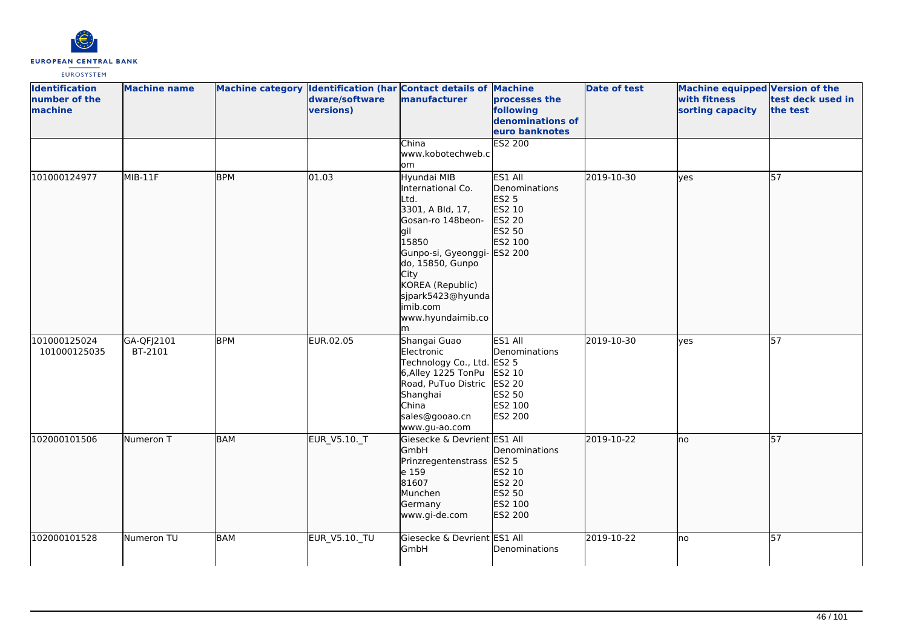

| <b>Identification</b><br>number of the<br>machine | <b>Machine name</b>   |            | dware/software<br>versions) | Machine category Identification (har Contact details of Machine<br>manufacturer                                                                                                                                                                | processes the<br>following<br>denominations of<br>euro banknotes                                    | <b>Date of test</b> | <b>Machine equipped Version of the</b><br>with fitness<br>sorting capacity | test deck used in<br>the test |
|---------------------------------------------------|-----------------------|------------|-----------------------------|------------------------------------------------------------------------------------------------------------------------------------------------------------------------------------------------------------------------------------------------|-----------------------------------------------------------------------------------------------------|---------------------|----------------------------------------------------------------------------|-------------------------------|
|                                                   |                       |            |                             | China<br>www.kobotechweb.c<br>om                                                                                                                                                                                                               | <b>ES2 200</b>                                                                                      |                     |                                                                            |                               |
| 101000124977                                      | MIB-11F               | <b>BPM</b> | 01.03                       | Hyundai MIB<br>International Co.<br>Ltd.<br>3301, A Bld, 17,<br>Gosan-ro 148beon-<br>lgil<br>15850<br>Gunpo-si, Gyeonggi- ES2 200<br>do, 15850, Gunpo<br>City<br>KOREA (Republic)<br>sjpark5423@hyunda<br>imib.com<br>www.hyundaimib.co<br>lm. | ES1 All<br>Denominations<br><b>ES2 5</b><br>ES2 10<br>ES2 20<br>ES2 50<br>ES2 100                   | 2019-10-30          | lves                                                                       | $\overline{57}$               |
| 101000125024<br>101000125035                      | GA-QFJ2101<br>BT-2101 | <b>BPM</b> | EUR.02.05                   | Shangai Guao<br>Electronic<br>Technology Co., Ltd.<br>6,Alley 1225 TonPu<br>Road, PuTuo Distric<br>Shanghai<br>China<br>sales@gooao.cn<br>www.gu-ao.com                                                                                        | ES1 All<br>Denominations<br><b>ES2 5</b><br>ES2 10<br><b>ES2 20</b><br>ES2 50<br>ES2 100<br>ES2 200 | 2019-10-30          | lves                                                                       | 57                            |
| 102000101506                                      | Numeron T             | <b>BAM</b> | EUR_V5.10._T                | Giesecke & Devrient ES1 All<br>GmbH<br>Prinzregentenstrass<br>e 159<br>81607<br>Munchen<br>Germany<br>www.gi-de.com                                                                                                                            | Denominations<br><b>ES2 5</b><br>ES2 10<br>ES2 20<br>ES2 50<br>ES2 100<br>ES2 200                   | 2019-10-22          | lno                                                                        | 57                            |
| 102000101528                                      | Numeron TU            | <b>BAM</b> | EUR_V5.10._TU               | Giesecke & Devrient ES1 All<br>GmbH                                                                                                                                                                                                            | Denominations                                                                                       | 2019-10-22          | lno                                                                        | 57                            |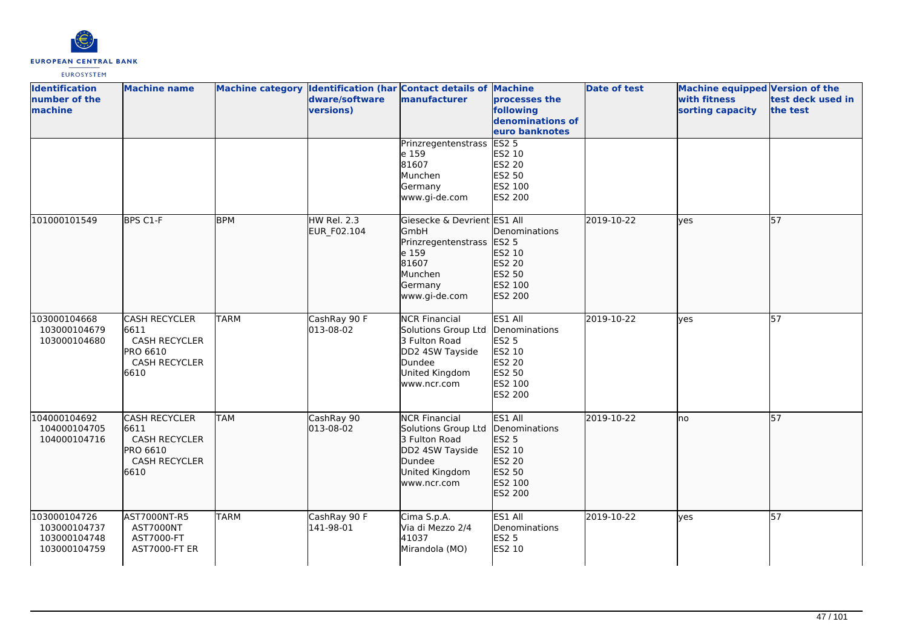

| <b>Identification</b><br>number of the<br>machine            | <b>Machine name</b>                                                                                     |             | dware/software<br>versions) | Machine category Identification (har Contact details of Machine<br>manufacturer                                            | processes the<br>following<br>denominations of<br>euro banknotes                                    | <b>Date of test</b> | <b>Machine equipped Version of the</b><br>with fitness<br>sorting capacity | test deck used in<br>the test |
|--------------------------------------------------------------|---------------------------------------------------------------------------------------------------------|-------------|-----------------------------|----------------------------------------------------------------------------------------------------------------------------|-----------------------------------------------------------------------------------------------------|---------------------|----------------------------------------------------------------------------|-------------------------------|
|                                                              |                                                                                                         |             |                             | Prinzregentenstrass<br>e 159<br>81607<br>Munchen<br>Germany<br>www.gi-de.com                                               | ES2 <sub>5</sub><br>ES2 10<br><b>ES2 20</b><br>ES2 50<br>ES2 100<br><b>ES2 200</b>                  |                     |                                                                            |                               |
| 101000101549                                                 | BPS C1-F                                                                                                | <b>BPM</b>  | HW Rel. 2.3<br>EUR_F02.104  | Giesecke & Devrient ES1 All<br>GmbH<br>Prinzregentenstrass<br>e 159<br>81607<br>Munchen<br>Germany<br>www.gi-de.com        | Denominations<br><b>ES2 5</b><br>ES2 10<br>ES2 20<br>ES2 50<br>ES2 100<br>ES2 200                   | 2019-10-22          | lves                                                                       | 57                            |
| 103000104668<br>103000104679<br>103000104680                 | <b>CASH RECYCLER</b><br>6611<br><b>CASH RECYCLER</b><br>PRO 6610<br><b>CASH RECYCLER</b><br>6610        | <b>TARM</b> | CashRay 90 F<br>013-08-02   | <b>NCR Financial</b><br>Solutions Group Ltd<br>3 Fulton Road<br>DD2 4SW Tayside<br>Dundee<br>United Kingdom<br>www.ncr.com | ES1 All<br>Denominations<br><b>ES2 5</b><br>ES2 10<br><b>ES2 20</b><br>ES2 50<br>ES2 100<br>ES2 200 | 2019-10-22          | lves                                                                       | 57                            |
| 104000104692<br>104000104705<br>104000104716                 | <b>CASH RECYCLER</b><br>6611<br><b>CASH RECYCLER</b><br><b>PRO 6610</b><br><b>CASH RECYCLER</b><br>6610 | <b>TAM</b>  | CashRay 90<br>013-08-02     | <b>NCR Financial</b><br>Solutions Group Ltd<br>3 Fulton Road<br>DD2 4SW Tayside<br>Dundee<br>United Kingdom<br>www.ncr.com | ES1 All<br>Denominations<br>ES2 5<br>ES2 10<br>ES2 20<br>ES2 50<br>ES2 100<br>ES2 200               | 2019-10-22          | lno                                                                        | 57                            |
| 103000104726<br>103000104737<br>103000104748<br>103000104759 | AST7000NT-R5<br>AST7000NT<br>AST7000-FT<br>AST7000-FT ER                                                | <b>TARM</b> | CashRay 90 F<br>141-98-01   | Cima S.p.A.<br>Via di Mezzo 2/4<br>41037<br>Mirandola (MO)                                                                 | ES1 All<br>Denominations<br><b>ES2 5</b><br>ES2 10                                                  | 2019-10-22          | lyes                                                                       | 57                            |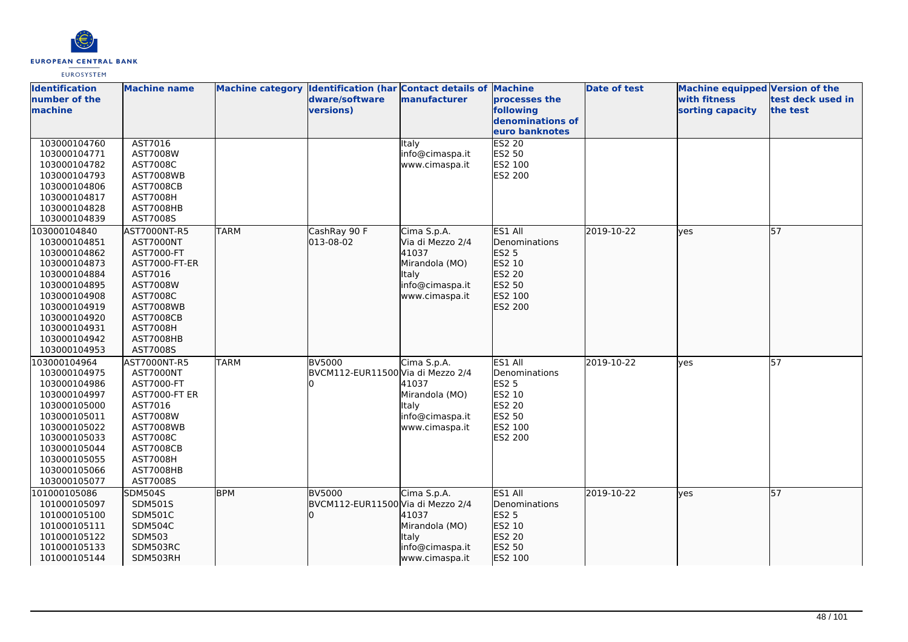

| <b>Identification</b> | <b>Machine name</b>  |             | Machine category Identification (har Contact details of Machine |                  |                  | <b>Date of test</b> | <b>Machine equipped Version of the</b> |                   |
|-----------------------|----------------------|-------------|-----------------------------------------------------------------|------------------|------------------|---------------------|----------------------------------------|-------------------|
| number of the         |                      |             | dware/software                                                  | manufacturer     | processes the    |                     | with fitness                           | test deck used in |
| machine               |                      |             | versions)                                                       |                  | following        |                     | sorting capacity                       | the test          |
|                       |                      |             |                                                                 |                  | denominations of |                     |                                        |                   |
|                       |                      |             |                                                                 |                  | euro banknotes   |                     |                                        |                   |
| 103000104760          | AST7016              |             |                                                                 | Italy            | <b>ES2 20</b>    |                     |                                        |                   |
| 103000104771          | AST7008W             |             |                                                                 | info@cimaspa.it  | ES2 50           |                     |                                        |                   |
| 103000104782          | AST7008C             |             |                                                                 | www.cimaspa.it   | ES2 100          |                     |                                        |                   |
| 103000104793          | <b>AST7008WB</b>     |             |                                                                 |                  | ES2 200          |                     |                                        |                   |
| 103000104806          | <b>AST7008CB</b>     |             |                                                                 |                  |                  |                     |                                        |                   |
| 103000104817          | <b>AST7008H</b>      |             |                                                                 |                  |                  |                     |                                        |                   |
| 103000104828          | AST7008HB            |             |                                                                 |                  |                  |                     |                                        |                   |
| 103000104839          | AST7008S             |             |                                                                 |                  |                  |                     |                                        |                   |
| 103000104840          | AST7000NT-R5         | <b>TARM</b> | CashRay 90 F                                                    | Cima S.p.A.      | ES1 All          | 2019-10-22          | lves                                   | 57                |
| 103000104851          | <b>AST7000NT</b>     |             | 013-08-02                                                       | Via di Mezzo 2/4 | Denominations    |                     |                                        |                   |
| 103000104862          | AST7000-FT           |             |                                                                 | 41037            | ES2 5            |                     |                                        |                   |
| 103000104873          | AST7000-FT-ER        |             |                                                                 | Mirandola (MO)   | ES2 10           |                     |                                        |                   |
| 103000104884          | AST7016              |             |                                                                 | <b>Italy</b>     | ES2 20           |                     |                                        |                   |
| 103000104895          | AST7008W             |             |                                                                 | info@cimaspa.it  | ES2 50           |                     |                                        |                   |
| 103000104908          | AST7008C             |             |                                                                 | www.cimaspa.it   | ES2 100          |                     |                                        |                   |
| 103000104919          | <b>AST7008WB</b>     |             |                                                                 |                  | ES2 200          |                     |                                        |                   |
| 103000104920          | <b>AST7008CB</b>     |             |                                                                 |                  |                  |                     |                                        |                   |
| 103000104931          | <b>AST7008H</b>      |             |                                                                 |                  |                  |                     |                                        |                   |
| 103000104942          | AST7008HB            |             |                                                                 |                  |                  |                     |                                        |                   |
| 103000104953          | AST7008S             |             |                                                                 |                  |                  |                     |                                        |                   |
| 103000104964          | AST7000NT-R5         | <b>TARM</b> | BV5000                                                          | Cima S.p.A.      | ES1 All          | 2019-10-22          | lves                                   | $\overline{57}$   |
| 103000104975          | AST7000NT            |             | BVCM112-EUR11500 Via di Mezzo 2/4                               |                  | Denominations    |                     |                                        |                   |
| 103000104986          | AST7000-FT           |             |                                                                 | 41037            | <b>ES2 5</b>     |                     |                                        |                   |
| 103000104997          | <b>AST7000-FT ER</b> |             |                                                                 | Mirandola (MO)   | ES2 10           |                     |                                        |                   |
| 103000105000          | AST7016              |             |                                                                 | Italy            | <b>ES2 20</b>    |                     |                                        |                   |
| 103000105011          | AST7008W             |             |                                                                 | info@cimaspa.it  | ES2 50           |                     |                                        |                   |
| 103000105022          | <b>AST7008WB</b>     |             |                                                                 | www.cimaspa.it   | ES2 100          |                     |                                        |                   |
| 103000105033          | AST7008C             |             |                                                                 |                  | ES2 200          |                     |                                        |                   |
| 103000105044          | <b>AST7008CB</b>     |             |                                                                 |                  |                  |                     |                                        |                   |
| 103000105055          | <b>AST7008H</b>      |             |                                                                 |                  |                  |                     |                                        |                   |
| 103000105066          | AST7008HB            |             |                                                                 |                  |                  |                     |                                        |                   |
| 103000105077          | AST7008S             |             |                                                                 |                  |                  |                     |                                        |                   |
| 101000105086          | <b>SDM504S</b>       | <b>BPM</b>  | <b>BV5000</b>                                                   | Cima S.p.A.      | ES1 All          | 2019-10-22          | lyes                                   | 57                |
| 101000105097          | <b>SDM501S</b>       |             | BVCM112-EUR11500 Via di Mezzo 2/4                               |                  | Denominations    |                     |                                        |                   |
| 101000105100          | SDM501C              |             |                                                                 | 41037            | ES2 5            |                     |                                        |                   |
| 101000105111          | SDM504C              |             |                                                                 | Mirandola (MO)   | ES2 10           |                     |                                        |                   |
| 101000105122          | <b>SDM503</b>        |             |                                                                 | Italy            | ES2 20           |                     |                                        |                   |
| 101000105133          | SDM503RC             |             |                                                                 | info@cimaspa.it  | ES2 50           |                     |                                        |                   |
| 101000105144          | SDM503RH             |             |                                                                 | www.cimaspa.it   | ES2 100          |                     |                                        |                   |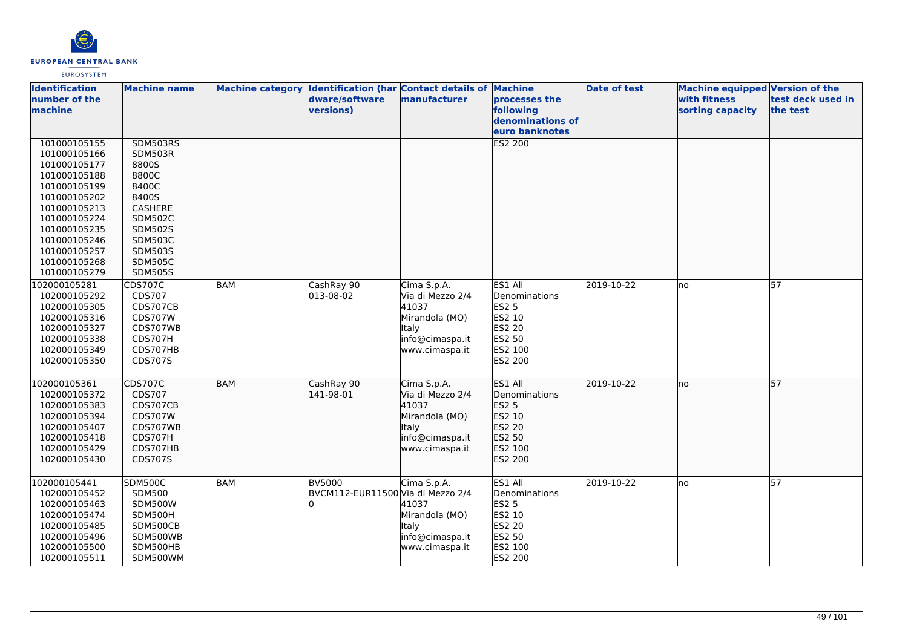

| <b>Identification</b><br>number of the<br>machine                                                                                                                                                            | <b>Machine name</b>                                                                                                                                                            |            | Machine category Identification (har Contact details of Machine<br>dware/software<br>versions) | manufacturer                                                                                                    | processes the<br>following<br>denominations of<br>euro banknotes                                    | <b>Date of test</b> | <b>Machine equipped Version of the</b><br>with fitness<br>sorting capacity | test deck used in<br>the test |
|--------------------------------------------------------------------------------------------------------------------------------------------------------------------------------------------------------------|--------------------------------------------------------------------------------------------------------------------------------------------------------------------------------|------------|------------------------------------------------------------------------------------------------|-----------------------------------------------------------------------------------------------------------------|-----------------------------------------------------------------------------------------------------|---------------------|----------------------------------------------------------------------------|-------------------------------|
| 101000105155<br>101000105166<br>101000105177<br>101000105188<br>101000105199<br>101000105202<br>101000105213<br>101000105224<br>101000105235<br>101000105246<br>101000105257<br>101000105268<br>101000105279 | SDM503RS<br><b>SDM503R</b><br>8800S<br>8800C<br>8400C<br>8400S<br>CASHERE<br><b>SDM502C</b><br><b>SDM502S</b><br><b>SDM503C</b><br>SDM503S<br><b>SDM505C</b><br><b>SDM505S</b> |            |                                                                                                |                                                                                                                 | <b>ES2 200</b>                                                                                      |                     |                                                                            |                               |
| 102000105281<br>102000105292<br>102000105305<br>102000105316<br>102000105327<br>102000105338<br>102000105349<br>102000105350                                                                                 | CDS707C<br>CDS707<br>CDS707CB<br><b>CDS707W</b><br>CDS707WB<br>CDS707H<br>CDS707HB<br>CDS707S                                                                                  | <b>BAM</b> | CashRay 90<br>013-08-02                                                                        | Cima S.p.A.<br>Via di Mezzo 2/4<br>41037<br>Mirandola (MO)<br>Italy<br>info@cimaspa.it<br>www.cimaspa.it        | ES1 All<br>Denominations<br><b>ES2 5</b><br>ES2 10<br>ES2 20<br>ES2 50<br>ES2 100<br>ES2 200        | 2019-10-22          | lno                                                                        | $\overline{57}$               |
| 102000105361<br>102000105372<br>102000105383<br>102000105394<br>102000105407<br>102000105418<br>102000105429<br>102000105430                                                                                 | <b>CDS707C</b><br>CDS707<br>CDS707CB<br><b>CDS707W</b><br>CDS707WB<br>CDS707H<br>CDS707HB<br>CDS707S                                                                           | <b>BAM</b> | CashRay 90<br>141-98-01                                                                        | Cima S.p.A.<br>Via di Mezzo 2/4<br>41037<br>Mirandola (MO)<br><b>Italy</b><br>info@cimaspa.it<br>www.cimaspa.it | ES1 All<br>Denominations<br>ES2 5<br>ES2 10<br>ES2 20<br>ES2 50<br>ES2 100<br>ES2 200               | 2019-10-22          | Ino                                                                        | 57                            |
| 102000105441<br>102000105452<br>102000105463<br>102000105474<br>102000105485<br>102000105496<br>102000105500<br>102000105511                                                                                 | <b>SDM500C</b><br><b>SDM500</b><br>SDM500W<br>SDM500H<br>SDM500CB<br>SDM500WB<br>SDM500HB<br>SDM500WM                                                                          | <b>BAM</b> | <b>BV5000</b><br>BVCM112-EUR11500 Via di Mezzo 2/4                                             | Cima S.p.A.<br>41037<br>Mirandola (MO)<br>Italy<br>info@cimaspa.it<br>www.cimaspa.it                            | ES1 All<br>Denominations<br><b>ES2 5</b><br>ES2 10<br><b>ES2 20</b><br>ES2 50<br>ES2 100<br>ES2 200 | 2019-10-22          | lno                                                                        | $\overline{57}$               |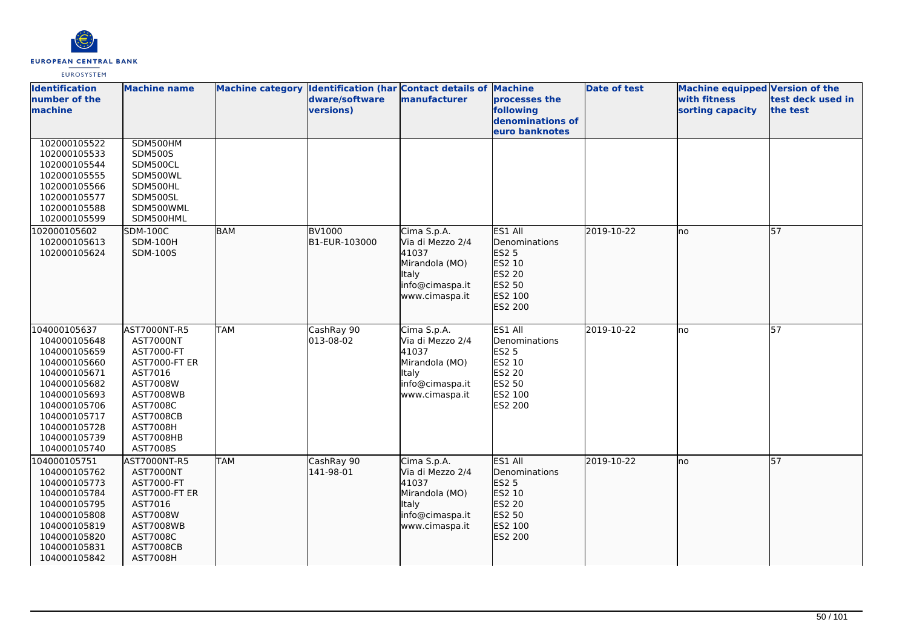

| <b>Identification</b><br>number of the | <b>Machine name</b>          |            | dware/software | Machine category Identification (har Contact details of Machine<br>manufacturer | processes the                                   | <b>Date of test</b> | <b>Machine equipped Version of the</b><br>with fitness | test deck used in |
|----------------------------------------|------------------------------|------------|----------------|---------------------------------------------------------------------------------|-------------------------------------------------|---------------------|--------------------------------------------------------|-------------------|
| machine                                |                              |            | versions)      |                                                                                 | following<br>denominations of<br>euro banknotes |                     | sorting capacity                                       | the test          |
| 102000105522                           | SDM500HM                     |            |                |                                                                                 |                                                 |                     |                                                        |                   |
| 102000105533                           | <b>SDM500S</b>               |            |                |                                                                                 |                                                 |                     |                                                        |                   |
| 102000105544                           | SDM500CL                     |            |                |                                                                                 |                                                 |                     |                                                        |                   |
| 102000105555                           | SDM500WL                     |            |                |                                                                                 |                                                 |                     |                                                        |                   |
| 102000105566                           | SDM500HL                     |            |                |                                                                                 |                                                 |                     |                                                        |                   |
| 102000105577                           | SDM500SL                     |            |                |                                                                                 |                                                 |                     |                                                        |                   |
| 102000105588                           | SDM500WML                    |            |                |                                                                                 |                                                 |                     |                                                        |                   |
| 102000105599                           | SDM500HML                    |            |                |                                                                                 |                                                 |                     |                                                        |                   |
| 102000105602                           | <b>SDM-100C</b>              | <b>BAM</b> | <b>BV1000</b>  | Cima S.p.A.                                                                     | ES1 All                                         | 2019-10-22          | no                                                     | 57                |
| 102000105613                           | <b>SDM-100H</b>              |            | B1-EUR-103000  | Via di Mezzo 2/4                                                                | Denominations                                   |                     |                                                        |                   |
| 102000105624                           | SDM-100S                     |            |                | 41037<br>Mirandola (MO)                                                         | ES2 5<br>ES2 10                                 |                     |                                                        |                   |
|                                        |                              |            |                | Italy                                                                           | ES2 20                                          |                     |                                                        |                   |
|                                        |                              |            |                | info@cimaspa.it                                                                 | ES2 50                                          |                     |                                                        |                   |
|                                        |                              |            |                | www.cimaspa.it                                                                  | ES2 100                                         |                     |                                                        |                   |
|                                        |                              |            |                |                                                                                 | ES2 200                                         |                     |                                                        |                   |
|                                        |                              |            |                |                                                                                 |                                                 |                     |                                                        |                   |
| 104000105637                           | AST7000NT-R5                 | <b>TAM</b> | CashRay 90     | Cima S.p.A.                                                                     | ES1 All                                         | 2019-10-22          | lno                                                    | 57                |
| 104000105648                           | AST7000NT                    |            | 013-08-02      | Via di Mezzo 2/4                                                                | Denominations                                   |                     |                                                        |                   |
| 104000105659                           | AST7000-FT                   |            |                | 41037                                                                           | <b>ES2 5</b>                                    |                     |                                                        |                   |
| 104000105660                           | <b>AST7000-FT ER</b>         |            |                | Mirandola (MO)                                                                  | ES2 10                                          |                     |                                                        |                   |
| 104000105671                           | AST7016                      |            |                | <b>Italy</b>                                                                    | <b>ES2 20</b>                                   |                     |                                                        |                   |
| 104000105682                           | AST7008W                     |            |                | info@cimaspa.it                                                                 | ES2 50                                          |                     |                                                        |                   |
| 104000105693                           | <b>AST7008WB</b>             |            |                | www.cimaspa.it                                                                  | ES2 100                                         |                     |                                                        |                   |
| 104000105706                           | AST7008C                     |            |                |                                                                                 | <b>ES2 200</b>                                  |                     |                                                        |                   |
| 104000105717                           | <b>AST7008CB</b>             |            |                |                                                                                 |                                                 |                     |                                                        |                   |
| 104000105728<br>104000105739           | <b>AST7008H</b><br>AST7008HB |            |                |                                                                                 |                                                 |                     |                                                        |                   |
| 104000105740                           | AST7008S                     |            |                |                                                                                 |                                                 |                     |                                                        |                   |
| 104000105751                           | AST7000NT-R5                 | <b>TAM</b> | CashRay 90     | Cima S.p.A.                                                                     | ES1 All                                         | 2019-10-22          | Ino                                                    | 57                |
| 104000105762                           | AST7000NT                    |            | 141-98-01      | Via di Mezzo 2/4                                                                | Denominations                                   |                     |                                                        |                   |
| 104000105773                           | AST7000-FT                   |            |                | 41037                                                                           | ES2 5                                           |                     |                                                        |                   |
| 104000105784                           | <b>AST7000-FT ER</b>         |            |                | Mirandola (MO)                                                                  | ES2 10                                          |                     |                                                        |                   |
| 104000105795                           | AST7016                      |            |                | Italy                                                                           | ES2 20                                          |                     |                                                        |                   |
| 104000105808                           | AST7008W                     |            |                | info@cimaspa.it                                                                 | ES2 50                                          |                     |                                                        |                   |
| 104000105819                           | <b>AST7008WB</b>             |            |                | www.cimaspa.it                                                                  | ES2 100                                         |                     |                                                        |                   |
| 104000105820                           | AST7008C                     |            |                |                                                                                 | ES2 200                                         |                     |                                                        |                   |
| 104000105831                           | <b>AST7008CB</b>             |            |                |                                                                                 |                                                 |                     |                                                        |                   |
| 104000105842                           | <b>AST7008H</b>              |            |                |                                                                                 |                                                 |                     |                                                        |                   |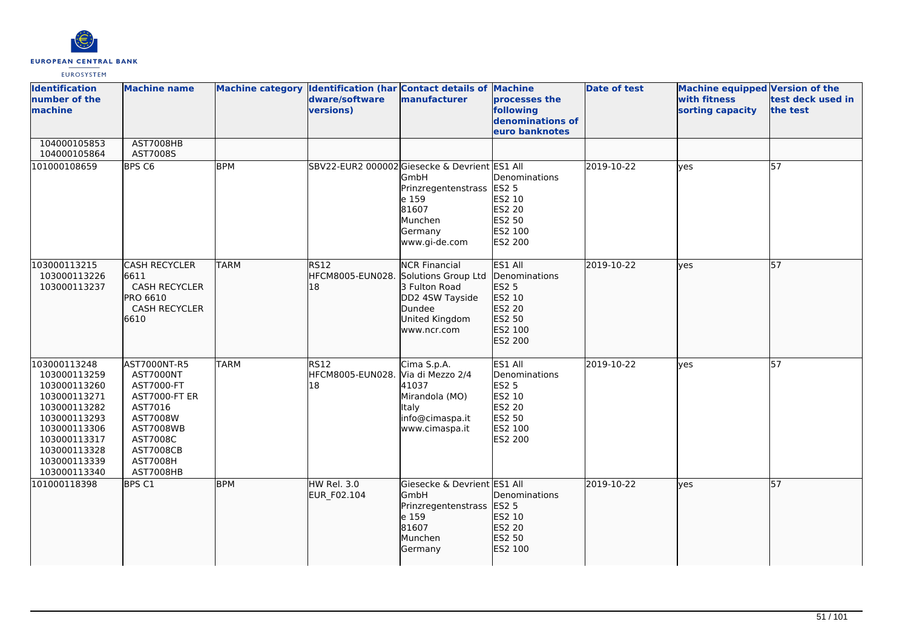

| <b>Identification</b><br>number of the<br>machine                                                                                                                            | <b>Machine name</b>                                                                                                                                                               | Machine category Identification (har Contact details of Machine | dware/software<br>versions)                        | manufacturer                                                                                             | processes the<br>following<br>denominations of<br>euro banknotes                                           | <b>Date of test</b> | Machine equipped Version of the<br>with fitness<br>sorting capacity | test deck used in<br>the test |
|------------------------------------------------------------------------------------------------------------------------------------------------------------------------------|-----------------------------------------------------------------------------------------------------------------------------------------------------------------------------------|-----------------------------------------------------------------|----------------------------------------------------|----------------------------------------------------------------------------------------------------------|------------------------------------------------------------------------------------------------------------|---------------------|---------------------------------------------------------------------|-------------------------------|
| 104000105853<br>104000105864                                                                                                                                                 | AST7008HB<br>AST7008S                                                                                                                                                             |                                                                 |                                                    |                                                                                                          |                                                                                                            |                     |                                                                     |                               |
| 101000108659                                                                                                                                                                 | BPS <sub>C6</sub>                                                                                                                                                                 | <b>BPM</b>                                                      | SBV22-EUR2 000002 Giesecke & Devrient ES1 All      | <b>GmbH</b><br>Prinzregentenstrass<br>e 159<br>81607<br>Munchen<br>Germany<br>www.gi-de.com              | Denominations<br><b>ES2 5</b><br>ES2 10<br><b>ES2 20</b><br>ES2 50<br>ES2 100<br>ES2 200                   | 2019-10-22          | <b>ves</b>                                                          | 57                            |
| 103000113215<br>103000113226<br>103000113237                                                                                                                                 | <b>CASH RECYCLER</b><br>6611<br>CASH RECYCLER<br>PRO 6610<br><b>CASH RECYCLER</b><br>6610                                                                                         | <b>TARM</b>                                                     | RS12<br>HFCM8005-EUN028. Solutions Group Ltd<br>18 | <b>NCR Financial</b><br>3 Fulton Road<br>DD2 4SW Tayside<br>Dundee<br>United Kingdom<br>www.ncr.com      | ES1 All<br>Denominations<br><b>ES2 5</b><br>ES2 10<br>ES2 20<br>ES2 50<br>ES2 100<br>ES2 200               | 2019-10-22          | <b>yes</b>                                                          | 57                            |
| 103000113248<br>103000113259<br>103000113260<br>103000113271<br>103000113282<br>103000113293<br>103000113306<br>103000113317<br>103000113328<br>103000113339<br>103000113340 | AST7000NT-R5<br><b>AST7000NT</b><br>AST7000-FT<br><b>AST7000-FT ER</b><br>AST7016<br>AST7008W<br><b>AST7008WB</b><br>AST7008C<br><b>AST7008CB</b><br><b>AST7008H</b><br>AST7008HB | <b>TARM</b>                                                     | <b>RS12</b><br>HFCM8005-EUN028.<br>18              | Cima S.p.A.<br>Via di Mezzo 2/4<br>41037<br>Mirandola (MO)<br>Italy<br>info@cimaspa.it<br>www.cimaspa.it | ES1 All<br>Denominations<br><b>ES2 5</b><br>ES2 10<br><b>ES2 20</b><br>ES2 50<br>ES2 100<br><b>ES2 200</b> | 2019-10-22          | <b>yes</b>                                                          | $\overline{57}$               |
| 101000118398                                                                                                                                                                 | BPS C1                                                                                                                                                                            | <b>BPM</b>                                                      | HW Rel. 3.0<br><b>EUR F02.104</b>                  | Giesecke & Devrient ES1 All<br>GmbH<br>Prinzregentenstrass<br>e 159<br>81607<br>Munchen<br>Germany       | Denominations<br><b>ES2 5</b><br>ES2 10<br>ES2 20<br>ES2 50<br>ES2 100                                     | 2019-10-22          | lves                                                                | 57                            |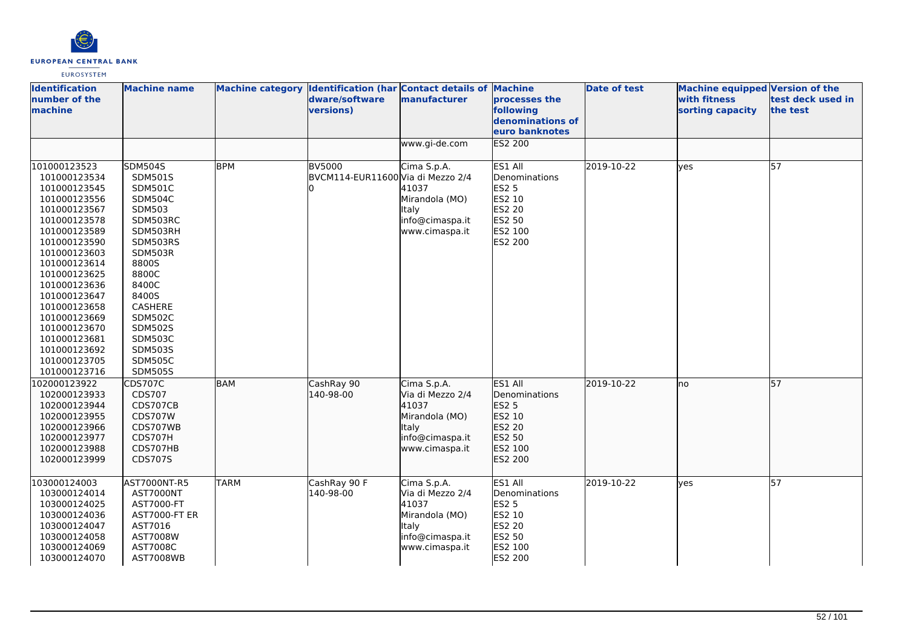

| <b>Identification</b><br>number of the<br>machine                                                                                                                                                                                                                                                                            | <b>Machine name</b>                                                                                                                                                                                                                                                        |                           | Machine category Identification (har Contact details of Machine<br>dware/software<br>versions) | manufacturer                                                                                                                   | processes the<br>following<br>denominations of<br>euro banknotes                                    | <b>Date of test</b>      | <b>Machine equipped Version of the</b><br>with fitness<br>sorting capacity | test deck used in<br>the test |
|------------------------------------------------------------------------------------------------------------------------------------------------------------------------------------------------------------------------------------------------------------------------------------------------------------------------------|----------------------------------------------------------------------------------------------------------------------------------------------------------------------------------------------------------------------------------------------------------------------------|---------------------------|------------------------------------------------------------------------------------------------|--------------------------------------------------------------------------------------------------------------------------------|-----------------------------------------------------------------------------------------------------|--------------------------|----------------------------------------------------------------------------|-------------------------------|
|                                                                                                                                                                                                                                                                                                                              |                                                                                                                                                                                                                                                                            |                           |                                                                                                | www.gi-de.com                                                                                                                  | <b>ES2 200</b>                                                                                      |                          |                                                                            |                               |
| 101000123523<br>101000123534<br>101000123545<br>101000123556<br>101000123567<br>101000123578<br>101000123589<br>101000123590<br>101000123603<br>101000123614<br>101000123625<br>101000123636<br>101000123647<br>101000123658<br>101000123669<br>101000123670<br>101000123681<br>101000123692<br>101000123705<br>101000123716 | <b>SDM504S</b><br>SDM501S<br><b>SDM501C</b><br>SDM504C<br><b>SDM503</b><br>SDM503RC<br>SDM503RH<br>SDM503RS<br>SDM503R<br>8800S<br>8800C<br>8400C<br>8400S<br>CASHERE<br><b>SDM502C</b><br><b>SDM502S</b><br><b>SDM503C</b><br>SDM503S<br><b>SDM505C</b><br><b>SDM505S</b> | <b>BPM</b>                | <b>BV5000</b><br>BVCM114-EUR11600 Via di Mezzo 2/4                                             | Cima S.p.A.<br>41037<br>Mirandola (MO)<br><b>Italy</b><br>info@cimaspa.it<br>www.cimaspa.it                                    | ES1 All<br>Denominations<br><b>ES2 5</b><br>ES2 10<br><b>ES2 20</b><br>ES2 50<br>ES2 100<br>ES2 200 | 2019-10-22               | ves                                                                        | 57                            |
| 102000123922<br>102000123933<br>102000123944<br>102000123955<br>102000123966<br>102000123977<br>102000123988<br>102000123999                                                                                                                                                                                                 | <b>CDS707C</b><br>CDS707<br>CDS707CB<br><b>CDS707W</b><br>CDS707WB<br>CDS707H<br>CDS707HB<br>CDS707S                                                                                                                                                                       | <b>BAM</b><br><b>TARM</b> | CashRay 90<br>140-98-00<br>CashRay 90 F                                                        | Cima S.p.A.<br>Via di Mezzo 2/4<br>41037<br>Mirandola (MO)<br><b>Italy</b><br>info@cimaspa.it<br>www.cimaspa.it<br>Cima S.p.A. | ES1 All<br>Denominations<br>ES2 5<br>ES2 10<br>ES2 20<br>ES2 50<br>ES2 100<br>ES2 200<br>ES1 All    | 2019-10-22<br>2019-10-22 | Ino                                                                        | 57<br>57                      |
| 103000124003<br>103000124014<br>103000124025<br>103000124036<br>103000124047<br>103000124058<br>103000124069<br>103000124070                                                                                                                                                                                                 | AST7000NT-R5<br>AST7000NT<br>AST7000-FT<br>AST7000-FT ER<br>AST7016<br>AST7008W<br>AST7008C<br>AST7008WB                                                                                                                                                                   |                           | 140-98-00                                                                                      | Via di Mezzo 2/4<br>41037<br>Mirandola (MO)<br><b>Italy</b><br>info@cimaspa.it<br>www.cimaspa.it                               | Denominations<br><b>ES2 5</b><br>ES2 10<br>ES2 20<br>ES2 50<br>ES2 100<br>ES2 200                   |                          | lves                                                                       |                               |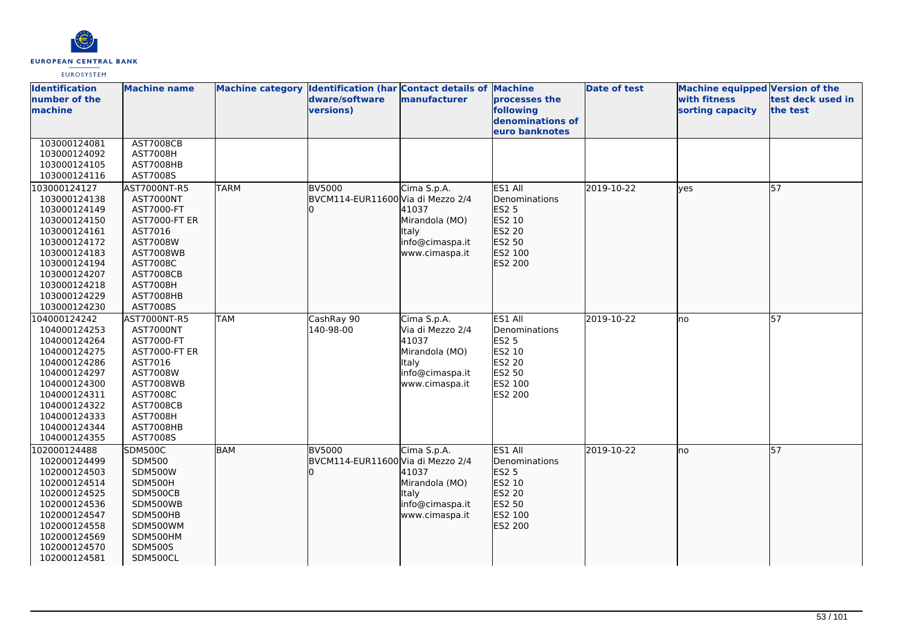

| <b>Identification</b><br>number of the<br>machine | <b>Machine name</b>          |             | Machine category Identification (har Contact details of Machine<br>dware/software<br>versions) | manufacturer     | processes the<br>following<br>denominations of | <b>Date of test</b> | <b>Machine equipped Version of the</b><br>with fitness<br>sorting capacity | test deck used in<br>the test |
|---------------------------------------------------|------------------------------|-------------|------------------------------------------------------------------------------------------------|------------------|------------------------------------------------|---------------------|----------------------------------------------------------------------------|-------------------------------|
|                                                   |                              |             |                                                                                                |                  | euro banknotes                                 |                     |                                                                            |                               |
| 103000124081                                      | <b>AST7008CB</b>             |             |                                                                                                |                  |                                                |                     |                                                                            |                               |
| 103000124092                                      | AST7008H                     |             |                                                                                                |                  |                                                |                     |                                                                            |                               |
| 103000124105                                      | AST7008HB                    |             |                                                                                                |                  |                                                |                     |                                                                            |                               |
| 103000124116                                      | AST7008S                     |             |                                                                                                |                  |                                                |                     |                                                                            |                               |
| 103000124127                                      | AST7000NT-R5                 | <b>TARM</b> | <b>BV5000</b>                                                                                  | Cima S.p.A.      | ES1 All                                        | 2019-10-22          | lyes                                                                       | 57                            |
| 103000124138                                      | AST7000NT                    |             | BVCM114-EUR11600 Via di Mezzo 2/4                                                              |                  | Denominations                                  |                     |                                                                            |                               |
| 103000124149                                      | AST7000-FT                   |             |                                                                                                | 41037            | <b>ES2 5</b>                                   |                     |                                                                            |                               |
| 103000124150                                      | <b>AST7000-FT ER</b>         |             |                                                                                                | Mirandola (MO)   | ES2 10                                         |                     |                                                                            |                               |
| 103000124161                                      | AST7016                      |             |                                                                                                | <b>Italy</b>     | ES2 20                                         |                     |                                                                            |                               |
| 103000124172                                      | AST7008W                     |             |                                                                                                | info@cimaspa.it  | ES2 50                                         |                     |                                                                            |                               |
| 103000124183                                      | <b>AST7008WB</b>             |             |                                                                                                | www.cimaspa.it   | ES2 100                                        |                     |                                                                            |                               |
| 103000124194                                      | AST7008C                     |             |                                                                                                |                  | ES2 200                                        |                     |                                                                            |                               |
| 103000124207                                      | <b>AST7008CB</b>             |             |                                                                                                |                  |                                                |                     |                                                                            |                               |
| 103000124218                                      | <b>AST7008H</b>              |             |                                                                                                |                  |                                                |                     |                                                                            |                               |
| 103000124229                                      | AST7008HB                    |             |                                                                                                |                  |                                                |                     |                                                                            |                               |
| 103000124230                                      | AST7008S                     |             |                                                                                                |                  |                                                |                     |                                                                            |                               |
| 104000124242                                      | AST7000NT-R5                 | <b>TAM</b>  | CashRay 90                                                                                     | Cima S.p.A.      | ES1 All                                        | 2019-10-22          | Ino                                                                        | 57                            |
| 104000124253                                      | <b>AST7000NT</b>             |             | 140-98-00                                                                                      | Via di Mezzo 2/4 | Denominations                                  |                     |                                                                            |                               |
| 104000124264                                      | AST7000-FT                   |             |                                                                                                | 41037            | <b>ES2 5</b>                                   |                     |                                                                            |                               |
| 104000124275                                      | <b>AST7000-FT ER</b>         |             |                                                                                                | Mirandola (MO)   | ES2 10                                         |                     |                                                                            |                               |
| 104000124286                                      | AST7016                      |             |                                                                                                | ltaly            | <b>ES2 20</b>                                  |                     |                                                                            |                               |
| 104000124297                                      | AST7008W                     |             |                                                                                                | info@cimaspa.it  | ES2 50                                         |                     |                                                                            |                               |
| 104000124300                                      | <b>AST7008WB</b>             |             |                                                                                                | www.cimaspa.it   | ES2 100                                        |                     |                                                                            |                               |
| 104000124311<br>104000124322                      | AST7008C<br><b>AST7008CB</b> |             |                                                                                                |                  | <b>ES2 200</b>                                 |                     |                                                                            |                               |
| 104000124333                                      | <b>AST7008H</b>              |             |                                                                                                |                  |                                                |                     |                                                                            |                               |
| 104000124344                                      | AST7008HB                    |             |                                                                                                |                  |                                                |                     |                                                                            |                               |
| 104000124355                                      | AST7008S                     |             |                                                                                                |                  |                                                |                     |                                                                            |                               |
| 102000124488                                      | <b>SDM500C</b>               | <b>BAM</b>  | BV5000                                                                                         | Cima S.p.A.      | ES1 All                                        | 2019-10-22          | lno                                                                        | $\overline{57}$               |
| 102000124499                                      | <b>SDM500</b>                |             | BVCM114-EUR11600 Via di Mezzo 2/4                                                              |                  | Denominations                                  |                     |                                                                            |                               |
| 102000124503                                      | <b>SDM500W</b>               |             |                                                                                                | 41037            | ES2 5                                          |                     |                                                                            |                               |
| 102000124514                                      | SDM500H                      |             |                                                                                                | Mirandola (MO)   | ES2 10                                         |                     |                                                                            |                               |
| 102000124525                                      | SDM500CB                     |             |                                                                                                | <b>Italy</b>     | ES2 20                                         |                     |                                                                            |                               |
| 102000124536                                      | SDM500WB                     |             |                                                                                                | info@cimaspa.it  | ES2 50                                         |                     |                                                                            |                               |
| 102000124547                                      | SDM500HB                     |             |                                                                                                | www.cimaspa.it   | ES2 100                                        |                     |                                                                            |                               |
| 102000124558                                      | SDM500WM                     |             |                                                                                                |                  | ES2 200                                        |                     |                                                                            |                               |
| 102000124569                                      | SDM500HM                     |             |                                                                                                |                  |                                                |                     |                                                                            |                               |
| 102000124570                                      | <b>SDM500S</b>               |             |                                                                                                |                  |                                                |                     |                                                                            |                               |
| 102000124581                                      | SDM500CL                     |             |                                                                                                |                  |                                                |                     |                                                                            |                               |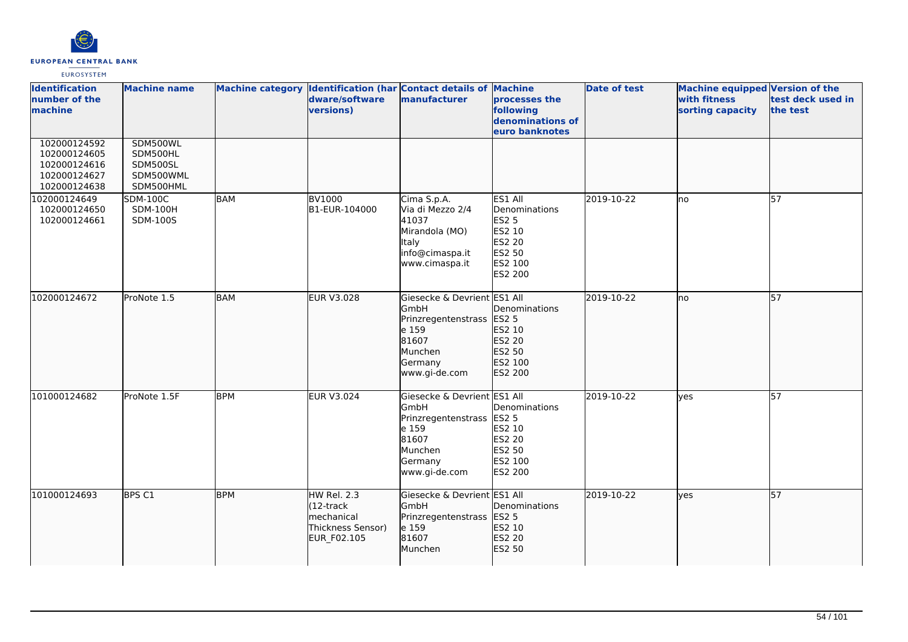

| <b>Identification</b><br>number of the<br>machine                            | <b>Machine name</b>                                        |            | dware/software<br>versions)                                                        | Machine category Identification (har Contact details of Machine<br>manufacturer                                           | processes the<br>following<br>denominations of<br>euro banknotes                                    | <b>Date of test</b> | <b>Machine equipped Version of the</b><br>with fitness<br>sorting capacity | test deck used in<br>the test |
|------------------------------------------------------------------------------|------------------------------------------------------------|------------|------------------------------------------------------------------------------------|---------------------------------------------------------------------------------------------------------------------------|-----------------------------------------------------------------------------------------------------|---------------------|----------------------------------------------------------------------------|-------------------------------|
| 102000124592<br>102000124605<br>102000124616<br>102000124627<br>102000124638 | SDM500WL<br>SDM500HL<br>SDM500SL<br>SDM500WML<br>SDM500HML |            |                                                                                    |                                                                                                                           |                                                                                                     |                     |                                                                            |                               |
| 102000124649<br>102000124650<br>102000124661                                 | <b>SDM-100C</b><br><b>SDM-100H</b><br>SDM-100S             | <b>BAM</b> | <b>BV1000</b><br>B1-EUR-104000                                                     | Cima S.p.A.<br>Via di Mezzo 2/4<br>41037<br>Mirandola (MO)<br>Italy<br>info@cimaspa.it<br>www.cimaspa.it                  | ES1 All<br>Denominations<br><b>ES2 5</b><br>ES2 10<br><b>ES2 20</b><br>ES2 50<br>ES2 100<br>ES2 200 | 2019-10-22          | no                                                                         | 57                            |
| 102000124672                                                                 | ProNote 1.5                                                | <b>BAM</b> | EUR V3.028                                                                         | Giesecke & Devrient ES1 All<br>GmbH<br>Prinzregentenstrass<br>e 159<br>81607<br>Munchen<br>Germany<br>www.gi-de.com       | Denominations<br>ES2 5<br>ES2 10<br>ES2 20<br>ES2 50<br>ES2 100<br>ES2 200                          | 2019-10-22          | no                                                                         | 57                            |
| 101000124682                                                                 | ProNote 1.5F                                               | <b>BPM</b> | <b>EUR V3.024</b>                                                                  | Giesecke & Devrient ES1 All<br>GmbH<br>Prinzregentenstrass ES2 5<br>e 159<br>81607<br>Munchen<br>Germany<br>www.gi-de.com | Denominations<br>ES2 10<br>ES2 20<br>ES2 50<br>ES2 100<br><b>ES2 200</b>                            | 2019-10-22          | lyes                                                                       | 57                            |
| 101000124693                                                                 | BPS C1                                                     | <b>BPM</b> | HW Rel. 2.3<br>(12-track<br><b>Imechanical</b><br>Thickness Sensor)<br>EUR_F02.105 | Giesecke & Devrient ES1 All<br>GmbH<br>Prinzregentenstrass<br>e 159<br>81607<br>Munchen                                   | Denominations<br><b>ES2 5</b><br>ES2 10<br>ES2 20<br>ES2 50                                         | 2019-10-22          | lves                                                                       | 57                            |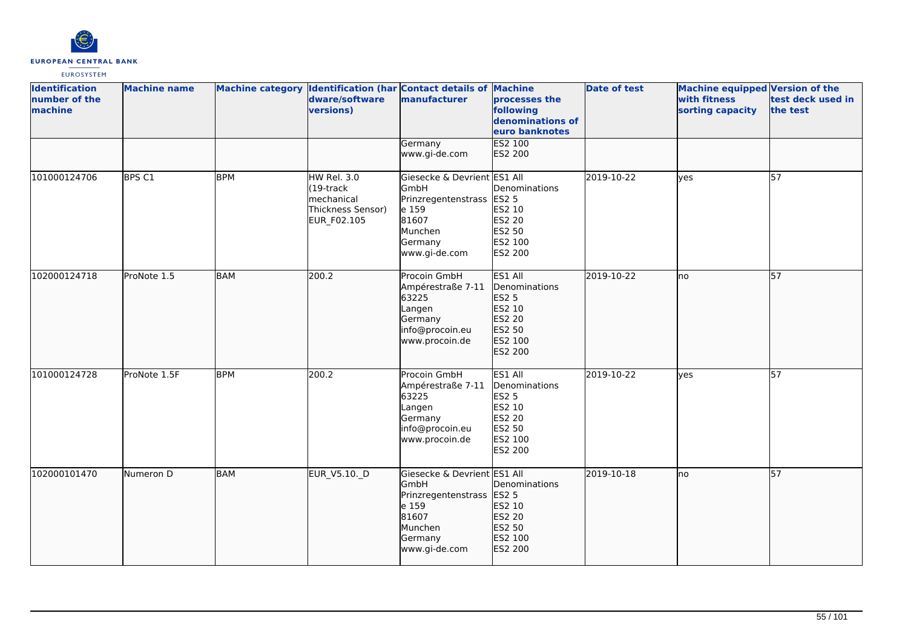

| <b>Identification</b><br>number of the<br>machine | <b>Machine name</b> |            | dware/software<br>versions)                                                          | Machine category Identification (har Contact details of Machine<br>manufacturer                                                  | processes the<br>following<br>denominations of<br>euro banknotes                             | <b>Date of test</b> | <b>Machine equipped Version of the</b><br>with fitness<br>sorting capacity | test deck used in<br>the test |
|---------------------------------------------------|---------------------|------------|--------------------------------------------------------------------------------------|----------------------------------------------------------------------------------------------------------------------------------|----------------------------------------------------------------------------------------------|---------------------|----------------------------------------------------------------------------|-------------------------------|
|                                                   |                     |            |                                                                                      | Germany<br>www.gi-de.com                                                                                                         | ES2 100<br>ES2 200                                                                           |                     |                                                                            |                               |
| 101000124706                                      | BPS C1              | <b>BPM</b> | <b>HW Rel. 3.0</b><br>$(19$ -track<br>mechanical<br>Thickness Sensor)<br>EUR_F02.105 | Giesecke & Devrient ES1 All<br>GmbH<br>Prinzregentenstrass ES2 5<br>e 159<br>81607<br>Munchen<br>Germany<br>www.gi-de.com        | Denominations<br>ES2 10<br>ES2 20<br>ES2 50<br>ES2 100<br>ES2 200                            | 2019-10-22          | lyes                                                                       | $\overline{57}$               |
| 102000124718                                      | ProNote 1.5         | <b>BAM</b> | 200.2                                                                                | Procoin GmbH<br>Ampérestraße 7-11<br>63225<br>Langen<br>Germany<br>info@procoin.eu<br>www.procoin.de                             | ES1 All<br>Denominations<br>ES2 5<br>ES2 10<br>ES2 20<br>ES2 50<br>ES2 100<br>ES2 200        | 2019-10-22          | no                                                                         | 57                            |
| 101000124728                                      | ProNote 1.5F        | <b>BPM</b> | 200.2                                                                                | Procoin GmbH<br>Ampérestraße 7-11<br>63225<br>Langen<br>Germany<br>info@procoin.eu<br>www.procoin.de                             | ES1 All<br>Denominations<br><b>ES2 5</b><br>ES2 10<br>ES2 20<br>ES2 50<br>ES2 100<br>ES2 200 | 2019-10-22          | yes                                                                        | 57                            |
| 102000101470                                      | Numeron D           | <b>BAM</b> | EUR_V5.10._D                                                                         | Giesecke & Devrient ES1 All<br><b>GmbH</b><br>Prinzregentenstrass ES2 5<br>e 159<br>81607<br>Munchen<br>Germany<br>www.gi-de.com | Denominations<br>ES2 10<br>ES2 20<br>ES2 50<br>ES2 100<br>ES2 200                            | 2019-10-18          | lno.                                                                       | $\overline{57}$               |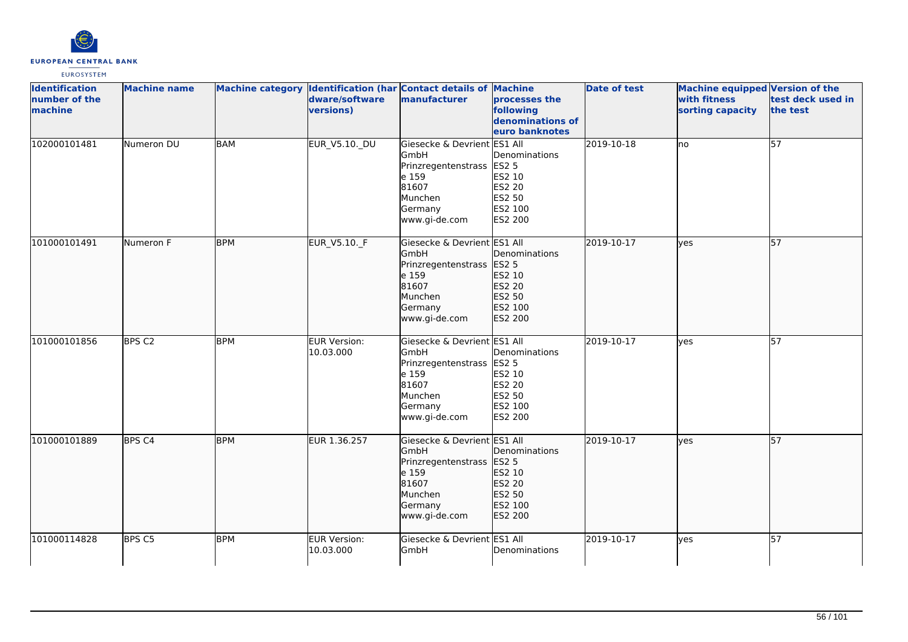

| <b>Identification</b><br>number of the<br>machine | <b>Machine name</b> |            | dware/software<br>versions)      | Machine category Identification (har Contact details of Machine<br>manufacturer                                            | processes the<br>following<br>denominations of<br>euro banknotes                                | <b>Date of test</b> | <b>Machine equipped Version of the</b><br>with fitness<br>sorting capacity | test deck used in<br>the test |
|---------------------------------------------------|---------------------|------------|----------------------------------|----------------------------------------------------------------------------------------------------------------------------|-------------------------------------------------------------------------------------------------|---------------------|----------------------------------------------------------------------------|-------------------------------|
| 102000101481                                      | Numeron DU          | <b>BAM</b> | EUR_V5.10._DU                    | Giesecke & Devrient ES1 All<br>GmbH<br>Prinzregentenstrass<br>e 159<br>81607<br>Munchen<br>Germany<br>www.gi-de.com        | Denominations<br><b>ES2 5</b><br>ES2 10<br><b>ES2 20</b><br>ES2 50<br>ES2 100<br>ES2 200        | 2019-10-18          | no.                                                                        | 57                            |
| 101000101491                                      | Numeron F           | <b>BPM</b> | EUR_V5.10._F                     | Giesecke & Devrient ES1 All<br><b>GmbH</b><br>Prinzregentenstrass<br>e 159<br>81607<br>Munchen<br>Germany<br>www.gi-de.com | Denominations<br>ES2 5<br>ES2 10<br>ES2 20<br>ES2 50<br>ES2 100<br>ES2 200                      | 2019-10-17          | lyes                                                                       | $\overline{57}$               |
| 101000101856                                      | BPS <sub>C2</sub>   | <b>BPM</b> | <b>EUR Version:</b><br>10.03.000 | Giesecke & Devrient ES1 All<br>GmbH<br>Prinzregentenstrass<br>e 159<br>81607<br>Munchen<br>Germany<br>www.gi-de.com        | Denominations<br><b>ES2 5</b><br>ES2 10<br><b>ES2 20</b><br><b>ES2 50</b><br>ES2 100<br>ES2 200 | 2019-10-17          | lves                                                                       | 57                            |
| 101000101889                                      | BPS <sub>C4</sub>   | <b>BPM</b> | EUR 1.36.257                     | Giesecke & Devrient ES1 All<br>GmbH<br>Prinzregentenstrass<br>e 159<br>81607<br>Munchen<br>Germany<br>www.gi-de.com        | Denominations<br><b>ES2 5</b><br>ES2 10<br>ES2 20<br>ES2 50<br>ES2 100<br>ES2 200               | 2019-10-17          | lyes                                                                       | 57                            |
| 101000114828                                      | BPS <sub>C5</sub>   | <b>BPM</b> | EUR Version:<br>10.03.000        | Giesecke & Devrient ES1 All<br>GmbH                                                                                        | Denominations                                                                                   | 2019-10-17          | lyes                                                                       | $\overline{57}$               |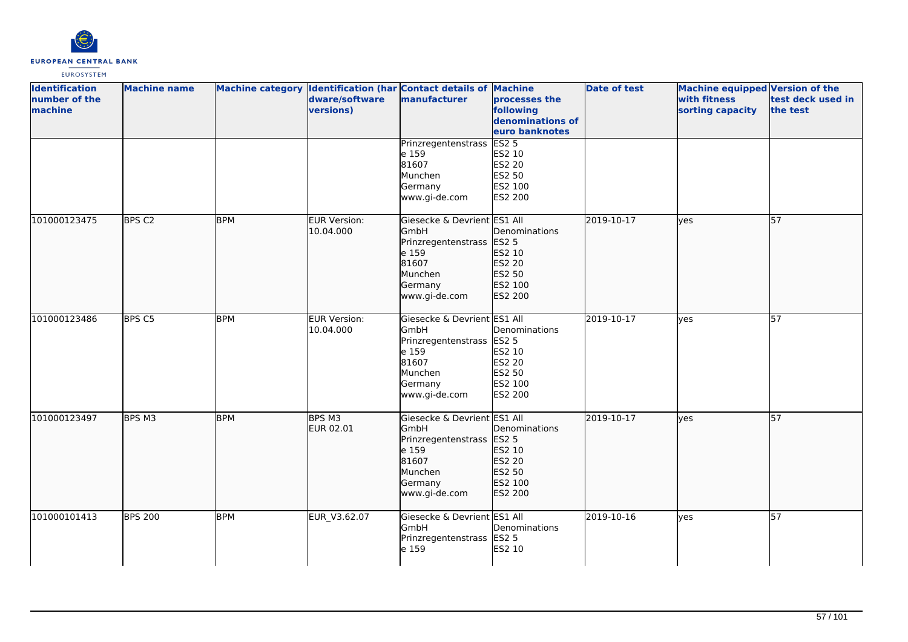

| <b>Identification</b><br>number of the<br>machine | <b>Machine name</b> |            | dware/software<br>versions)      | Machine category Identification (har Contact details of Machine<br>manufacturer                                     | processes the<br>following<br>denominations of<br>euro banknotes                      | <b>Date of test</b> | <b>Machine equipped Version of the</b><br>with fitness<br>sorting capacity | test deck used in<br>the test |
|---------------------------------------------------|---------------------|------------|----------------------------------|---------------------------------------------------------------------------------------------------------------------|---------------------------------------------------------------------------------------|---------------------|----------------------------------------------------------------------------|-------------------------------|
|                                                   |                     |            |                                  | Prinzregentenstrass<br>e 159<br>81607<br>Munchen<br>Germany<br>www.gi-de.com                                        | ES2 <sub>5</sub><br>ES2 10<br><b>ES2 20</b><br><b>ES2 50</b><br>ES2 100<br>ES2 200    |                     |                                                                            |                               |
| 101000123475                                      | BPS C <sub>2</sub>  | <b>BPM</b> | EUR Version:<br>10.04.000        | Giesecke & Devrient ES1 All<br>GmbH<br>Prinzregentenstrass<br>e 159<br>81607<br>Munchen<br>Germany<br>www.gi-de.com | Denominations<br>ES2 <sub>5</sub><br>ES2 10<br>ES2 20<br>ES2 50<br>ES2 100<br>ES2 200 | 2019-10-17          | lyes                                                                       | 57                            |
| 101000123486                                      | BPS C5              | <b>BPM</b> | <b>EUR Version:</b><br>10.04.000 | Giesecke & Devrient ES1 All<br>GmbH<br>Prinzregentenstrass<br>e 159<br>81607<br>Munchen<br>Germany<br>www.gi-de.com | Denominations<br><b>ES2 5</b><br>ES2 10<br>ES2 20<br>ES2 50<br>ES2 100<br>ES2 200     | 2019-10-17          | lves                                                                       | $\overline{57}$               |
| 101000123497                                      | BPS M3              | <b>BPM</b> | BPS M3<br>EUR 02.01              | Giesecke & Devrient ES1 All<br>GmbH<br>Prinzregentenstrass<br>e 159<br>81607<br>Munchen<br>Germany<br>www.gi-de.com | Denominations<br>ES2 <sub>5</sub><br>ES2 10<br>ES2 20<br>ES2 50<br>ES2 100<br>ES2 200 | 2019-10-17          | lyes                                                                       | 57                            |
| 101000101413                                      | <b>BPS 200</b>      | <b>BPM</b> | EUR_V3.62.07                     | Giesecke & Devrient ES1 All<br>GmbH<br>Prinzregentenstrass<br>e 159                                                 | Denominations<br><b>ES2 5</b><br>ES2 10                                               | 2019-10-16          | lyes                                                                       | 57                            |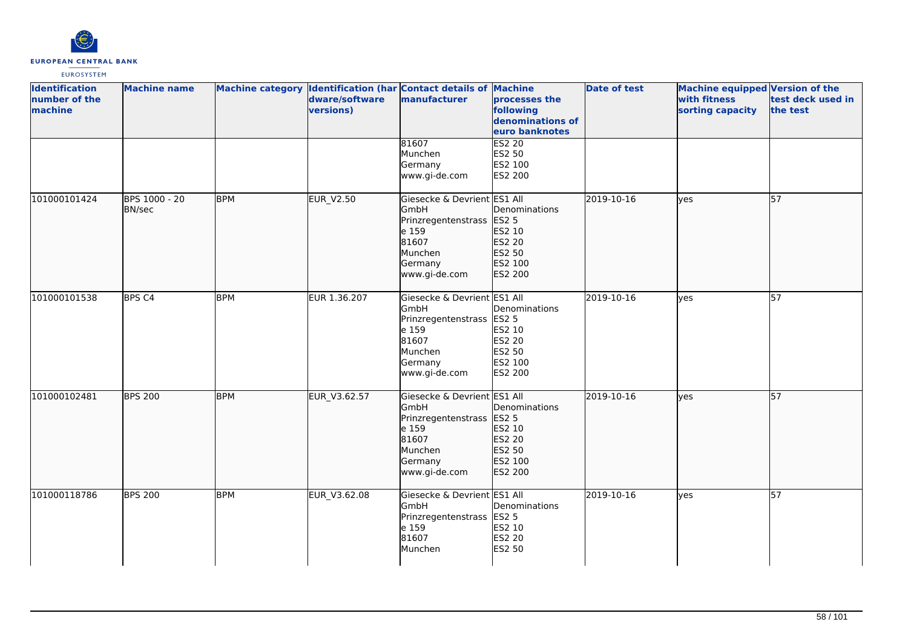

| <b>Identification</b><br>number of the<br>machine | <b>Machine name</b>            |            | dware/software<br>versions) | Machine category Identification (har Contact details of Machine<br>manufacturer                                     | processes the<br>following<br>denominations of<br>euro banknotes                  | <b>Date of test</b> | Machine equipped Version of the<br>with fitness<br>sorting capacity | test deck used in<br>the test |
|---------------------------------------------------|--------------------------------|------------|-----------------------------|---------------------------------------------------------------------------------------------------------------------|-----------------------------------------------------------------------------------|---------------------|---------------------------------------------------------------------|-------------------------------|
|                                                   |                                |            |                             | 81607<br>Munchen<br>Germany<br>www.gi-de.com                                                                        | <b>ES2 20</b><br>ES2 50<br>ES2 100<br>ES2 200                                     |                     |                                                                     |                               |
| 101000101424                                      | BPS 1000 - 20<br><b>BN/sec</b> | <b>BPM</b> | <b>EUR_V2.50</b>            | Giesecke & Devrient ES1 All<br>GmbH<br>Prinzregentenstrass<br>e 159<br>81607<br>Munchen<br>Germany<br>www.gi-de.com | Denominations<br>ES2 5<br>ES2 10<br>ES2 20<br>ES2 50<br>ES2 100<br>ES2 200        | 2019-10-16          | yes                                                                 | 57                            |
| 101000101538                                      | BPS <sub>C4</sub>              | <b>BPM</b> | EUR 1.36.207                | Giesecke & Devrient ES1 All<br>GmbH<br>Prinzregentenstrass<br>e 159<br>81607<br>Munchen<br>Germany<br>www.gi-de.com | Denominations<br><b>ES2 5</b><br>ES2 10<br>ES2 20<br>ES2 50<br>ES2 100<br>ES2 200 | 2019-10-16          | yes                                                                 | 57                            |
| 101000102481                                      | <b>BPS 200</b>                 | <b>BPM</b> | EUR_V3.62.57                | Giesecke & Devrient ES1 All<br>GmbH<br>Prinzregentenstrass<br>e 159<br>81607<br>Munchen<br>Germany<br>www.gi-de.com | Denominations<br><b>ES2 5</b><br>ES2 10<br>ES2 20<br>ES2 50<br>ES2 100<br>ES2 200 | 2019-10-16          | lyes                                                                | 57                            |
| 101000118786                                      | <b>BPS 200</b>                 | <b>BPM</b> | EUR_V3.62.08                | Giesecke & Devrient ES1 All<br>GmbH<br>Prinzregentenstrass<br>e 159<br>81607<br>Munchen                             | Denominations<br><b>ES2 5</b><br>ES2 10<br>ES2 20<br>ES2 50                       | 2019-10-16          | yes                                                                 | 57                            |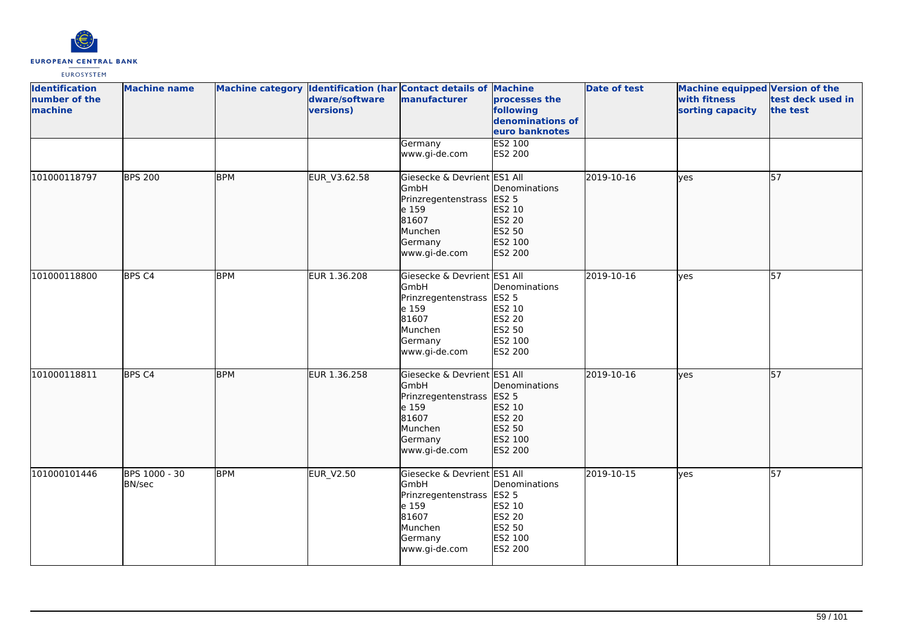

| <b>Identification</b><br>number of the<br>machine | <b>Machine name</b>            |            | dware/software<br>versions) | Machine category Identification (har Contact details of Machine<br>manufacturer                                            | processes the<br>following<br>denominations of<br>euro banknotes                  | <b>Date of test</b> | Machine equipped Version of the<br>with fitness<br>sorting capacity | test deck used in<br>the test |
|---------------------------------------------------|--------------------------------|------------|-----------------------------|----------------------------------------------------------------------------------------------------------------------------|-----------------------------------------------------------------------------------|---------------------|---------------------------------------------------------------------|-------------------------------|
|                                                   |                                |            |                             | Germany<br>www.gi-de.com                                                                                                   | <b>ES2 100</b><br>ES2 200                                                         |                     |                                                                     |                               |
| 101000118797                                      | <b>BPS 200</b>                 | <b>BPM</b> | EUR_V3.62.58                | Giesecke & Devrient ES1 All<br>GmbH<br>Prinzregentenstrass<br>e 159<br>81607<br>Munchen<br>Germany<br>www.gi-de.com        | Denominations<br><b>ES2 5</b><br>ES2 10<br>ES2 20<br>ES2 50<br>ES2 100<br>ES2 200 | 2019-10-16          | lyes                                                                | 57                            |
| 101000118800                                      | BPS <sub>C4</sub>              | <b>BPM</b> | EUR 1.36.208                | Giesecke & Devrient ES1 All<br>GmbH<br>Prinzregentenstrass<br>e 159<br>81607<br>Munchen<br>Germany<br>www.gi-de.com        | Denominations<br><b>ES2 5</b><br>ES2 10<br>ES2 20<br>ES2 50<br>ES2 100<br>ES2 200 | 2019-10-16          | ves                                                                 | 57                            |
| 101000118811                                      | BPS <sub>C4</sub>              | <b>BPM</b> | EUR 1.36.258                | Giesecke & Devrient ES1 All<br>GmbH<br>Prinzregentenstrass<br>e 159<br>81607<br>Munchen<br>Germany<br>www.gi-de.com        | Denominations<br><b>ES2 5</b><br>ES2 10<br>ES2 20<br>ES2 50<br>ES2 100<br>ES2 200 | 2019-10-16          | yes                                                                 | 57                            |
| 101000101446                                      | BPS 1000 - 30<br><b>BN/sec</b> | <b>BPM</b> | <b>EUR_V2.50</b>            | Giesecke & Devrient ES1 All<br><b>GmbH</b><br>Prinzregentenstrass<br>e 159<br>81607<br>Munchen<br>Germany<br>www.gi-de.com | Denominations<br><b>ES2 5</b><br>ES2 10<br>ES2 20<br>ES2 50<br>ES2 100<br>ES2 200 | 2019-10-15          | <b>l</b> ves                                                        | $\overline{57}$               |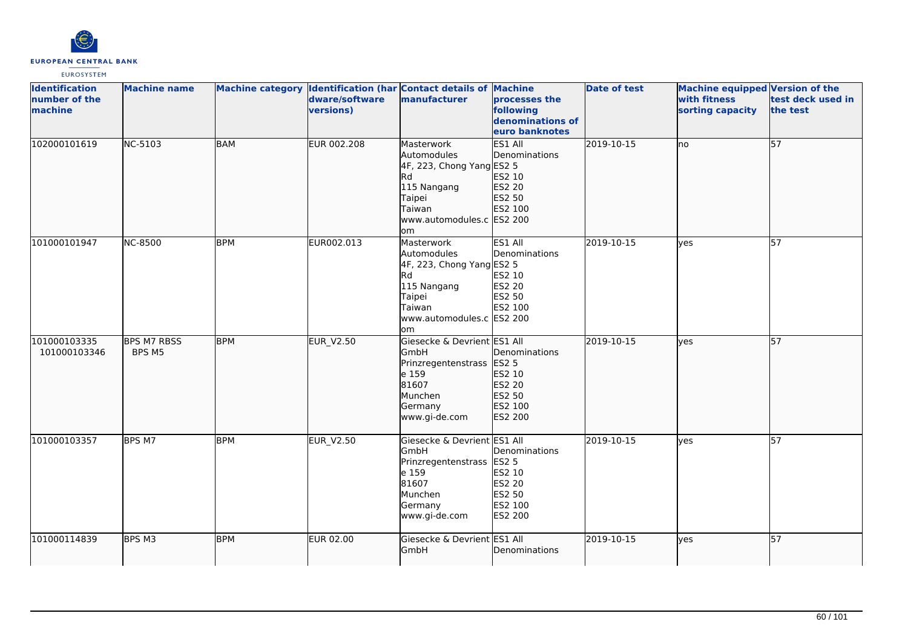

| <b>Identification</b><br>number of the<br>machine | <b>Machine name</b>          |            | dware/software<br>versions) | Machine category Identification (har Contact details of Machine<br>manufacturer                                                            | processes the<br>following<br>denominations of<br>euro banknotes                  | <b>Date of test</b> | <b>Machine equipped Version of the</b><br>with fitness<br>sorting capacity | test deck used in<br>the test |
|---------------------------------------------------|------------------------------|------------|-----------------------------|--------------------------------------------------------------------------------------------------------------------------------------------|-----------------------------------------------------------------------------------|---------------------|----------------------------------------------------------------------------|-------------------------------|
| 102000101619                                      | NC-5103                      | BAM        | EUR 002.208                 | Masterwork<br>Automodules<br>$4F$ , 223, Chong Yang ES2 5<br>Rd<br>115 Nangang<br>Taipei<br>Taiwan<br>www.automodules.c ES2 200<br>lom     | ES1 All<br>Denominations<br>ES2 10<br>ES2 20<br>ES2 50<br>ES2 100                 | 2019-10-15          | lno                                                                        | 57                            |
| 101000101947                                      | <b>NC-8500</b>               | <b>BPM</b> | EUR002.013                  | Masterwork<br>Automodules<br>4F, 223, Chong Yang ES2 5<br><b>Rd</b><br>115 Nangang<br>Taipei<br>Taiwan<br>www.automodules.c ES2 200<br>lom | ES1 All<br>Denominations<br>ES2 10<br>ES2 20<br>ES2 50<br>ES2 100                 | 2019-10-15          | lves                                                                       | $\overline{57}$               |
| 101000103335<br>101000103346                      | <b>BPS M7 RBSS</b><br>BPS M5 | <b>BPM</b> | <b>EUR_V2.50</b>            | Giesecke & Devrient ES1 All<br>GmbH<br>Prinzregentenstrass<br>e 159<br>81607<br>Munchen<br>Germany<br>www.gi-de.com                        | Denominations<br><b>ES2 5</b><br>ES2 10<br>ES2 20<br>ES2 50<br>ES2 100<br>ES2 200 | 2019-10-15          | ves                                                                        | 57                            |
| 101000103357                                      | BPS M7                       | <b>BPM</b> | EUR_V2.50                   | Giesecke & Devrient ES1 All<br>GmbH<br>Prinzregentenstrass<br>e 159<br>81607<br>Munchen<br>Germany<br>www.gi-de.com                        | Denominations<br><b>ES2 5</b><br>ES2 10<br>ES2 20<br>ES2 50<br>ES2 100<br>ES2 200 | 2019-10-15          | yes                                                                        | 57                            |
| 101000114839                                      | BPS M3                       | <b>BPM</b> | <b>EUR 02.00</b>            | Giesecke & Devrient ES1 All<br>GmbH                                                                                                        | Denominations                                                                     | 2019-10-15          | lyes                                                                       | 57                            |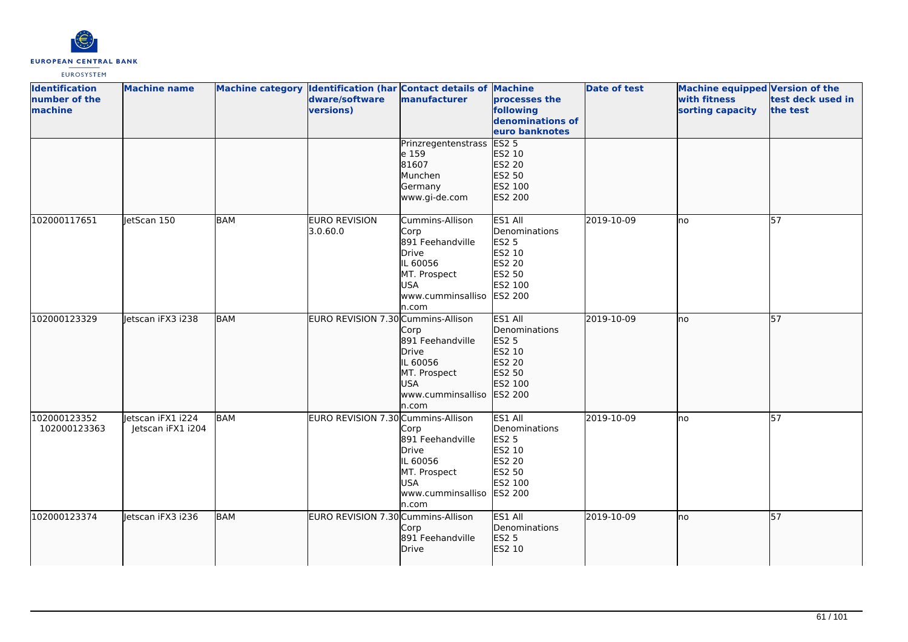

| <b>Identification</b><br>number of the<br>machine | <b>Machine name</b>                    |            | dware/software<br>versions)        | Machine category Identification (har Contact details of Machine<br>manufacturer                                               | processes the<br>following<br>denominations of<br>euro banknotes                             | <b>Date of test</b> | <b>Machine equipped Version of the</b><br>with fitness<br>sorting capacity | test deck used in<br>the test |
|---------------------------------------------------|----------------------------------------|------------|------------------------------------|-------------------------------------------------------------------------------------------------------------------------------|----------------------------------------------------------------------------------------------|---------------------|----------------------------------------------------------------------------|-------------------------------|
|                                                   |                                        |            |                                    | Prinzregentenstrass<br>e 159<br>81607<br>Munchen<br>Germany<br>www.gi-de.com                                                  | ES2 <sub>5</sub><br>ES2 10<br>ES2 20<br>ES2 50<br>ES2 100<br>ES2 200                         |                     |                                                                            |                               |
| 102000117651                                      | letScan 150                            | <b>BAM</b> | EURO REVISION<br>3.0.60.0          | Cummins-Allison<br>Corp<br>891 Feehandville<br>Drive<br>IL 60056<br>MT. Prospect<br><b>USA</b><br>www.cumminsalliso<br>ln.com | ES1 All<br>Denominations<br><b>ES2 5</b><br>ES2 10<br>ES2 20<br>ES2 50<br>ES2 100<br>ES2 200 | 2019-10-09          | lno                                                                        | 57                            |
| 102000123329                                      | letscan iFX3 i238                      | <b>BAM</b> | EURO REVISION 7.30 Cummins-Allison | Corp<br>891 Feehandville<br>Drive<br>IL 60056<br>MT. Prospect<br><b>USA</b><br>www.cumminsalliso<br>n.com                     | ES1 All<br>Denominations<br>ES2 5<br>ES2 10<br>ES2 20<br>ES2 50<br>ES2 100<br>ES2 200        | 2019-10-09          | lno                                                                        | 57                            |
| 102000123352<br>102000123363                      | letscan iFX1 i224<br>Jetscan iFX1 i204 | <b>BAM</b> | EURO REVISION 7.30 Cummins-Allison | Corp<br>891 Feehandville<br>Drive<br>IL 60056<br>MT. Prospect<br>USA<br>www.cumminsalliso<br>ln.com                           | ES1 All<br>Denominations<br><b>ES2 5</b><br>ES2 10<br>ES2 20<br>ES2 50<br>ES2 100<br>ES2 200 | 2019-10-09          | lno                                                                        | 57                            |
| 102000123374                                      | Jetscan iFX3 i236                      | <b>BAM</b> | EURO REVISION 7.30 Cummins-Allison | Corp<br>891 Feehandville<br>Drive                                                                                             | ES1 All<br>Denominations<br>ES2 5<br>ES2 10                                                  | 2019-10-09          | lno                                                                        | 57                            |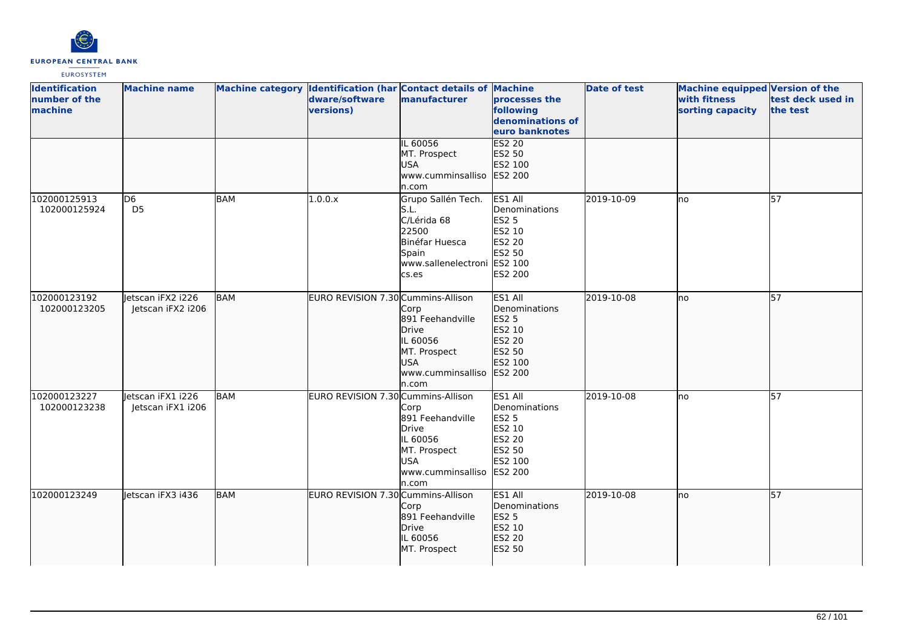

| <b>Identification</b><br>number of the<br>machine | <b>Machine name</b>                    |            | Machine category Identification (har Contact details of Machine<br>dware/software<br>versions) | manufacturer                                                                                                          | processes the<br>following<br>denominations of<br>euro banknotes                                    | <b>Date of test</b> | Machine equipped Version of the<br>with fitness<br>sorting capacity | test deck used in<br>the test |
|---------------------------------------------------|----------------------------------------|------------|------------------------------------------------------------------------------------------------|-----------------------------------------------------------------------------------------------------------------------|-----------------------------------------------------------------------------------------------------|---------------------|---------------------------------------------------------------------|-------------------------------|
|                                                   |                                        |            |                                                                                                | IL 60056<br>MT. Prospect<br><b>USA</b><br>www.cumminsalliso<br>n.com                                                  | <b>ES2 20</b><br>ES2 50<br>ES2 100<br>ES2 200                                                       |                     |                                                                     |                               |
| 102000125913<br>102000125924                      | D <sub>6</sub><br>D <sub>5</sub>       | <b>BAM</b> | 1.0.0.x                                                                                        | Grupo Sallén Tech.<br>S.L.<br>C/Lérida 68<br>22500<br>Binéfar Huesca<br>Spain<br>www.sallenelectroni ES2 100<br>cs.es | ES1 All<br>Denominations<br>ES2 5<br>ES2 10<br>ES2 20<br>ES2 50<br>ES2 200                          | 2019-10-09          | lno                                                                 | 57                            |
| 102000123192<br>102000123205                      | Jetscan iFX2 i226<br>Jetscan iFX2 i206 | BAM        | EURO REVISION 7.30 Cummins-Allison                                                             | Corp<br>891 Feehandville<br>Drive<br>IL 60056<br>MT. Prospect<br><b>USA</b><br>www.cumminsalliso<br>n.com             | ES1 All<br>Denominations<br><b>ES2 5</b><br>ES2 10<br>ES2 20<br>ES2 50<br>ES2 100<br><b>ES2 200</b> | 2019-10-08          | lno                                                                 | 57                            |
| 102000123227<br>102000123238                      | letscan iFX1 i226<br>Jetscan iFX1 i206 | <b>BAM</b> | EURO REVISION 7.30 Cummins-Allison                                                             | Corp<br>891 Feehandville<br>Drive<br>IL 60056<br>MT. Prospect<br><b>USA</b><br>www.cumminsalliso<br>n.com             | ES1 All<br>Denominations<br><b>ES2 5</b><br>ES2 10<br>ES2 20<br>ES2 50<br>ES2 100<br>ES2 200        | 2019-10-08          | Ino                                                                 | $\overline{57}$               |
| 102000123249                                      | letscan iFX3 i436                      | BAM        | EURO REVISION 7.30 Cummins-Allison                                                             | Corp<br>891 Feehandville<br>Drive<br>IL 60056<br>MT. Prospect                                                         | ES1 All<br>Denominations<br>ES2 5<br>ES2 10<br>ES2 20<br>ES2 50                                     | 2019-10-08          | lno                                                                 | 57                            |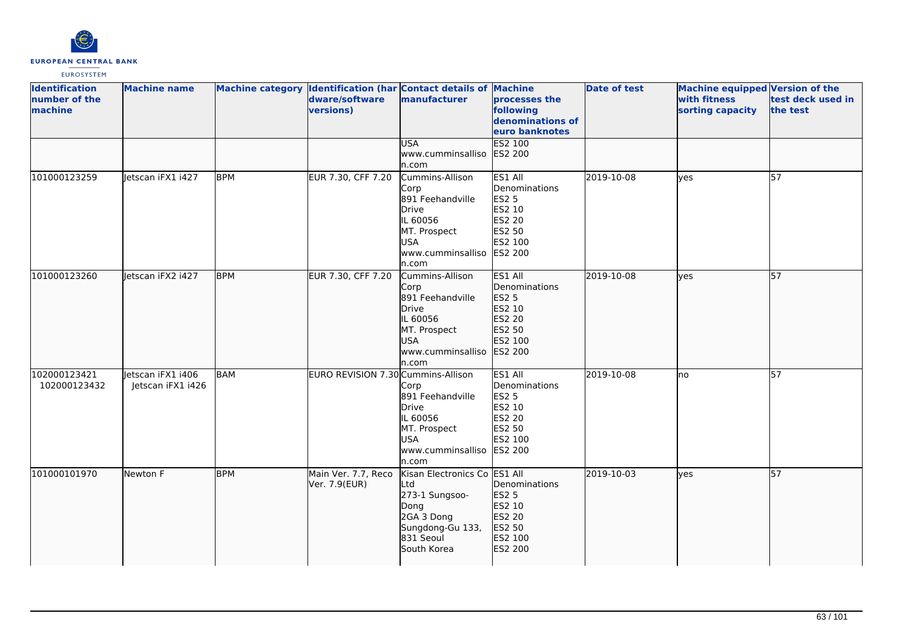

| <b>Identification</b><br>number of the<br>machine | <b>Machine name</b>                    |            | dware/software<br>versions)          | Machine category Identification (har Contact details of Machine<br>manufacturer                                              | <b>processes the</b><br>following<br>denominations of<br>euro banknotes                             | <b>Date of test</b> | <b>Machine equipped Version of the</b><br>with fitness<br>sorting capacity | test deck used in<br>the test |
|---------------------------------------------------|----------------------------------------|------------|--------------------------------------|------------------------------------------------------------------------------------------------------------------------------|-----------------------------------------------------------------------------------------------------|---------------------|----------------------------------------------------------------------------|-------------------------------|
|                                                   |                                        |            |                                      | <b>USA</b><br>www.cumminsalliso<br>n.com                                                                                     | <b>ES2 100</b><br>ES2 200                                                                           |                     |                                                                            |                               |
| 101000123259                                      | Jetscan iFX1 i427                      | <b>BPM</b> | EUR 7.30, CFF 7.20                   | Cummins-Allison<br>Corp<br>891 Feehandville<br>Drive<br>IL 60056<br>MT. Prospect<br><b>USA</b><br>www.cumminsalliso<br>n.com | ES1 All<br>Denominations<br>ES2 5<br>ES2 10<br>ES2 20<br>ES2 50<br>ES2 100<br><b>ES2 200</b>        | 2019-10-08          | yes                                                                        | 57                            |
| 101000123260                                      | letscan iFX2 i427                      | <b>BPM</b> | EUR 7.30, CFF 7.20                   | Cummins-Allison<br>Corp<br>891 Feehandville<br>Drive<br>IL 60056<br>MT. Prospect<br><b>USA</b><br>www.cumminsalliso<br>n.com | ES1 All<br>Denominations<br><b>ES2 5</b><br>ES2 10<br>ES2 20<br>ES2 50<br>ES2 100<br><b>ES2 200</b> | 2019-10-08          | ves                                                                        | 57                            |
| 102000123421<br>102000123432                      | Jetscan iFX1 i406<br>Jetscan iFX1 i426 | <b>BAM</b> | EURO REVISION 7.30 Cummins-Allison   | Corp<br>891 Feehandville<br>Drive<br>IL 60056<br>MT. Prospect<br><b>USA</b><br>www.cumminsalliso<br>ln.com                   | ES1 All<br>Denominations<br>ES2 5<br>ES2 10<br>ES2 20<br>ES2 50<br>ES2 100<br>ES2 200               | 2019-10-08          | lno                                                                        | 57                            |
| 101000101970                                      | Newton F                               | <b>BPM</b> | Main Ver. 7.7, Reco<br>Ver. 7.9(EUR) | Kisan Electronics Co ES1 All<br>Ltd<br>273-1 Sungsoo-<br>Dong<br>2GA 3 Dong<br>Sungdong-Gu 133,<br>831 Seoul<br>South Korea  | Denominations<br>ES2 5<br>ES2 10<br>ES2 20<br>ES2 50<br>ES2 100<br>ES2 200                          | 2019-10-03          | lyes                                                                       | $\overline{57}$               |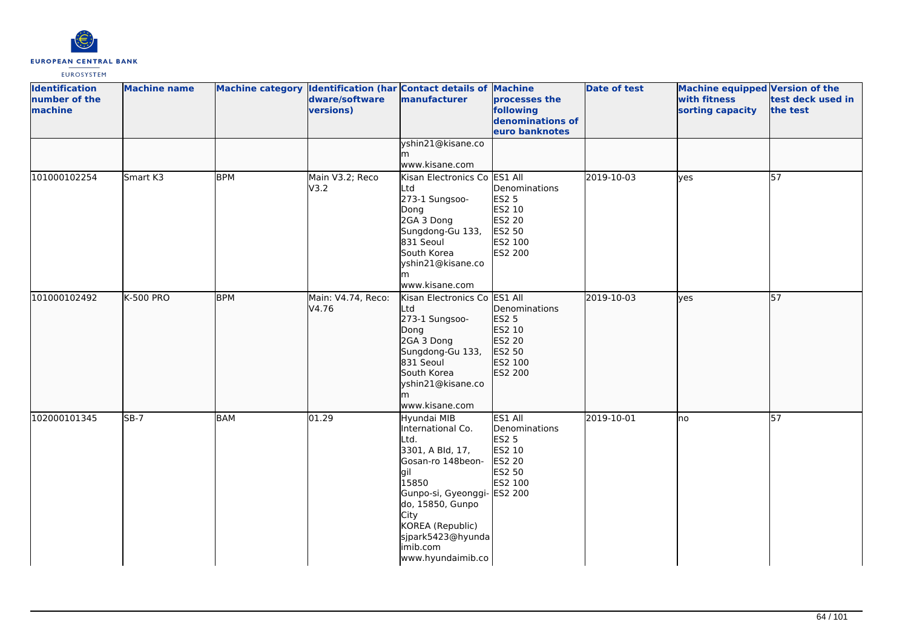

| <b>Identification</b><br>number of the<br>machine | <b>Machine name</b> |            | dware/software<br>versions) | Machine category Identification (har Contact details of Machine<br>manufacturer                                                                                                                                                         | processes the<br>following<br>denominations of<br>euro banknotes                      | <b>Date of test</b> | Machine equipped Version of the<br>with fitness<br>sorting capacity | test deck used in<br>the test |
|---------------------------------------------------|---------------------|------------|-----------------------------|-----------------------------------------------------------------------------------------------------------------------------------------------------------------------------------------------------------------------------------------|---------------------------------------------------------------------------------------|---------------------|---------------------------------------------------------------------|-------------------------------|
|                                                   |                     |            |                             | yshin21@kisane.co<br>www.kisane.com                                                                                                                                                                                                     |                                                                                       |                     |                                                                     |                               |
| 101000102254                                      | Smart K3            | <b>BPM</b> | Main V3.2; Reco<br>V3.2     | Kisan Electronics Co ES1 All<br>Ltd<br>273-1 Sungsoo-<br>Dong<br>2GA 3 Dong<br>Sungdong-Gu 133,<br>831 Seoul<br>South Korea<br>yshin21@kisane.co<br>www.kisane.com                                                                      | Denominations<br><b>ES2 5</b><br>ES2 10<br>ES2 20<br>ES2 50<br>ES2 100<br>ES2 200     | 2019-10-03          | lves                                                                | 57                            |
| 101000102492                                      | <b>K-500 PRO</b>    | <b>BPM</b> | Main: V4.74, Reco:<br>V4.76 | Kisan Electronics Co<br>Ltd<br>273-1 Sungsoo-<br>Dong<br>2GA 3 Dong<br>Sungdong-Gu 133,<br>831 Seoul<br>South Korea<br>yshin21@kisane.co<br>lm<br>www.kisane.com                                                                        | ES1 All<br>Denominations<br>ES2 5<br>ES2 10<br>ES2 20<br>ES2 50<br>ES2 100<br>ES2 200 | 2019-10-03          | lves                                                                | $\overline{57}$               |
| 102000101345                                      | $SB-7$              | BAM        | 01.29                       | Hyundai MIB<br>International Co.<br>Ltd.<br>3301, A Bld, 17,<br>Gosan-ro 148beon-<br>lgil<br>15850<br>Gunpo-si, Gyeonggi- ES2 200<br>do, 15850, Gunpo<br>City<br>KOREA (Republic)<br>sjpark5423@hyunda<br>imib.com<br>www.hyundaimib.co | ES1 All<br>Denominations<br><b>ES2 5</b><br>ES2 10<br>ES2 20<br>ES2 50<br>ES2 100     | 2019-10-01          | no                                                                  | 57                            |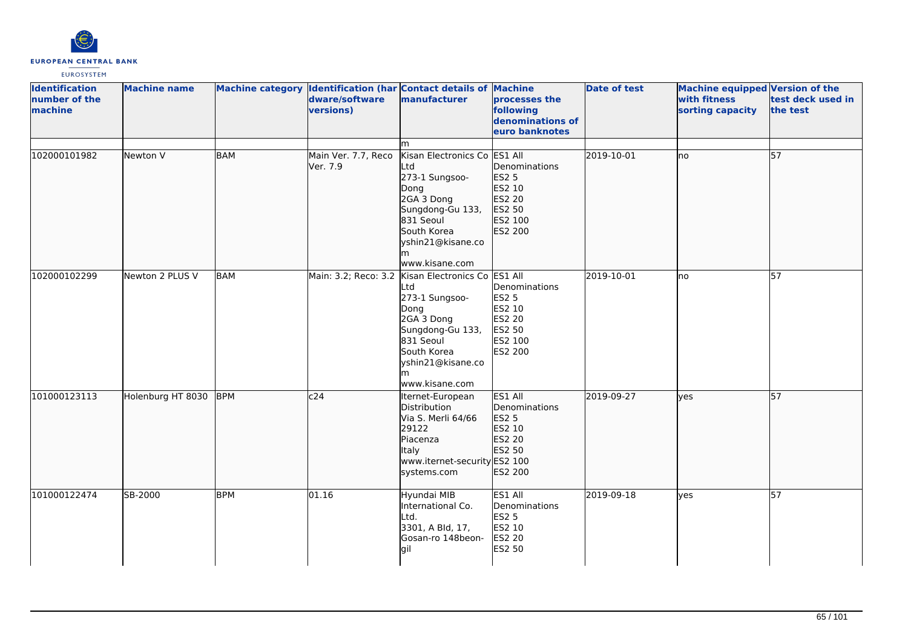

| <b>Identification</b><br>number of the<br>machine | <b>Machine name</b> |            | dware/software<br>versions)     | Machine category Identification (har Contact details of Machine<br>manufacturer                                                                                                              | processes the<br>following<br>denominations of<br>euro banknotes                             | <b>Date of test</b> | Machine equipped Version of the<br>with fitness<br>sorting capacity | test deck used in<br>the test |
|---------------------------------------------------|---------------------|------------|---------------------------------|----------------------------------------------------------------------------------------------------------------------------------------------------------------------------------------------|----------------------------------------------------------------------------------------------|---------------------|---------------------------------------------------------------------|-------------------------------|
|                                                   |                     |            |                                 | m                                                                                                                                                                                            |                                                                                              |                     |                                                                     |                               |
| 102000101982                                      | Newton V            | <b>BAM</b> | Main Ver. 7.7, Reco<br>Ver. 7.9 | Kisan Electronics Co<br>Ltd<br>273-1 Sungsoo-<br>Dong<br>2GA 3 Dong<br>Sungdong-Gu 133,<br>831 Seoul<br>South Korea<br>yshin21@kisane.co<br>m<br>www.kisane.com                              | ES1 All<br>Denominations<br><b>ES2 5</b><br>ES2 10<br>ES2 20<br>ES2 50<br>ES2 100<br>ES2 200 | 2019-10-01          | no                                                                  | 57                            |
| 102000102299                                      | Newton 2 PLUS V     | <b>BAM</b> |                                 | Main: 3.2; Reco: 3.2 Kisan Electronics Co ES1 All<br>Ltd<br>273-1 Sungsoo-<br>Dong<br>2GA 3 Dong<br>Sungdong-Gu 133,<br>831 Seoul<br>South Korea<br>yshin21@kisane.co<br>m<br>www.kisane.com | Denominations<br><b>ES2 5</b><br>ES2 10<br>ES2 20<br>ES2 50<br>ES2 100<br>ES2 200            | 2019-10-01          | lno                                                                 | $\overline{57}$               |
| 101000123113                                      | Holenburg HT 8030   | <b>BPM</b> | c24                             | Iternet-European<br>Distribution<br>Via S. Merli 64/66<br>29122<br>Piacenza<br>Italy<br>www.iternet-security ES2 100<br>systems.com                                                          | ES1 All<br>Denominations<br>ES2 5<br>ES2 10<br>ES2 20<br>ES2 50<br>ES2 200                   | 2019-09-27          | lyes                                                                | 57                            |
| 101000122474                                      | SB-2000             | <b>BPM</b> | 01.16                           | Hyundai MIB<br>International Co.<br>Ltd.<br>3301, A Bld, 17,<br>Gosan-ro 148beon-<br> gil                                                                                                    | ES1 All<br>Denominations<br><b>ES2 5</b><br>ES2 10<br>ES2 20<br>ES2 50                       | 2019-09-18          | yes                                                                 | $\overline{57}$               |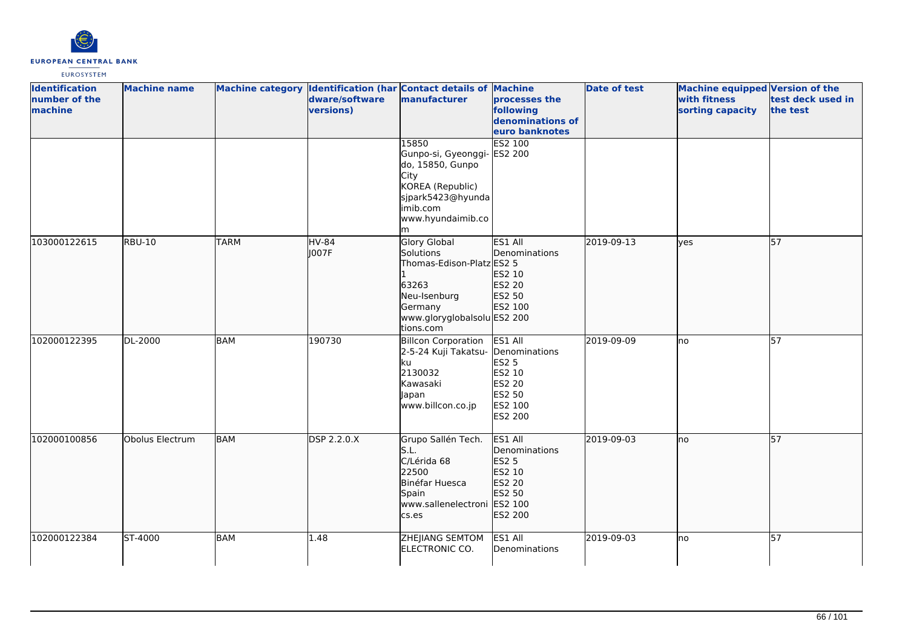

| <b>Identification</b><br>number of the<br>machine | <b>Machine name</b> |             | dware/software<br>versions) | Machine category Identification (har Contact details of Machine<br>manufacturer                                                               | processes the<br>following<br>denominations of<br>euro banknotes                             | <b>Date of test</b> | <b>Machine equipped Version of the</b><br>with fitness<br>sorting capacity | test deck used in<br>the test |
|---------------------------------------------------|---------------------|-------------|-----------------------------|-----------------------------------------------------------------------------------------------------------------------------------------------|----------------------------------------------------------------------------------------------|---------------------|----------------------------------------------------------------------------|-------------------------------|
|                                                   |                     |             |                             | 15850<br>Gunpo-si, Gyeonggi-<br>do, 15850, Gunpo<br>City<br>KOREA (Republic)<br>sjpark5423@hyunda<br>imib.com<br>www.hyundaimib.co<br>m       | <b>ES2 100</b><br>ES2 200                                                                    |                     |                                                                            |                               |
| 103000122615                                      | <b>RBU-10</b>       | <b>TARM</b> | <b>HV-84</b><br>1007F       | <b>Glory Global</b><br>Solutions<br>Thomas-Edison-Platz ES2 5<br>63263<br>Neu-Isenburg<br>Germany<br>www.gloryglobalsolu ES2 200<br>tions.com | ES1 All<br>Denominations<br>ES2 10<br>ES2 20<br>ES2 50<br>ES2 100                            | 2019-09-13          | lyes                                                                       | 57                            |
| 102000122395                                      | DL-2000             | <b>BAM</b>  | 190730                      | <b>Billcon Corporation</b><br>2-5-24 Kuji Takatsu-<br>ku<br>2130032<br>Kawasaki<br>Japan<br>www.billcon.co.jp                                 | ES1 All<br>Denominations<br><b>ES2 5</b><br>ES2 10<br>ES2 20<br>ES2 50<br>ES2 100<br>ES2 200 | 2019-09-09          | lno                                                                        | $\overline{57}$               |
| 102000100856                                      | Obolus Electrum     | <b>BAM</b>  | DSP 2.2.0.X                 | Grupo Sallén Tech.<br>S.L.<br>C/Lérida 68<br>22500<br>Binéfar Huesca<br>Spain<br>www.sallenelectroni ES2 100<br>cs.es                         | ES1 All<br>Denominations<br><b>ES2 5</b><br>ES2 10<br>ES2 20<br>ES2 50<br>ES2 200            | 2019-09-03          | lno                                                                        | 57                            |
| 102000122384                                      | ST-4000             | <b>BAM</b>  | 1.48                        | ZHEJIANG SEMTOM<br>ELECTRONIC CO.                                                                                                             | ES1 All<br>Denominations                                                                     | 2019-09-03          | lno                                                                        | 57                            |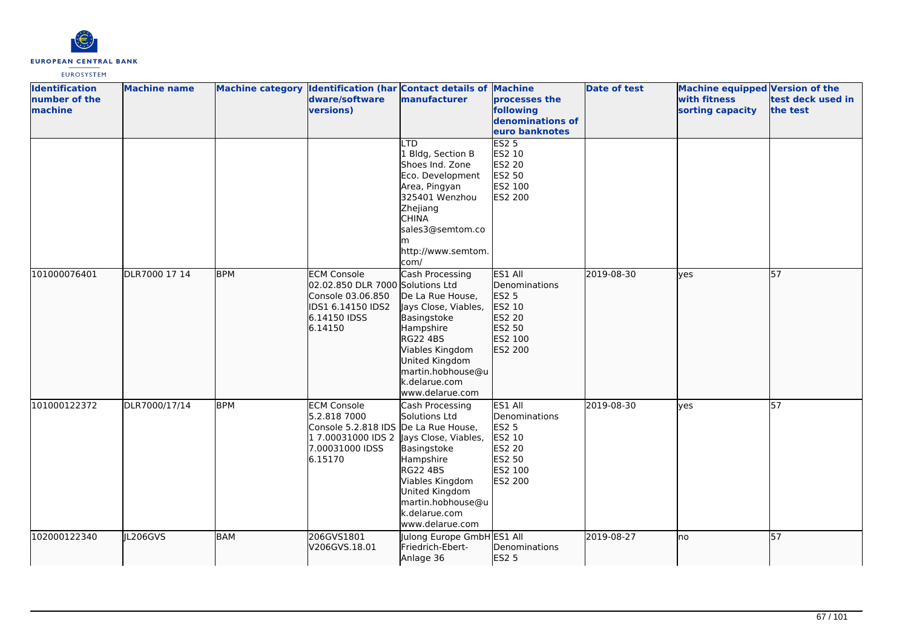

| <b>Identification</b><br>number of the<br>machine | <b>Machine name</b> |            | dware/software<br>versions)                                                                                                 | Machine category Identification (har Contact details of Machine<br>manufacturer                                                                                                                                          | processes the<br>following<br>denominations of<br>euro banknotes                                           | <b>Date of test</b> | Machine equipped Version of the<br>with fitness<br>sorting capacity | test deck used in<br>the test |
|---------------------------------------------------|---------------------|------------|-----------------------------------------------------------------------------------------------------------------------------|--------------------------------------------------------------------------------------------------------------------------------------------------------------------------------------------------------------------------|------------------------------------------------------------------------------------------------------------|---------------------|---------------------------------------------------------------------|-------------------------------|
|                                                   |                     |            |                                                                                                                             | <b>LTD</b><br>1 Bldg, Section B<br>Shoes Ind. Zone<br>Eco. Development<br>Area, Pingyan<br>325401 Wenzhou<br>Zhejiang<br><b>CHINA</b><br>sales3@semtom.co<br>lm<br>http://www.semtom.<br>com/                            | <b>ES2 5</b><br>ES2 10<br><b>ES2 20</b><br>ES2 50<br>ES2 100<br><b>ES2 200</b>                             |                     |                                                                     |                               |
| 101000076401                                      | DLR7000 17 14       | <b>BPM</b> | <b>ECM Console</b><br>02.02.850 DLR 7000 Solutions Ltd<br>Console 03.06.850<br>IDS1 6.14150 IDS2<br>6.14150 IDSS<br>6.14150 | Cash Processing<br>De La Rue House,<br>Jays Close, Viables,<br>Basingstoke<br>Hampshire<br><b>RG22 4BS</b><br>Viables Kingdom<br>United Kingdom<br>martin.hobhouse@u<br>k.delarue.com<br>www.delarue.com                 | ES1 All<br>Denominations<br>ES2 5<br>ES2 10<br>ES2 20<br>ES2 50<br>ES2 100<br>ES2 200                      | 2019-08-30          | <b>lyes</b>                                                         | 57                            |
| 101000122372                                      | DLR7000/17/14       | <b>BPM</b> | <b>ECM Console</b><br>5.2.818 7000<br>Console 5.2.818 IDS De La Rue House,<br>7.00031000 IDSS<br>6.15170                    | Cash Processing<br>Solutions Ltd<br>1 7.00031000 IDS 2 Jays Close, Viables,<br>Basingstoke<br>Hampshire<br><b>RG22 4BS</b><br>Viables Kingdom<br>United Kingdom<br>martin.hobhouse@u<br>k.delarue.com<br>www.delarue.com | ES1 All<br>Denominations<br><b>ES2 5</b><br>ES2 10<br><b>ES2 20</b><br>ES2 50<br>ES2 100<br><b>ES2 200</b> | 2019-08-30          | yes                                                                 | 57                            |
| 102000122340                                      | IL206GVS            | <b>BAM</b> | 206GVS1801<br>V206GVS.18.01                                                                                                 | Julong Europe GmbH ES1 All<br>Friedrich-Ebert-<br>Anlage 36                                                                                                                                                              | Denominations<br>ES2 5                                                                                     | 2019-08-27          | lno                                                                 | 57                            |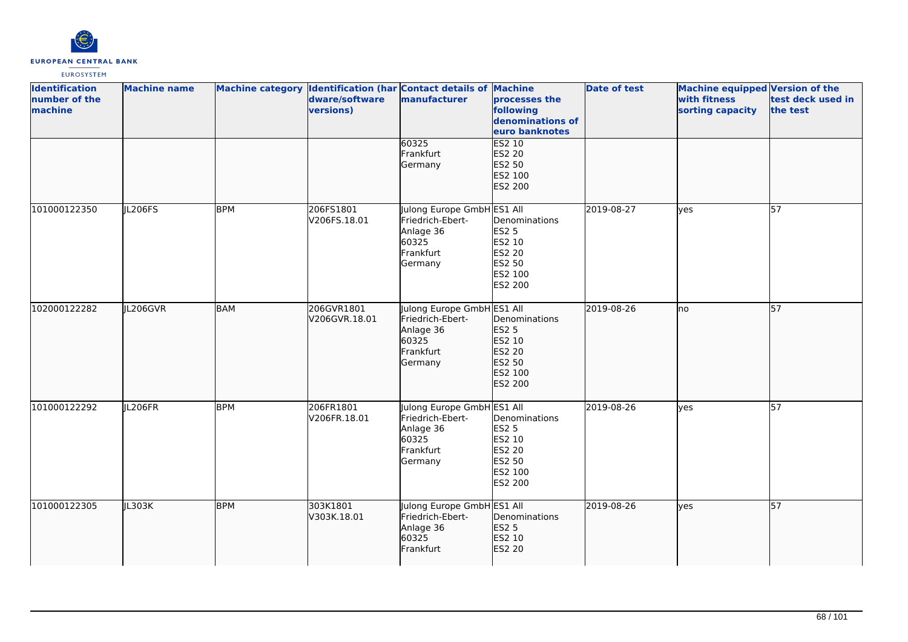

| <b>Identification</b><br>number of the<br>machine | <b>Machine name</b> |            | dware/software<br>versions) | Machine category Identification (har Contact details of Machine<br>manufacturer              | processes the<br>following<br>denominations of<br>euro banknotes                         | <b>Date of test</b> | <b>Machine equipped Version of the</b><br>with fitness<br>sorting capacity | test deck used in<br>the test |
|---------------------------------------------------|---------------------|------------|-----------------------------|----------------------------------------------------------------------------------------------|------------------------------------------------------------------------------------------|---------------------|----------------------------------------------------------------------------|-------------------------------|
|                                                   |                     |            |                             | 60325<br>Frankfurt<br>Germany                                                                | <b>ES2 10</b><br><b>ES2 20</b><br>ES2 50<br>ES2 100<br>ES2 200                           |                     |                                                                            |                               |
| 101000122350                                      | JL206FS             | <b>BPM</b> | 206FS1801<br>V206FS.18.01   | Julong Europe GmbH ES1 All<br>Friedrich-Ebert-<br>Anlage 36<br>60325<br>Frankfurt<br>Germany | Denominations<br><b>ES2 5</b><br>ES2 10<br><b>ES2 20</b><br>ES2 50<br>ES2 100<br>ES2 200 | 2019-08-27          | lyes                                                                       | $\overline{57}$               |
| 102000122282                                      | IL206GVR            | <b>BAM</b> | 206GVR1801<br>V206GVR.18.01 | Julong Europe GmbH ES1 All<br>Friedrich-Ebert-<br>Anlage 36<br>60325<br>Frankfurt<br>Germany | Denominations<br><b>ES2 5</b><br>ES2 10<br>ES2 20<br>ES2 50<br>ES2 100<br>ES2 200        | 2019-08-26          | Ino                                                                        | $\overline{57}$               |
| 101000122292                                      | JL206FR             | <b>BPM</b> | 206FR1801<br>V206FR.18.01   | Julong Europe GmbH ES1 All<br>Friedrich-Ebert-<br>Anlage 36<br>60325<br>Frankfurt<br>Germany | Denominations<br><b>ES2 5</b><br>ES2 10<br>ES2 20<br>ES2 50<br>ES2 100<br>ES2 200        | 2019-08-26          | lves                                                                       | 57                            |
| 101000122305                                      | JL303K              | <b>BPM</b> | 303K1801<br>V303K.18.01     | Julong Europe GmbH ES1 All<br>Friedrich-Ebert-<br>Anlage 36<br>60325<br>Frankfurt            | Denominations<br><b>ES2 5</b><br>ES2 10<br>ES2 20                                        | 2019-08-26          | lyes                                                                       | 57                            |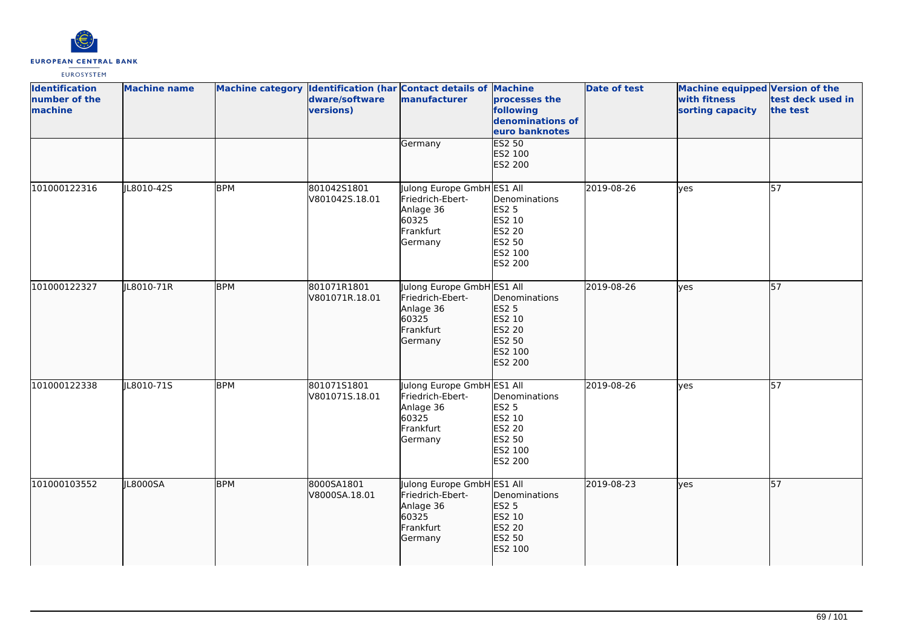

| <b>Identification</b><br>number of the<br>machine | <b>Machine name</b> |            | dware/software<br>versions)   | Machine category Identification (har Contact details of Machine<br>manufacturer              | processes the<br>following<br>denominations of<br>euro banknotes                         | <b>Date of test</b> | <b>Machine equipped Version of the</b><br>with fitness<br>sorting capacity | test deck used in<br>the test |
|---------------------------------------------------|---------------------|------------|-------------------------------|----------------------------------------------------------------------------------------------|------------------------------------------------------------------------------------------|---------------------|----------------------------------------------------------------------------|-------------------------------|
|                                                   |                     |            |                               | Germany                                                                                      | <b>ES2 50</b><br>ES2 100<br>ES2 200                                                      |                     |                                                                            |                               |
| 101000122316                                      | JL8010-42S          | <b>BPM</b> | 801042S1801<br>V801042S.18.01 | Julong Europe GmbH ES1 All<br>Friedrich-Ebert-<br>Anlage 36<br>60325<br>Frankfurt<br>Germany | Denominations<br><b>ES2 5</b><br>ES2 10<br><b>ES2 20</b><br>ES2 50<br>ES2 100<br>ES2 200 | 2019-08-26          | yes                                                                        | 57                            |
| 101000122327                                      | JL8010-71R          | <b>BPM</b> | 801071R1801<br>V801071R.18.01 | Julong Europe GmbH ES1 All<br>Friedrich-Ebert-<br>Anlage 36<br>60325<br>Frankfurt<br>Germany | Denominations<br>ES2 5<br>ES2 10<br>ES2 20<br>ES2 50<br>ES2 100<br>ES2 200               | 2019-08-26          | lves                                                                       | $\overline{57}$               |
| 101000122338                                      | JL8010-71S          | <b>BPM</b> | 80107151801<br>V801071S.18.01 | Julong Europe GmbH ES1 All<br>Friedrich-Ebert-<br>Anlage 36<br>60325<br>Frankfurt<br>Germany | Denominations<br><b>ES2 5</b><br>ES2 10<br>ES2 20<br>ES2 50<br>ES2 100<br>ES2 200        | 2019-08-26          | lves                                                                       | $\overline{57}$               |
| 101000103552                                      | JL8000SA            | <b>BPM</b> | 8000SA1801<br>V8000SA.18.01   | Julong Europe GmbH ES1 All<br>Friedrich-Ebert-<br>Anlage 36<br>60325<br>Frankfurt<br>Germany | Denominations<br><b>ES2 5</b><br>ES2 10<br>ES2 20<br>ES2 50<br>ES2 100                   | 2019-08-23          | lyes                                                                       | 57                            |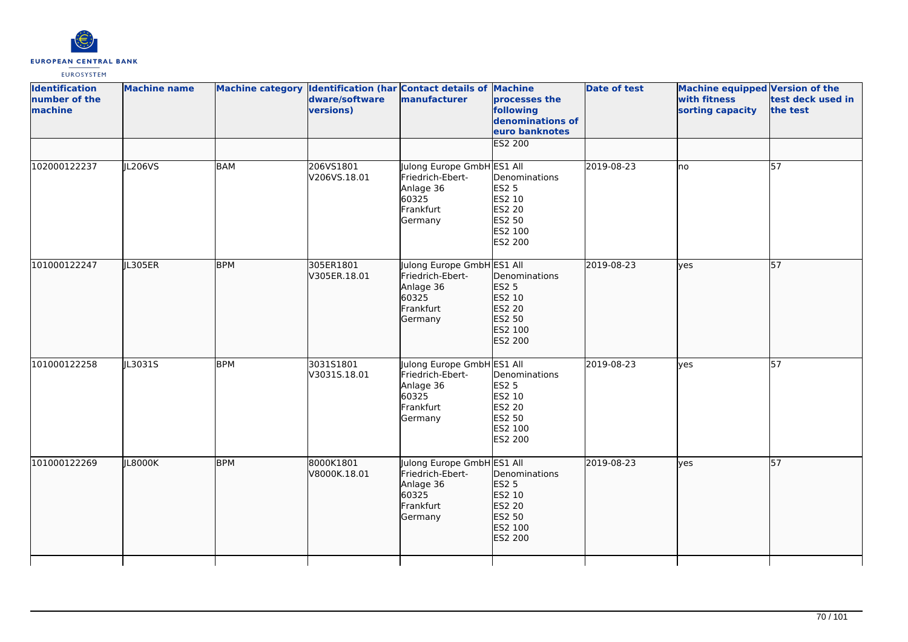

| <b>Identification</b><br>number of the<br>machine | <b>Machine name</b> |            | dware/software<br>versions) | Machine category Identification (har Contact details of Machine<br>manufacturer              | processes the<br>following<br>denominations of<br>euro banknotes<br><b>ES2 200</b>       | <b>Date of test</b> | Machine equipped Version of the<br>with fitness<br>sorting capacity | test deck used in<br>the test |
|---------------------------------------------------|---------------------|------------|-----------------------------|----------------------------------------------------------------------------------------------|------------------------------------------------------------------------------------------|---------------------|---------------------------------------------------------------------|-------------------------------|
| 102000122237                                      | JL206VS             | <b>BAM</b> | 206VS1801<br>V206VS.18.01   | Julong Europe GmbH ES1 All<br>Friedrich-Ebert-<br>Anlage 36<br>60325<br>Frankfurt<br>Germany | Denominations<br><b>ES2 5</b><br>ES2 10<br><b>ES2 20</b><br>ES2 50<br>ES2 100<br>ES2 200 | 2019-08-23          | lno                                                                 | 57                            |
| 101000122247                                      | JL305ER             | <b>BPM</b> | 305ER1801<br>V305ER.18.01   | Julong Europe GmbH ES1 All<br>Friedrich-Ebert-<br>Anlage 36<br>60325<br>Frankfurt<br>Germany | Denominations<br>ES2 5<br>ES2 10<br>ES2 20<br>ES2 50<br>ES2 100<br>ES2 200               | 2019-08-23          | lyes                                                                | 57                            |
| 101000122258                                      | JL3031S             | <b>BPM</b> | 3031S1801<br>V3031S.18.01   | Julong Europe GmbH ES1 All<br>Friedrich-Ebert-<br>Anlage 36<br>60325<br>Frankfurt<br>Germany | Denominations<br>ES2 5<br>ES2 10<br>ES2 20<br>ES2 50<br>ES2 100<br>ES2 200               | 2019-08-23          | yes                                                                 | $\overline{57}$               |
| 101000122269                                      | <b>IL8000K</b>      | <b>BPM</b> | 8000K1801<br>V8000K.18.01   | Julong Europe GmbH ES1 All<br>Friedrich-Ebert-<br>Anlage 36<br>60325<br>Frankfurt<br>Germany | Denominations<br><b>ES2 5</b><br>ES2 10<br>ES2 20<br>ES2 50<br>ES2 100<br>ES2 200        | 2019-08-23          | lyes                                                                | $\overline{57}$               |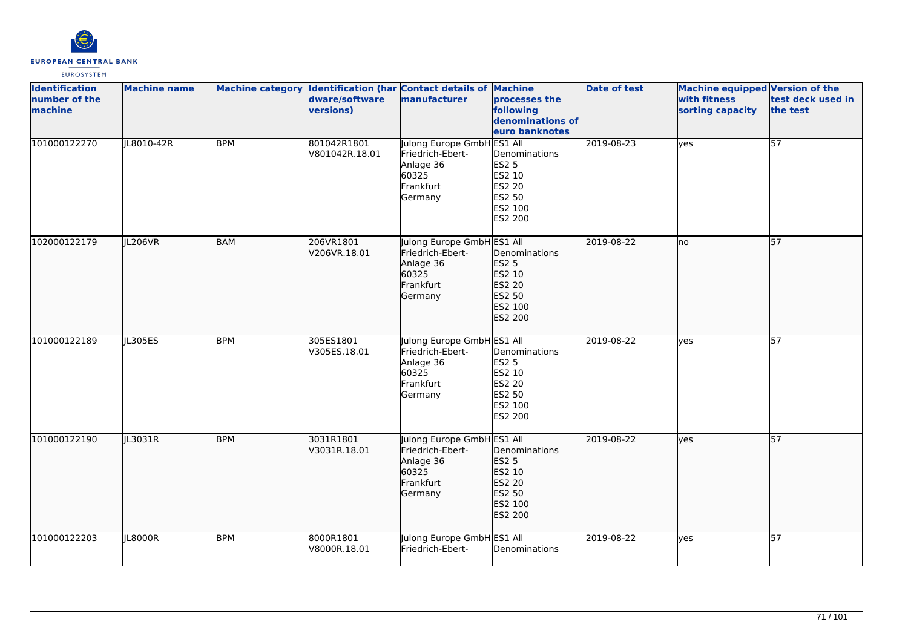

| <b>Identification</b><br>number of the<br>machine | <b>Machine name</b> |            | dware/software<br><b>versions)</b> | Machine category Identification (har Contact details of Machine<br>manufacturer              | processes the<br>following<br>denominations of<br>euro banknotes                  | <b>Date of test</b> | Machine equipped Version of the<br>with fitness<br>sorting capacity | test deck used in<br>the test |
|---------------------------------------------------|---------------------|------------|------------------------------------|----------------------------------------------------------------------------------------------|-----------------------------------------------------------------------------------|---------------------|---------------------------------------------------------------------|-------------------------------|
| 101000122270                                      | JL8010-42R          | <b>BPM</b> | 801042R1801<br>V801042R.18.01      | Julong Europe GmbH ES1 All<br>Friedrich-Ebert-<br>Anlage 36<br>60325<br>Frankfurt<br>Germany | Denominations<br><b>ES2 5</b><br>ES2 10<br>ES2 20<br>ES2 50<br>ES2 100<br>ES2 200 | 2019-08-23          | yes                                                                 | 57                            |
| 102000122179                                      | JL206VR             | <b>BAM</b> | 206VR1801<br>V206VR.18.01          | Julong Europe GmbH ES1 All<br>Friedrich-Ebert-<br>Anlage 36<br>60325<br>Frankfurt<br>Germany | Denominations<br>ES2 5<br>ES2 10<br>ES2 20<br>ES2 50<br>ES2 100<br>ES2 200        | 2019-08-22          | lno                                                                 | 57                            |
| 101000122189                                      | JL305ES             | <b>BPM</b> | 305ES1801<br>V305ES.18.01          | Julong Europe GmbH ES1 All<br>Friedrich-Ebert-<br>Anlage 36<br>60325<br>Frankfurt<br>Germany | Denominations<br><b>ES2 5</b><br>ES2 10<br>ES2 20<br>ES2 50<br>ES2 100<br>ES2 200 | 2019-08-22          | ves                                                                 | 57                            |
| 101000122190                                      | JL3031R             | <b>BPM</b> | 3031R1801<br>V3031R.18.01          | Julong Europe GmbH ES1 All<br>Friedrich-Ebert-<br>Anlage 36<br>60325<br>Frankfurt<br>Germany | Denominations<br><b>ES2 5</b><br>ES2 10<br>ES2 20<br>ES2 50<br>ES2 100<br>ES2 200 | 2019-08-22          | yes                                                                 | 57                            |
| 101000122203                                      | JL8000R             | <b>BPM</b> | 8000R1801<br>V8000R.18.01          | Julong Europe GmbH ES1 All<br>Friedrich-Ebert-                                               | Denominations                                                                     | 2019-08-22          | lyes                                                                | 57                            |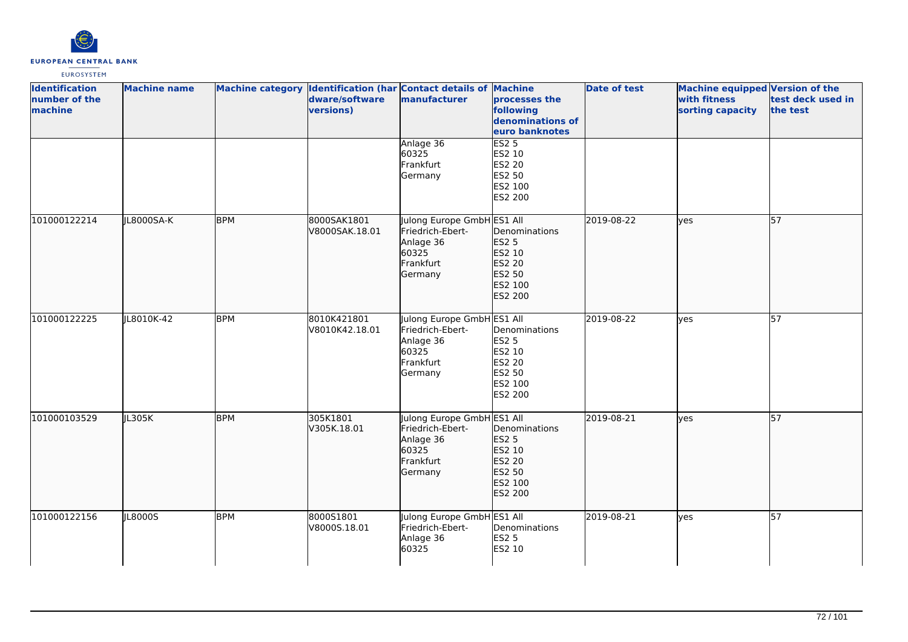

| <b>Identification</b><br>number of the<br>machine | <b>Machine name</b> |            | dware/software<br>versions)   | Machine category Identification (har Contact details of Machine<br>manufacturer              | processes the<br>following<br>denominations of<br>euro banknotes                  | Date of test | Machine equipped Version of the<br>with fitness<br>sorting capacity | test deck used in<br>the test |
|---------------------------------------------------|---------------------|------------|-------------------------------|----------------------------------------------------------------------------------------------|-----------------------------------------------------------------------------------|--------------|---------------------------------------------------------------------|-------------------------------|
|                                                   |                     |            |                               | Anlage 36<br>60325<br>Frankfurt<br>Germany                                                   | ES2 <sub>5</sub><br>ES2 10<br><b>ES2 20</b><br>ES2 50<br>ES2 100<br>ES2 200       |              |                                                                     |                               |
| 101000122214                                      | JL8000SA-K          | <b>BPM</b> | 8000SAK1801<br>V8000SAK.18.01 | Julong Europe GmbH ES1 All<br>Friedrich-Ebert-<br>Anlage 36<br>60325<br>Frankfurt<br>Germany | Denominations<br><b>ES2 5</b><br>ES2 10<br>ES2 20<br>ES2 50<br>ES2 100<br>ES2 200 | 2019-08-22   | lyes                                                                | 57                            |
| 101000122225                                      | JL8010K-42          | <b>BPM</b> | 8010K421801<br>V8010K42.18.01 | Julong Europe GmbH ES1 All<br>Friedrich-Ebert-<br>Anlage 36<br>60325<br>Frankfurt<br>Germany | Denominations<br><b>ES2 5</b><br>ES2 10<br>ES2 20<br>ES2 50<br>ES2 100<br>ES2 200 | 2019-08-22   | lyes                                                                | $\overline{57}$               |
| 101000103529                                      | JL305K              | <b>BPM</b> | 305K1801<br>V305K.18.01       | Julong Europe GmbH ES1 All<br>Friedrich-Ebert-<br>Anlage 36<br>60325<br>Frankfurt<br>Germany | Denominations<br>ES2 5<br>ES2 10<br>ES2 20<br>ES2 50<br>ES2 100<br>ES2 200        | 2019-08-21   | lves                                                                | $\overline{57}$               |
| 101000122156                                      | JL8000S             | <b>BPM</b> | 8000S1801<br>V8000S.18.01     | Julong Europe GmbH ES1 All<br>Friedrich-Ebert-<br>Anlage 36<br>60325                         | Denominations<br><b>ES2 5</b><br>ES2 10                                           | 2019-08-21   | lyes                                                                | 57                            |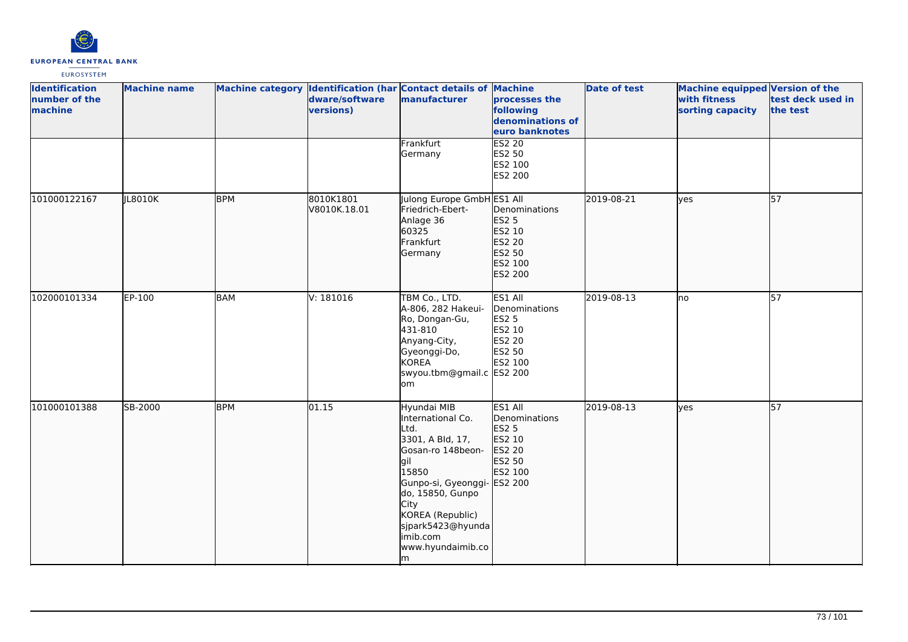

| <b>Identification</b><br>number of the<br>machine | <b>Machine name</b> |            | dware/software<br>versions) | Machine category Identification (har Contact details of Machine<br>manufacturer                                                                                                                                                      | processes the<br>following<br>denominations of<br>euro banknotes                             | <b>Date of test</b> | <b>Machine equipped Version of the</b><br>with fitness<br>sorting capacity | test deck used in<br>the test |
|---------------------------------------------------|---------------------|------------|-----------------------------|--------------------------------------------------------------------------------------------------------------------------------------------------------------------------------------------------------------------------------------|----------------------------------------------------------------------------------------------|---------------------|----------------------------------------------------------------------------|-------------------------------|
|                                                   |                     |            |                             | Frankfurt<br>Germany                                                                                                                                                                                                                 | <b>ES2 20</b><br>ES2 50<br>ES2 100<br><b>ES2 200</b>                                         |                     |                                                                            |                               |
| 101000122167                                      | JL8010K             | <b>BPM</b> | 8010K1801<br>V8010K.18.01   | Julong Europe GmbH ES1 All<br>Friedrich-Ebert-<br>Anlage 36<br>60325<br>Frankfurt<br>Germany                                                                                                                                         | Denominations<br>ES2 5<br>ES2 10<br>ES2 20<br>ES2 50<br>ES2 100<br>ES2 200                   | 2019-08-21          | ves                                                                        | 57                            |
| 102000101334                                      | EP-100              | <b>BAM</b> | V: 181016                   | TBM Co., LTD.<br>A-806, 282 Hakeui-<br>Ro, Dongan-Gu,<br>431-810<br>Anyang-City,<br>Gyeonggi-Do,<br><b>KOREA</b><br>swyou.tbm@gmail.c ES2 200<br>om.                                                                                 | ES1 All<br>Denominations<br>ES2 5<br>ES2 10<br>ES2 20<br>ES2 50<br>ES2 100                   | 2019-08-13          | lno                                                                        | $\overline{57}$               |
| 101000101388                                      | SB-2000             | <b>BPM</b> | 01.15                       | Hyundai MIB<br>International Co.<br>Ltd.<br>3301, A Bld, 17,<br>Gosan-ro 148beon-<br>lgil<br>15850<br>Gunpo-si, Gyeonggi-<br>do, 15850, Gunpo<br>City<br>KOREA (Republic)<br>sjpark5423@hyunda<br>imib.com<br>www.hyundaimib.co<br>m | ES1 All<br>Denominations<br>ES2 5<br>ES2 10<br>ES2 20<br>ES2 50<br>ES2 100<br><b>ES2 200</b> | 2019-08-13          | lyes                                                                       | 57                            |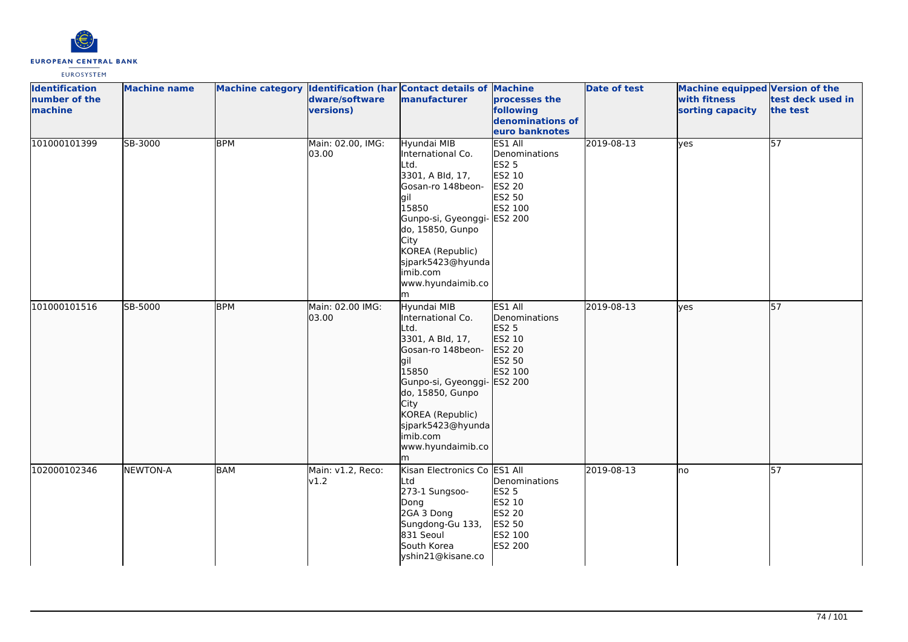

| <b>Identification</b><br>number of the<br>machine | <b>Machine name</b> |            | dware/software<br>versions) | Machine category Identification (har Contact details of Machine<br>manufacturer                                                                                                                                                                      | processes the<br>following<br>denominations of<br>euro banknotes                  | <b>Date of test</b> | <b>Machine equipped Version of the</b><br>with fitness<br>sorting capacity | test deck used in<br>the test |
|---------------------------------------------------|---------------------|------------|-----------------------------|------------------------------------------------------------------------------------------------------------------------------------------------------------------------------------------------------------------------------------------------------|-----------------------------------------------------------------------------------|---------------------|----------------------------------------------------------------------------|-------------------------------|
| 101000101399                                      | SB-3000             | <b>BPM</b> | Main: 02.00, IMG:<br>03.00  | Hyundai MIB<br>International Co.<br>Ltd.<br>3301, A Bld, 17,<br>Gosan-ro 148beon-<br>gil<br>15850<br>Gunpo-si, Gyeonggi- ES2 200<br>do, 15850, Gunpo<br>City<br>KOREA (Republic)<br>sjpark5423@hyunda<br>imib.com<br>www.hyundaimib.co<br>m          | ES1 All<br>Denominations<br><b>ES2 5</b><br>ES2 10<br>ES2 20<br>ES2 50<br>ES2 100 | 2019-08-13          | yes                                                                        | 57                            |
| 101000101516                                      | SB-5000             | <b>BPM</b> | Main: 02.00 IMG:<br>03.00   | Hyundai MIB<br>International Co.<br>Ltd.<br>3301, A Bld, 17,<br>Gosan-ro 148beon-<br>gil<br>15850<br>Gunpo-si, Gyeonggi- ES2 200<br>do, 15850, Gunpo<br><b>City</b><br>KOREA (Republic)<br>sjpark5423@hyunda<br>imib.com<br>www.hyundaimib.co<br>lm. | ES1 All<br>Denominations<br><b>ES2 5</b><br>ES2 10<br>ES2 20<br>ES2 50<br>ES2 100 | 2019-08-13          | yes                                                                        | $\overline{57}$               |
| 102000102346                                      | <b>NEWTON-A</b>     | <b>BAM</b> | Main: v1.2, Reco:<br>v1.2   | Kisan Electronics Co ES1 All<br>Ltd<br>273-1 Sungsoo-<br>Dong<br>2GA 3 Dong<br>Sungdong-Gu 133,<br>831 Seoul<br>South Korea<br>yshin21@kisane.co                                                                                                     | Denominations<br><b>ES2 5</b><br>ES2 10<br>ES2 20<br>ES2 50<br>ES2 100<br>ES2 200 | 2019-08-13          | no                                                                         | 57                            |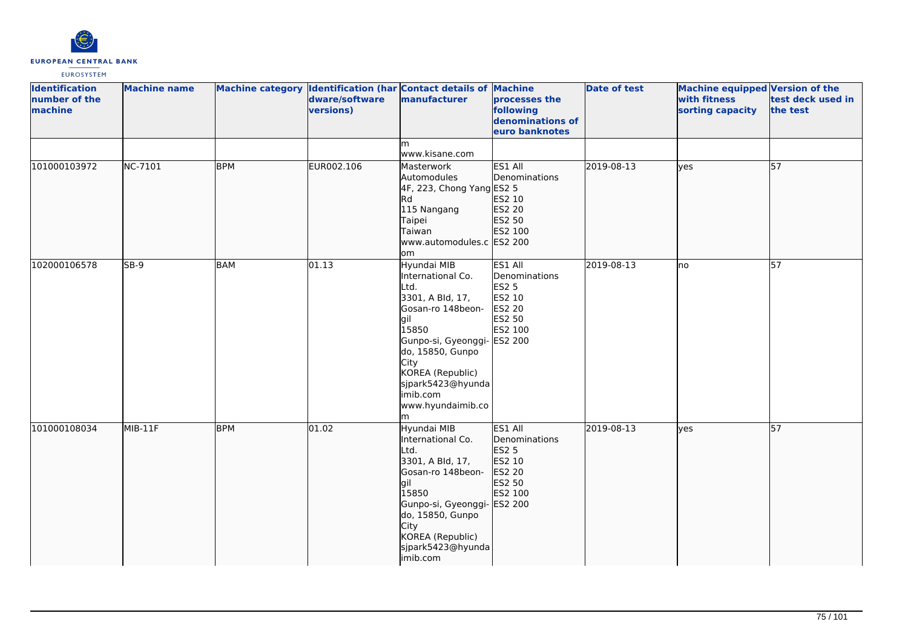

| <b>Identification</b><br>number of the<br>machine | <b>Machine name</b> |            | dware/software<br>versions) | Machine category Identification (har Contact details of Machine<br>manufacturer                                                                                                                                                      | processes the<br>following<br>denominations of<br>euro banknotes                             | <b>Date of test</b> | <b>Machine equipped Version of the</b><br>with fitness<br>sorting capacity | test deck used in<br>the test |
|---------------------------------------------------|---------------------|------------|-----------------------------|--------------------------------------------------------------------------------------------------------------------------------------------------------------------------------------------------------------------------------------|----------------------------------------------------------------------------------------------|---------------------|----------------------------------------------------------------------------|-------------------------------|
|                                                   |                     |            |                             | m<br>www.kisane.com                                                                                                                                                                                                                  |                                                                                              |                     |                                                                            |                               |
| 101000103972                                      | <b>NC-7101</b>      | <b>BPM</b> | EUR002.106                  | Masterwork<br>Automodules<br>4F, 223, Chong Yang ES2 5<br>Rd<br>115 Nangang<br>Taipei<br>Taiwan<br>www.automodules.c ES2 200<br>om                                                                                                   | ES1 All<br>Denominations<br>ES2 10<br>ES2 20<br>ES2 50<br>ES2 100                            | 2019-08-13          | ves                                                                        | $\overline{57}$               |
| 102000106578                                      | SB-9                | <b>BAM</b> | 01.13                       | Hyundai MIB<br>International Co.<br>Ltd.<br>3301, A Bld, 17,<br>Gosan-ro 148beon-<br>lgil<br>15850<br>Gunpo-si, Gyeonggi-<br>do, 15850, Gunpo<br>City<br>KOREA (Republic)<br>sjpark5423@hyunda<br>imib.com<br>www.hyundaimib.co<br>m | ES1 All<br>Denominations<br><b>ES2 5</b><br>ES2 10<br>ES2 20<br>ES2 50<br>ES2 100<br>ES2 200 | 2019-08-13          | lno                                                                        | 57                            |
| 101000108034                                      | MIB-11F             | <b>BPM</b> | 01.02                       | Hyundai MIB<br>International Co.<br>Ltd.<br>3301, A Bld, 17,<br>Gosan-ro 148beon-<br>gil<br>15850<br>Gunpo-si, Gyeonggi- ES2 200<br>do, 15850, Gunpo<br>City<br>KOREA (Republic)<br>sjpark5423@hyunda<br>imib.com                    | ES1 All<br>Denominations<br><b>ES2 5</b><br>ES2 10<br>ES2 20<br>ES2 50<br>ES2 100            | 2019-08-13          | lves                                                                       | $\overline{57}$               |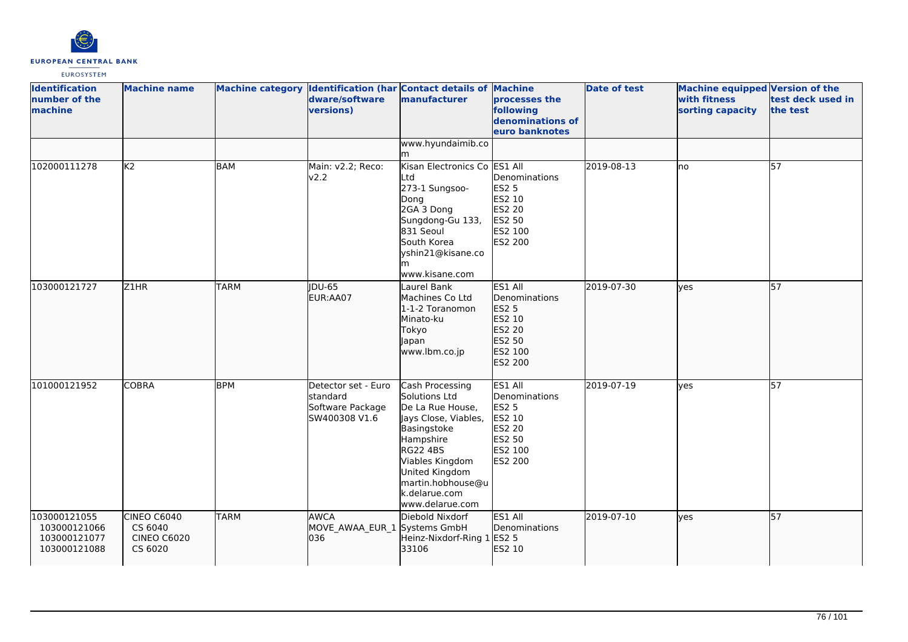

| <b>Identification</b><br>number of the<br>machine            | <b>Machine name</b>                                     |             | dware/software<br>versions)                                          | Machine category Identification (har Contact details of Machine<br>manufacturer                                                                                                                                           | processes the<br>following<br>denominations of<br>euro banknotes                                    | <b>Date of test</b> | <b>Machine equipped Version of the</b><br>with fitness<br>sorting capacity | test deck used in<br>the test |
|--------------------------------------------------------------|---------------------------------------------------------|-------------|----------------------------------------------------------------------|---------------------------------------------------------------------------------------------------------------------------------------------------------------------------------------------------------------------------|-----------------------------------------------------------------------------------------------------|---------------------|----------------------------------------------------------------------------|-------------------------------|
|                                                              |                                                         |             |                                                                      | www.hyundaimib.co<br>m                                                                                                                                                                                                    |                                                                                                     |                     |                                                                            |                               |
| 102000111278                                                 | K <sub>2</sub>                                          | <b>BAM</b>  | Main: v2.2; Reco:<br>v2.2                                            | Kisan Electronics Co ES1 All<br>Ltd<br>273-1 Sungsoo-<br>Dong<br>2GA 3 Dong<br>Sungdong-Gu 133,<br>831 Seoul<br>South Korea<br>yshin21@kisane.co<br>m<br>www.kisane.com                                                   | Denominations<br><b>ES2 5</b><br>ES2 10<br>ES2 20<br>ES2 50<br>ES2 100<br>ES2 200                   | 2019-08-13          | lno                                                                        | 57                            |
| 103000121727                                                 | Z1HR                                                    | <b>TARM</b> | <b>IDU-65</b><br>EUR:AA07                                            | Laurel Bank<br>Machines Co Ltd<br>1-1-2 Toranomon<br>Minato-ku<br>Tokyo<br>Japan<br>www.lbm.co.jp                                                                                                                         | ES1 All<br>Denominations<br><b>ES2 5</b><br>ES2 10<br>ES2 20<br>ES2 50<br>ES2 100<br>ES2 200        | 2019-07-30          | lves                                                                       | 57                            |
| 101000121952                                                 | <b>COBRA</b>                                            | <b>BPM</b>  | Detector set - Euro<br>standard<br>Software Package<br>SW400308 V1.6 | Cash Processing<br>Solutions Ltd<br>De La Rue House,<br>Jays Close, Viables,<br>Basingstoke<br>Hampshire<br><b>RG22 4BS</b><br>Viables Kingdom<br>United Kingdom<br>martin.hobhouse@u<br>k.delarue.com<br>www.delarue.com | ES1 All<br>Denominations<br><b>ES2 5</b><br>ES2 10<br><b>ES2 20</b><br>ES2 50<br>ES2 100<br>ES2 200 | 2019-07-19          | ves                                                                        | 57                            |
| 103000121055<br>103000121066<br>103000121077<br>103000121088 | CINEO C6040<br>CS 6040<br><b>CINEO C6020</b><br>CS 6020 | <b>TARM</b> | <b>IAWCA</b><br>MOVE_AWAA_EUR_1 Systems GmbH<br>036                  | Diebold Nixdorf<br>Heinz-Nixdorf-Ring 1 ES2 5<br>33106                                                                                                                                                                    | ES1 All<br>Denominations<br>ES2 10                                                                  | 2019-07-10          | yes                                                                        | 57                            |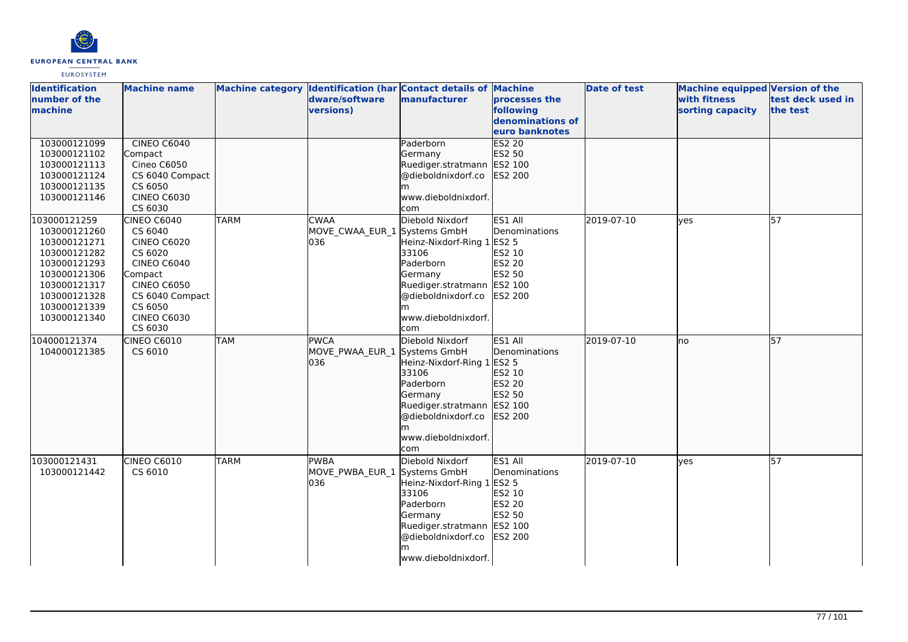

| <b>Identification</b><br>number of the<br>machine                                                                                                            | <b>Machine name</b>                                                                                                                                                           |             | dware/software<br><b>versions)</b>                  | Machine category  Identification (har Contact details of Machine<br>manufacturer                                                                                               | processes the<br>following<br>denominations of<br>euro banknotes                    | <b>Date of test</b> | <b>Machine equipped Version of the</b><br>with fitness<br>sorting capacity | test deck used in<br>the test |
|--------------------------------------------------------------------------------------------------------------------------------------------------------------|-------------------------------------------------------------------------------------------------------------------------------------------------------------------------------|-------------|-----------------------------------------------------|--------------------------------------------------------------------------------------------------------------------------------------------------------------------------------|-------------------------------------------------------------------------------------|---------------------|----------------------------------------------------------------------------|-------------------------------|
| 103000121099<br>103000121102<br>103000121113<br>103000121124<br>103000121135<br>103000121146                                                                 | <b>CINEO C6040</b><br>Compact<br>Cineo C6050<br>CS 6040 Compact<br>CS 6050<br><b>CINEO C6030</b><br>CS 6030                                                                   |             |                                                     | Paderborn<br>Germany<br>Ruediger.stratmann ES2 100<br>@dieboldnixdorf.co<br>m<br>www.dieboldnixdorf.<br>com                                                                    | <b>ES2 20</b><br>ES2 50<br>ES2 200                                                  |                     |                                                                            |                               |
| 103000121259<br>103000121260<br>103000121271<br>103000121282<br>103000121293<br>103000121306<br>103000121317<br>103000121328<br>103000121339<br>103000121340 | <b>CINEO C6040</b><br>CS 6040<br><b>CINEO C6020</b><br>CS 6020<br>CINEO C6040<br>Compact<br><b>CINEO C6050</b><br>CS 6040 Compact<br>CS 6050<br><b>CINEO C6030</b><br>CS 6030 | <b>TARM</b> | <b>CWAA</b><br>MOVE_CWAA_EUR_1 Systems GmbH<br>036  | Diebold Nixdorf<br>Heinz-Nixdorf-Ring 1 ES2 5<br>33106<br>Paderborn<br>Germany<br>Ruediger.stratmann<br>@dieboldnixdorf.co<br>m<br>www.dieboldnixdorf.<br>com                  | ES1 All<br>Denominations<br>ES2 10<br><b>ES2 20</b><br>ES2 50<br>ES2 100<br>ES2 200 | 2019-07-10          | yes                                                                        | 57                            |
| 104000121374<br>104000121385                                                                                                                                 | <b>CINEO C6010</b><br>CS 6010                                                                                                                                                 | <b>TAM</b>  | <b>IPWCA</b><br>MOVE_PWAA_EUR_1 Systems GmbH<br>036 | Diebold Nixdorf<br>Heinz-Nixdorf-Ring 1 ES2 5<br>33106<br>Paderborn<br>Germany<br>Ruediger.stratmann<br>@dieboldnixdorf.co<br>www.dieboldnixdorf.<br>com                       | ES1 All<br>Denominations<br>ES2 10<br>ES2 20<br>ES2 50<br>ES2 100<br>ES2 200        | 2019-07-10          | lno                                                                        | 57                            |
| 103000121431<br>103000121442                                                                                                                                 | <b>CINEO C6010</b><br>CS 6010                                                                                                                                                 | <b>TARM</b> | <b>PWBA</b><br>MOVE PWBA EUR 1<br>036               | Diebold Nixdorf<br>Systems GmbH<br>Heinz-Nixdorf-Ring 1 ES2 5<br>33106<br>Paderborn<br>Germany<br>Ruediger.stratmann ES2 100<br>@dieboldnixdorf.co<br>m<br>www.dieboldnixdorf. | ES1 All<br>Denominations<br>ES2 10<br><b>ES2 20</b><br>ES2 50<br><b>ES2 200</b>     | 2019-07-10          | yes                                                                        | 57                            |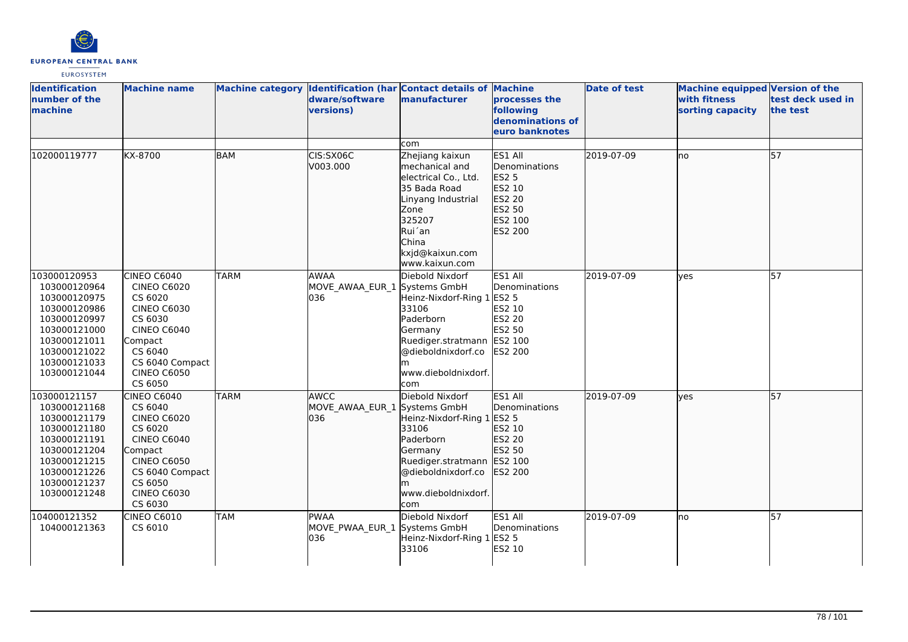

| <b>Identification</b><br>number of the<br>machine                                                                                                            | <b>Machine name</b>                                                                                                                                                                  |             | dware/software<br><b>versions)</b>                 | Machine category  Identification (har Contact details of Machine<br>manufacturer                                                                                                      | processes the<br>following<br>denominations of<br>euro banknotes                             | <b>Date of test</b> | Machine equipped Version of the<br>with fitness<br>sorting capacity | test deck used in<br>the test |
|--------------------------------------------------------------------------------------------------------------------------------------------------------------|--------------------------------------------------------------------------------------------------------------------------------------------------------------------------------------|-------------|----------------------------------------------------|---------------------------------------------------------------------------------------------------------------------------------------------------------------------------------------|----------------------------------------------------------------------------------------------|---------------------|---------------------------------------------------------------------|-------------------------------|
|                                                                                                                                                              |                                                                                                                                                                                      |             |                                                    | com                                                                                                                                                                                   |                                                                                              |                     |                                                                     |                               |
| 102000119777                                                                                                                                                 | KX-8700                                                                                                                                                                              | <b>BAM</b>  | CIS:SX06C<br>V003.000                              | Zhejiang kaixun<br>mechanical and<br>electrical Co., Ltd.<br>35 Bada Road<br>Linyang Industrial<br>Zone<br>325207<br>Rui'an<br>China<br>kxjd@kaixun.com<br>www.kaixun.com             | ES1 All<br>Denominations<br><b>ES2 5</b><br>ES2 10<br>ES2 20<br>ES2 50<br>ES2 100<br>ES2 200 | 2019-07-09          | no                                                                  | 57                            |
| 103000120953<br>103000120964<br>103000120975<br>103000120986<br>103000120997<br>103000121000<br>103000121011<br>103000121022<br>103000121033<br>103000121044 | CINEO C6040<br><b>CINEO C6020</b><br>CS 6020<br><b>CINEO C6030</b><br>CS 6030<br><b>CINEO C6040</b><br>Compact<br>CS 6040<br>CS 6040 Compact<br><b>CINEO C6050</b><br>CS 6050        | <b>TARM</b> | <b>AWAA</b><br>MOVE AWAA EUR 1 Systems GmbH<br>036 | Diebold Nixdorf<br>Heinz-Nixdorf-Ring 1<br>33106<br>Paderborn<br>Germany<br>Ruediger.stratmann ES2 100<br>@dieboldnixdorf.co<br>www.dieboldnixdorf.<br>com                            | ES1 All<br>Denominations<br><b>ES2 5</b><br>ES2 10<br><b>ES2 20</b><br>ES2 50<br>ES2 200     | 2019-07-09          | ves                                                                 | 57                            |
| 103000121157<br>103000121168<br>103000121179<br>103000121180<br>103000121191<br>103000121204<br>103000121215<br>103000121226<br>103000121237<br>103000121248 | <b>CINEO C6040</b><br>CS 6040<br><b>CINEO C6020</b><br>CS 6020<br><b>CINEO C6040</b><br>Compact<br><b>CINEO C6050</b><br>CS 6040 Compact<br>CS 6050<br><b>CINEO C6030</b><br>CS 6030 | <b>TARM</b> | <b>AWCC</b><br>MOVE AWAA EUR 1<br>l036             | Diebold Nixdorf<br>Systems GmbH<br>Heinz-Nixdorf-Ring 1 ES2 5<br>33106<br>Paderborn<br>Germany<br>Ruediger.stratmann ES2 100<br>@dieboldnixdorf.co<br>m<br>www.dieboldnixdorf.<br>com | ES1 All<br><b>I</b> Denominations<br>ES2 10<br>ES2 20<br>ES2 50<br><b>ES2 200</b>            | 2019-07-09          | ves                                                                 | 57                            |
| 104000121352<br>104000121363                                                                                                                                 | <b>CINEO C6010</b><br>CS 6010                                                                                                                                                        | <b>TAM</b>  | PWAA<br>MOVE PWAA EUR 1 Systems GmbH<br>036        | Diebold Nixdorf<br>Heinz-Nixdorf-Ring 1 ES2 5<br>33106                                                                                                                                | ES1 All<br>Denominations<br>ES2 10                                                           | 2019-07-09          | lno                                                                 | 57                            |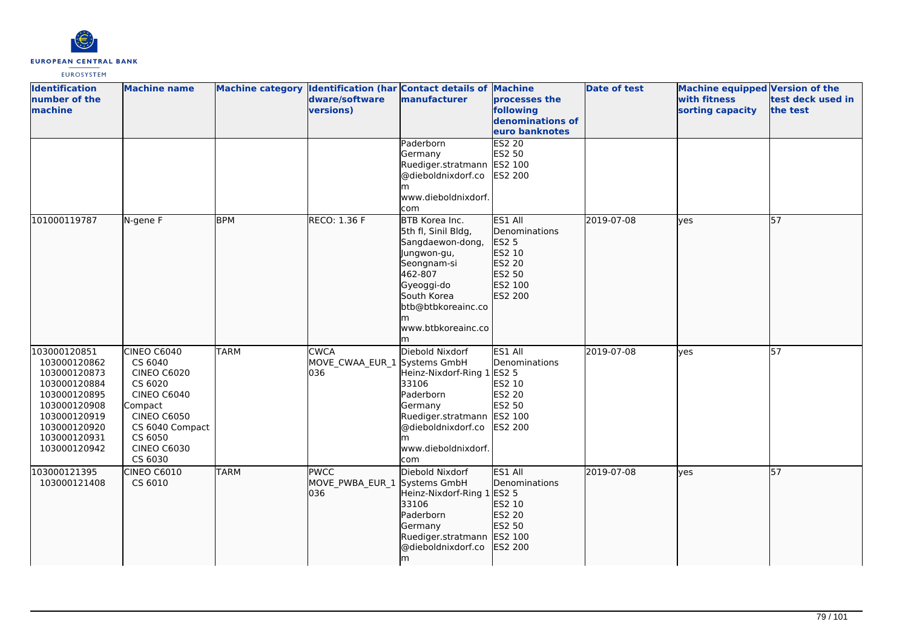

| <b>Identification</b><br>number of the<br>machine                                                                                                            | <b>Machine name</b>                                                                                                                                                    |             | dware/software<br>versions)                        | Machine category Identification (har Contact details of Machine<br>manufacturer                                                                                             | processes the<br>following<br>denominations of<br>euro banknotes                      | <b>Date of test</b> | Machine equipped Version of the<br>with fitness<br>sorting capacity | test deck used in<br>the test |
|--------------------------------------------------------------------------------------------------------------------------------------------------------------|------------------------------------------------------------------------------------------------------------------------------------------------------------------------|-------------|----------------------------------------------------|-----------------------------------------------------------------------------------------------------------------------------------------------------------------------------|---------------------------------------------------------------------------------------|---------------------|---------------------------------------------------------------------|-------------------------------|
|                                                                                                                                                              |                                                                                                                                                                        |             |                                                    | Paderborn<br>Germany<br>Ruediger.stratmann ES2 100<br>@dieboldnixdorf.co<br>www.dieboldnixdorf.<br>com                                                                      | ES2 20<br>ES2 50<br><b>ES2 200</b>                                                    |                     |                                                                     |                               |
| 101000119787                                                                                                                                                 | N-gene F                                                                                                                                                               | <b>BPM</b>  | <b>RECO: 1.36 F</b>                                | BTB Korea Inc.<br>5th fl, Sinil Bldg,<br>Sangdaewon-dong,<br>Jungwon-gu,<br>Seongnam-si<br>462-807<br>Gyeoggi-do<br>South Korea<br>btb@btbkoreainc.co<br>www.btbkoreainc.co | ES1 All<br>Denominations<br>ES2 5<br>ES2 10<br>ES2 20<br>ES2 50<br>ES2 100<br>ES2 200 | 2019-07-08          | lves                                                                | 57                            |
| 103000120851<br>103000120862<br>103000120873<br>103000120884<br>103000120895<br>103000120908<br>103000120919<br>103000120920<br>103000120931<br>103000120942 | CINEO C6040<br>CS 6040<br>CINEO C6020<br>CS 6020<br><b>CINEO C6040</b><br>Compact<br><b>CINEO C6050</b><br>CS 6040 Compact<br>CS 6050<br><b>CINEO C6030</b><br>CS 6030 | <b>TARM</b> | <b>CWCA</b><br>MOVE_CWAA_EUR_1 Systems GmbH<br>036 | Diebold Nixdorf<br>Heinz-Nixdorf-Ring 1 ES2 5<br>33106<br>Paderborn<br>Germany<br>Ruediger.stratmann ES2 100<br>@dieboldnixdorf.co<br>www.dieboldnixdorf.<br>com            | ES1 All<br>Denominations<br>ES2 10<br><b>ES2 20</b><br>ES2 50<br>ES2 200              | 2019-07-08          | lyes                                                                | 57                            |
| 103000121395<br>103000121408                                                                                                                                 | CINEO C6010<br>CS 6010                                                                                                                                                 | <b>TARM</b> | <b>PWCC</b><br>MOVE_PWBA_EUR_1<br>036              | Diebold Nixdorf<br>Systems GmbH<br>Heinz-Nixdorf-Ring 1 ES2 5<br>33106<br>Paderborn<br>Germany<br>Ruediger.stratmann<br>@dieboldnixdorf.co<br>m                             | ES1 All<br>Denominations<br>ES2 10<br>ES2 20<br>ES2 50<br>ES2 100<br><b>ES2 200</b>   | 2019-07-08          | lyes                                                                | 57                            |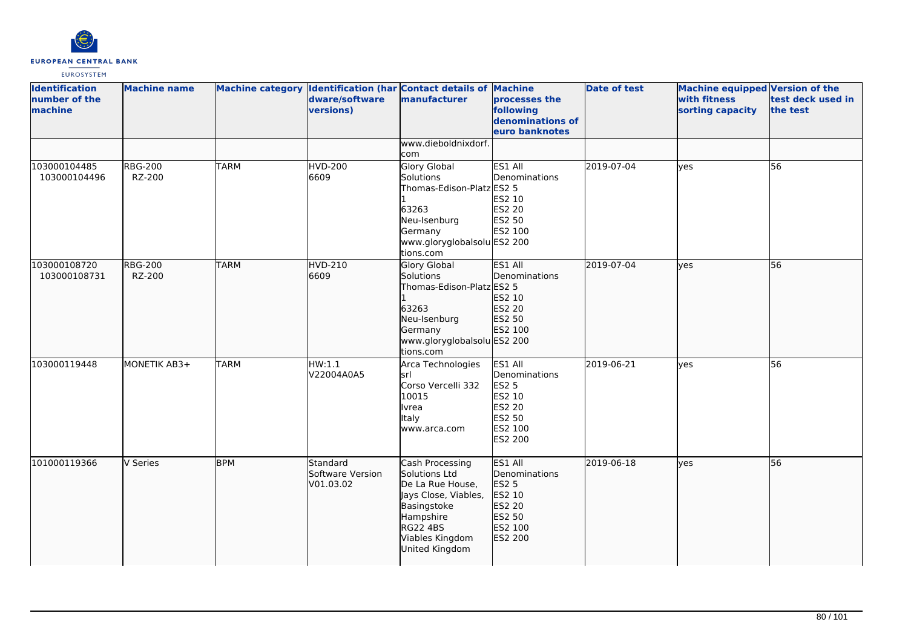

| <b>Identification</b><br>number of the<br>machine | <b>Machine name</b>      |             | dware/software<br>versions)                      | Machine category Identification (har Contact details of Machine<br>manufacturer                                                                           | processes the<br>following<br>denominations of<br>euro banknotes                                    | <b>Date of test</b> | Machine equipped Version of the<br>with fitness<br>sorting capacity | test deck used in<br>the test |
|---------------------------------------------------|--------------------------|-------------|--------------------------------------------------|-----------------------------------------------------------------------------------------------------------------------------------------------------------|-----------------------------------------------------------------------------------------------------|---------------------|---------------------------------------------------------------------|-------------------------------|
|                                                   |                          |             |                                                  | www.dieboldnixdorf.<br>com                                                                                                                                |                                                                                                     |                     |                                                                     |                               |
| 103000104485<br>103000104496                      | <b>RBG-200</b><br>RZ-200 | <b>TARM</b> | <b>HVD-200</b><br>6609                           | Glory Global<br>Solutions<br>Thomas-Edison-Platz ES2 5<br>63263<br>Neu-Isenburg<br>Germany<br>www.gloryglobalsolu ES2 200<br>tions.com                    | ES1 All<br>Denominations<br>ES2 10<br>ES2 20<br>ES2 50<br>ES2 100                                   | 2019-07-04          | ves                                                                 | 56                            |
| 103000108720<br>103000108731                      | <b>RBG-200</b><br>RZ-200 | <b>TARM</b> | <b>HVD-210</b><br>6609                           | Glory Global<br>Solutions<br>Thomas-Edison-Platz ES2 5<br>63263<br>Neu-Isenburg<br>Germany<br>www.gloryglobalsolu ES2 200<br>tions.com                    | ES1 All<br>Denominations<br>ES2 10<br>ES2 20<br>ES2 50<br>ES2 100                                   | 2019-07-04          | lyes                                                                | 56                            |
| 103000119448                                      | MONETIK AB3+             | <b>TARM</b> | HW:1.1<br>V22004A0A5                             | Arca Technologies<br>lsrl<br>Corso Vercelli 332<br>10015<br>Ivrea<br><b>Italy</b><br>www.arca.com                                                         | ES1 All<br>Denominations<br><b>ES2 5</b><br>ES2 10<br><b>ES2 20</b><br>ES2 50<br>ES2 100<br>ES2 200 | 2019-06-21          | <b>l</b> ves                                                        | 56                            |
| 101000119366                                      | V Series                 | <b>BPM</b>  | <b>Standard</b><br>Software Version<br>V01.03.02 | Cash Processing<br>Solutions Ltd<br>De La Rue House,<br>Jays Close, Viables,<br>Basingstoke<br>Hampshire<br>RG22 4BS<br>Viables Kingdom<br>United Kingdom | ES1 All<br>Denominations<br><b>ES2 5</b><br>ES2 10<br>ES2 20<br>ES2 50<br>ES2 100<br>ES2 200        | 2019-06-18          | ves                                                                 | 56                            |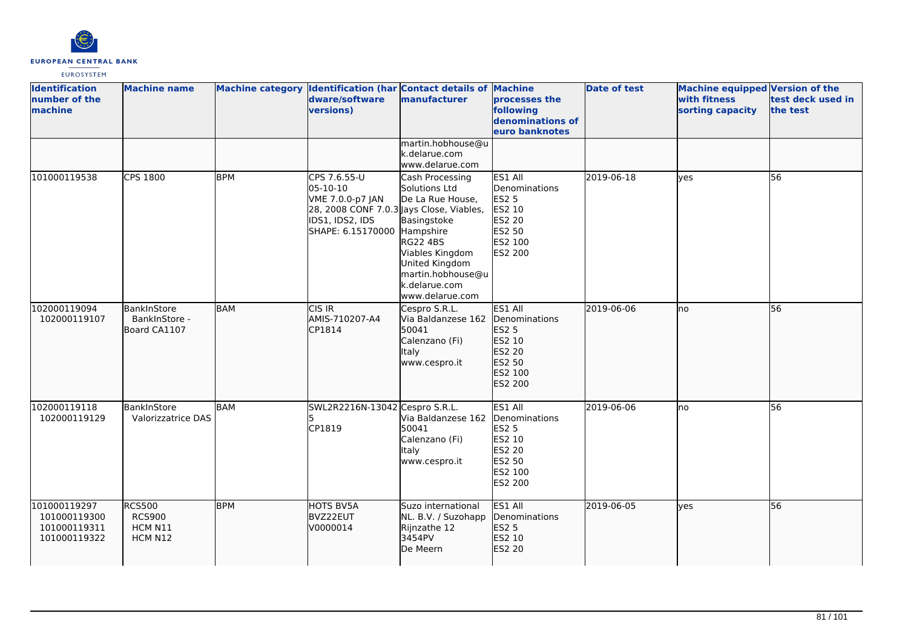

| <b>Identification</b><br>number of the<br>machine            | <b>Machine name</b>                                  |            | Machine category Identification (har Contact details of Machine<br>dware/software<br>versions)                                             | manufacturer                                                                                                                                                                         | processes the<br>following<br>denominations of<br>euro banknotes                                    | <b>Date of test</b> | <b>Machine equipped Version of the</b><br>with fitness<br>sorting capacity | test deck used in<br>the test |
|--------------------------------------------------------------|------------------------------------------------------|------------|--------------------------------------------------------------------------------------------------------------------------------------------|--------------------------------------------------------------------------------------------------------------------------------------------------------------------------------------|-----------------------------------------------------------------------------------------------------|---------------------|----------------------------------------------------------------------------|-------------------------------|
|                                                              |                                                      |            |                                                                                                                                            | martin.hobhouse@u<br>k.delarue.com<br>www.delarue.com                                                                                                                                |                                                                                                     |                     |                                                                            |                               |
| 101000119538                                                 | CPS 1800                                             | <b>BPM</b> | CPS 7.6.55-U<br>05-10-10<br>VME 7.0.0-p7 JAN<br>28, 2008 CONF 7.0.3 Jays Close, Viables,<br>IDS1, IDS2, IDS<br>SHAPE: 6.15170000 Hampshire | Cash Processing<br>Solutions Ltd<br>De La Rue House,<br>Basingstoke<br><b>RG22 4BS</b><br>Viables Kingdom<br>United Kingdom<br>martin.hobhouse@u<br>k.delarue.com<br>www.delarue.com | ES1 All<br>Denominations<br><b>ES2 5</b><br>ES2 10<br><b>ES2 20</b><br>ES2 50<br>ES2 100<br>ES2 200 | 2019-06-18          | lyes                                                                       | $\overline{56}$               |
| 102000119094<br>102000119107                                 | BankInStore<br>BankInStore -<br>Board CA1107         | BAM        | CIS IR<br>AMIS-710207-A4<br>CP1814                                                                                                         | Cespro S.R.L.<br>Via Baldanzese 162<br>50041<br>Calenzano (Fi)<br><b>Italy</b><br>www.cespro.it                                                                                      | ES1 All<br>Denominations<br><b>ES2 5</b><br>ES2 10<br>ES2 20<br>ES2 50<br>ES2 100<br>ES2 200        | 2019-06-06          | lno                                                                        | 56                            |
| 102000119118<br>102000119129                                 | BankInStore<br>Valorizzatrice DAS                    | <b>BAM</b> | SWL2R2216N-13042 Cespro S.R.L.<br>CP1819                                                                                                   | Via Baldanzese 162<br>50041<br>Calenzano (Fi)<br><b>Italy</b><br>www.cespro.it                                                                                                       | ES1 All<br>Denominations<br><b>ES2 5</b><br>ES2 10<br>ES2 20<br>ES2 50<br>ES2 100<br>ES2 200        | 2019-06-06          | lno                                                                        | 56                            |
| 101000119297<br>101000119300<br>101000119311<br>101000119322 | <b>RCS500</b><br><b>RCS900</b><br>HCM N11<br>HCM N12 | <b>BPM</b> | HOTS BV5A<br>BVZ22EUT<br>V0000014                                                                                                          | Suzo international<br>NL. B.V. / Suzohapp<br>Rijnzathe 12<br>3454PV<br>De Meern                                                                                                      | ES1 All<br>Denominations<br>ES2 5<br>ES2 10<br>ES2 20                                               | 2019-06-05          | lyes                                                                       | 56                            |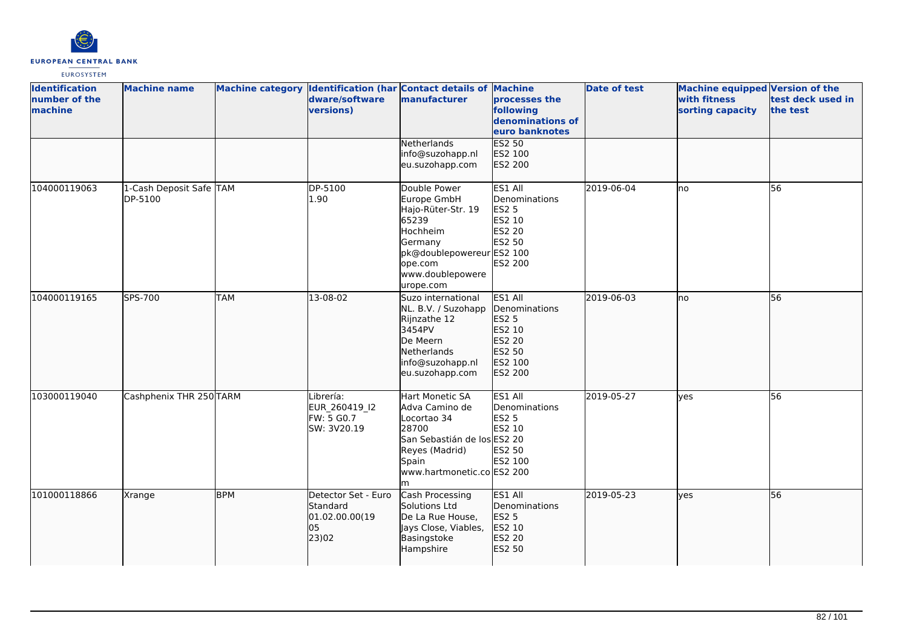

| <b>Identification</b><br>number of the<br>machine | <b>Machine name</b>                |            | dware/software<br>versions)                                      | Machine category Identification (har Contact details of Machine<br>manufacturer                                                                           | processes the<br>following<br>denominations of<br>euro banknotes                      | <b>Date of test</b> | Machine equipped Version of the<br>with fitness<br>sorting capacity | test deck used in<br>the test |
|---------------------------------------------------|------------------------------------|------------|------------------------------------------------------------------|-----------------------------------------------------------------------------------------------------------------------------------------------------------|---------------------------------------------------------------------------------------|---------------------|---------------------------------------------------------------------|-------------------------------|
|                                                   |                                    |            |                                                                  | Netherlands<br>info@suzohapp.nl<br>eu.suzohapp.com                                                                                                        | <b>ES2 50</b><br>ES2 100<br>ES2 200                                                   |                     |                                                                     |                               |
| 104000119063                                      | 1-Cash Deposit Safe TAM<br>DP-5100 |            | DP-5100<br>1.90                                                  | Double Power<br>Europe GmbH<br>Hajo-Rüter-Str. 19<br>65239<br>Hochheim<br>Germany<br>pk@doublepowereurES2 100<br>ope.com<br>www.doublepowere<br>urope.com | ES1 All<br>Denominations<br><b>ES2 5</b><br>ES2 10<br>ES2 20<br>ES2 50<br>ES2 200     | 2019-06-04          | no                                                                  | 56                            |
| 104000119165                                      | SPS-700                            | <b>TAM</b> | 13-08-02                                                         | Suzo international<br>NL. B.V. / Suzohapp<br>Rijnzathe 12<br>3454PV<br>De Meern<br>Netherlands<br>info@suzohapp.nl<br>eu.suzohapp.com                     | ES1 All<br>Denominations<br>ES2 5<br>ES2 10<br>ES2 20<br>ES2 50<br>ES2 100<br>ES2 200 | 2019-06-03          | lno                                                                 | 56                            |
| 103000119040                                      | Cashphenix THR 250 TARM            |            | Librería:<br>EUR 260419 I2<br>FW: 5 G0.7<br>SW: 3V20.19          | Hart Monetic SA<br>Adva Camino de<br>Locortao 34<br>28700<br>San Sebastián de los ES2 20<br>Reyes (Madrid)<br>Spain<br>www.hartmonetic.co ES2 200<br>lm.  | ES1 All<br>Denominations<br><b>ES2 5</b><br>ES2 10<br>ES2 50<br>ES2 100               | 2019-05-27          | <b>l</b> ves                                                        | 56                            |
| 101000118866                                      | Xrange                             | <b>BPM</b> | Detector Set - Euro<br>Standard<br>01.02.00.00(19<br>05<br>23)02 | Cash Processing<br>Solutions Ltd<br>De La Rue House,<br>Jays Close, Viables,<br>Basingstoke<br>Hampshire                                                  | ES1 All<br>Denominations<br>ES2 5<br>ES2 10<br>ES2 20<br>ES2 50                       | 2019-05-23          | lves                                                                | 56                            |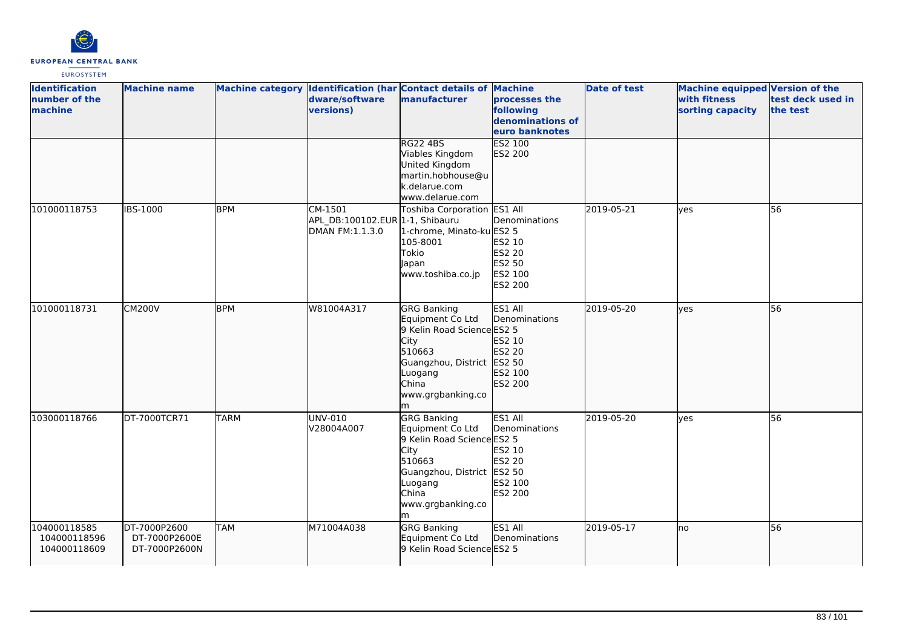

| <b>Identification</b><br>number of the<br>machine | <b>Machine name</b>                            |             | Machine category Identification (har Contact details of Machine<br>dware/software<br>versions) | manufacturer                                                                                                                                                        | processes the<br>following<br>denominations of<br>euro banknotes         | <b>Date of test</b> | <b>Machine equipped Version of the</b><br>with fitness<br>sorting capacity | test deck used in<br>the test |
|---------------------------------------------------|------------------------------------------------|-------------|------------------------------------------------------------------------------------------------|---------------------------------------------------------------------------------------------------------------------------------------------------------------------|--------------------------------------------------------------------------|---------------------|----------------------------------------------------------------------------|-------------------------------|
|                                                   |                                                |             |                                                                                                | <b>RG22 4BS</b><br>Viables Kingdom<br>United Kingdom<br>martin.hobhouse@u<br>k.delarue.com<br>www.delarue.com                                                       | <b>ES2 100</b><br>ES2 200                                                |                     |                                                                            |                               |
| 101000118753                                      | <b>IBS-1000</b>                                | <b>BPM</b>  | CM-1501<br>APL_DB:100102.EUR 1-1, Shibauru<br>DMAN FM:1.1.3.0                                  | Toshiba Corporation ES1 All<br>1-chrome, Minato-ku ES2 5<br>105-8001<br>Tokio<br>Japan<br>www.toshiba.co.jp                                                         | Denominations<br>ES2 10<br>ES2 20<br>ES2 50<br>ES2 100<br><b>ES2 200</b> | 2019-05-21          | yes                                                                        | 56                            |
| 101000118731                                      | <b>CM200V</b>                                  | <b>BPM</b>  | W81004A317                                                                                     | <b>GRG Banking</b><br>Equipment Co Ltd<br>9 Kelin Road Science ES2 5<br>City<br>510663<br>Guangzhou, District ES2 50<br>Luogang<br>China<br>www.grgbanking.co<br>m  | ES1 All<br>Denominations<br>ES2 10<br>ES2 20<br>ES2 100<br>ES2 200       | 2019-05-20          | lves                                                                       | 56                            |
| 103000118766                                      | DT-7000TCR71                                   | <b>TARM</b> | UNV-010<br>V28004A007                                                                          | <b>GRG Banking</b><br>Equipment Co Ltd<br>9 Kelin Road Science ES2 5<br>City<br>510663<br>Guangzhou, District ES2 50<br>Luogang<br>China<br>www.grgbanking.co<br>lm | ES1 All<br>Denominations<br>ES2 10<br>ES2 20<br>ES2 100<br>ES2 200       | 2019-05-20          | lves                                                                       | 56                            |
| 104000118585<br>104000118596<br>104000118609      | DT-7000P2600<br>DT-7000P2600E<br>DT-7000P2600N | <b>TAM</b>  | M71004A038                                                                                     | <b>GRG Banking</b><br>Equipment Co Ltd<br>9 Kelin Road Science ES2 5                                                                                                | ES1 All<br>Denominations                                                 | 2019-05-17          | lno                                                                        | 56                            |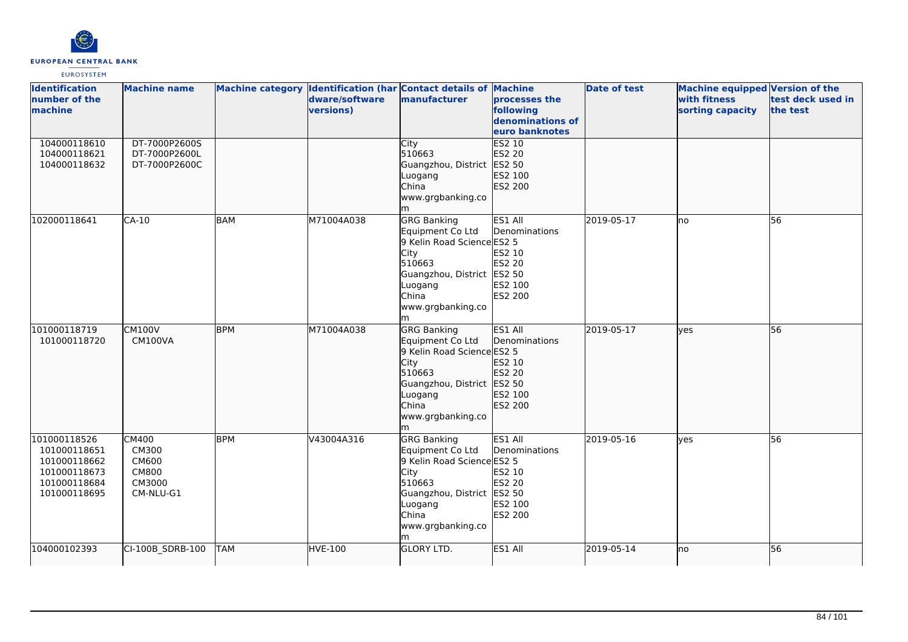

| <b>Identification</b><br>number of the<br>machine                                            | <b>Machine name</b>                                                   |            | dware/software<br>versions) | Machine category Identification (har Contact details of Machine<br>manufacturer                                                                                           | processes the<br>following<br>denominations of<br>euro banknotes          | <b>Date of test</b> | Machine equipped Version of the<br>with fitness<br>sorting capacity | test deck used in<br>the test |
|----------------------------------------------------------------------------------------------|-----------------------------------------------------------------------|------------|-----------------------------|---------------------------------------------------------------------------------------------------------------------------------------------------------------------------|---------------------------------------------------------------------------|---------------------|---------------------------------------------------------------------|-------------------------------|
| 104000118610<br>104000118621<br>104000118632                                                 | DT-7000P2600S<br>DT-7000P2600L<br>DT-7000P2600C                       |            |                             | <b>City</b><br>510663<br>Guangzhou, District<br>Luogang<br>China<br>www.grgbanking.co<br>m                                                                                | <b>ES2 10</b><br>ES2 20<br>ES2 50<br>ES2 100<br>ES2 200                   |                     |                                                                     |                               |
| 102000118641                                                                                 | $CA-10$                                                               | <b>BAM</b> | M71004A038                  | GRG Banking<br>Equipment Co Ltd<br>9 Kelin Road Science ES2 5<br><b>City</b><br>510663<br>Guangzhou, District ES2 50<br>Luogang<br>China<br>www.grgbanking.co<br>m        | ES1 All<br>Denominations<br>ES2 10<br><b>ES2 20</b><br>ES2 100<br>ES2 200 | 2019-05-17          | lno                                                                 | 56                            |
| 101000118719<br>101000118720                                                                 | <b>CM100V</b><br>CM100VA                                              | <b>BPM</b> | M71004A038                  | <b>GRG Banking</b><br>Equipment Co Ltd<br>9 Kelin Road Science ES2 5<br><b>City</b><br>510663<br>Guangzhou, District ES2 50<br>Luogang<br>China<br>www.grgbanking.co<br>m | ES1 All<br>Denominations<br>ES2 10<br>ES2 20<br>ES2 100<br>ES2 200        | 2019-05-17          | lyes                                                                | 56                            |
| 101000118526<br>101000118651<br>101000118662<br>101000118673<br>101000118684<br>101000118695 | CM400<br>CM300<br><b>CM600</b><br><b>CM800</b><br>CM3000<br>CM-NLU-G1 | <b>BPM</b> | V43004A316                  | <b>GRG Banking</b><br>Equipment Co Ltd<br>9 Kelin Road Science ES2 5<br>City<br>510663<br>Guangzhou, District ES2 50<br>Luogang<br>China<br>www.grgbanking.co<br>lm.      | ES1 All<br>Denominations<br>ES2 10<br>ES2 20<br>ES2 100<br>ES2 200        | 2019-05-16          | lyes                                                                | 56                            |
| 104000102393                                                                                 | CI-100B_SDRB-100                                                      | <b>TAM</b> | HVE-100                     | <b>GLORY LTD.</b>                                                                                                                                                         | ES1 All                                                                   | 2019-05-14          | lno                                                                 | 56                            |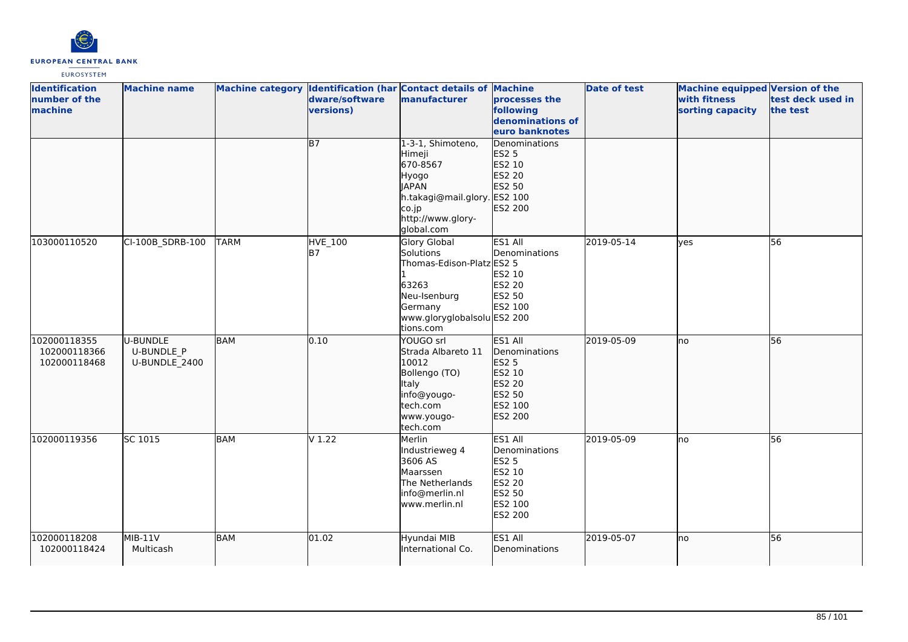

| <b>Identification</b><br>number of the<br>machine | <b>Machine name</b>                            |             | dware/software<br>versions) | Machine category Identification (har Contact details of Machine<br>manufacturer                                                                            | processes the<br>following<br>denominations of<br>euro banknotes                                    | <b>Date of test</b> | Machine equipped Version of the<br>with fitness<br>sorting capacity | test deck used in<br>the test |
|---------------------------------------------------|------------------------------------------------|-------------|-----------------------------|------------------------------------------------------------------------------------------------------------------------------------------------------------|-----------------------------------------------------------------------------------------------------|---------------------|---------------------------------------------------------------------|-------------------------------|
|                                                   |                                                |             | $\overline{B7}$             | 1-3-1, Shimoteno,<br>Himeji<br>670-8567<br>Hyogo<br><b>JAPAN</b><br>h.takagi@mail.glory. ES2 100<br>$\overline{c}$ o.jp<br>http://www.glory-<br>global.com | Denominations<br>ES2 5<br>ES2 10<br>ES2 20<br>ES2 50<br>ES2 200                                     |                     |                                                                     |                               |
| 103000110520                                      | CI-100B_SDRB-100                               | <b>TARM</b> | <b>HVE_100</b><br>B7        | <b>Glory Global</b><br>Solutions<br>Thomas-Edison-Platz ES2 5<br>63263<br>Neu-Isenburg<br>Germany<br>www.gloryglobalsolu ES2 200<br>tions.com              | ES1 All<br>Denominations<br>ES2 10<br>ES2 20<br>ES2 50<br>ES2 100                                   | 2019-05-14          | <b>ves</b>                                                          | 56                            |
| 102000118355<br>102000118366<br>102000118468      | U-BUNDLE<br><b>U-BUNDLE P</b><br>U-BUNDLE 2400 | <b>BAM</b>  | 0.10                        | YOUGO srl<br>Strada Albareto 11<br>10012<br>Bollengo (TO)<br>Italy<br>info@yougo-<br>tech.com<br>www.yougo-<br>tech.com                                    | ES1 All<br>Denominations<br>ES2 5<br>ES2 10<br>ES2 20<br>ES2 50<br>ES2 100<br>ES2 200               | 2019-05-09          | lno                                                                 | 56                            |
| 102000119356                                      | SC 1015                                        | BAM         | V <sub>1.22</sub>           | Merlin<br>Industrieweg 4<br>3606 AS<br>Maarssen<br>The Netherlands<br>info@merlin.nl<br>www.merlin.nl                                                      | ES1 All<br>Denominations<br><b>ES2 5</b><br>ES2 10<br><b>ES2 20</b><br>ES2 50<br>ES2 100<br>ES2 200 | 2019-05-09          | no                                                                  | 56                            |
| 102000118208<br>102000118424                      | MIB-11V<br>Multicash                           | <b>BAM</b>  | $\sqrt{01.02}$              | Hyundai MIB<br>International Co.                                                                                                                           | ES1 All<br>Denominations                                                                            | 2019-05-07          | lno                                                                 | 56                            |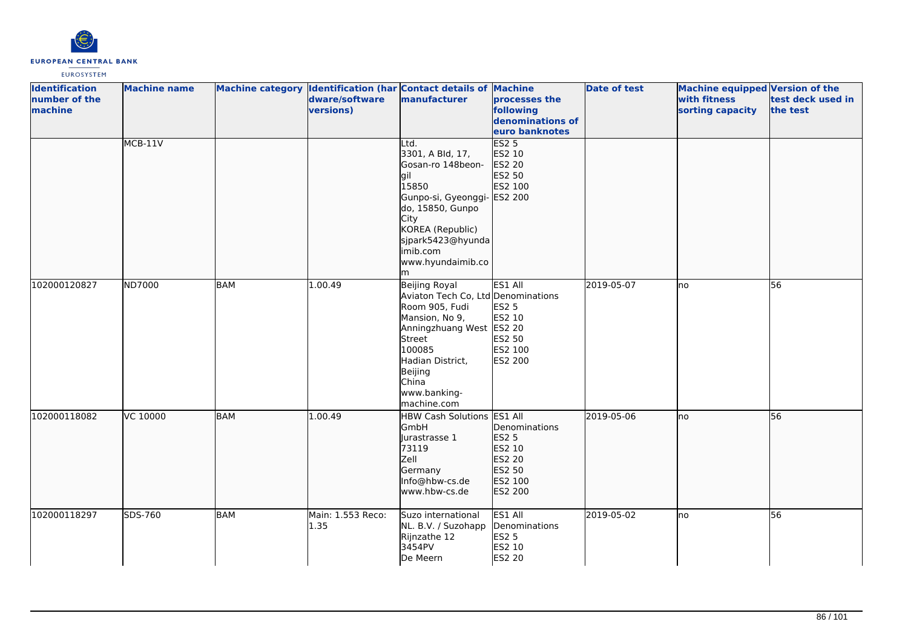

| <b>Identification</b><br>number of the<br>machine | <b>Machine name</b> |            | dware/software<br>versions) | Machine category Identification (har Contact details of Machine<br>manufacturer                                                                                                                                | processes the<br>following<br>denominations of<br>euro banknotes                             | <b>Date of test</b> | <b>Machine equipped Version of the</b><br>with fitness<br>sorting capacity | test deck used in<br>the test |
|---------------------------------------------------|---------------------|------------|-----------------------------|----------------------------------------------------------------------------------------------------------------------------------------------------------------------------------------------------------------|----------------------------------------------------------------------------------------------|---------------------|----------------------------------------------------------------------------|-------------------------------|
|                                                   | $MCB-11V$           |            |                             | Ltd.<br>3301, A Bld, 17,<br>Gosan-ro 148beon-<br>gil<br>15850<br>Gunpo-si, Gyeonggi- ES2 200<br>do, 15850, Gunpo<br>City<br>KOREA (Republic)<br>sjpark5423@hyunda<br>imib.com<br>www.hyundaimib.co<br>lm.      | ES2 <sub>5</sub><br>ES2 10<br>ES2 20<br>ES2 50<br>ES2 100                                    |                     |                                                                            |                               |
| 102000120827                                      | ND7000              | <b>BAM</b> | 1.00.49                     | Beijing Royal<br>Aviaton Tech Co, Ltd Denominations<br>Room 905, Fudi<br>Mansion, No 9,<br>Anningzhuang West ES2 20<br>Street<br>100085<br>Hadian District,<br>Beijing<br>China<br>www.banking-<br>machine.com | ES1 All<br>ES2 5<br>ES2 10<br>ES2 50<br>ES2 100<br>ES2 200                                   | 2019-05-07          | lno                                                                        | 56                            |
| 102000118082                                      | VC 10000            | <b>BAM</b> | 1.00.49                     | <b>HBW Cash Solutions</b><br><b>GmbH</b><br>Jurastrasse 1<br>73119<br>Zell<br>Germany<br>Info@hbw-cs.de<br>www.hbw-cs.de                                                                                       | ES1 All<br>Denominations<br><b>ES2 5</b><br>ES2 10<br>ES2 20<br>ES2 50<br>ES2 100<br>ES2 200 | 2019-05-06          | lno                                                                        | 56                            |
| 102000118297                                      | SDS-760             | <b>BAM</b> | Main: 1.553 Reco:<br>1.35   | Suzo international<br>NL. B.V. / Suzohapp<br>Rijnzathe 12<br>3454PV<br>De Meern                                                                                                                                | ES1 All<br>Denominations<br><b>ES2 5</b><br>ES2 10<br><b>ES2 20</b>                          | 2019-05-02          | lno                                                                        | 56                            |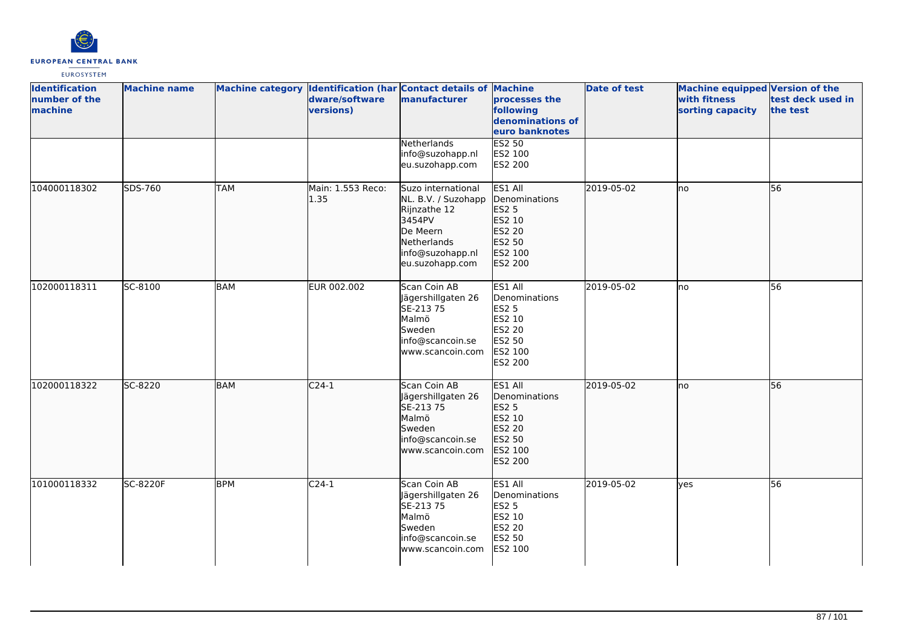

| <b>Identification</b><br>number of the<br>machine | <b>Machine name</b> |            | Machine category Identification (har Contact details of Machine<br>dware/software<br>versions) | manufacturer                                                                                                                          | processes the<br>following<br>denominations of<br>euro banknotes                             | <b>Date of test</b> | Machine equipped Version of the<br>with fitness<br>sorting capacity | test deck used in<br>the test |
|---------------------------------------------------|---------------------|------------|------------------------------------------------------------------------------------------------|---------------------------------------------------------------------------------------------------------------------------------------|----------------------------------------------------------------------------------------------|---------------------|---------------------------------------------------------------------|-------------------------------|
|                                                   |                     |            |                                                                                                | Netherlands<br>info@suzohapp.nl<br>eu.suzohapp.com                                                                                    | <b>ES2 50</b><br>ES2 100<br><b>ES2 200</b>                                                   |                     |                                                                     |                               |
| 104000118302                                      | SDS-760             | <b>TAM</b> | Main: 1.553 Reco:<br> 1.35                                                                     | Suzo international<br>NL. B.V. / Suzohapp<br>Rijnzathe 12<br>3454PV<br>De Meern<br>Netherlands<br>info@suzohapp.nl<br>eu.suzohapp.com | ES1 All<br>Denominations<br>ES2 5<br>ES2 10<br>ES2 20<br>ES2 50<br>ES2 100<br>ES2 200        | 2019-05-02          | no                                                                  | 56                            |
| 102000118311                                      | SC-8100             | <b>BAM</b> | EUR 002.002                                                                                    | Scan Coin AB<br>Jägershillgaten 26<br>SE-213 75<br>Malmö<br>Sweden<br>info@scancoin.se<br>www.scancoin.com                            | ES1 All<br>Denominations<br><b>ES2 5</b><br>ES2 10<br>ES2 20<br>ES2 50<br>ES2 100<br>ES2 200 | 2019-05-02          | no                                                                  | 56                            |
| 102000118322                                      | SC-8220             | <b>BAM</b> | $C24-1$                                                                                        | Scan Coin AB<br>Jägershillgaten 26<br>SE-213 75<br>Malmö<br>Sweden<br>info@scancoin.se<br>www.scancoin.com                            | ES1 All<br>Denominations<br>ES2 5<br>ES2 10<br>ES2 20<br>ES2 50<br>ES2 100<br>ES2 200        | 2019-05-02          | lno                                                                 | 56                            |
| 101000118332                                      | SC-8220F            | <b>BPM</b> | $C24-1$                                                                                        | Scan Coin AB<br>Jägershillgaten 26<br>SE-213 75<br>Malmö<br>Sweden<br>info@scancoin.se<br>www.scancoin.com                            | ES1 All<br>Denominations<br><b>ES2 5</b><br>ES2 10<br>ES2 20<br>ES2 50<br>ES2 100            | 2019-05-02          | lyes                                                                | 56                            |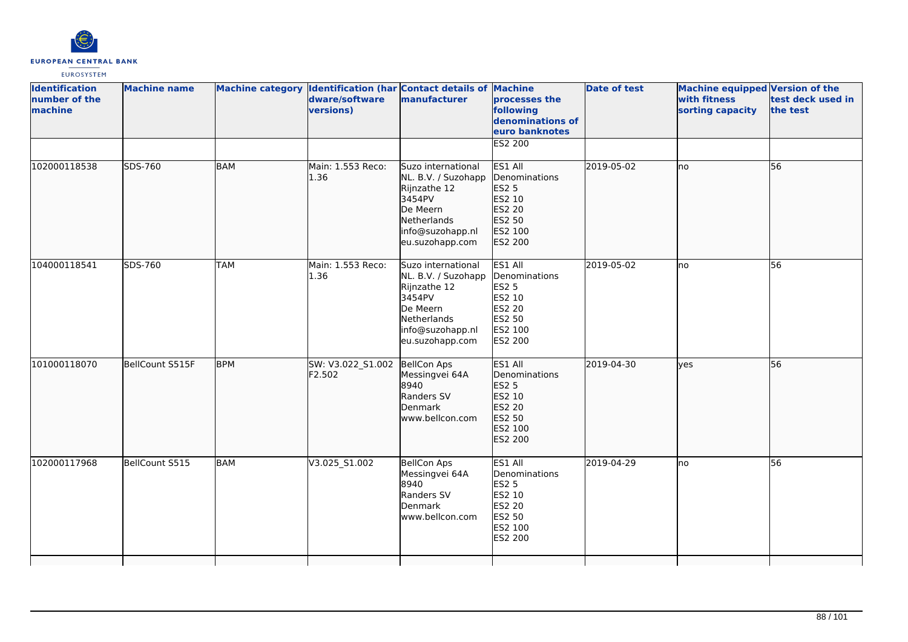

| <b>Identification</b><br>number of the<br>machine | <b>Machine name</b> |            | dware/software<br>versions)             | Machine category Identification (har Contact details of Machine<br>manufacturer                                                       | processes the<br>following<br>denominations of<br>euro banknotes                             | <b>Date of test</b> | Machine equipped Version of the<br>with fitness<br>sorting capacity | test deck used in<br>the test |
|---------------------------------------------------|---------------------|------------|-----------------------------------------|---------------------------------------------------------------------------------------------------------------------------------------|----------------------------------------------------------------------------------------------|---------------------|---------------------------------------------------------------------|-------------------------------|
|                                                   |                     |            |                                         |                                                                                                                                       | <b>ES2 200</b>                                                                               |                     |                                                                     |                               |
| 102000118538                                      | SDS-760             | <b>BAM</b> | Main: 1.553 Reco:<br>1.36               | Suzo international<br>NL. B.V. / Suzohapp<br>Rijnzathe 12<br>3454PV<br>De Meern<br>Netherlands<br>info@suzohapp.nl<br>eu.suzohapp.com | ES1 All<br>Denominations<br>ES2 5<br>ES2 10<br>ES2 20<br>ES2 50<br>ES2 100<br>ES2 200        | 2019-05-02          | no                                                                  | 56                            |
| 104000118541                                      | SDS-760             | <b>TAM</b> | Main: 1.553 Reco:<br>1.36               | Suzo international<br>NL. B.V. / Suzohapp<br>Rijnzathe 12<br>3454PV<br>De Meern<br>Netherlands<br>info@suzohapp.nl<br>eu.suzohapp.com | ES1 All<br>Denominations<br>ES2 5<br>ES2 10<br>ES2 20<br>ES2 50<br>ES2 100<br>ES2 200        | 2019-05-02          | lno                                                                 | 56                            |
| 101000118070                                      | BellCount S515F     | <b>BPM</b> | SW: V3.022_S1.002 BellCon Aps<br>F2.502 | Messingvei 64A<br>8940<br>Randers SV<br><b>Denmark</b><br>www.bellcon.com                                                             | ES1 All<br>Denominations<br><b>ES2 5</b><br>ES2 10<br>ES2 20<br>ES2 50<br>ES2 100<br>ES2 200 | 2019-04-30          | lves                                                                | 56                            |
| 102000117968                                      | BellCount S515      | <b>BAM</b> | V3.025_S1.002                           | <b>BellCon Aps</b><br>Messingvei 64A<br>8940<br>Randers SV<br>Denmark<br>www.bellcon.com                                              | ES1 All<br>Denominations<br><b>ES2 5</b><br>ES2 10<br>ES2 20<br>ES2 50<br>ES2 100<br>ES2 200 | 2019-04-29          | no                                                                  | 56                            |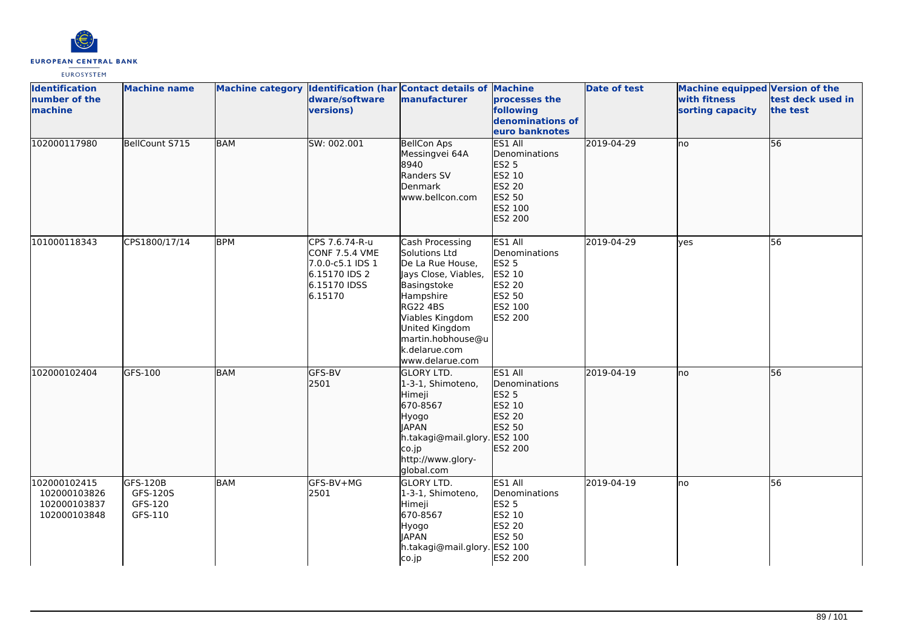

| <b>Identification</b><br>number of the<br>machine            | <b>Machine name</b>                        |            | dware/software<br>versions)                                                                             | Machine category Identification (har Contact details of Machine<br>manufacturer                                                                                                                                    | <b>processes the</b><br>following<br>denominations of<br>euro banknotes                      | <b>Date of test</b> | Machine equipped Version of the<br>with fitness<br>sorting capacity | test deck used in<br>the test |
|--------------------------------------------------------------|--------------------------------------------|------------|---------------------------------------------------------------------------------------------------------|--------------------------------------------------------------------------------------------------------------------------------------------------------------------------------------------------------------------|----------------------------------------------------------------------------------------------|---------------------|---------------------------------------------------------------------|-------------------------------|
| 102000117980                                                 | BellCount S715                             | <b>BAM</b> | SW: 002.001                                                                                             | <b>BellCon Aps</b><br>Messingvei 64A<br>8940<br>Randers SV<br>Denmark<br>www.bellcon.com                                                                                                                           | ES1 All<br>Denominations<br>ES2 5<br>ES2 10<br>ES2 20<br>ES2 50<br>ES2 100<br>ES2 200        | 2019-04-29          | Ino                                                                 | 56                            |
| 101000118343                                                 | CPS1800/17/14                              | <b>BPM</b> | CPS 7.6.74-R-u<br><b>CONF 7.5.4 VME</b><br>7.0.0-c5.1 IDS 1<br>6.15170 IDS 2<br>6.15170 IDSS<br>6.15170 | Cash Processing<br>Solutions Ltd<br>De La Rue House,<br>Jays Close, Viables,<br>Basingstoke<br>Hampshire<br>RG22 4BS<br>Viables Kingdom<br>United Kingdom<br>martin.hobhouse@u<br>k.delarue.com<br>www.delarue.com | ES1 All<br>Denominations<br>ES2 5<br>ES2 10<br><b>ES2 20</b><br>ES2 50<br>ES2 100<br>ES2 200 | 2019-04-29          | <b>yes</b>                                                          | $\overline{56}$               |
| 102000102404                                                 | GFS-100                                    | <b>BAM</b> | GFS-BV<br>2501                                                                                          | <b>GLORY LTD.</b><br>1-3-1, Shimoteno,<br>Himeji<br>670-8567<br>Hyogo<br><b>JAPAN</b><br>h.takagi@mail.glory. ES2 100<br>co.jp<br>http://www.glory-<br>global.com                                                  | ES1 All<br>Denominations<br>ES2 5<br>ES2 10<br>ES2 20<br>ES2 50<br>ES2 200                   | 2019-04-19          | lno                                                                 | 56                            |
| 102000102415<br>102000103826<br>102000103837<br>102000103848 | GFS-120B<br>GFS-120S<br>GFS-120<br>GFS-110 | BAM        | GFS-BV+MG<br>2501                                                                                       | <b>GLORY LTD.</b><br>1-3-1, Shimoteno,<br>Himeji<br>670-8567<br>Hyogo<br><b>JAPAN</b><br>h.takagi@mail.glory. ES2 100<br>co.jp                                                                                     | ES1 All<br>Denominations<br><b>ES2 5</b><br>ES2 10<br>ES2 20<br>ES2 50<br>ES2 200            | 2019-04-19          | Ino                                                                 | 56                            |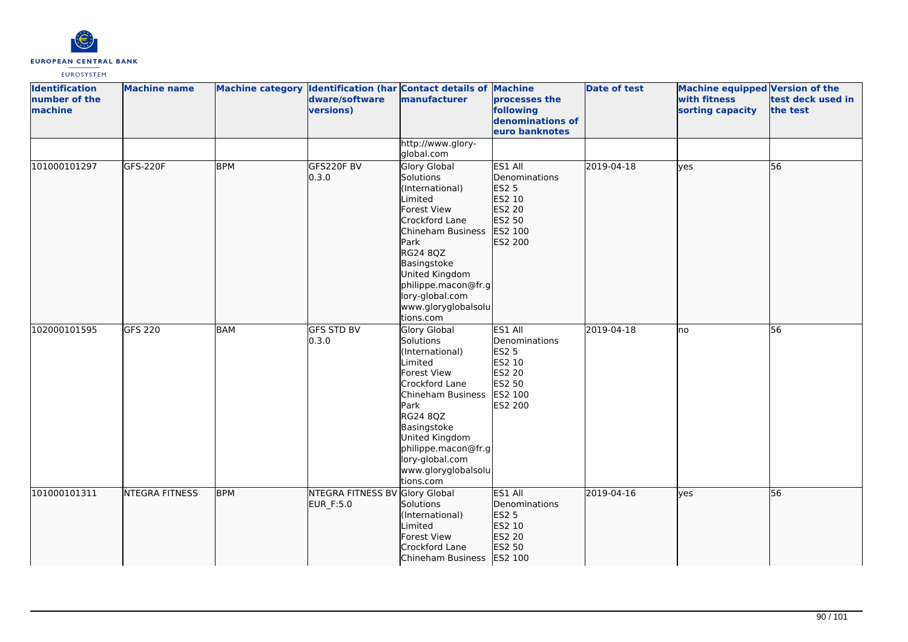

| <b>Identification</b><br>number of the<br>machine | <b>Machine name</b>   |            | dware/software<br>versions)                 | Machine category Identification (har Contact details of Machine<br>manufacturer                                                                                                                                                                         | processes the<br>following<br>denominations of<br>euro banknotes                             | <b>Date of test</b> | <b>Machine equipped Version of the</b><br>with fitness<br>sorting capacity | test deck used in<br>the test |
|---------------------------------------------------|-----------------------|------------|---------------------------------------------|---------------------------------------------------------------------------------------------------------------------------------------------------------------------------------------------------------------------------------------------------------|----------------------------------------------------------------------------------------------|---------------------|----------------------------------------------------------------------------|-------------------------------|
|                                                   |                       |            |                                             | http://www.glory-<br>global.com                                                                                                                                                                                                                         |                                                                                              |                     |                                                                            |                               |
| 101000101297                                      | GFS-220F              | <b>BPM</b> | GFS220F BV<br>0.3.0                         | Glory Global<br>Solutions<br>(International)<br>Limited<br>Forest View<br>Crockford Lane<br>Chineham Business<br>Park<br>RG24 8QZ<br>Basingstoke<br>United Kingdom<br>philippe.macon@fr.g<br>lory-global.com<br>www.gloryglobalsolu<br>tions.com        | ES1 All<br>Denominations<br>ES2 5<br>ES2 10<br>ES2 20<br>ES2 50<br>ES2 100<br>ES2 200        | 2019-04-18          | ves                                                                        | 56                            |
| 102000101595                                      | <b>GFS 220</b>        | <b>BAM</b> | <b>GFS STD BV</b><br>0.3.0                  | Glory Global<br>Solutions<br>(International)<br>Limited<br><b>Forest View</b><br>Crockford Lane<br>Chineham Business<br>Park<br>RG24 8QZ<br>Basingstoke<br>United Kingdom<br>philippe.macon@fr.g<br>lory-global.com<br>www.gloryglobalsolu<br>tions.com | ES1 All<br>Denominations<br><b>ES2 5</b><br>ES2 10<br>ES2 20<br>ES2 50<br>ES2 100<br>ES2 200 | 2019-04-18          | Ino                                                                        | 56                            |
| 101000101311                                      | <b>NTEGRA FITNESS</b> | <b>BPM</b> | NTEGRA FITNESS BV Glory Global<br>EUR_F:5.0 | Solutions<br>(International)<br>Limited<br>Forest View<br>Crockford Lane<br>Chineham Business   ES2 100                                                                                                                                                 | ES1 All<br>Denominations<br>ES2 5<br>ES2 10<br>ES2 20<br>ES2 50                              | 2019-04-16          | lves                                                                       | $\overline{56}$               |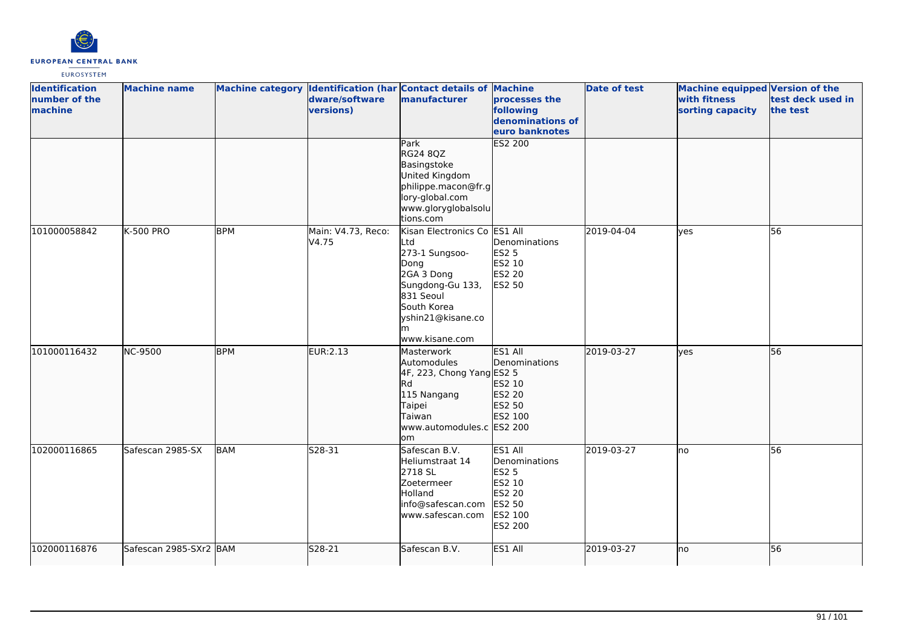

| <b>Identification</b><br>number of the<br>machine | <b>Machine name</b>    |            | dware/software<br>versions) | Machine category Identification (har Contact details of Machine<br>manufacturer                                                                                         | processes the<br>following<br>denominations of<br>euro banknotes                                    | <b>Date of test</b> | Machine equipped Version of the<br>with fitness<br>sorting capacity | test deck used in<br>the test |
|---------------------------------------------------|------------------------|------------|-----------------------------|-------------------------------------------------------------------------------------------------------------------------------------------------------------------------|-----------------------------------------------------------------------------------------------------|---------------------|---------------------------------------------------------------------|-------------------------------|
|                                                   |                        |            |                             | Park<br>RG24 8QZ<br>Basingstoke<br>United Kingdom<br>philippe.macon@fr.g<br>lory-global.com<br>www.gloryglobalsolu<br>tions.com                                         | <b>ES2 200</b>                                                                                      |                     |                                                                     |                               |
| 101000058842                                      | <b>K-500 PRO</b>       | <b>BPM</b> | Main: V4.73, Reco:<br>V4.75 | Kisan Electronics Co ES1 All<br>Ltd<br>273-1 Sungsoo-<br>Dong<br>2GA 3 Dong<br>Sungdong-Gu 133,<br>831 Seoul<br>South Korea<br>yshin21@kisane.co<br>m<br>www.kisane.com | Denominations<br><b>ES2 5</b><br>ES2 10<br><b>ES2 20</b><br>ES2 50                                  | 2019-04-04          | lves                                                                | $\overline{56}$               |
| 101000116432                                      | NC-9500                | <b>BPM</b> | <b>EUR:2.13</b>             | Masterwork<br>Automodules<br>4F, 223, Chong Yang ES2 5<br>Rd<br>115 Nangang<br>Taipei<br>Taiwan<br>www.automodules.c ES2 200<br>lom                                     | ES1 All<br>Denominations<br>ES2 10<br>ES2 20<br>ES2 50<br>ES2 100                                   | 2019-03-27          | lyes                                                                | 56                            |
| 102000116865                                      | Safescan 2985-SX       | <b>BAM</b> | S28-31                      | Safescan B.V.<br>Heliumstraat 14<br>2718 SL<br>Zoetermeer<br>Holland<br>info@safescan.com<br>www.safescan.com                                                           | ES1 All<br>Denominations<br><b>ES2 5</b><br>ES2 10<br><b>ES2 20</b><br>ES2 50<br>ES2 100<br>ES2 200 | 2019-03-27          | Ino                                                                 | 56                            |
| 102000116876                                      | Safescan 2985-SXr2 BAM |            | S28-21                      | Safescan B.V.                                                                                                                                                           | ES1 All                                                                                             | 2019-03-27          | no                                                                  | 56                            |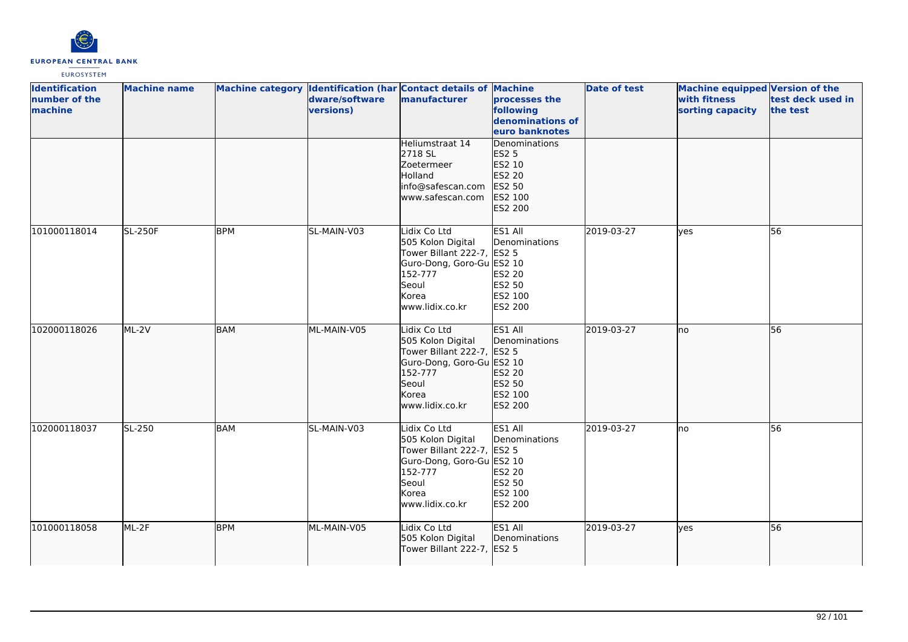

| <b>Identification</b><br>number of the<br>machine | <b>Machine name</b> |            | Machine category Identification (har Contact details of Machine<br>dware/software<br>versions) | manufacturer                                                                                                                                 | <b>processes the</b><br>following<br>denominations of<br>euro banknotes                   | <b>Date of test</b> | Machine equipped Version of the<br>with fitness<br>sorting capacity | test deck used in<br>the test |
|---------------------------------------------------|---------------------|------------|------------------------------------------------------------------------------------------------|----------------------------------------------------------------------------------------------------------------------------------------------|-------------------------------------------------------------------------------------------|---------------------|---------------------------------------------------------------------|-------------------------------|
|                                                   |                     |            |                                                                                                | Heliumstraat 14<br>2718 SL<br>Zoetermeer<br>Holland<br>info@safescan.com<br>www.safescan.com                                                 | <b>IDenominations</b><br><b>ES2 5</b><br>ES2 10<br>ES2 20<br>ES2 50<br>ES2 100<br>ES2 200 |                     |                                                                     |                               |
| 101000118014                                      | <b>SL-250F</b>      | <b>BPM</b> | SL-MAIN-V03                                                                                    | Lidix Co Ltd<br>505 Kolon Digital<br>Tower Billant 222-7, ES2 5<br>Guro-Dong, Goro-Gu ES2 10<br>152-777<br>Seoul<br>Korea<br>www.lidix.co.kr | ES1 All<br>Denominations<br>ES2 20<br>ES2 50<br>ES2 100<br>ES2 200                        | 2019-03-27          | <b>l</b> ves                                                        | 56                            |
| 102000118026                                      | ML-2V               | <b>BAM</b> | ML-MAIN-V05                                                                                    | Lidix Co Ltd<br>505 Kolon Digital<br>Tower Billant 222-7, ES2 5<br>Guro-Dong, Goro-Gu ES2 10<br>152-777<br>Seoul<br>Korea<br>www.lidix.co.kr | ES1 All<br>Denominations<br>ES2 20<br>ES2 50<br>ES2 100<br>ES2 200                        | 2019-03-27          | Ino                                                                 | 56                            |
| 102000118037                                      | SL-250              | BAM        | SL-MAIN-V03                                                                                    | Lidix Co Ltd<br>505 Kolon Digital<br>Tower Billant 222-7, ES2 5<br>Guro-Dong, Goro-Gu ES2 10<br>152-777<br>Seoul<br>Korea<br>www.lidix.co.kr | ES1 All<br>Denominations<br>ES2 20<br>ES2 50<br>ES2 100<br>ES2 200                        | 2019-03-27          | Ino                                                                 | 56                            |
| 101000118058                                      | ML-2F               | <b>BPM</b> | ML-MAIN-V05                                                                                    | Lidix Co Ltd<br>505 Kolon Digital<br>Tower Billant 222-7, ES2 5                                                                              | ES1 All<br>Denominations                                                                  | 2019-03-27          | ves                                                                 | 56                            |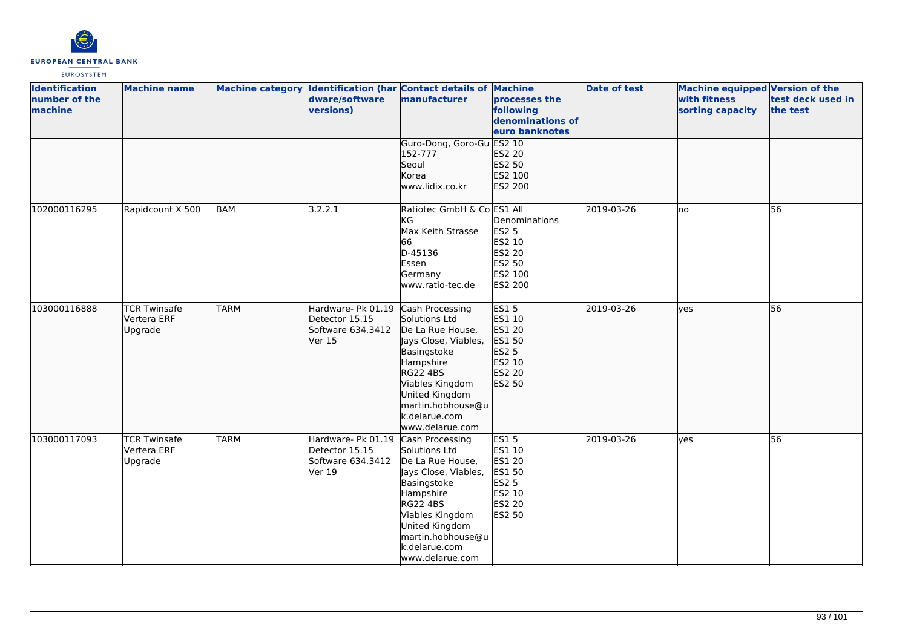

| <b>Identification</b><br>number of the<br>machine | <b>Machine name</b>                           |             | dware/software<br>versions)                                                          | Machine category Identification (har Contact details of Machine<br>manufacturer                                                                                                                                           | processes the<br>following<br>denominations of<br>euro banknotes                         | <b>Date of test</b> | <b>Machine equipped Version of the</b><br>with fitness<br>sorting capacity | test deck used in<br>the test |
|---------------------------------------------------|-----------------------------------------------|-------------|--------------------------------------------------------------------------------------|---------------------------------------------------------------------------------------------------------------------------------------------------------------------------------------------------------------------------|------------------------------------------------------------------------------------------|---------------------|----------------------------------------------------------------------------|-------------------------------|
|                                                   |                                               |             |                                                                                      | Guro-Dong, Goro-Gu ES2 10<br>152-777<br>Seoul<br>Korea<br>www.lidix.co.kr                                                                                                                                                 | ES2 20<br>ES2 50<br>ES2 100<br>ES2 200                                                   |                     |                                                                            |                               |
| 102000116295                                      | Rapidcount X 500                              | BAM         | 3.2.2.1                                                                              | Ratiotec GmbH & Co ES1 All<br>KG<br>Max Keith Strasse<br>66<br>D-45136<br>Essen<br>Germany<br>www.ratio-tec.de                                                                                                            | Denominations<br><b>ES2 5</b><br>ES2 10<br><b>ES2 20</b><br>ES2 50<br>ES2 100<br>ES2 200 | 2019-03-26          | lno                                                                        | 56                            |
| 103000116888                                      | <b>TCR Twinsafe</b><br>Vertera ERF<br>Upgrade | <b>TARM</b> | Hardware- Pk 01.19 Cash Processing<br>Detector 15.15<br>Software 634.3412<br>lVer 15 | Solutions Ltd<br>De La Rue House,<br>Jays Close, Viables,<br>Basingstoke<br>Hampshire<br>RG22 4BS<br>Viables Kingdom<br>United Kingdom<br>martin.hobhouse@u<br>k.delarue.com<br>www.delarue.com                           | <b>ES15</b><br>ES1 10<br>ES1 20<br>ES1 50<br>ES2 5<br>ES2 10<br>ES2 20<br>ES2 50         | 2019-03-26          | ves                                                                        | 56                            |
| 103000117093                                      | <b>TCR Twinsafe</b><br>Vertera ERF<br>Upgrade | <b>TARM</b> | Hardware- Pk 01.19<br>Detector 15.15<br>Software 634.3412<br>Ver 19                  | Cash Processing<br>Solutions Ltd<br>De La Rue House,<br>Jays Close, Viables,<br>Basingstoke<br>Hampshire<br><b>RG22 4BS</b><br>Viables Kingdom<br>United Kingdom<br>martin.hobhouse@u<br>k.delarue.com<br>www.delarue.com | <b>ES15</b><br>ES1 10<br>ES1 20<br><b>ES1 50</b><br>ES2 5<br>ES2 10<br>ES2 20<br>ES2 50  | 2019-03-26          | lyes                                                                       | 56                            |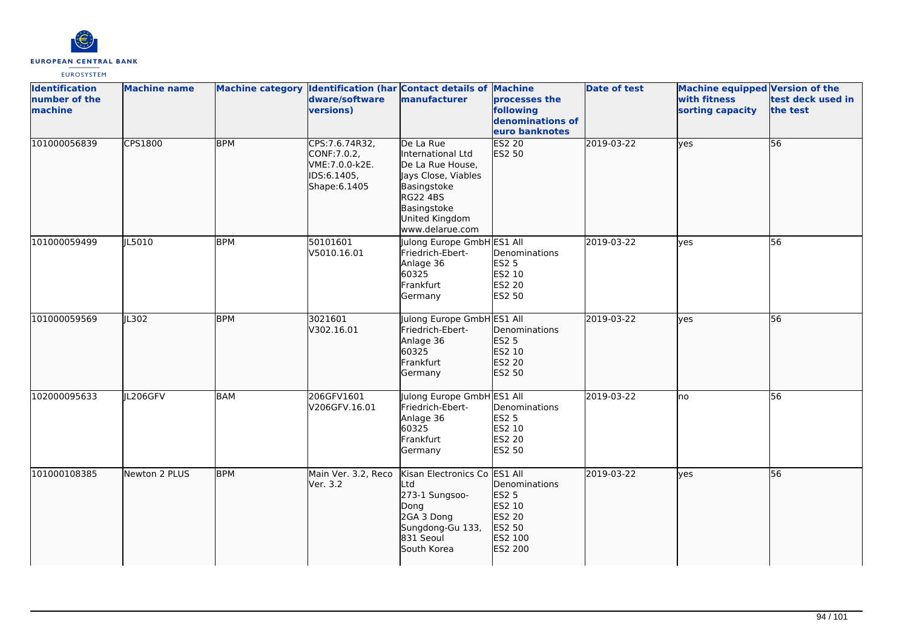

| <b>Identification</b><br>number of the<br>machine | <b>Machine name</b> |            | dware/software<br>versions)                                                       | Machine category Identification (har Contact details of Machine<br>manufacturer                                                                                 | processes the<br>following<br>denominations of<br>euro banknotes                  | <b>Date of test</b> | <b>Machine equipped Version of the</b><br>with fitness<br>sorting capacity | test deck used in<br>the test |
|---------------------------------------------------|---------------------|------------|-----------------------------------------------------------------------------------|-----------------------------------------------------------------------------------------------------------------------------------------------------------------|-----------------------------------------------------------------------------------|---------------------|----------------------------------------------------------------------------|-------------------------------|
| 101000056839                                      | CPS1800             | <b>BPM</b> | CPS:7.6.74R32,<br>CONF: 7.0.2,<br>VME: 7.0.0-k2E.<br>IDS:6.1405,<br>Shape: 6.1405 | De La Rue<br>International Ltd<br>De La Rue House,<br>Jays Close, Viables<br>Basingstoke<br><b>RG22 4BS</b><br>Basingstoke<br>United Kingdom<br>www.delarue.com | <b>ES2 20</b><br>ES2 50                                                           | 2019-03-22          | lyes                                                                       | 56                            |
| 101000059499                                      | IL5010              | <b>BPM</b> | 50101601<br>V5010.16.01                                                           | Julong Europe GmbH ES1 All<br>Friedrich-Ebert-<br>Anlage 36<br>60325<br>Frankfurt<br>Germany                                                                    | Denominations<br><b>ES2 5</b><br>ES2 10<br><b>ES2 20</b><br>ES2 50                | 2019-03-22          | <b>ves</b>                                                                 | 56                            |
| 101000059569                                      | JL302               | <b>BPM</b> | 3021601<br>V302.16.01                                                             | Julong Europe GmbH ES1 All<br>Friedrich-Ebert-<br>Anlage 36<br>60325<br>Frankfurt<br>Germany                                                                    | Denominations<br><b>ES2 5</b><br>ES2 10<br>ES2 20<br>ES2 50                       | 2019-03-22          | lves                                                                       | 56                            |
| 102000095633                                      | JL206GFV            | <b>BAM</b> | 206GFV1601<br>V206GFV.16.01                                                       | Julong Europe GmbH ES1 All<br>Friedrich-Ebert-<br>Anlage 36<br>60325<br>Frankfurt<br>Germany                                                                    | Denominations<br><b>ES2 5</b><br>ES2 10<br>ES2 20<br>ES2 50                       | 2019-03-22          | Ino                                                                        | 56                            |
| 101000108385                                      | Newton 2 PLUS       | <b>BPM</b> | Main Ver. 3.2, Reco<br>lVer. 3.2                                                  | Kisan Electronics Co ES1 All<br>Ltd<br>273-1 Sungsoo-<br>Dong<br>2GA 3 Dong<br>Sungdong-Gu 133,<br>831 Seoul<br>South Korea                                     | Denominations<br><b>ES2 5</b><br>ES2 10<br>ES2 20<br>ES2 50<br>ES2 100<br>ES2 200 | 2019-03-22          | <b>yes</b>                                                                 | 56                            |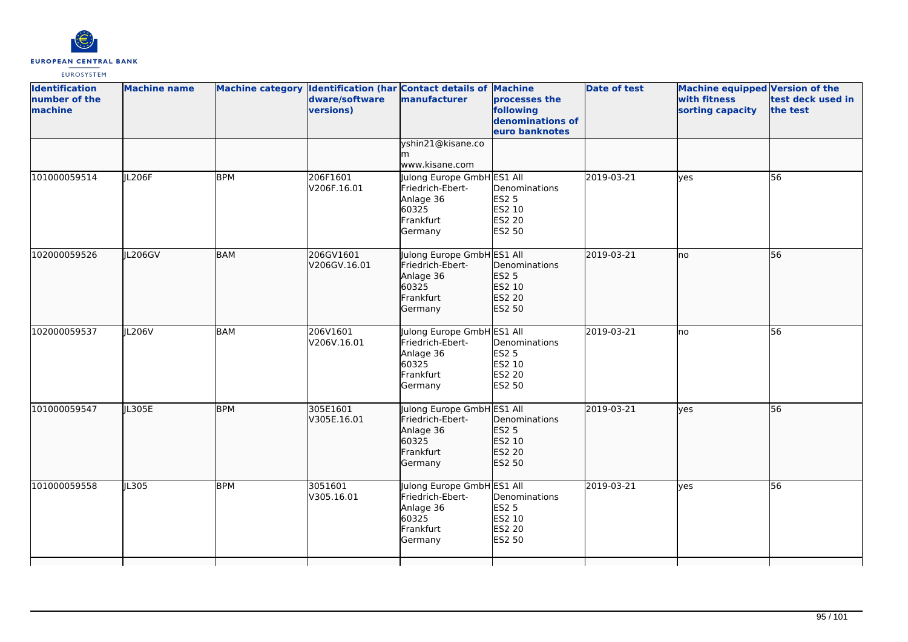

| <b>Identification</b><br>number of the<br>machine | <b>Machine name</b> |            | dware/software<br>versions) | Machine category Identification (har Contact details of Machine<br>manufacturer              | processes the<br>following<br>denominations of<br>euro banknotes | <b>Date of test</b> | <b>Machine equipped Version of the</b><br>with fitness<br>sorting capacity | test deck used in<br>the test |
|---------------------------------------------------|---------------------|------------|-----------------------------|----------------------------------------------------------------------------------------------|------------------------------------------------------------------|---------------------|----------------------------------------------------------------------------|-------------------------------|
|                                                   |                     |            |                             | yshin21@kisane.co<br>www.kisane.com                                                          |                                                                  |                     |                                                                            |                               |
| 101000059514                                      | JL206F              | <b>BPM</b> | 206F1601<br>V206F.16.01     | Julong Europe GmbH ES1 All<br>Friedrich-Ebert-<br>Anlage 36<br>60325<br>Frankfurt<br>Germany | Denominations<br>ES2 5<br>ES2 10<br>ES2 20<br>ES2 50             | 2019-03-21          | yes                                                                        | 56                            |
| 102000059526                                      | IL206GV             | <b>BAM</b> | 206GV1601<br>V206GV.16.01   | Julong Europe GmbH ES1 All<br>Friedrich-Ebert-<br>Anlage 36<br>60325<br>Frankfurt<br>Germany | Denominations<br>ES2 5<br>ES2 10<br>ES2 20<br>ES2 50             | 2019-03-21          | no                                                                         | 56                            |
| 102000059537                                      | IL206V              | <b>BAM</b> | 206V1601<br>V206V.16.01     | Julong Europe GmbH ES1 All<br>Friedrich-Ebert-<br>Anlage 36<br>60325<br>Frankfurt<br>Germany | Denominations<br><b>ES2 5</b><br>ES2 10<br>ES2 20<br>ES2 50      | 2019-03-21          | lno.                                                                       | 56                            |
| 101000059547                                      | JL305E              | <b>BPM</b> | 305E1601<br>V305E.16.01     | Julong Europe GmbH ES1 All<br>Friedrich-Ebert-<br>Anlage 36<br>60325<br>Frankfurt<br>Germany | Denominations<br><b>ES2 5</b><br>ES2 10<br>ES2 20<br>ES2 50      | 2019-03-21          | lyes                                                                       | 56                            |
| 101000059558                                      | IL305               | <b>BPM</b> | 3051601<br>V305.16.01       | Julong Europe GmbH ES1 All<br>Friedrich-Ebert-<br>Anlage 36<br>60325<br>Frankfurt<br>Germany | Denominations<br>ES2 5<br>ES2 10<br><b>ES2 20</b><br>ES2 50      | 2019-03-21          | lyes                                                                       | 56                            |
|                                                   |                     |            |                             |                                                                                              |                                                                  |                     |                                                                            |                               |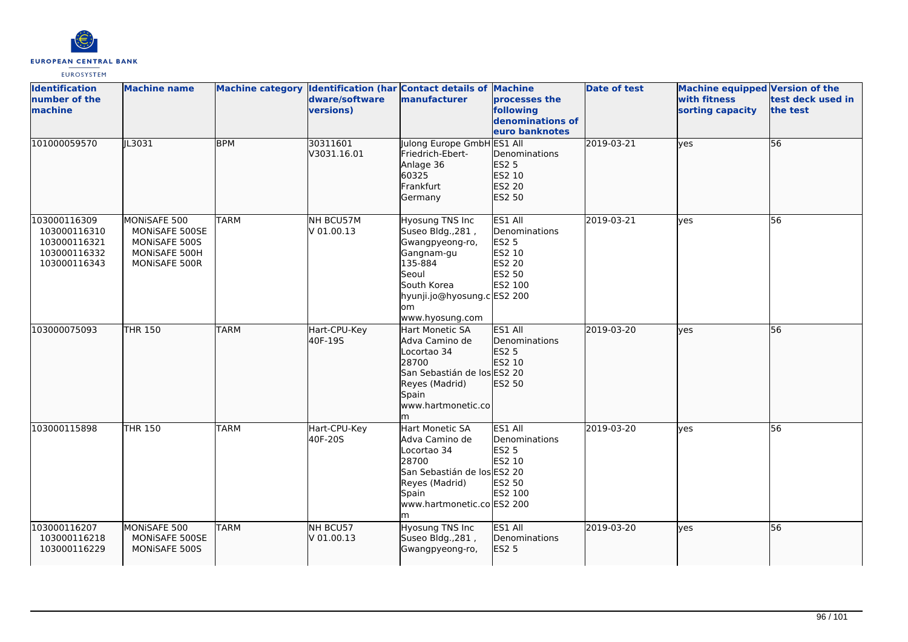

| <b>Identification</b><br>number of the<br>machine                            | <b>Machine name</b>                                                               |             | dware/software<br>versions) | Machine category Identification (har Contact details of Machine<br>manufacturer                                                                                   | processes the<br>following<br>denominations of<br>euro banknotes                  | <b>Date of test</b> | <b>Machine equipped Version of the</b><br>with fitness<br>sorting capacity | test deck used in<br>the test |
|------------------------------------------------------------------------------|-----------------------------------------------------------------------------------|-------------|-----------------------------|-------------------------------------------------------------------------------------------------------------------------------------------------------------------|-----------------------------------------------------------------------------------|---------------------|----------------------------------------------------------------------------|-------------------------------|
| 101000059570                                                                 | IL3031                                                                            | <b>BPM</b>  | 30311601<br>V3031.16.01     | Julong Europe GmbH ES1 All<br>Friedrich-Ebert-<br>Anlage 36<br>60325<br>Frankfurt<br>Germany                                                                      | Denominations<br><b>ES2 5</b><br>ES2 10<br><b>ES2 20</b><br>ES2 50                | 2019-03-21          | lyes                                                                       | 56                            |
| 103000116309<br>103000116310<br>103000116321<br>103000116332<br>103000116343 | MONISAFE 500<br>MONISAFE 500SE<br>MONISAFE 500S<br>MONISAFE 500H<br>MONISAFE 500R | <b>TARM</b> | NH BCU57M<br>V 01.00.13     | Hyosung TNS Inc<br>Suseo Bldg., 281,<br>Gwangpyeong-ro,<br>Gangnam-gu<br>135-884<br>Seoul<br>South Korea<br>hyunji.jo@hyosung.c ES2 200<br>lom<br>www.hyosung.com | ES1 All<br>Denominations<br><b>ES2 5</b><br>ES2 10<br>ES2 20<br>ES2 50<br>ES2 100 | 2019-03-21          | lves                                                                       | 56                            |
| 103000075093                                                                 | <b>THR 150</b>                                                                    | <b>TARM</b> | Hart-CPU-Key<br>40F-19S     | Hart Monetic SA<br>Adva Camino de<br>Locortao 34<br>28700<br>San Sebastián de los ES2 20<br>Reyes (Madrid)<br>Spain<br>www.hartmonetic.co<br>lm.                  | ES1 All<br>Denominations<br><b>ES2 5</b><br>ES2 10<br>ES2 50                      | 2019-03-20          | lves                                                                       | 56                            |
| 103000115898                                                                 | <b>THR 150</b>                                                                    | <b>TARM</b> | Hart-CPU-Key<br>40F-20S     | <b>Hart Monetic SA</b><br>Adva Camino de<br>Locortao 34<br>28700<br>San Sebastián de los ES2 20<br>Reyes (Madrid)<br>Spain<br>www.hartmonetic.co ES2 200          | ES1 All<br>Denominations<br><b>ES2 5</b><br>ES2 10<br>ES2 50<br>ES2 100           | 2019-03-20          | lves                                                                       | 56                            |
| 103000116207<br>103000116218<br>103000116229                                 | MONISAFE 500<br>MONISAFE 500SE<br>MONISAFE 500S                                   | <b>TARM</b> | NH BCU57<br>V 01.00.13      | Hyosung TNS Inc<br>Suseo Bldg., 281,<br>Gwangpyeong-ro,                                                                                                           | ES1 All<br>Denominations<br>ES2 5                                                 | 2019-03-20          | lves                                                                       | 56                            |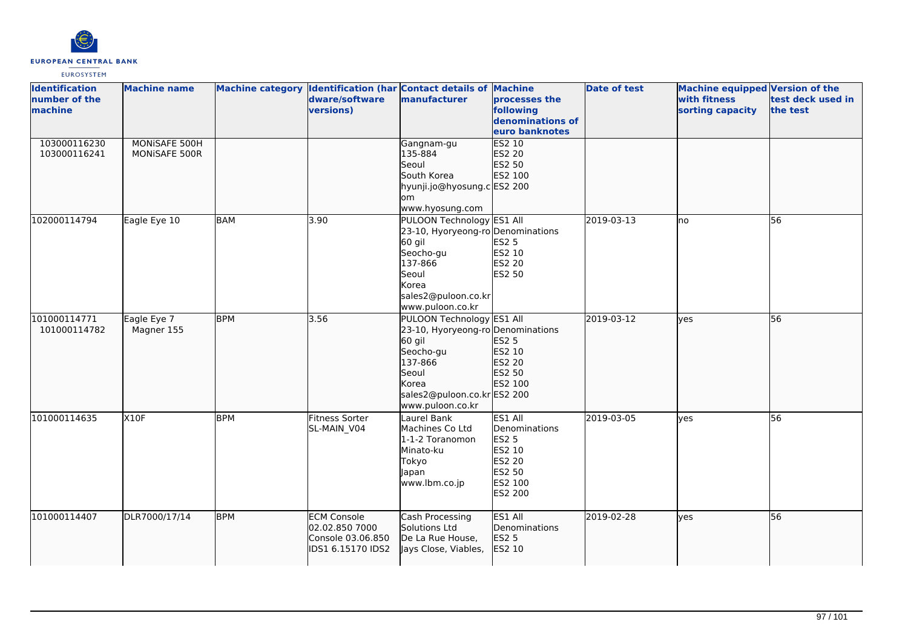

| <b>Identification</b> | <b>Machine name</b> |            |                    | Machine category Identification (har Contact details of Machine |                  | Date of test | Machine equipped Version of the |                   |
|-----------------------|---------------------|------------|--------------------|-----------------------------------------------------------------|------------------|--------------|---------------------------------|-------------------|
| number of the         |                     |            | dware/software     | manufacturer                                                    | processes the    |              | with fitness                    | test deck used in |
| machine               |                     |            | versions)          |                                                                 | following        |              | sorting capacity                | the test          |
|                       |                     |            |                    |                                                                 | denominations of |              |                                 |                   |
|                       |                     |            |                    |                                                                 | euro banknotes   |              |                                 |                   |
| 103000116230          | MONISAFE 500H       |            |                    | Gangnam-gu                                                      | ES2 10           |              |                                 |                   |
| 103000116241          | MONISAFE 500R       |            |                    | 135-884                                                         | ES2 20           |              |                                 |                   |
|                       |                     |            |                    | Seoul                                                           | ES2 50           |              |                                 |                   |
|                       |                     |            |                    | South Korea                                                     | ES2 100          |              |                                 |                   |
|                       |                     |            |                    | hyunji.jo@hyosung.c ES2 200                                     |                  |              |                                 |                   |
|                       |                     |            |                    | lom                                                             |                  |              |                                 |                   |
|                       |                     |            |                    | www.hyosung.com                                                 |                  |              |                                 |                   |
| 102000114794          | Eagle Eye 10        | <b>BAM</b> | 3.90               | PULOON Technology ES1 All                                       |                  | 2019-03-13   | no                              | 56                |
|                       |                     |            |                    | 23-10, Hyoryeong-ro Denominations                               |                  |              |                                 |                   |
|                       |                     |            |                    | 60 gil                                                          | <b>ES2 5</b>     |              |                                 |                   |
|                       |                     |            |                    | Seocho-gu                                                       | ES2 10           |              |                                 |                   |
|                       |                     |            |                    | 137-866                                                         | ES2 20           |              |                                 |                   |
|                       |                     |            |                    | Seoul                                                           | ES2 50           |              |                                 |                   |
|                       |                     |            |                    | Korea                                                           |                  |              |                                 |                   |
|                       |                     |            |                    | sales2@puloon.co.kr                                             |                  |              |                                 |                   |
|                       |                     |            |                    | www.puloon.co.kr                                                |                  |              |                                 |                   |
| 101000114771          | Eagle Eye 7         | <b>BPM</b> | 3.56               | PULOON Technology ES1 All                                       |                  | 2019-03-12   | ves                             | 56                |
| 101000114782          | Magner 155          |            |                    | 23-10, Hyoryeong-ro Denominations                               |                  |              |                                 |                   |
|                       |                     |            |                    | 60 gil                                                          | ES2 5            |              |                                 |                   |
|                       |                     |            |                    | Seocho-gu                                                       | ES2 10           |              |                                 |                   |
|                       |                     |            |                    | 137-866                                                         | ES2 20           |              |                                 |                   |
|                       |                     |            |                    | Seoul                                                           | ES2 50           |              |                                 |                   |
|                       |                     |            |                    | Korea                                                           | ES2 100          |              |                                 |                   |
|                       |                     |            |                    | sales2@puloon.co.kr ES2 200                                     |                  |              |                                 |                   |
|                       |                     |            |                    | www.puloon.co.kr                                                |                  |              |                                 |                   |
| 101000114635          | X10F                | <b>BPM</b> | Fitness Sorter     | Laurel Bank                                                     | ES1 All          | 2019-03-05   | ves                             | 56                |
|                       |                     |            | SL-MAIN V04        | Machines Co Ltd                                                 | Denominations    |              |                                 |                   |
|                       |                     |            |                    | 1-1-2 Toranomon                                                 | <b>ES2 5</b>     |              |                                 |                   |
|                       |                     |            |                    | Minato-ku                                                       | ES2 10           |              |                                 |                   |
|                       |                     |            |                    | Tokyo                                                           | ES2 20           |              |                                 |                   |
|                       |                     |            |                    | Japan                                                           | ES2 50           |              |                                 |                   |
|                       |                     |            |                    | www.lbm.co.jp                                                   | ES2 100          |              |                                 |                   |
|                       |                     |            |                    |                                                                 | ES2 200          |              |                                 |                   |
|                       |                     |            |                    |                                                                 |                  |              |                                 |                   |
| 101000114407          | DLR7000/17/14       | <b>BPM</b> | <b>ECM Console</b> | Cash Processing                                                 | ES1 All          | 2019-02-28   | ves                             | 56                |
|                       |                     |            | 02.02.850 7000     | Solutions Ltd                                                   | Denominations    |              |                                 |                   |
|                       |                     |            | Console 03.06.850  | De La Rue House,                                                | <b>ES2 5</b>     |              |                                 |                   |
|                       |                     |            | IDS1 6.15170 IDS2  | Jays Close, Viables,                                            | ES2 10           |              |                                 |                   |
|                       |                     |            |                    |                                                                 |                  |              |                                 |                   |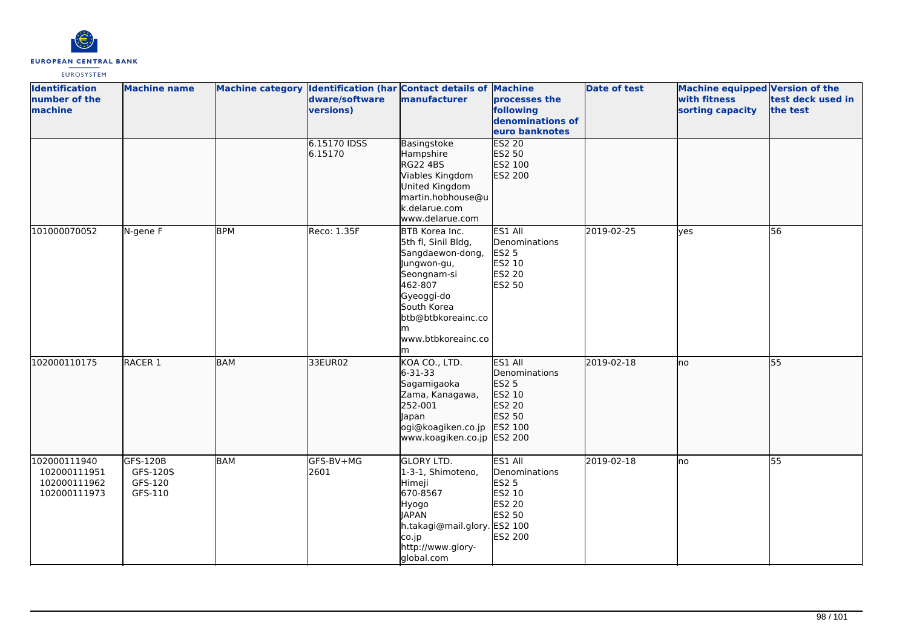

| <b>Identification</b><br>number of the<br>machine            | <b>Machine name</b>                        |            | dware/software<br>versions) | Machine category Identification (har Contact details of Machine<br>manufacturer                                                                                                        | processes the<br>following<br>denominations of<br>euro banknotes                  | <b>Date of test</b> | Machine equipped Version of the<br>with fitness<br>sorting capacity | test deck used in<br>the test |
|--------------------------------------------------------------|--------------------------------------------|------------|-----------------------------|----------------------------------------------------------------------------------------------------------------------------------------------------------------------------------------|-----------------------------------------------------------------------------------|---------------------|---------------------------------------------------------------------|-------------------------------|
|                                                              |                                            |            | 6.15170 IDSS<br>6.15170     | Basingstoke<br>Hampshire<br><b>RG22 4BS</b><br>Viables Kingdom<br>United Kingdom<br>martin.hobhouse@u<br>k.delarue.com<br>www.delarue.com                                              | <b>ES2 20</b><br>ES2 50<br>ES2 100<br>ES2 200                                     |                     |                                                                     |                               |
| 101000070052                                                 | N-gene F                                   | <b>BPM</b> | Reco: 1.35F                 | BTB Korea Inc.<br>5th fl, Sinil Bldg,<br>Sangdaewon-dong,<br>Jungwon-gu,<br>Seongnam-si<br>462-807<br>Gyeoggi-do<br>South Korea<br>btb@btbkoreainc.co<br>lm<br>www.btbkoreainc.co<br>m | ES1 All<br>Denominations<br>ES2 5<br>ES2 10<br><b>ES2 20</b><br>ES2 50            | 2019-02-25          | yes                                                                 | 56                            |
| 102000110175                                                 | RACER <sub>1</sub>                         | <b>BAM</b> | 33EUR02                     | KOA CO., LTD.<br>6-31-33<br>Sagamigaoka<br>Zama, Kanagawa,<br>252-001<br>Japan<br>ogi@koagiken.co.jp ES2 100<br>www.koagiken.co.jp ES2 200                                             | ES1 All<br>Denominations<br><b>ES2 5</b><br>ES2 10<br>ES2 20<br>ES2 50            | 2019-02-18          | lno                                                                 | 55                            |
| 102000111940<br>102000111951<br>102000111962<br>102000111973 | GFS-120B<br>GFS-120S<br>GFS-120<br>GFS-110 | BAM        | GFS-BV+MG<br>2601           | <b>GLORY LTD.</b><br>1-3-1, Shimoteno,<br>Himeji<br>670-8567<br>Hyogo<br><b>JAPAN</b><br>h.takagi@mail.glory. ES2 100<br>co.jp<br>http://www.glory-<br>global.com                      | ES1 All<br>Denominations<br><b>ES2 5</b><br>ES2 10<br>ES2 20<br>ES2 50<br>ES2 200 | 2019-02-18          | lno                                                                 | 55                            |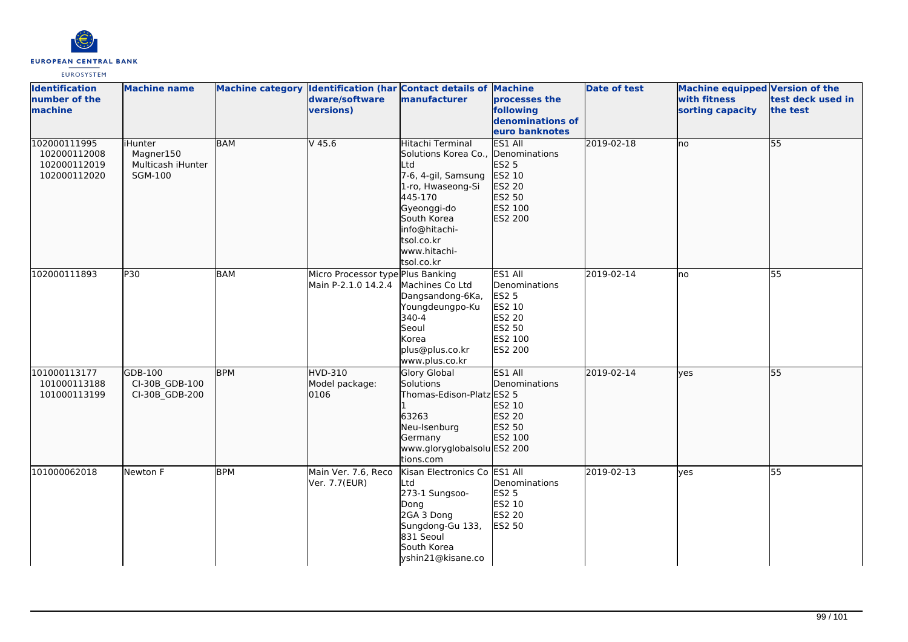

| <b>Identification</b><br>number of the<br>machine            | <b>Machine name</b>                                          |            | dware/software<br>versions)                              | Machine category Identification (har Contact details of Machine<br>manufacturer                                                                                                                                 | processes the<br>following<br>denominations of<br>euro banknotes                                           | <b>Date of test</b> | <b>Machine equipped Version of the</b><br>with fitness<br>sorting capacity | test deck used in<br>the test |
|--------------------------------------------------------------|--------------------------------------------------------------|------------|----------------------------------------------------------|-----------------------------------------------------------------------------------------------------------------------------------------------------------------------------------------------------------------|------------------------------------------------------------------------------------------------------------|---------------------|----------------------------------------------------------------------------|-------------------------------|
| 102000111995<br>102000112008<br>102000112019<br>102000112020 | liHunter<br>Magner150<br>Multicash iHunter<br><b>SGM-100</b> | <b>BAM</b> | $V$ 45.6                                                 | Hitachi Terminal<br>Solutions Korea Co., Denominations<br>Ltd<br>7-6, 4-gil, Samsung<br>1-ro, Hwaseong-Si<br>445-170<br>Gyeonggi-do<br>South Korea<br>info@hitachi-<br>tsol.co.kr<br>www.hitachi-<br>tsol.co.kr | ES1 All<br>ES2 5<br>ES2 10<br>ES2 20<br>ES2 50<br>ES2 100<br>ES2 200                                       | 2019-02-18          | lno                                                                        | $\overline{55}$               |
| 102000111893                                                 | P30                                                          | <b>BAM</b> | Micro Processor type Plus Banking<br>Main P-2.1.0 14.2.4 | Machines Co Ltd<br>Dangsandong-6Ka,<br>Youngdeungpo-Ku<br>340-4<br>Seoul<br>Korea<br>plus@plus.co.kr<br>www.plus.co.kr                                                                                          | ES1 All<br>Denominations<br><b>ES2 5</b><br>ES2 10<br><b>ES2 20</b><br>ES2 50<br>ES2 100<br><b>ES2 200</b> | 2019-02-14          | no                                                                         | 55                            |
| 101000113177<br>101000113188<br>101000113199                 | GDB-100<br>CI-30B GDB-100<br>CI-30B_GDB-200                  | <b>BPM</b> | <b>HVD-310</b><br>Model package:<br>0106                 | <b>Glory Global</b><br>Solutions<br>Thomas-Edison-Platz ES2 5<br>63263<br>Neu-Isenburg<br>Germany<br>www.gloryglobalsolu ES2 200<br>tions.com                                                                   | ES1 All<br>Denominations<br>ES2 10<br>ES2 20<br>ES2 50<br>ES2 100                                          | 2019-02-14          | ves                                                                        | 55                            |
| 101000062018                                                 | Newton F                                                     | <b>BPM</b> | Main Ver. 7.6, Reco<br>Ver. 7.7(EUR)                     | Kisan Electronics Co ES1 All<br>Ltd<br>273-1 Sungsoo-<br>Dong<br>2GA 3 Dong<br>Sungdong-Gu 133,<br>831 Seoul<br>South Korea<br>yshin21@kisane.co                                                                | Denominations<br><b>ES2 5</b><br>ES2 10<br>ES2 20<br>ES2 50                                                | 2019-02-13          | yes                                                                        | 55                            |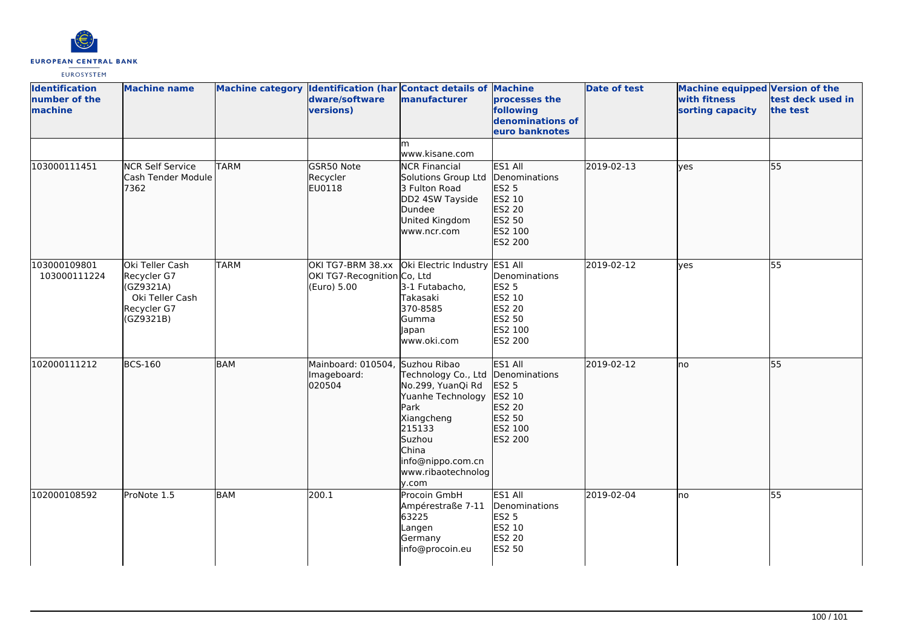

| <b>Identification</b><br>number of the<br><b>Imachine</b> | <b>Machine name</b>                                                                        |             | Machine category Identification (har Contact details of Machine<br>dware/software<br>versions) | manufacturer                                                                                                                                                                         | processes the<br>following<br>denominations of<br>euro banknotes                             | <b>Date of test</b> | <b>Machine equipped Version of the</b><br>with fitness<br>sorting capacity | test deck used in<br>the test |
|-----------------------------------------------------------|--------------------------------------------------------------------------------------------|-------------|------------------------------------------------------------------------------------------------|--------------------------------------------------------------------------------------------------------------------------------------------------------------------------------------|----------------------------------------------------------------------------------------------|---------------------|----------------------------------------------------------------------------|-------------------------------|
|                                                           |                                                                                            |             |                                                                                                | m<br>www.kisane.com                                                                                                                                                                  |                                                                                              |                     |                                                                            |                               |
| 103000111451                                              | <b>NCR Self Service</b><br>Cash Tender Module<br>7362                                      | <b>TARM</b> | GSR50 Note<br>Recycler<br>EU0118                                                               | <b>NCR Financial</b><br>Solutions Group Ltd<br>3 Fulton Road<br>DD2 4SW Tayside<br>Dundee<br>United Kingdom<br>www.ncr.com                                                           | ES1 All<br>Denominations<br><b>ES2 5</b><br>ES2 10<br>ES2 20<br>ES2 50<br>ES2 100<br>ES2 200 | 2019-02-13          | ves                                                                        | 55                            |
| 103000109801<br>103000111224                              | Oki Teller Cash<br>Recycler G7<br>(GZ9321A)<br>Oki Teller Cash<br>Recycler G7<br>(GZ9321B) | <b>TARM</b> | OKI TG7-BRM 38.xx<br>OKI TG7-Recognition Co, Ltd<br>(Euro) 5.00                                | Oki Electric Industry<br>3-1 Futabacho,<br>Takasaki<br>370-8585<br>Gumma<br>Japan<br>www.oki.com                                                                                     | ES1 All<br>Denominations<br><b>ES2 5</b><br>ES2 10<br>ES2 20<br>ES2 50<br>ES2 100<br>ES2 200 | 2019-02-12          | yes                                                                        | 55                            |
| 102000111212                                              | <b>BCS-160</b>                                                                             | <b>BAM</b>  | Mainboard: 010504,<br>Imageboard:<br>020504                                                    | Suzhou Ribao<br>Technology Co., Ltd<br>No.299, YuanQi Rd<br>Yuanhe Technology<br>Park<br>Xiangcheng<br>215133<br>Suzhou<br>China<br>info@nippo.com.cn<br>www.ribaotechnolog<br>y.com | ES1 All<br>Denominations<br><b>ES2 5</b><br>ES2 10<br>ES2 20<br>ES2 50<br>ES2 100<br>ES2 200 | 2019-02-12          | Ino                                                                        | 55                            |
| 102000108592                                              | ProNote 1.5                                                                                | <b>BAM</b>  | 200.1                                                                                          | Procoin GmbH<br>Ampérestraße 7-11<br>63225<br>Langen<br>Germany<br>info@procoin.eu                                                                                                   | ES1 All<br>Denominations<br><b>ES2 5</b><br>ES2 10<br>ES2 20<br>ES2 50                       | 2019-02-04          | no                                                                         | 55                            |